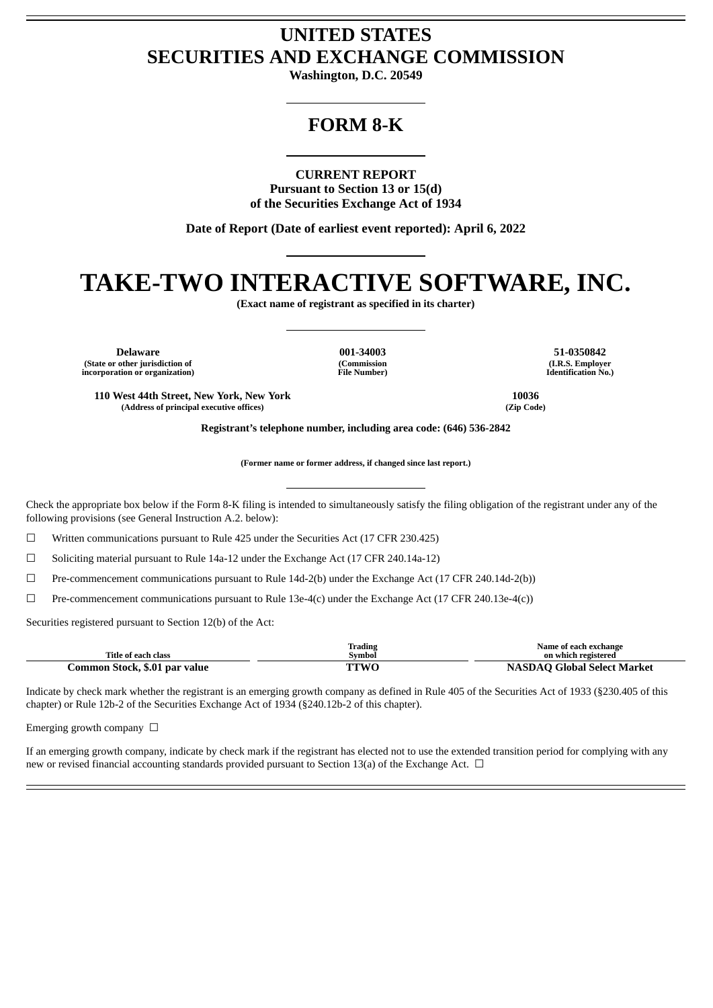# **UNITED STATES SECURITIES AND EXCHANGE COMMISSION**

**Washington, D.C. 20549**

# **FORM 8-K**

**CURRENT REPORT**

**Pursuant to Section 13 or 15(d) of the Securities Exchange Act of 1934**

**Date of Report (Date of earliest event reported): April 6, 2022**

# **TAKE-TWO INTERACTIVE SOFTWARE, INC.**

**(Exact name of registrant as specified in its charter)**

**Delaware 001-34003 51-0350842 (State or other jurisdiction of incorporation or organization)**

**(Commission File Number)**

**(I.R.S. Employer Identification No.)**

**110 West 44th Street, New York, New York 10036 (Address of principal executive offices) (Zip Code)**

**Registrant's telephone number, including area code: (646) 536-2842**

**(Former name or former address, if changed since last report.)**

Check the appropriate box below if the Form 8-K filing is intended to simultaneously satisfy the filing obligation of the registrant under any of the following provisions (see General Instruction A.2. below):

☐ Written communications pursuant to Rule 425 under the Securities Act (17 CFR 230.425)

 $\Box$  Soliciting material pursuant to Rule 14a-12 under the Exchange Act (17 CFR 240.14a-12)

☐ Pre-commencement communications pursuant to Rule 14d-2(b) under the Exchange Act (17 CFR 240.14d-2(b))

 $\Box$  Pre-commencement communications pursuant to Rule 13e-4(c) under the Exchange Act (17 CFR 240.13e-4(c))

Securities registered pursuant to Section 12(b) of the Act:

| Title of each class           | Trading<br>Svmbol | Name of each exchange<br>on which registered |
|-------------------------------|-------------------|----------------------------------------------|
| Common Stock, \$.01 par value | TTWO              | <b>NASDAO Global Select Market</b>           |

Indicate by check mark whether the registrant is an emerging growth company as defined in Rule 405 of the Securities Act of 1933 (§230.405 of this chapter) or Rule 12b-2 of the Securities Exchange Act of 1934 (§240.12b-2 of this chapter).

Emerging growth company  $\Box$ 

If an emerging growth company, indicate by check mark if the registrant has elected not to use the extended transition period for complying with any new or revised financial accounting standards provided pursuant to Section 13(a) of the Exchange Act.  $\Box$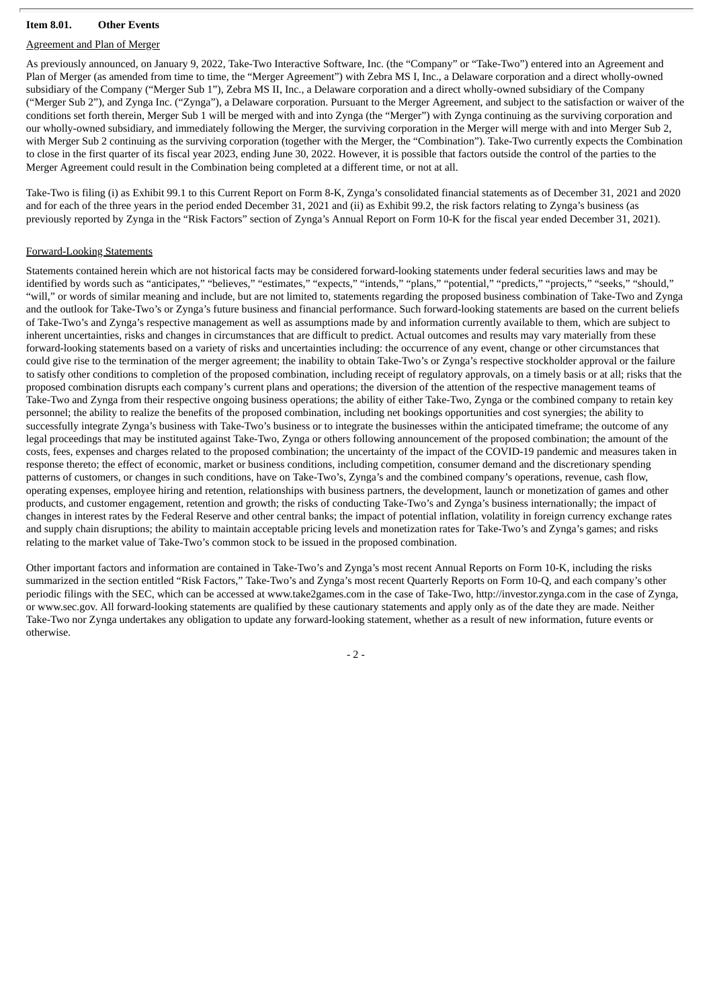#### **Item 8.01. Other Events**

# Agreement and Plan of Merger

As previously announced, on January 9, 2022, Take-Two Interactive Software, Inc. (the "Company" or "Take-Two") entered into an Agreement and Plan of Merger (as amended from time to time, the "Merger Agreement") with Zebra MS I, Inc., a Delaware corporation and a direct wholly-owned subsidiary of the Company ("Merger Sub 1"), Zebra MS II, Inc., a Delaware corporation and a direct wholly-owned subsidiary of the Company ("Merger Sub 2"), and Zynga Inc. ("Zynga"), a Delaware corporation. Pursuant to the Merger Agreement, and subject to the satisfaction or waiver of the conditions set forth therein, Merger Sub 1 will be merged with and into Zynga (the "Merger") with Zynga continuing as the surviving corporation and our wholly-owned subsidiary, and immediately following the Merger, the surviving corporation in the Merger will merge with and into Merger Sub 2, with Merger Sub 2 continuing as the surviving corporation (together with the Merger, the "Combination"). Take-Two currently expects the Combination to close in the first quarter of its fiscal year 2023, ending June 30, 2022. However, it is possible that factors outside the control of the parties to the Merger Agreement could result in the Combination being completed at a different time, or not at all.

Take-Two is filing (i) as Exhibit 99.1 to this Current Report on Form 8-K, Zynga's consolidated financial statements as of December 31, 2021 and 2020 and for each of the three years in the period ended December 31, 2021 and (ii) as Exhibit 99.2, the risk factors relating to Zynga's business (as previously reported by Zynga in the "Risk Factors" section of Zynga's Annual Report on Form 10-K for the fiscal year ended December 31, 2021).

#### Forward-Looking Statements

Statements contained herein which are not historical facts may be considered forward-looking statements under federal securities laws and may be identified by words such as "anticipates," "believes," "estimates," "expects," "intends," "plans," "potential," "predicts," "projects," "seeks," "should," "will," or words of similar meaning and include, but are not limited to, statements regarding the proposed business combination of Take-Two and Zynga and the outlook for Take-Two's or Zynga's future business and financial performance. Such forward-looking statements are based on the current beliefs of Take-Two's and Zynga's respective management as well as assumptions made by and information currently available to them, which are subject to inherent uncertainties, risks and changes in circumstances that are difficult to predict. Actual outcomes and results may vary materially from these forward-looking statements based on a variety of risks and uncertainties including: the occurrence of any event, change or other circumstances that could give rise to the termination of the merger agreement; the inability to obtain Take-Two's or Zynga's respective stockholder approval or the failure to satisfy other conditions to completion of the proposed combination, including receipt of regulatory approvals, on a timely basis or at all; risks that the proposed combination disrupts each company's current plans and operations; the diversion of the attention of the respective management teams of Take-Two and Zynga from their respective ongoing business operations; the ability of either Take-Two, Zynga or the combined company to retain key personnel; the ability to realize the benefits of the proposed combination, including net bookings opportunities and cost synergies; the ability to successfully integrate Zynga's business with Take-Two's business or to integrate the businesses within the anticipated timeframe; the outcome of any legal proceedings that may be instituted against Take-Two, Zynga or others following announcement of the proposed combination; the amount of the costs, fees, expenses and charges related to the proposed combination; the uncertainty of the impact of the COVID-19 pandemic and measures taken in response thereto; the effect of economic, market or business conditions, including competition, consumer demand and the discretionary spending patterns of customers, or changes in such conditions, have on Take-Two's, Zynga's and the combined company's operations, revenue, cash flow, operating expenses, employee hiring and retention, relationships with business partners, the development, launch or monetization of games and other products, and customer engagement, retention and growth; the risks of conducting Take-Two's and Zynga's business internationally; the impact of changes in interest rates by the Federal Reserve and other central banks; the impact of potential inflation, volatility in foreign currency exchange rates and supply chain disruptions; the ability to maintain acceptable pricing levels and monetization rates for Take-Two's and Zynga's games; and risks relating to the market value of Take-Two's common stock to be issued in the proposed combination.

Other important factors and information are contained in Take-Two's and Zynga's most recent Annual Reports on Form 10-K, including the risks summarized in the section entitled "Risk Factors," Take-Two's and Zynga's most recent Quarterly Reports on Form 10-Q, and each company's other periodic filings with the SEC, which can be accessed at www.take2games.com in the case of Take-Two, http://investor.zynga.com in the case of Zynga, or www.sec.gov. All forward-looking statements are qualified by these cautionary statements and apply only as of the date they are made. Neither Take-Two nor Zynga undertakes any obligation to update any forward-looking statement, whether as a result of new information, future events or otherwise.

 $-2-$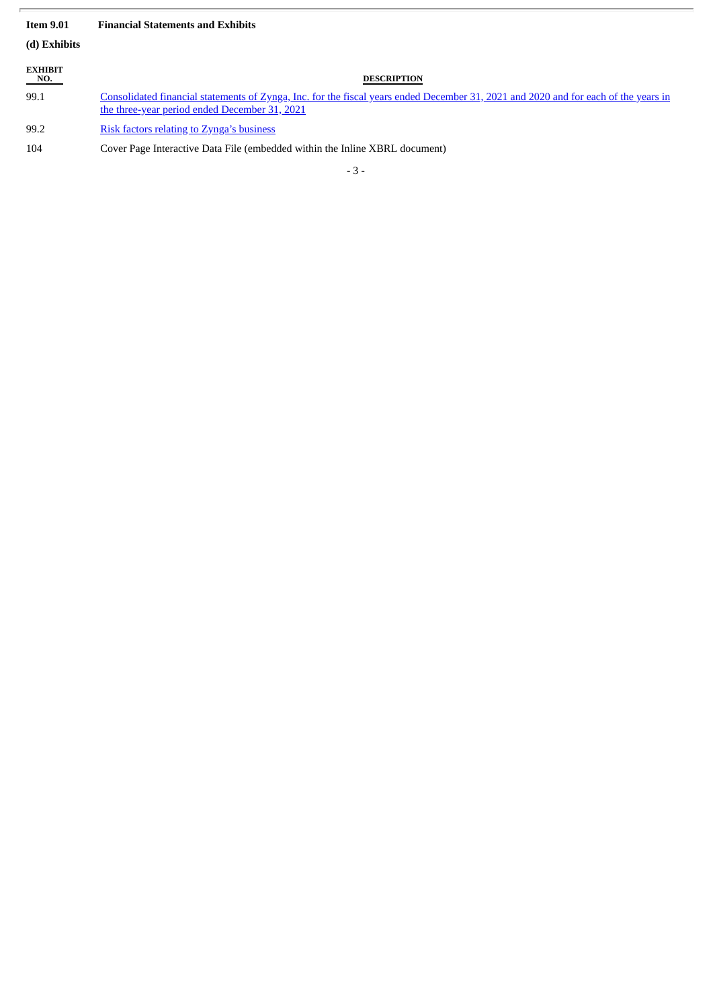| <b>Item 9.01</b>         | <b>Financial Statements and Exhibits</b>                                                                                                                                             |
|--------------------------|--------------------------------------------------------------------------------------------------------------------------------------------------------------------------------------|
| (d) Exhibits             |                                                                                                                                                                                      |
| <b>EXHIBIT</b><br>$NQ$ . | <b>DESCRIPTION</b>                                                                                                                                                                   |
| 99.1                     | Consolidated financial statements of Zynga, Inc. for the fiscal years ended December 31, 2021 and 2020 and for each of the years in<br>the three-year period ended December 31, 2021 |
| 99.2                     | Risk factors relating to Zynga's business                                                                                                                                            |
| 104                      | Cover Page Interactive Data File (embedded within the Inline XBRL document)                                                                                                          |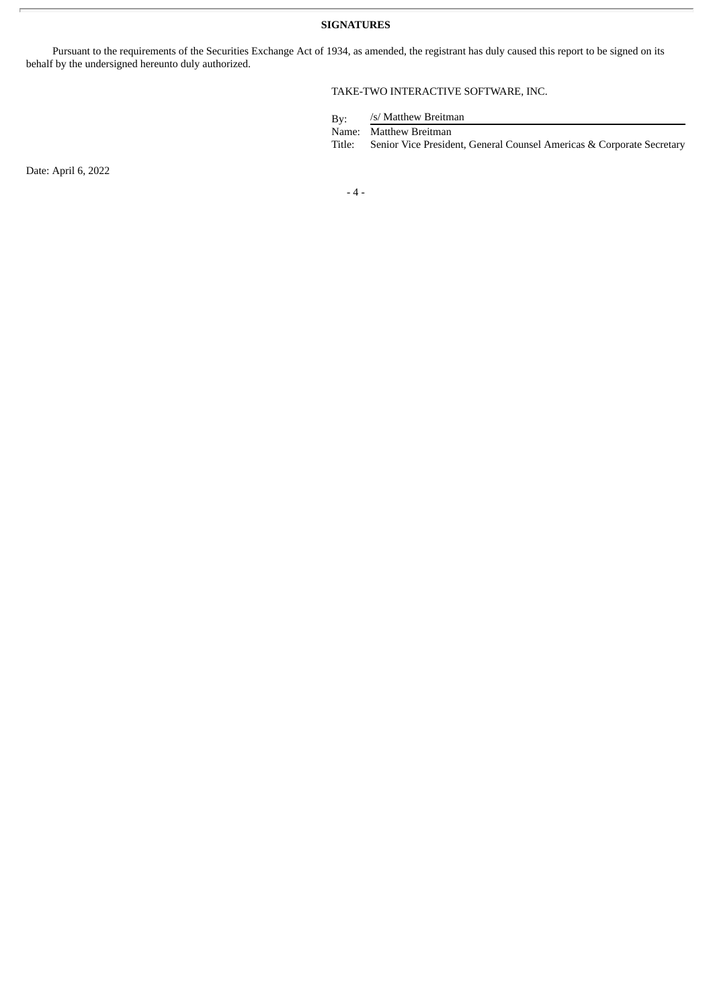Pursuant to the requirements of the Securities Exchange Act of 1934, as amended, the registrant has duly caused this report to be signed on its behalf by the undersigned hereunto duly authorized.

# TAKE-TWO INTERACTIVE SOFTWARE, INC.

| Bv:    | /s/ Matthew Breitman                                                  |
|--------|-----------------------------------------------------------------------|
|        | Name: Matthew Breitman                                                |
| Title: | Senior Vice President, General Counsel Americas & Corporate Secretary |

Date: April 6, 2022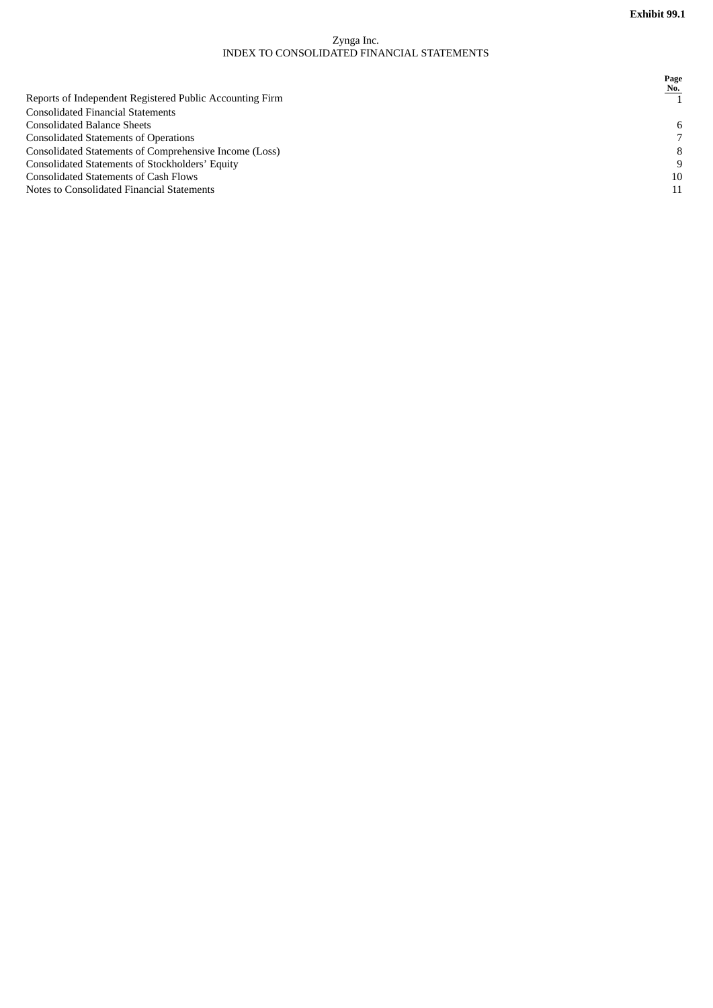#### Zynga Inc. INDEX TO CONSOLIDATED FINANCIAL STATEMENTS

<span id="page-4-0"></span>

|                                                          | Page<br><u>No.</u> |
|----------------------------------------------------------|--------------------|
| Reports of Independent Registered Public Accounting Firm |                    |
| <b>Consolidated Financial Statements</b>                 |                    |
| <b>Consolidated Balance Sheets</b>                       | 6                  |
| <b>Consolidated Statements of Operations</b>             | 7                  |
| Consolidated Statements of Comprehensive Income (Loss)   | 8                  |
| Consolidated Statements of Stockholders' Equity          | 9                  |
| <b>Consolidated Statements of Cash Flows</b>             | 10                 |
| Notes to Consolidated Financial Statements               | 11                 |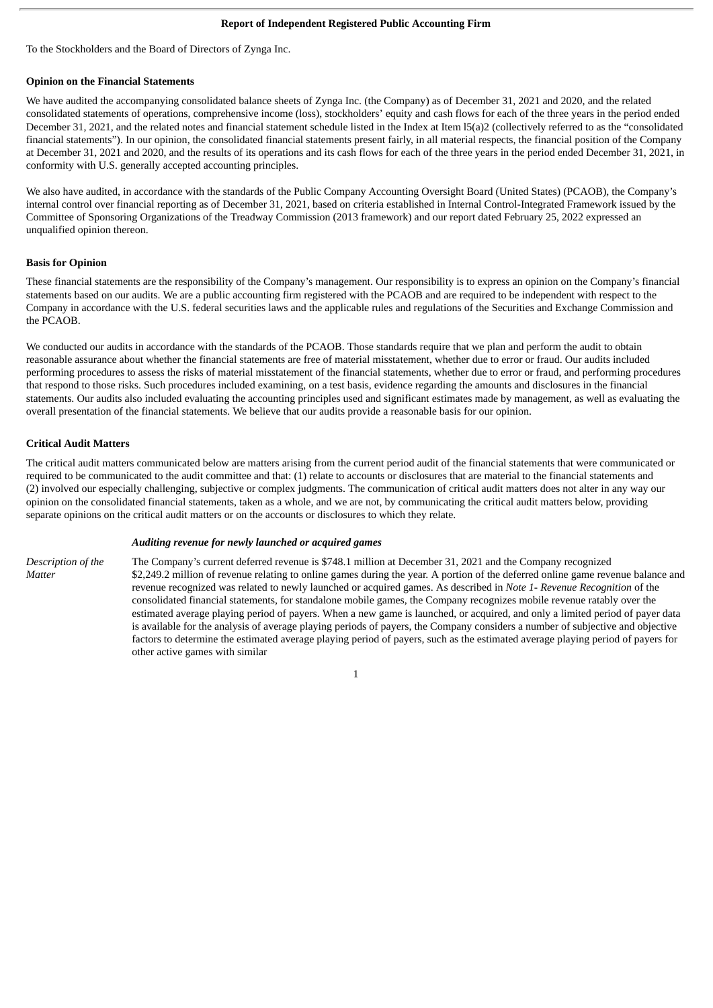To the Stockholders and the Board of Directors of Zynga Inc.

#### **Opinion on the Financial Statements**

We have audited the accompanying consolidated balance sheets of Zynga Inc. (the Company) as of December 31, 2021 and 2020, and the related consolidated statements of operations, comprehensive income (loss), stockholders' equity and cash flows for each of the three years in the period ended December 31, 2021, and the related notes and financial statement schedule listed in the Index at Item l5(a)2 (collectively referred to as the "consolidated financial statements"). In our opinion, the consolidated financial statements present fairly, in all material respects, the financial position of the Company at December 31, 2021 and 2020, and the results of its operations and its cash flows for each of the three years in the period ended December 31, 2021, in conformity with U.S. generally accepted accounting principles.

We also have audited, in accordance with the standards of the Public Company Accounting Oversight Board (United States) (PCAOB), the Company's internal control over financial reporting as of December 31, 2021, based on criteria established in Internal Control-Integrated Framework issued by the Committee of Sponsoring Organizations of the Treadway Commission (2013 framework) and our report dated February 25, 2022 expressed an unqualified opinion thereon.

#### **Basis for Opinion**

These financial statements are the responsibility of the Company's management. Our responsibility is to express an opinion on the Company's financial statements based on our audits. We are a public accounting firm registered with the PCAOB and are required to be independent with respect to the Company in accordance with the U.S. federal securities laws and the applicable rules and regulations of the Securities and Exchange Commission and the PCAOB.

We conducted our audits in accordance with the standards of the PCAOB. Those standards require that we plan and perform the audit to obtain reasonable assurance about whether the financial statements are free of material misstatement, whether due to error or fraud. Our audits included performing procedures to assess the risks of material misstatement of the financial statements, whether due to error or fraud, and performing procedures that respond to those risks. Such procedures included examining, on a test basis, evidence regarding the amounts and disclosures in the financial statements. Our audits also included evaluating the accounting principles used and significant estimates made by management, as well as evaluating the overall presentation of the financial statements. We believe that our audits provide a reasonable basis for our opinion.

#### **Critical Audit Matters**

The critical audit matters communicated below are matters arising from the current period audit of the financial statements that were communicated or required to be communicated to the audit committee and that: (1) relate to accounts or disclosures that are material to the financial statements and (2) involved our especially challenging, subjective or complex judgments. The communication of critical audit matters does not alter in any way our opinion on the consolidated financial statements, taken as a whole, and we are not, by communicating the critical audit matters below, providing separate opinions on the critical audit matters or on the accounts or disclosures to which they relate.

1

#### *Auditing revenue for newly launched or acquired games*

*Description of the Matter*

The Company's current deferred revenue is \$748.1 million at December 31, 2021 and the Company recognized \$2,249.2 million of revenue relating to online games during the year. A portion of the deferred online game revenue balance and revenue recognized was related to newly launched or acquired games. As described in *Note 1- Revenue Recognition* of the consolidated financial statements, for standalone mobile games, the Company recognizes mobile revenue ratably over the estimated average playing period of payers. When a new game is launched, or acquired, and only a limited period of payer data is available for the analysis of average playing periods of payers, the Company considers a number of subjective and objective factors to determine the estimated average playing period of payers, such as the estimated average playing period of payers for other active games with similar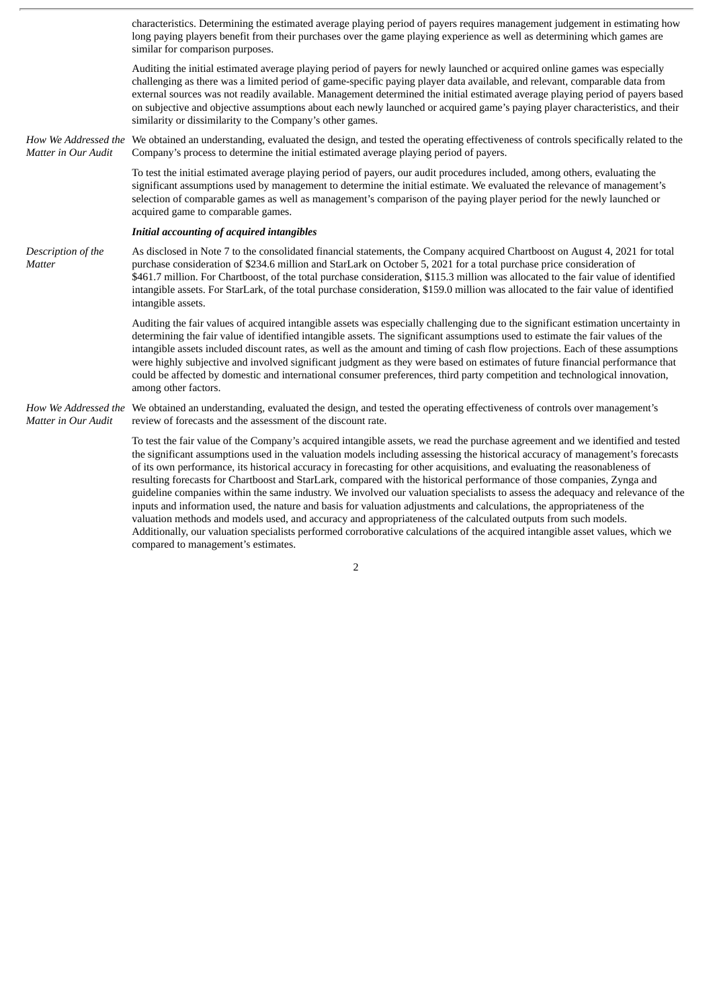|                                     | characteristics. Determining the estimated average playing period of payers requires management judgement in estimating how<br>long paying players benefit from their purchases over the game playing experience as well as determining which games are<br>similar for comparison purposes.                                                                                                                                                                                                                                                                                                                                                                                                                                                                                                                                                                                                                   |
|-------------------------------------|---------------------------------------------------------------------------------------------------------------------------------------------------------------------------------------------------------------------------------------------------------------------------------------------------------------------------------------------------------------------------------------------------------------------------------------------------------------------------------------------------------------------------------------------------------------------------------------------------------------------------------------------------------------------------------------------------------------------------------------------------------------------------------------------------------------------------------------------------------------------------------------------------------------|
|                                     | Auditing the initial estimated average playing period of payers for newly launched or acquired online games was especially<br>challenging as there was a limited period of game-specific paying player data available, and relevant, comparable data from<br>external sources was not readily available. Management determined the initial estimated average playing period of payers based<br>on subjective and objective assumptions about each newly launched or acquired game's paying player characteristics, and their<br>similarity or dissimilarity to the Company's other games.                                                                                                                                                                                                                                                                                                                     |
| Matter in Our Audit                 | How We Addressed the We obtained an understanding, evaluated the design, and tested the operating effectiveness of controls specifically related to the<br>Company's process to determine the initial estimated average playing period of payers.                                                                                                                                                                                                                                                                                                                                                                                                                                                                                                                                                                                                                                                             |
|                                     | To test the initial estimated average playing period of payers, our audit procedures included, among others, evaluating the<br>significant assumptions used by management to determine the initial estimate. We evaluated the relevance of management's<br>selection of comparable games as well as management's comparison of the paying player period for the newly launched or<br>acquired game to comparable games.                                                                                                                                                                                                                                                                                                                                                                                                                                                                                       |
|                                     | <b>Initial accounting of acquired intangibles</b>                                                                                                                                                                                                                                                                                                                                                                                                                                                                                                                                                                                                                                                                                                                                                                                                                                                             |
| Description of the<br><b>Matter</b> | As disclosed in Note 7 to the consolidated financial statements, the Company acquired Chartboost on August 4, 2021 for total<br>purchase consideration of \$234.6 million and StarLark on October 5, 2021 for a total purchase price consideration of<br>\$461.7 million. For Chartboost, of the total purchase consideration, \$115.3 million was allocated to the fair value of identified<br>intangible assets. For StarLark, of the total purchase consideration, \$159.0 million was allocated to the fair value of identified<br>intangible assets.                                                                                                                                                                                                                                                                                                                                                     |
|                                     | Auditing the fair values of acquired intangible assets was especially challenging due to the significant estimation uncertainty in<br>determining the fair value of identified intangible assets. The significant assumptions used to estimate the fair values of the<br>intangible assets included discount rates, as well as the amount and timing of cash flow projections. Each of these assumptions<br>were highly subjective and involved significant judgment as they were based on estimates of future financial performance that<br>could be affected by domestic and international consumer preferences, third party competition and technological innovation,<br>among other factors.                                                                                                                                                                                                              |
| Matter in Our Audit                 | How We Addressed the We obtained an understanding, evaluated the design, and tested the operating effectiveness of controls over management's<br>review of forecasts and the assessment of the discount rate.                                                                                                                                                                                                                                                                                                                                                                                                                                                                                                                                                                                                                                                                                                 |
|                                     | To test the fair value of the Company's acquired intangible assets, we read the purchase agreement and we identified and tested<br>the significant assumptions used in the valuation models including assessing the historical accuracy of management's forecasts<br>of its own performance, its historical accuracy in forecasting for other acquisitions, and evaluating the reasonableness of<br>resulting forecasts for Chartboost and StarLark, compared with the historical performance of those companies, Zynga and<br>guideline companies within the same industry. We involved our valuation specialists to assess the adequacy and relevance of the<br>inputs and information used, the nature and basis for valuation adjustments and calculations, the appropriateness of the<br>valuation methods and models used, and accuracy and appropriateness of the calculated outputs from such models. |

Additionally, our valuation specialists performed corroborative calculations of the acquired intangible asset values, which we compared to management's estimates.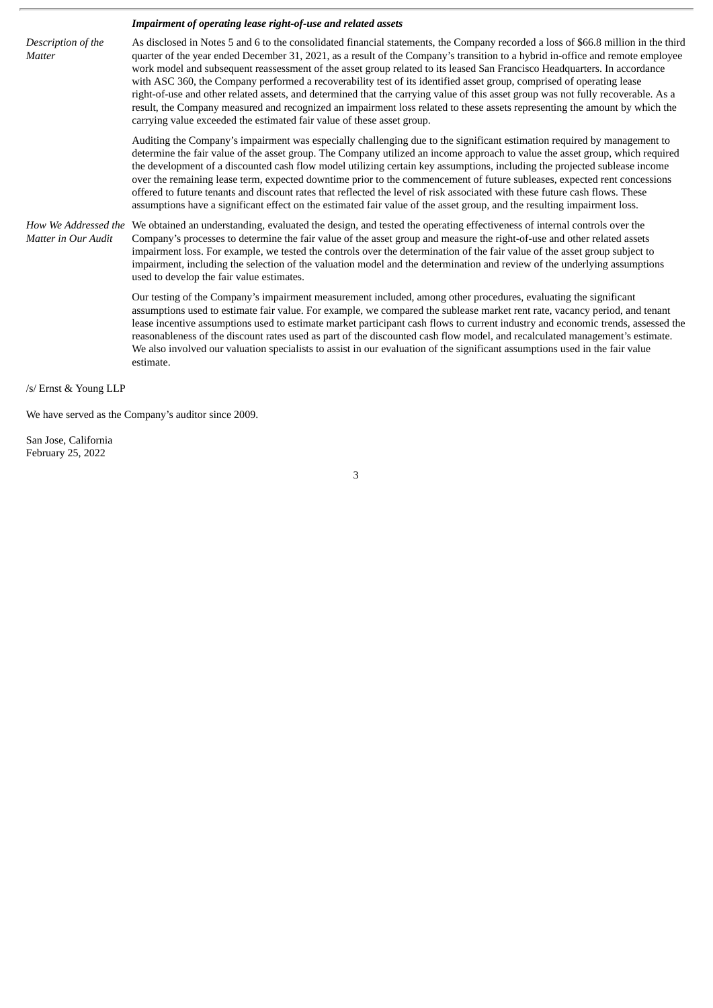#### *Impairment of operating lease right-of-use and related assets*

carrying value exceeded the estimated fair value of these asset group.

*Description of the Matter* As disclosed in Notes 5 and 6 to the consolidated financial statements, the Company recorded a loss of \$66.8 million in the third quarter of the year ended December 31, 2021, as a result of the Company's transition to a hybrid in-office and remote employee work model and subsequent reassessment of the asset group related to its leased San Francisco Headquarters. In accordance with ASC 360, the Company performed a recoverability test of its identified asset group, comprised of operating lease right-of-use and other related assets, and determined that the carrying value of this asset group was not fully recoverable. As a result, the Company measured and recognized an impairment loss related to these assets representing the amount by which the

> Auditing the Company's impairment was especially challenging due to the significant estimation required by management to determine the fair value of the asset group. The Company utilized an income approach to value the asset group, which required the development of a discounted cash flow model utilizing certain key assumptions, including the projected sublease income over the remaining lease term, expected downtime prior to the commencement of future subleases, expected rent concessions offered to future tenants and discount rates that reflected the level of risk associated with these future cash flows. These assumptions have a significant effect on the estimated fair value of the asset group, and the resulting impairment loss.

How We Addressed the We obtained an understanding, evaluated the design, and tested the operating effectiveness of internal controls over the *Matter in Our Audit* Company's processes to determine the fair value of the asset group and measure the right-of-use and other related assets impairment loss. For example, we tested the controls over the determination of the fair value of the asset group subject to impairment, including the selection of the valuation model and the determination and review of the underlying assumptions used to develop the fair value estimates.

> Our testing of the Company's impairment measurement included, among other procedures, evaluating the significant assumptions used to estimate fair value. For example, we compared the sublease market rent rate, vacancy period, and tenant lease incentive assumptions used to estimate market participant cash flows to current industry and economic trends, assessed the reasonableness of the discount rates used as part of the discounted cash flow model, and recalculated management's estimate. We also involved our valuation specialists to assist in our evaluation of the significant assumptions used in the fair value estimate.

#### /s/ Ernst & Young LLP

We have served as the Company's auditor since 2009.

San Jose, California February 25, 2022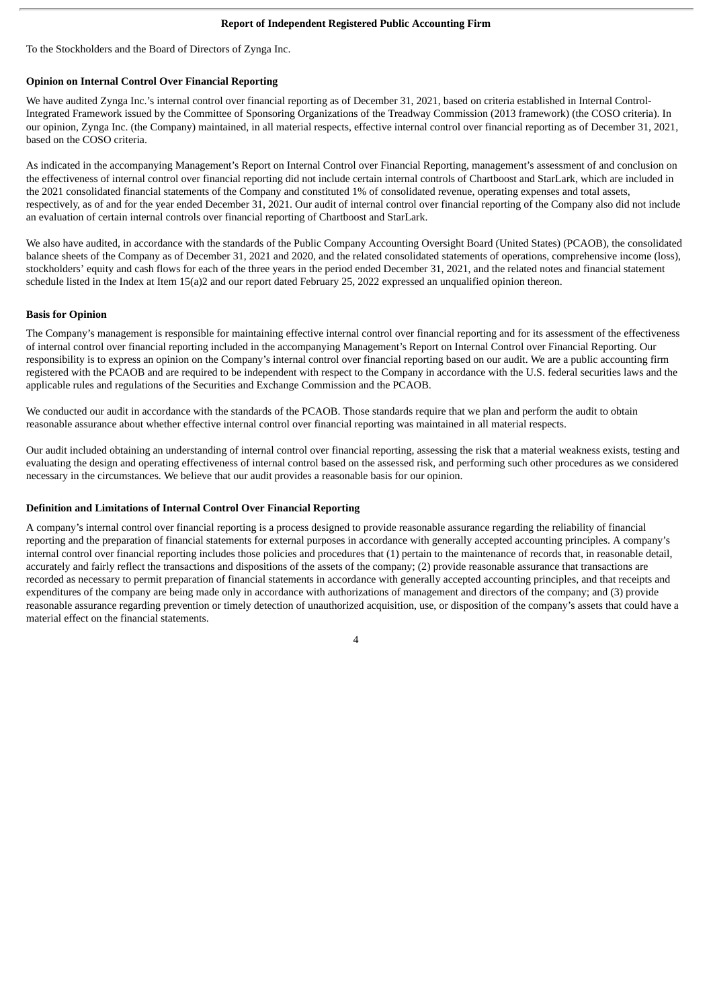#### **Report of Independent Registered Public Accounting Firm**

To the Stockholders and the Board of Directors of Zynga Inc.

#### **Opinion on Internal Control Over Financial Reporting**

We have audited Zynga Inc.'s internal control over financial reporting as of December 31, 2021, based on criteria established in Internal Control-Integrated Framework issued by the Committee of Sponsoring Organizations of the Treadway Commission (2013 framework) (the COSO criteria). In our opinion, Zynga Inc. (the Company) maintained, in all material respects, effective internal control over financial reporting as of December 31, 2021, based on the COSO criteria.

As indicated in the accompanying Management's Report on Internal Control over Financial Reporting, management's assessment of and conclusion on the effectiveness of internal control over financial reporting did not include certain internal controls of Chartboost and StarLark, which are included in the 2021 consolidated financial statements of the Company and constituted 1% of consolidated revenue, operating expenses and total assets, respectively, as of and for the year ended December 31, 2021. Our audit of internal control over financial reporting of the Company also did not include an evaluation of certain internal controls over financial reporting of Chartboost and StarLark.

We also have audited, in accordance with the standards of the Public Company Accounting Oversight Board (United States) (PCAOB), the consolidated balance sheets of the Company as of December 31, 2021 and 2020, and the related consolidated statements of operations, comprehensive income (loss), stockholders' equity and cash flows for each of the three years in the period ended December 31, 2021, and the related notes and financial statement schedule listed in the Index at Item 15(a)2 and our report dated February 25, 2022 expressed an unqualified opinion thereon.

#### **Basis for Opinion**

The Company's management is responsible for maintaining effective internal control over financial reporting and for its assessment of the effectiveness of internal control over financial reporting included in the accompanying Management's Report on Internal Control over Financial Reporting. Our responsibility is to express an opinion on the Company's internal control over financial reporting based on our audit. We are a public accounting firm registered with the PCAOB and are required to be independent with respect to the Company in accordance with the U.S. federal securities laws and the applicable rules and regulations of the Securities and Exchange Commission and the PCAOB.

We conducted our audit in accordance with the standards of the PCAOB. Those standards require that we plan and perform the audit to obtain reasonable assurance about whether effective internal control over financial reporting was maintained in all material respects.

Our audit included obtaining an understanding of internal control over financial reporting, assessing the risk that a material weakness exists, testing and evaluating the design and operating effectiveness of internal control based on the assessed risk, and performing such other procedures as we considered necessary in the circumstances. We believe that our audit provides a reasonable basis for our opinion.

#### **Definition and Limitations of Internal Control Over Financial Reporting**

A company's internal control over financial reporting is a process designed to provide reasonable assurance regarding the reliability of financial reporting and the preparation of financial statements for external purposes in accordance with generally accepted accounting principles. A company's internal control over financial reporting includes those policies and procedures that (1) pertain to the maintenance of records that, in reasonable detail, accurately and fairly reflect the transactions and dispositions of the assets of the company; (2) provide reasonable assurance that transactions are recorded as necessary to permit preparation of financial statements in accordance with generally accepted accounting principles, and that receipts and expenditures of the company are being made only in accordance with authorizations of management and directors of the company; and (3) provide reasonable assurance regarding prevention or timely detection of unauthorized acquisition, use, or disposition of the company's assets that could have a material effect on the financial statements.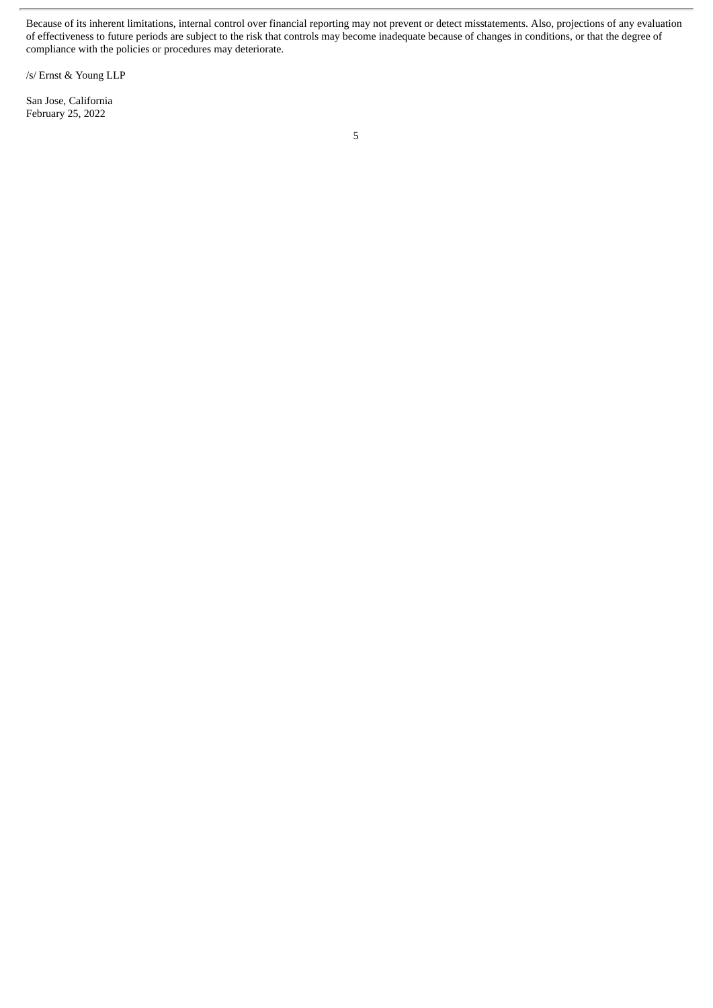Because of its inherent limitations, internal control over financial reporting may not prevent or detect misstatements. Also, projections of any evaluation of effectiveness to future periods are subject to the risk that controls may become inadequate because of changes in conditions, or that the degree of compliance with the policies or procedures may deteriorate.

/s/ Ernst & Young LLP

San Jose, California February 25, 2022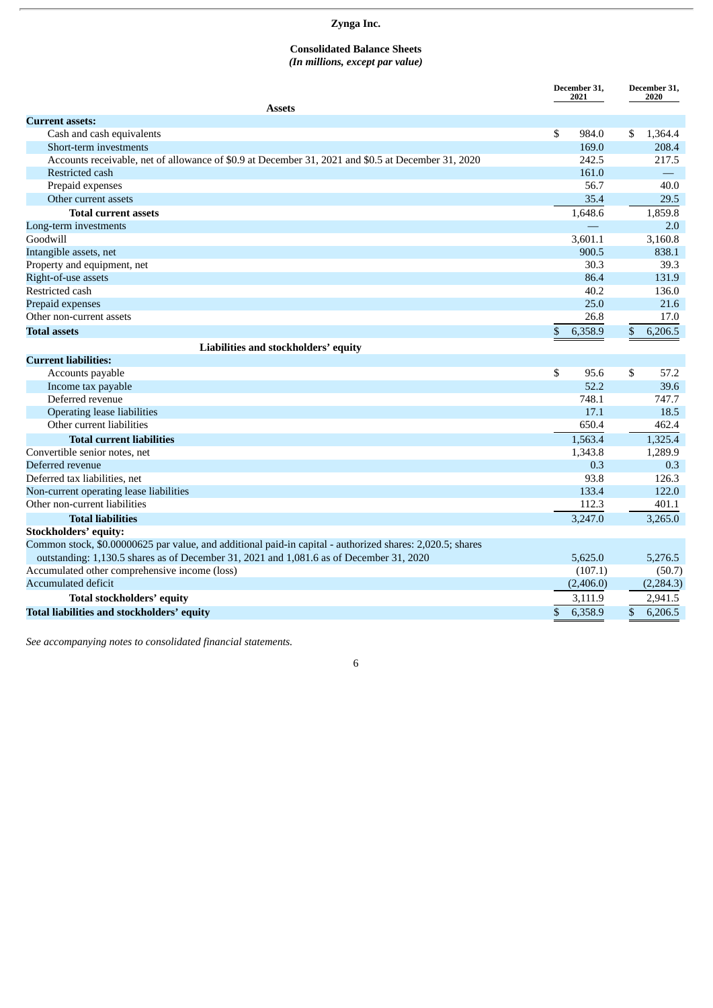# **Consolidated Balance Sheets** *(In millions, except par value)*

|                                                                                                           | December 31,<br>2021 | December 31,<br>2020    |
|-----------------------------------------------------------------------------------------------------------|----------------------|-------------------------|
| <b>Assets</b>                                                                                             |                      |                         |
| <b>Current assets:</b>                                                                                    |                      |                         |
| Cash and cash equivalents                                                                                 | \$<br>984.0          | 1,364.4<br>\$           |
| Short-term investments                                                                                    | 169.0                | 208.4                   |
| Accounts receivable, net of allowance of \$0.9 at December 31, 2021 and \$0.5 at December 31, 2020        | 242.5                | 217.5                   |
| Restricted cash                                                                                           | 161.0                |                         |
| Prepaid expenses                                                                                          | 56.7                 | 40.0                    |
| Other current assets                                                                                      | 35.4                 | 29.5                    |
| <b>Total current assets</b>                                                                               | 1,648.6              | 1,859.8                 |
| Long-term investments                                                                                     |                      | 2.0                     |
| Goodwill                                                                                                  | 3,601.1              | 3,160.8                 |
| Intangible assets, net                                                                                    | 900.5                | 838.1                   |
| Property and equipment, net                                                                               | 30.3                 | 39.3                    |
| Right-of-use assets                                                                                       | 86.4                 | 131.9                   |
| Restricted cash                                                                                           | 40.2                 | 136.0                   |
| Prepaid expenses                                                                                          | 25.0                 | 21.6                    |
| Other non-current assets                                                                                  | 26.8                 | 17.0                    |
| <b>Total assets</b>                                                                                       | \$<br>6,358.9        | $\sqrt{3}$<br>6,206.5   |
| Liabilities and stockholders' equity                                                                      |                      |                         |
| <b>Current liabilities:</b>                                                                               |                      |                         |
| Accounts payable                                                                                          | \$<br>95.6           | \$<br>57.2              |
| Income tax payable                                                                                        | 52.2                 | 39.6                    |
| Deferred revenue                                                                                          | 748.1                | 747.7                   |
| <b>Operating lease liabilities</b>                                                                        | 17.1                 | 18.5                    |
| Other current liabilities                                                                                 | 650.4                | 462.4                   |
| <b>Total current liabilities</b>                                                                          | 1,563.4              | 1,325.4                 |
| Convertible senior notes, net                                                                             | 1,343.8              | 1,289.9                 |
| Deferred revenue                                                                                          | 0.3                  | 0.3                     |
| Deferred tax liabilities, net                                                                             | 93.8                 | 126.3                   |
| Non-current operating lease liabilities                                                                   | 133.4                | 122.0                   |
| Other non-current liabilities                                                                             | 112.3                | 401.1                   |
| <b>Total liabilities</b>                                                                                  | 3,247.0              | 3,265.0                 |
| <b>Stockholders' equity:</b>                                                                              |                      |                         |
| Common stock, \$0.00000625 par value, and additional paid-in capital - authorized shares: 2,020.5; shares |                      |                         |
| outstanding: 1,130.5 shares as of December 31, 2021 and 1,081.6 as of December 31, 2020                   | 5,625.0              | 5,276.5                 |
| Accumulated other comprehensive income (loss)                                                             | (107.1)              | (50.7)                  |
| <b>Accumulated deficit</b>                                                                                | (2,406.0)            | (2, 284.3)              |
| <b>Total stockholders' equity</b>                                                                         | 3,111.9              | 2,941.5                 |
| Total liabilities and stockholders' equity                                                                | 6,358.9<br>\$        | $\mathbb{S}$<br>6,206.5 |

*See accompanying notes to consolidated financial statements.*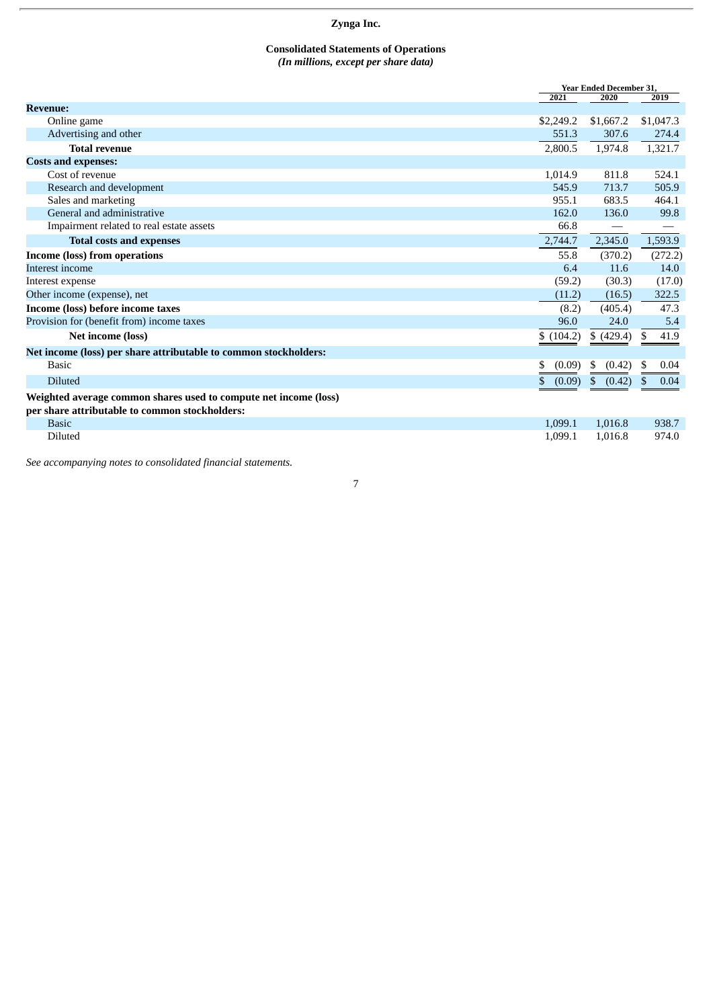#### **Consolidated Statements of Operations** *(In millions, except per share data)*

|                                                                  |              | <b>Year Ended December 31,</b> |            |  |
|------------------------------------------------------------------|--------------|--------------------------------|------------|--|
|                                                                  | 2021         | 2020                           | 2019       |  |
| <b>Revenue:</b>                                                  |              |                                |            |  |
| Online game                                                      | \$2,249.2    | \$1,667.2                      | \$1,047.3  |  |
| Advertising and other                                            | 551.3        | 307.6                          | 274.4      |  |
| <b>Total revenue</b>                                             | 2,800.5      | 1,974.8                        | 1,321.7    |  |
| <b>Costs and expenses:</b>                                       |              |                                |            |  |
| Cost of revenue                                                  | 1,014.9      | 811.8                          | 524.1      |  |
| Research and development                                         | 545.9        | 713.7                          | 505.9      |  |
| Sales and marketing                                              | 955.1        | 683.5                          | 464.1      |  |
| General and administrative                                       | 162.0        | 136.0                          | 99.8       |  |
| Impairment related to real estate assets                         | 66.8         |                                |            |  |
| <b>Total costs and expenses</b>                                  | 2,744.7      | 2,345.0                        | 1,593.9    |  |
| Income (loss) from operations                                    | 55.8         | (370.2)                        | (272.2)    |  |
| Interest income                                                  | 6.4          | 11.6                           | 14.0       |  |
| Interest expense                                                 | (59.2)       | (30.3)                         | (17.0)     |  |
| Other income (expense), net                                      | (11.2)       | (16.5)                         | 322.5      |  |
| Income (loss) before income taxes                                | (8.2)        | (405.4)                        | 47.3       |  |
| Provision for (benefit from) income taxes                        | 96.0         | 24.0                           | 5.4        |  |
| Net income (loss)                                                | \$(104.2)    | \$ (429.4)                     | 41.9<br>S. |  |
| Net income (loss) per share attributable to common stockholders: |              |                                |            |  |
| <b>Basic</b>                                                     | \$<br>(0.09) | (0.42)<br>S.                   | 0.04<br>S  |  |
| <b>Diluted</b>                                                   | \$<br>(0.09) | (0.42)<br>\$                   | 0.04       |  |
| Weighted average common shares used to compute net income (loss) |              |                                |            |  |
| per share attributable to common stockholders:                   |              |                                |            |  |
| <b>Basic</b>                                                     | 1,099.1      | 1,016.8                        | 938.7      |  |
| Diluted                                                          | 1,099.1      | 1,016.8                        | 974.0      |  |

*See accompanying notes to consolidated financial statements.*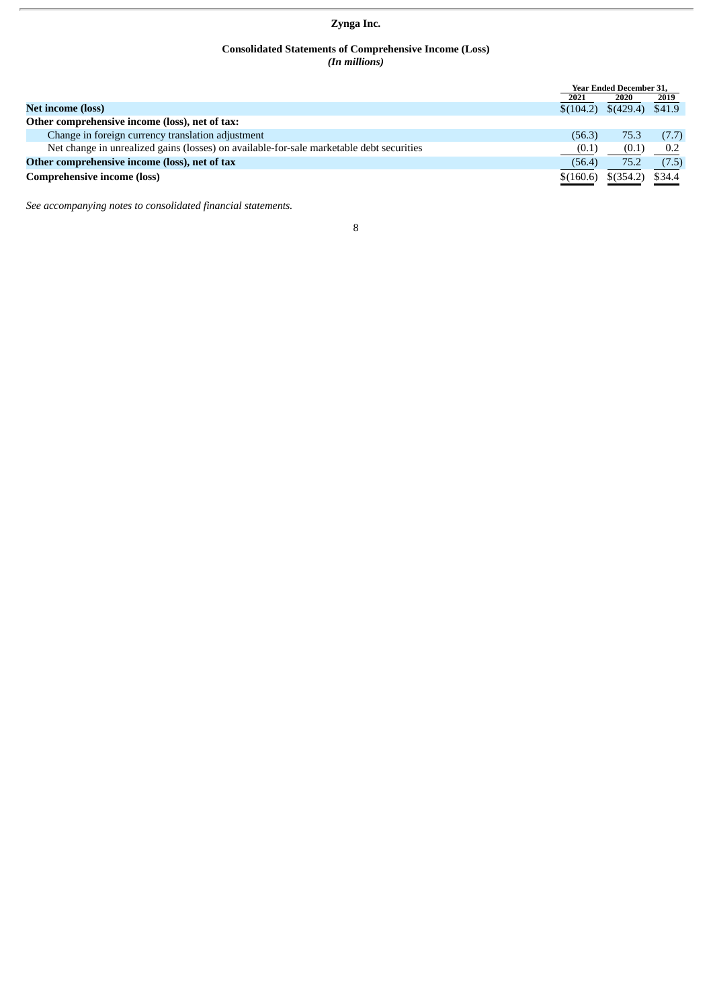#### **Consolidated Statements of Comprehensive Income (Loss)** *(In millions)*

|                                                                                          |           | <b>Year Ended December 31.</b>                |        |
|------------------------------------------------------------------------------------------|-----------|-----------------------------------------------|--------|
|                                                                                          | 2021      | 2020                                          | 2019   |
| <b>Net income (loss)</b>                                                                 |           | $\{(104.2) \quad \{(429.4) \quad \{(41.9) \}$ |        |
| Other comprehensive income (loss), net of tax:                                           |           |                                               |        |
| Change in foreign currency translation adjustment                                        | (56.3)    | 75.3                                          | (7.7)  |
| Net change in unrealized gains (losses) on available-for-sale marketable debt securities | (0.1)     | (0.1)                                         | 0.2    |
| Other comprehensive income (loss), net of tax                                            | (56.4)    | 75.2                                          | (7.5)  |
| Comprehensive income (loss)                                                              | \$(160.6) | $$$ (354.2)                                   | \$34.4 |

*See accompanying notes to consolidated financial statements.*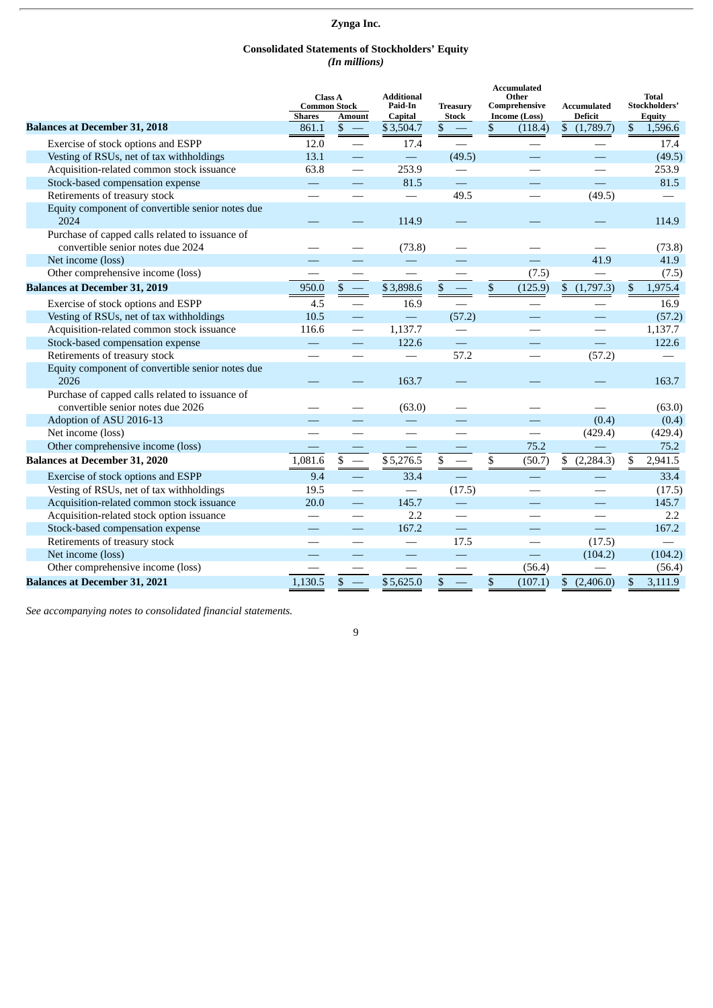# **Consolidated Statements of Stockholders' Equity** *(In millions)*

|                                                                                      | <b>Class A</b><br><b>Common Stock</b><br>Shares | <b>Amount</b>            | <b>Additional</b><br>Paid-In<br>Capital | <b>Treasury</b><br>Stock |                           | Accumulated<br>Other<br>Comprehensive<br>Income (Loss) | <b>Accumulated</b><br>Deficit | <b>Total</b><br>Stockholders'<br><b>Equity</b> |
|--------------------------------------------------------------------------------------|-------------------------------------------------|--------------------------|-----------------------------------------|--------------------------|---------------------------|--------------------------------------------------------|-------------------------------|------------------------------------------------|
| <b>Balances at December 31, 2018</b>                                                 | 861.1                                           | \$                       | \$3,504.7                               | \$                       | \$                        | (118.4)                                                | \$<br>(1,789.7)               | \$<br>1,596.6                                  |
| Exercise of stock options and ESPP                                                   | 12.0                                            |                          | 17.4                                    |                          |                           |                                                        |                               | 17.4                                           |
| Vesting of RSUs, net of tax withholdings                                             | 13.1                                            |                          | $\overline{\phantom{0}}$                | (49.5)                   |                           |                                                        |                               | (49.5)                                         |
| Acquisition-related common stock issuance                                            | 63.8                                            |                          | 253.9                                   | $\equiv$                 |                           |                                                        |                               | 253.9                                          |
| Stock-based compensation expense                                                     | $\overline{\phantom{0}}$                        |                          | 81.5                                    |                          |                           |                                                        |                               | 81.5                                           |
| Retirements of treasury stock                                                        |                                                 |                          | $\overline{\phantom{0}}$                | 49.5                     |                           |                                                        | (49.5)                        |                                                |
| Equity component of convertible senior notes due<br>2024                             |                                                 |                          | 114.9                                   |                          |                           |                                                        |                               | 114.9                                          |
| Purchase of capped calls related to issuance of                                      |                                                 |                          |                                         |                          |                           |                                                        |                               |                                                |
| convertible senior notes due 2024                                                    |                                                 |                          | (73.8)                                  |                          |                           |                                                        |                               | (73.8)                                         |
| Net income (loss)                                                                    |                                                 |                          |                                         |                          |                           |                                                        | 41.9                          | 41.9                                           |
| Other comprehensive income (loss)                                                    |                                                 |                          |                                         |                          |                           | (7.5)                                                  |                               | (7.5)                                          |
| <b>Balances at December 31, 2019</b>                                                 | 950.0                                           | $\mathbb{S}$             | \$3,898.6                               | \$                       | $\boldsymbol{\mathsf{S}}$ | (125.9)                                                | (1,797.3)                     | \$<br>1,975.4                                  |
| Exercise of stock options and ESPP                                                   | 4.5                                             |                          | 16.9                                    |                          |                           |                                                        |                               | 16.9                                           |
| Vesting of RSUs, net of tax withholdings                                             | 10.5                                            |                          | $\equiv$                                | (57.2)                   |                           |                                                        |                               | (57.2)                                         |
| Acquisition-related common stock issuance                                            | 116.6                                           |                          | 1,137.7                                 |                          |                           |                                                        |                               | 1,137.7                                        |
| Stock-based compensation expense                                                     |                                                 |                          | 122.6                                   | 二                        |                           |                                                        | $\equiv$                      | 122.6                                          |
| Retirements of treasury stock                                                        |                                                 |                          |                                         | 57.2                     |                           |                                                        | (57.2)                        |                                                |
| Equity component of convertible senior notes due<br>2026                             |                                                 |                          | 163.7                                   |                          |                           |                                                        |                               | 163.7                                          |
| Purchase of capped calls related to issuance of<br>convertible senior notes due 2026 |                                                 |                          | (63.0)                                  |                          |                           |                                                        |                               | (63.0)                                         |
| Adoption of ASU 2016-13                                                              |                                                 |                          |                                         |                          |                           |                                                        | (0.4)                         | (0.4)                                          |
| Net income (loss)                                                                    |                                                 |                          |                                         |                          |                           |                                                        | (429.4)                       | (429.4)                                        |
| Other comprehensive income (loss)                                                    |                                                 |                          |                                         |                          |                           | 75.2                                                   |                               | 75.2                                           |
| <b>Balances at December 31, 2020</b>                                                 | 1,081.6                                         | \$                       | \$5,276.5                               | \$                       | \$                        | (50.7)                                                 | \$<br>(2,284.3)               | \$<br>2,941.5                                  |
| Exercise of stock options and ESPP                                                   | 9.4                                             |                          | 33.4                                    |                          |                           |                                                        |                               | 33.4                                           |
| Vesting of RSUs, net of tax withholdings                                             | 19.5                                            | $\overline{\phantom{0}}$ | $\qquad \qquad$                         | (17.5)                   |                           |                                                        |                               | (17.5)                                         |
| Acquisition-related common stock issuance                                            | 20.0                                            | $\equiv$                 | 145.7                                   |                          |                           |                                                        |                               | 145.7                                          |
| Acquisition-related stock option issuance                                            |                                                 |                          | 2.2                                     |                          |                           |                                                        |                               | 2.2                                            |
| Stock-based compensation expense                                                     |                                                 |                          | 167.2                                   | ═                        |                           |                                                        | $\equiv$                      | 167.2                                          |
| Retirements of treasury stock                                                        |                                                 |                          |                                         | 17.5                     |                           |                                                        | (17.5)                        |                                                |
| Net income (loss)                                                                    |                                                 |                          | $\overline{\phantom{0}}$                |                          |                           | $\overline{\phantom{m}}$                               | (104.2)                       | (104.2)                                        |
| Other comprehensive income (loss)                                                    |                                                 |                          |                                         |                          |                           | (56.4)                                                 |                               | (56.4)                                         |
| <b>Balances at December 31, 2021</b>                                                 | 1,130.5                                         | \$                       | \$5,625.0                               | \$                       | $\,$                      | (107.1)                                                | \$(2,406.0)                   | \$<br>3,111.9                                  |

*See accompanying notes to consolidated financial statements.*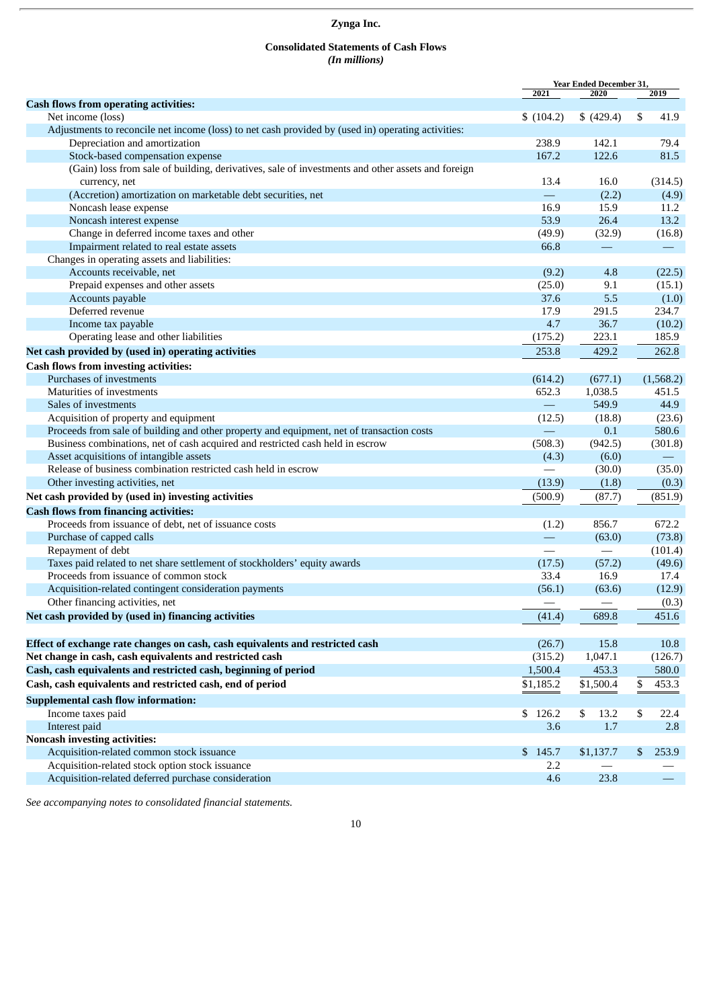# **Consolidated Statements of Cash Flows** *(In millions)*

|                                                                                                    | <b>Year Ended December 31,</b> |                          |             |
|----------------------------------------------------------------------------------------------------|--------------------------------|--------------------------|-------------|
|                                                                                                    | 2021                           | 2020                     | 2019        |
| <b>Cash flows from operating activities:</b>                                                       |                                |                          |             |
| Net income (loss)                                                                                  | \$(104.2)                      | \$ (429.4)               | \$<br>41.9  |
| Adjustments to reconcile net income (loss) to net cash provided by (used in) operating activities: |                                |                          |             |
| Depreciation and amortization                                                                      | 238.9                          | 142.1                    | 79.4        |
| Stock-based compensation expense                                                                   | 167.2                          | 122.6                    | 81.5        |
| (Gain) loss from sale of building, derivatives, sale of investments and other assets and foreign   |                                |                          |             |
| currency, net                                                                                      | 13.4                           | 16.0                     | (314.5)     |
| (Accretion) amortization on marketable debt securities, net                                        | $\overline{\phantom{0}}$       | (2.2)                    | (4.9)       |
| Noncash lease expense                                                                              | 16.9                           | 15.9                     | 11.2        |
| Noncash interest expense                                                                           | 53.9                           | 26.4                     | 13.2        |
| Change in deferred income taxes and other                                                          | (49.9)                         | (32.9)                   | (16.8)      |
| Impairment related to real estate assets                                                           | 66.8                           |                          |             |
| Changes in operating assets and liabilities:                                                       |                                |                          |             |
| Accounts receivable, net                                                                           | (9.2)                          | 4.8                      | (22.5)      |
| Prepaid expenses and other assets                                                                  | (25.0)                         | 9.1                      | (15.1)      |
| Accounts payable                                                                                   | 37.6                           | 5.5                      | (1.0)       |
| Deferred revenue                                                                                   | 17.9                           | 291.5                    | 234.7       |
| Income tax payable                                                                                 | 4.7                            | 36.7                     | (10.2)      |
| Operating lease and other liabilities                                                              | (175.2)                        | 223.1                    | 185.9       |
| Net cash provided by (used in) operating activities                                                | 253.8                          | 429.2                    | 262.8       |
| <b>Cash flows from investing activities:</b>                                                       |                                |                          |             |
| Purchases of investments                                                                           | (614.2)                        | (677.1)                  | (1,568.2)   |
| Maturities of investments                                                                          | 652.3                          | 1,038.5                  | 451.5       |
| Sales of investments                                                                               |                                | 549.9                    | 44.9        |
| Acquisition of property and equipment                                                              | (12.5)                         | (18.8)                   | (23.6)      |
| Proceeds from sale of building and other property and equipment, net of transaction costs          |                                | 0.1                      | 580.6       |
| Business combinations, net of cash acquired and restricted cash held in escrow                     | (508.3)                        | (942.5)                  | (301.8)     |
| Asset acquisitions of intangible assets                                                            | (4.3)                          | (6.0)                    |             |
| Release of business combination restricted cash held in escrow                                     |                                | (30.0)                   | (35.0)      |
| Other investing activities, net                                                                    | (13.9)                         | (1.8)                    | (0.3)       |
| Net cash provided by (used in) investing activities                                                | (500.9)                        | (87.7)                   | (851.9)     |
| <b>Cash flows from financing activities:</b>                                                       |                                |                          |             |
| Proceeds from issuance of debt, net of issuance costs                                              | (1.2)                          | 856.7                    | 672.2       |
| Purchase of capped calls                                                                           |                                | (63.0)                   | (73.8)      |
| Repayment of debt                                                                                  |                                | $\overline{\phantom{m}}$ | (101.4)     |
| Taxes paid related to net share settlement of stockholders' equity awards                          | (17.5)                         | (57.2)                   | (49.6)      |
| Proceeds from issuance of common stock                                                             | 33.4                           | 16.9                     | 17.4        |
| Acquisition-related contingent consideration payments                                              | (56.1)                         | (63.6)                   | (12.9)      |
| Other financing activities, net                                                                    |                                |                          | (0.3)       |
| Net cash provided by (used in) financing activities                                                | (41.4)                         | 689.8                    | 451.6       |
|                                                                                                    |                                |                          |             |
|                                                                                                    |                                |                          |             |
| Effect of exchange rate changes on cash, cash equivalents and restricted cash                      | (26.7)                         | 15.8                     | 10.8        |
| Net change in cash, cash equivalents and restricted cash                                           | (315.2)                        | 1,047.1                  | (126.7)     |
| Cash, cash equivalents and restricted cash, beginning of period                                    | 1,500.4                        | 453.3                    | 580.0       |
| Cash, cash equivalents and restricted cash, end of period                                          | \$1,185.2                      | \$1,500.4                | \$<br>453.3 |
| <b>Supplemental cash flow information:</b>                                                         |                                |                          |             |
| Income taxes paid                                                                                  | \$126.2                        | \$<br>13.2               | 22.4<br>\$  |
| Interest paid                                                                                      | 3.6                            | $1.7\,$                  | 2.8         |
| <b>Noncash investing activities:</b>                                                               |                                |                          |             |
| Acquisition-related common stock issuance                                                          | \$145.7                        | \$1,137.7                | 253.9<br>\$ |
| Acquisition-related stock option stock issuance                                                    | 2.2                            |                          |             |
| Acquisition-related deferred purchase consideration                                                | 4.6                            | 23.8                     |             |

*See accompanying notes to consolidated financial statements.*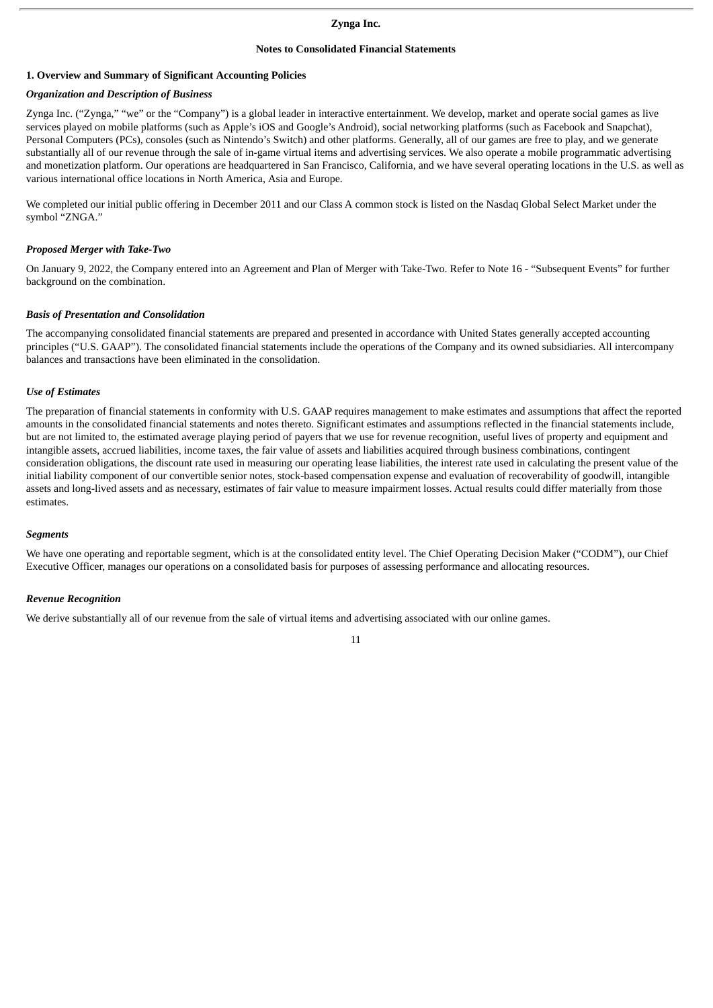#### **Notes to Consolidated Financial Statements**

#### **1. Overview and Summary of Significant Accounting Policies**

#### *Organization and Description of Business*

Zynga Inc. ("Zynga," "we" or the "Company") is a global leader in interactive entertainment. We develop, market and operate social games as live services played on mobile platforms (such as Apple's iOS and Google's Android), social networking platforms (such as Facebook and Snapchat), Personal Computers (PCs), consoles (such as Nintendo's Switch) and other platforms. Generally, all of our games are free to play, and we generate substantially all of our revenue through the sale of in-game virtual items and advertising services. We also operate a mobile programmatic advertising and monetization platform. Our operations are headquartered in San Francisco, California, and we have several operating locations in the U.S. as well as various international office locations in North America, Asia and Europe.

We completed our initial public offering in December 2011 and our Class A common stock is listed on the Nasdaq Global Select Market under the symbol "ZNGA."

#### *Proposed Merger with Take-Two*

On January 9, 2022, the Company entered into an Agreement and Plan of Merger with Take-Two. Refer to Note 16 - "Subsequent Events" for further background on the combination.

#### *Basis of Presentation and Consolidation*

The accompanying consolidated financial statements are prepared and presented in accordance with United States generally accepted accounting principles ("U.S. GAAP"). The consolidated financial statements include the operations of the Company and its owned subsidiaries. All intercompany balances and transactions have been eliminated in the consolidation.

#### *Use of Estimates*

The preparation of financial statements in conformity with U.S. GAAP requires management to make estimates and assumptions that affect the reported amounts in the consolidated financial statements and notes thereto. Significant estimates and assumptions reflected in the financial statements include, but are not limited to, the estimated average playing period of payers that we use for revenue recognition, useful lives of property and equipment and intangible assets, accrued liabilities, income taxes, the fair value of assets and liabilities acquired through business combinations, contingent consideration obligations, the discount rate used in measuring our operating lease liabilities, the interest rate used in calculating the present value of the initial liability component of our convertible senior notes, stock-based compensation expense and evaluation of recoverability of goodwill, intangible assets and long-lived assets and as necessary, estimates of fair value to measure impairment losses. Actual results could differ materially from those estimates.

#### *Segments*

We have one operating and reportable segment, which is at the consolidated entity level. The Chief Operating Decision Maker ("CODM"), our Chief Executive Officer, manages our operations on a consolidated basis for purposes of assessing performance and allocating resources.

#### *Revenue Recognition*

We derive substantially all of our revenue from the sale of virtual items and advertising associated with our online games.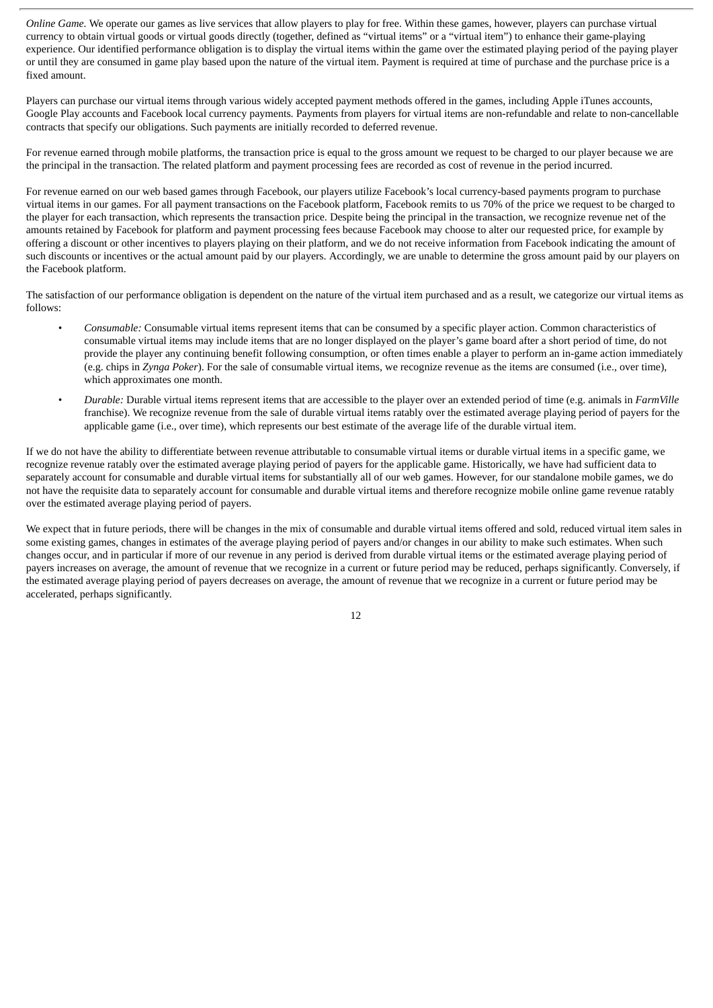*Online Game.* We operate our games as live services that allow players to play for free. Within these games, however, players can purchase virtual currency to obtain virtual goods or virtual goods directly (together, defined as "virtual items" or a "virtual item") to enhance their game-playing experience. Our identified performance obligation is to display the virtual items within the game over the estimated playing period of the paying player or until they are consumed in game play based upon the nature of the virtual item. Payment is required at time of purchase and the purchase price is a fixed amount.

Players can purchase our virtual items through various widely accepted payment methods offered in the games, including Apple iTunes accounts, Google Play accounts and Facebook local currency payments. Payments from players for virtual items are non-refundable and relate to non-cancellable contracts that specify our obligations. Such payments are initially recorded to deferred revenue.

For revenue earned through mobile platforms, the transaction price is equal to the gross amount we request to be charged to our player because we are the principal in the transaction. The related platform and payment processing fees are recorded as cost of revenue in the period incurred.

For revenue earned on our web based games through Facebook, our players utilize Facebook's local currency-based payments program to purchase virtual items in our games. For all payment transactions on the Facebook platform, Facebook remits to us 70% of the price we request to be charged to the player for each transaction, which represents the transaction price. Despite being the principal in the transaction, we recognize revenue net of the amounts retained by Facebook for platform and payment processing fees because Facebook may choose to alter our requested price, for example by offering a discount or other incentives to players playing on their platform, and we do not receive information from Facebook indicating the amount of such discounts or incentives or the actual amount paid by our players. Accordingly, we are unable to determine the gross amount paid by our players on the Facebook platform.

The satisfaction of our performance obligation is dependent on the nature of the virtual item purchased and as a result, we categorize our virtual items as follows:

- *Consumable:* Consumable virtual items represent items that can be consumed by a specific player action. Common characteristics of consumable virtual items may include items that are no longer displayed on the player's game board after a short period of time, do not provide the player any continuing benefit following consumption, or often times enable a player to perform an in-game action immediately (e.g. chips in *Zynga Poker*). For the sale of consumable virtual items, we recognize revenue as the items are consumed (i.e., over time), which approximates one month.
- *Durable:* Durable virtual items represent items that are accessible to the player over an extended period of time (e.g. animals in *FarmVille* franchise). We recognize revenue from the sale of durable virtual items ratably over the estimated average playing period of payers for the applicable game (i.e., over time), which represents our best estimate of the average life of the durable virtual item.

If we do not have the ability to differentiate between revenue attributable to consumable virtual items or durable virtual items in a specific game, we recognize revenue ratably over the estimated average playing period of payers for the applicable game. Historically, we have had sufficient data to separately account for consumable and durable virtual items for substantially all of our web games. However, for our standalone mobile games, we do not have the requisite data to separately account for consumable and durable virtual items and therefore recognize mobile online game revenue ratably over the estimated average playing period of payers.

We expect that in future periods, there will be changes in the mix of consumable and durable virtual items offered and sold, reduced virtual item sales in some existing games, changes in estimates of the average playing period of payers and/or changes in our ability to make such estimates. When such changes occur, and in particular if more of our revenue in any period is derived from durable virtual items or the estimated average playing period of payers increases on average, the amount of revenue that we recognize in a current or future period may be reduced, perhaps significantly. Conversely, if the estimated average playing period of payers decreases on average, the amount of revenue that we recognize in a current or future period may be accelerated, perhaps significantly.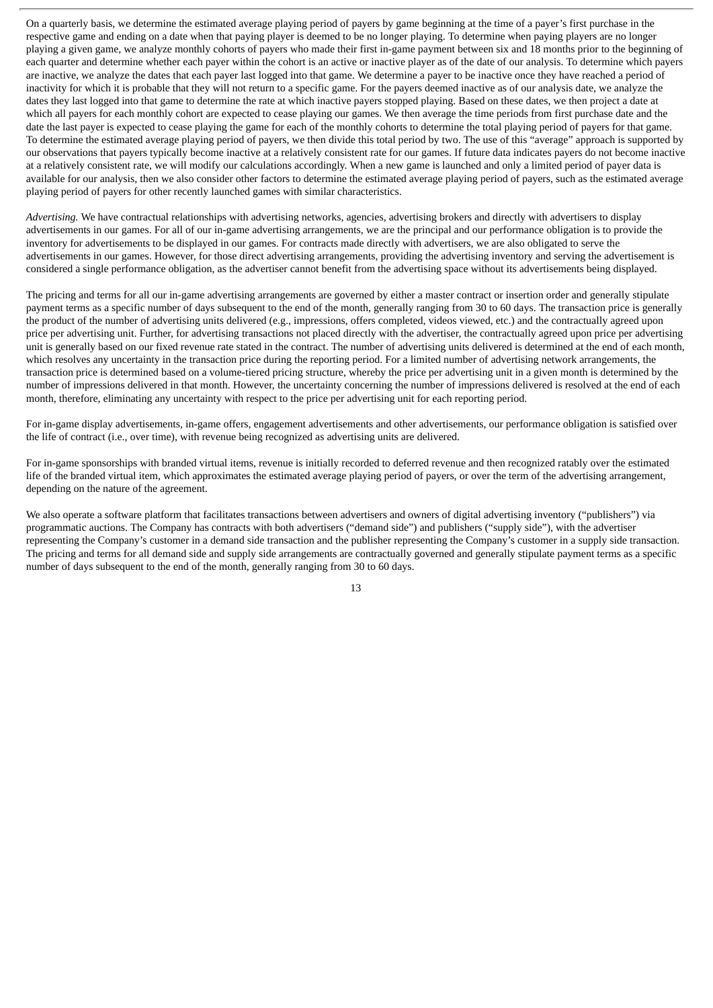On a quarterly basis, we determine the estimated average playing period of payers by game beginning at the time of a payer's first purchase in the respective game and ending on a date when that paying player is deemed to be no longer playing. To determine when paying players are no longer playing a given game, we analyze monthly cohorts of payers who made their first in-game payment between six and 18 months prior to the beginning of each quarter and determine whether each payer within the cohort is an active or inactive player as of the date of our analysis. To determine which payers are inactive, we analyze the dates that each payer last logged into that game. We determine a payer to be inactive once they have reached a period of inactivity for which it is probable that they will not return to a specific game. For the payers deemed inactive as of our analysis date, we analyze the dates they last logged into that game to determine the rate at which inactive payers stopped playing. Based on these dates, we then project a date at which all payers for each monthly cohort are expected to cease playing our games. We then average the time periods from first purchase date and the date the last payer is expected to cease playing the game for each of the monthly cohorts to determine the total playing period of payers for that game. To determine the estimated average playing period of payers, we then divide this total period by two. The use of this "average" approach is supported by our observations that payers typically become inactive at a relatively consistent rate for our games. If future data indicates payers do not become inactive at a relatively consistent rate, we will modify our calculations accordingly. When a new game is launched and only a limited period of payer data is available for our analysis, then we also consider other factors to determine the estimated average playing period of payers, such as the estimated average playing period of payers for other recently launched games with similar characteristics.

*Advertising.* We have contractual relationships with advertising networks, agencies, advertising brokers and directly with advertisers to display advertisements in our games. For all of our in-game advertising arrangements, we are the principal and our performance obligation is to provide the inventory for advertisements to be displayed in our games. For contracts made directly with advertisers, we are also obligated to serve the advertisements in our games. However, for those direct advertising arrangements, providing the advertising inventory and serving the advertisement is considered a single performance obligation, as the advertiser cannot benefit from the advertising space without its advertisements being displayed.

The pricing and terms for all our in-game advertising arrangements are governed by either a master contract or insertion order and generally stipulate payment terms as a specific number of days subsequent to the end of the month, generally ranging from 30 to 60 days. The transaction price is generally the product of the number of advertising units delivered (e.g., impressions, offers completed, videos viewed, etc.) and the contractually agreed upon price per advertising unit. Further, for advertising transactions not placed directly with the advertiser, the contractually agreed upon price per advertising unit is generally based on our fixed revenue rate stated in the contract. The number of advertising units delivered is determined at the end of each month, which resolves any uncertainty in the transaction price during the reporting period. For a limited number of advertising network arrangements, the transaction price is determined based on a volume-tiered pricing structure, whereby the price per advertising unit in a given month is determined by the number of impressions delivered in that month. However, the uncertainty concerning the number of impressions delivered is resolved at the end of each month, therefore, eliminating any uncertainty with respect to the price per advertising unit for each reporting period.

For in-game display advertisements, in-game offers, engagement advertisements and other advertisements, our performance obligation is satisfied over the life of contract (i.e., over time), with revenue being recognized as advertising units are delivered.

For in-game sponsorships with branded virtual items, revenue is initially recorded to deferred revenue and then recognized ratably over the estimated life of the branded virtual item, which approximates the estimated average playing period of payers, or over the term of the advertising arrangement, depending on the nature of the agreement.

We also operate a software platform that facilitates transactions between advertisers and owners of digital advertising inventory ("publishers") via programmatic auctions. The Company has contracts with both advertisers ("demand side") and publishers ("supply side"), with the advertiser representing the Company's customer in a demand side transaction and the publisher representing the Company's customer in a supply side transaction. The pricing and terms for all demand side and supply side arrangements are contractually governed and generally stipulate payment terms as a specific number of days subsequent to the end of the month, generally ranging from 30 to 60 days.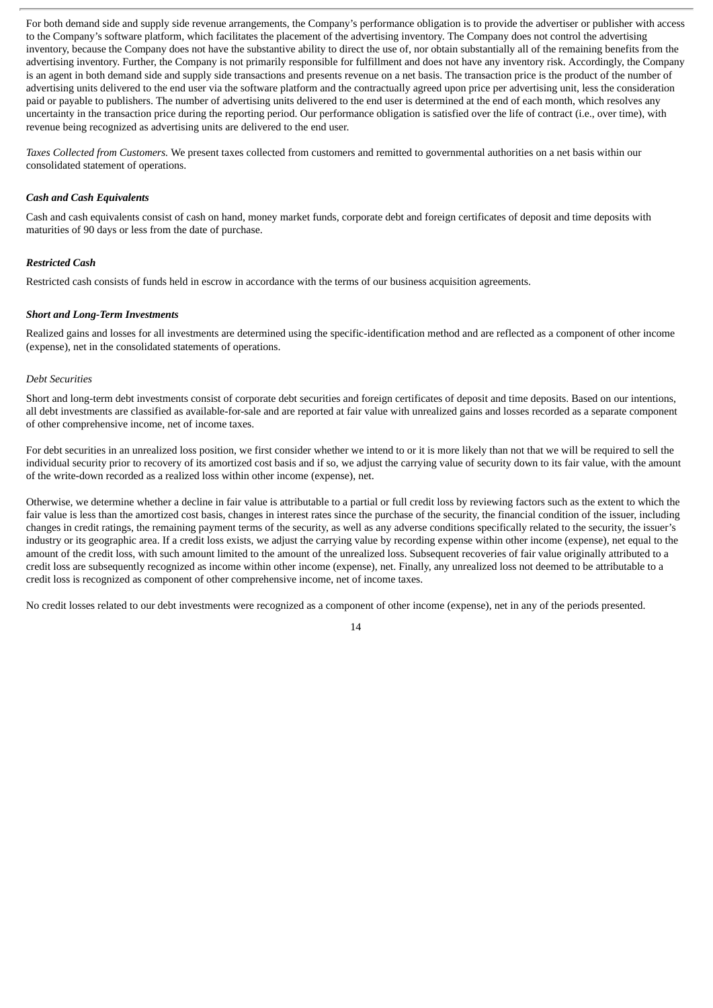For both demand side and supply side revenue arrangements, the Company's performance obligation is to provide the advertiser or publisher with access to the Company's software platform, which facilitates the placement of the advertising inventory. The Company does not control the advertising inventory, because the Company does not have the substantive ability to direct the use of, nor obtain substantially all of the remaining benefits from the advertising inventory. Further, the Company is not primarily responsible for fulfillment and does not have any inventory risk. Accordingly, the Company is an agent in both demand side and supply side transactions and presents revenue on a net basis. The transaction price is the product of the number of advertising units delivered to the end user via the software platform and the contractually agreed upon price per advertising unit, less the consideration paid or payable to publishers. The number of advertising units delivered to the end user is determined at the end of each month, which resolves any uncertainty in the transaction price during the reporting period. Our performance obligation is satisfied over the life of contract (i.e., over time), with revenue being recognized as advertising units are delivered to the end user.

*Taxes Collected from Customers.* We present taxes collected from customers and remitted to governmental authorities on a net basis within our consolidated statement of operations.

#### *Cash and Cash Equivalents*

Cash and cash equivalents consist of cash on hand, money market funds, corporate debt and foreign certificates of deposit and time deposits with maturities of 90 days or less from the date of purchase.

#### *Restricted Cash*

Restricted cash consists of funds held in escrow in accordance with the terms of our business acquisition agreements.

#### *Short and Long-Term Investments*

Realized gains and losses for all investments are determined using the specific-identification method and are reflected as a component of other income (expense), net in the consolidated statements of operations.

#### *Debt Securities*

Short and long-term debt investments consist of corporate debt securities and foreign certificates of deposit and time deposits. Based on our intentions, all debt investments are classified as available-for-sale and are reported at fair value with unrealized gains and losses recorded as a separate component of other comprehensive income, net of income taxes.

For debt securities in an unrealized loss position, we first consider whether we intend to or it is more likely than not that we will be required to sell the individual security prior to recovery of its amortized cost basis and if so, we adjust the carrying value of security down to its fair value, with the amount of the write-down recorded as a realized loss within other income (expense), net.

Otherwise, we determine whether a decline in fair value is attributable to a partial or full credit loss by reviewing factors such as the extent to which the fair value is less than the amortized cost basis, changes in interest rates since the purchase of the security, the financial condition of the issuer, including changes in credit ratings, the remaining payment terms of the security, as well as any adverse conditions specifically related to the security, the issuer's industry or its geographic area. If a credit loss exists, we adjust the carrying value by recording expense within other income (expense), net equal to the amount of the credit loss, with such amount limited to the amount of the unrealized loss. Subsequent recoveries of fair value originally attributed to a credit loss are subsequently recognized as income within other income (expense), net. Finally, any unrealized loss not deemed to be attributable to a credit loss is recognized as component of other comprehensive income, net of income taxes.

No credit losses related to our debt investments were recognized as a component of other income (expense), net in any of the periods presented.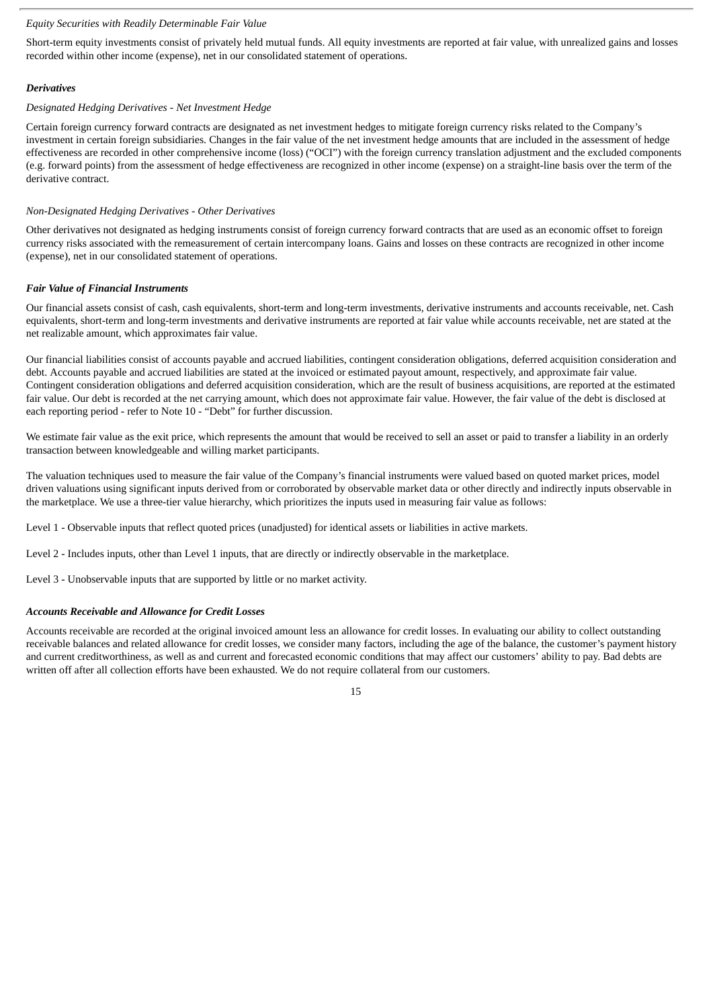#### *Equity Securities with Readily Determinable Fair Value*

Short-term equity investments consist of privately held mutual funds. All equity investments are reported at fair value, with unrealized gains and losses recorded within other income (expense), net in our consolidated statement of operations.

#### *Derivatives*

#### *Designated Hedging Derivatives - Net Investment Hedge*

Certain foreign currency forward contracts are designated as net investment hedges to mitigate foreign currency risks related to the Company's investment in certain foreign subsidiaries. Changes in the fair value of the net investment hedge amounts that are included in the assessment of hedge effectiveness are recorded in other comprehensive income (loss) ("OCI") with the foreign currency translation adjustment and the excluded components (e.g. forward points) from the assessment of hedge effectiveness are recognized in other income (expense) on a straight-line basis over the term of the derivative contract.

#### *Non-Designated Hedging Derivatives - Other Derivatives*

Other derivatives not designated as hedging instruments consist of foreign currency forward contracts that are used as an economic offset to foreign currency risks associated with the remeasurement of certain intercompany loans. Gains and losses on these contracts are recognized in other income (expense), net in our consolidated statement of operations.

#### *Fair Value of Financial Instruments*

Our financial assets consist of cash, cash equivalents, short-term and long-term investments, derivative instruments and accounts receivable, net. Cash equivalents, short-term and long-term investments and derivative instruments are reported at fair value while accounts receivable, net are stated at the net realizable amount, which approximates fair value.

Our financial liabilities consist of accounts payable and accrued liabilities, contingent consideration obligations, deferred acquisition consideration and debt. Accounts payable and accrued liabilities are stated at the invoiced or estimated payout amount, respectively, and approximate fair value. Contingent consideration obligations and deferred acquisition consideration, which are the result of business acquisitions, are reported at the estimated fair value. Our debt is recorded at the net carrying amount, which does not approximate fair value. However, the fair value of the debt is disclosed at each reporting period - refer to Note 10 - "Debt" for further discussion.

We estimate fair value as the exit price, which represents the amount that would be received to sell an asset or paid to transfer a liability in an orderly transaction between knowledgeable and willing market participants.

The valuation techniques used to measure the fair value of the Company's financial instruments were valued based on quoted market prices, model driven valuations using significant inputs derived from or corroborated by observable market data or other directly and indirectly inputs observable in the marketplace. We use a three-tier value hierarchy, which prioritizes the inputs used in measuring fair value as follows:

Level 1 - Observable inputs that reflect quoted prices (unadjusted) for identical assets or liabilities in active markets.

Level 2 - Includes inputs, other than Level 1 inputs, that are directly or indirectly observable in the marketplace.

Level 3 - Unobservable inputs that are supported by little or no market activity.

#### *Accounts Receivable and Allowance for Credit Losses*

Accounts receivable are recorded at the original invoiced amount less an allowance for credit losses. In evaluating our ability to collect outstanding receivable balances and related allowance for credit losses, we consider many factors, including the age of the balance, the customer's payment history and current creditworthiness, as well as and current and forecasted economic conditions that may affect our customers' ability to pay. Bad debts are written off after all collection efforts have been exhausted. We do not require collateral from our customers.

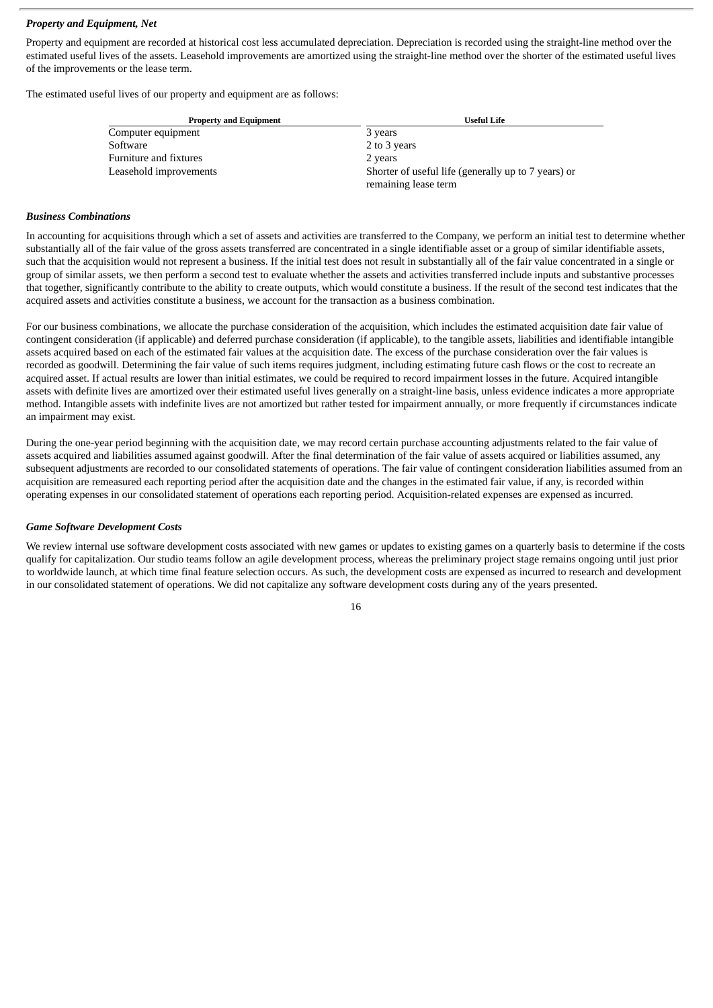#### *Property and Equipment, Net*

Property and equipment are recorded at historical cost less accumulated depreciation. Depreciation is recorded using the straight-line method over the estimated useful lives of the assets. Leasehold improvements are amortized using the straight-line method over the shorter of the estimated useful lives of the improvements or the lease term.

The estimated useful lives of our property and equipment are as follows:

| <b>Property and Equipment</b> | <b>Useful Life</b>                                  |  |
|-------------------------------|-----------------------------------------------------|--|
| Computer equipment            | 3 years                                             |  |
| Software                      | 2 to 3 years                                        |  |
| Furniture and fixtures        | 2 years                                             |  |
| Leasehold improvements        | Shorter of useful life (generally up to 7 years) or |  |
|                               | remaining lease term                                |  |

#### *Business Combinations*

In accounting for acquisitions through which a set of assets and activities are transferred to the Company, we perform an initial test to determine whether substantially all of the fair value of the gross assets transferred are concentrated in a single identifiable asset or a group of similar identifiable assets, such that the acquisition would not represent a business. If the initial test does not result in substantially all of the fair value concentrated in a single or group of similar assets, we then perform a second test to evaluate whether the assets and activities transferred include inputs and substantive processes that together, significantly contribute to the ability to create outputs, which would constitute a business. If the result of the second test indicates that the acquired assets and activities constitute a business, we account for the transaction as a business combination.

For our business combinations, we allocate the purchase consideration of the acquisition, which includes the estimated acquisition date fair value of contingent consideration (if applicable) and deferred purchase consideration (if applicable), to the tangible assets, liabilities and identifiable intangible assets acquired based on each of the estimated fair values at the acquisition date. The excess of the purchase consideration over the fair values is recorded as goodwill. Determining the fair value of such items requires judgment, including estimating future cash flows or the cost to recreate an acquired asset. If actual results are lower than initial estimates, we could be required to record impairment losses in the future. Acquired intangible assets with definite lives are amortized over their estimated useful lives generally on a straight-line basis, unless evidence indicates a more appropriate method. Intangible assets with indefinite lives are not amortized but rather tested for impairment annually, or more frequently if circumstances indicate an impairment may exist.

During the one-year period beginning with the acquisition date, we may record certain purchase accounting adjustments related to the fair value of assets acquired and liabilities assumed against goodwill. After the final determination of the fair value of assets acquired or liabilities assumed, any subsequent adjustments are recorded to our consolidated statements of operations. The fair value of contingent consideration liabilities assumed from an acquisition are remeasured each reporting period after the acquisition date and the changes in the estimated fair value, if any, is recorded within operating expenses in our consolidated statement of operations each reporting period. Acquisition-related expenses are expensed as incurred.

#### *Game Software Development Costs*

We review internal use software development costs associated with new games or updates to existing games on a quarterly basis to determine if the costs qualify for capitalization. Our studio teams follow an agile development process, whereas the preliminary project stage remains ongoing until just prior to worldwide launch, at which time final feature selection occurs. As such, the development costs are expensed as incurred to research and development in our consolidated statement of operations. We did not capitalize any software development costs during any of the years presented.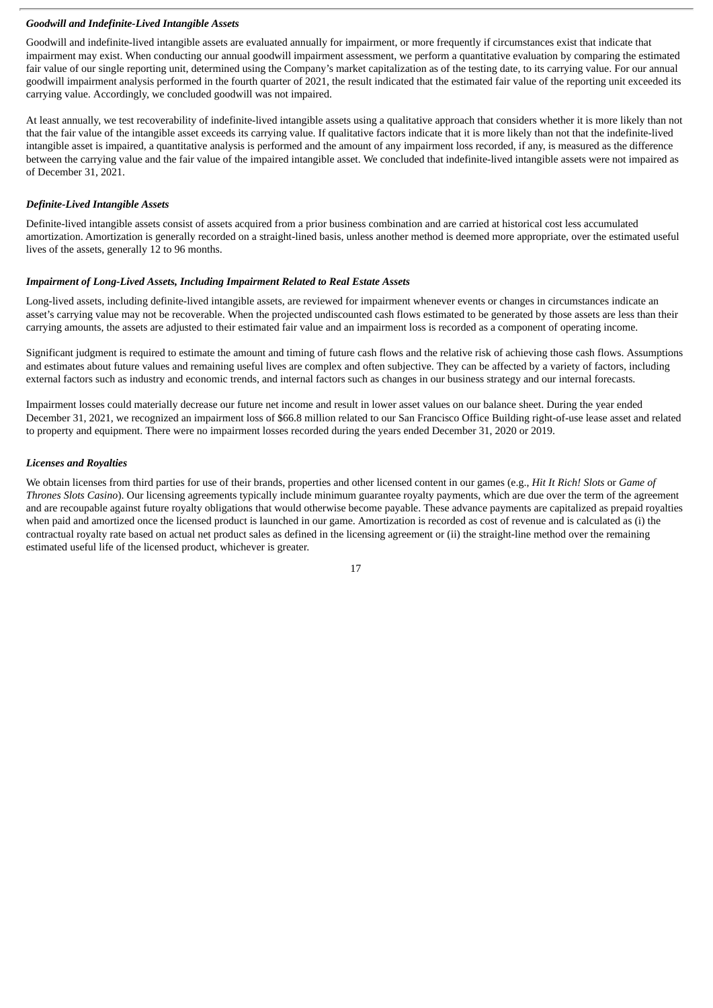#### *Goodwill and Indefinite-Lived Intangible Assets*

Goodwill and indefinite-lived intangible assets are evaluated annually for impairment, or more frequently if circumstances exist that indicate that impairment may exist. When conducting our annual goodwill impairment assessment, we perform a quantitative evaluation by comparing the estimated fair value of our single reporting unit, determined using the Company's market capitalization as of the testing date, to its carrying value. For our annual goodwill impairment analysis performed in the fourth quarter of 2021, the result indicated that the estimated fair value of the reporting unit exceeded its carrying value. Accordingly, we concluded goodwill was not impaired.

At least annually, we test recoverability of indefinite-lived intangible assets using a qualitative approach that considers whether it is more likely than not that the fair value of the intangible asset exceeds its carrying value. If qualitative factors indicate that it is more likely than not that the indefinite-lived intangible asset is impaired, a quantitative analysis is performed and the amount of any impairment loss recorded, if any, is measured as the difference between the carrying value and the fair value of the impaired intangible asset. We concluded that indefinite-lived intangible assets were not impaired as of December 31, 2021.

#### *Definite-Lived Intangible Assets*

Definite-lived intangible assets consist of assets acquired from a prior business combination and are carried at historical cost less accumulated amortization. Amortization is generally recorded on a straight-lined basis, unless another method is deemed more appropriate, over the estimated useful lives of the assets, generally 12 to 96 months.

#### *Impairment of Long-Lived Assets, Including Impairment Related to Real Estate Assets*

Long-lived assets, including definite-lived intangible assets, are reviewed for impairment whenever events or changes in circumstances indicate an asset's carrying value may not be recoverable. When the projected undiscounted cash flows estimated to be generated by those assets are less than their carrying amounts, the assets are adjusted to their estimated fair value and an impairment loss is recorded as a component of operating income.

Significant judgment is required to estimate the amount and timing of future cash flows and the relative risk of achieving those cash flows. Assumptions and estimates about future values and remaining useful lives are complex and often subjective. They can be affected by a variety of factors, including external factors such as industry and economic trends, and internal factors such as changes in our business strategy and our internal forecasts.

Impairment losses could materially decrease our future net income and result in lower asset values on our balance sheet. During the year ended December 31, 2021, we recognized an impairment loss of \$66.8 million related to our San Francisco Office Building right-of-use lease asset and related to property and equipment. There were no impairment losses recorded during the years ended December 31, 2020 or 2019.

#### *Licenses and Royalties*

We obtain licenses from third parties for use of their brands, properties and other licensed content in our games (e.g., *Hit It Rich! Slots* or *Game of Thrones Slots Casino*). Our licensing agreements typically include minimum guarantee royalty payments, which are due over the term of the agreement and are recoupable against future royalty obligations that would otherwise become payable. These advance payments are capitalized as prepaid royalties when paid and amortized once the licensed product is launched in our game. Amortization is recorded as cost of revenue and is calculated as (i) the contractual royalty rate based on actual net product sales as defined in the licensing agreement or (ii) the straight-line method over the remaining estimated useful life of the licensed product, whichever is greater.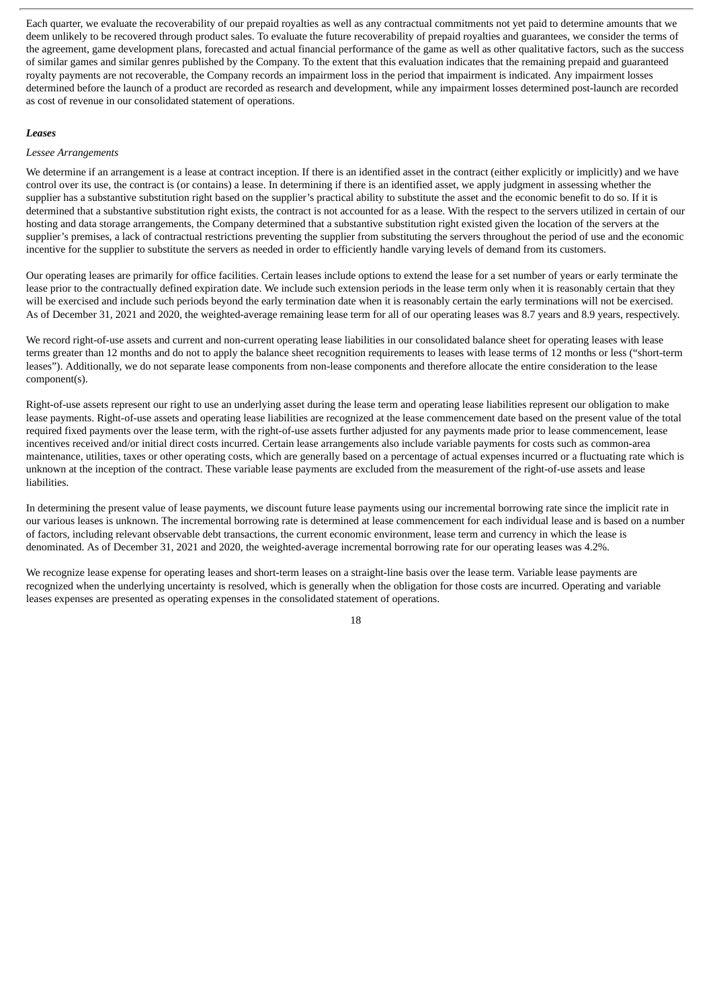Each quarter, we evaluate the recoverability of our prepaid royalties as well as any contractual commitments not yet paid to determine amounts that we deem unlikely to be recovered through product sales. To evaluate the future recoverability of prepaid royalties and guarantees, we consider the terms of the agreement, game development plans, forecasted and actual financial performance of the game as well as other qualitative factors, such as the success of similar games and similar genres published by the Company. To the extent that this evaluation indicates that the remaining prepaid and guaranteed royalty payments are not recoverable, the Company records an impairment loss in the period that impairment is indicated. Any impairment losses determined before the launch of a product are recorded as research and development, while any impairment losses determined post-launch are recorded as cost of revenue in our consolidated statement of operations.

#### *Leases*

#### *Lessee Arrangements*

We determine if an arrangement is a lease at contract inception. If there is an identified asset in the contract (either explicitly or implicitly) and we have control over its use, the contract is (or contains) a lease. In determining if there is an identified asset, we apply judgment in assessing whether the supplier has a substantive substitution right based on the supplier's practical ability to substitute the asset and the economic benefit to do so. If it is determined that a substantive substitution right exists, the contract is not accounted for as a lease. With the respect to the servers utilized in certain of our hosting and data storage arrangements, the Company determined that a substantive substitution right existed given the location of the servers at the supplier's premises, a lack of contractual restrictions preventing the supplier from substituting the servers throughout the period of use and the economic incentive for the supplier to substitute the servers as needed in order to efficiently handle varying levels of demand from its customers.

Our operating leases are primarily for office facilities. Certain leases include options to extend the lease for a set number of years or early terminate the lease prior to the contractually defined expiration date. We include such extension periods in the lease term only when it is reasonably certain that they will be exercised and include such periods beyond the early termination date when it is reasonably certain the early terminations will not be exercised. As of December 31, 2021 and 2020, the weighted-average remaining lease term for all of our operating leases was 8.7 years and 8.9 years, respectively.

We record right-of-use assets and current and non-current operating lease liabilities in our consolidated balance sheet for operating leases with lease terms greater than 12 months and do not to apply the balance sheet recognition requirements to leases with lease terms of 12 months or less ("short-term leases"). Additionally, we do not separate lease components from non-lease components and therefore allocate the entire consideration to the lease component(s).

Right-of-use assets represent our right to use an underlying asset during the lease term and operating lease liabilities represent our obligation to make lease payments. Right-of-use assets and operating lease liabilities are recognized at the lease commencement date based on the present value of the total required fixed payments over the lease term, with the right-of-use assets further adjusted for any payments made prior to lease commencement, lease incentives received and/or initial direct costs incurred. Certain lease arrangements also include variable payments for costs such as common-area maintenance, utilities, taxes or other operating costs, which are generally based on a percentage of actual expenses incurred or a fluctuating rate which is unknown at the inception of the contract. These variable lease payments are excluded from the measurement of the right-of-use assets and lease liabilities.

In determining the present value of lease payments, we discount future lease payments using our incremental borrowing rate since the implicit rate in our various leases is unknown. The incremental borrowing rate is determined at lease commencement for each individual lease and is based on a number of factors, including relevant observable debt transactions, the current economic environment, lease term and currency in which the lease is denominated. As of December 31, 2021 and 2020, the weighted-average incremental borrowing rate for our operating leases was 4.2%.

We recognize lease expense for operating leases and short-term leases on a straight-line basis over the lease term. Variable lease payments are recognized when the underlying uncertainty is resolved, which is generally when the obligation for those costs are incurred. Operating and variable leases expenses are presented as operating expenses in the consolidated statement of operations.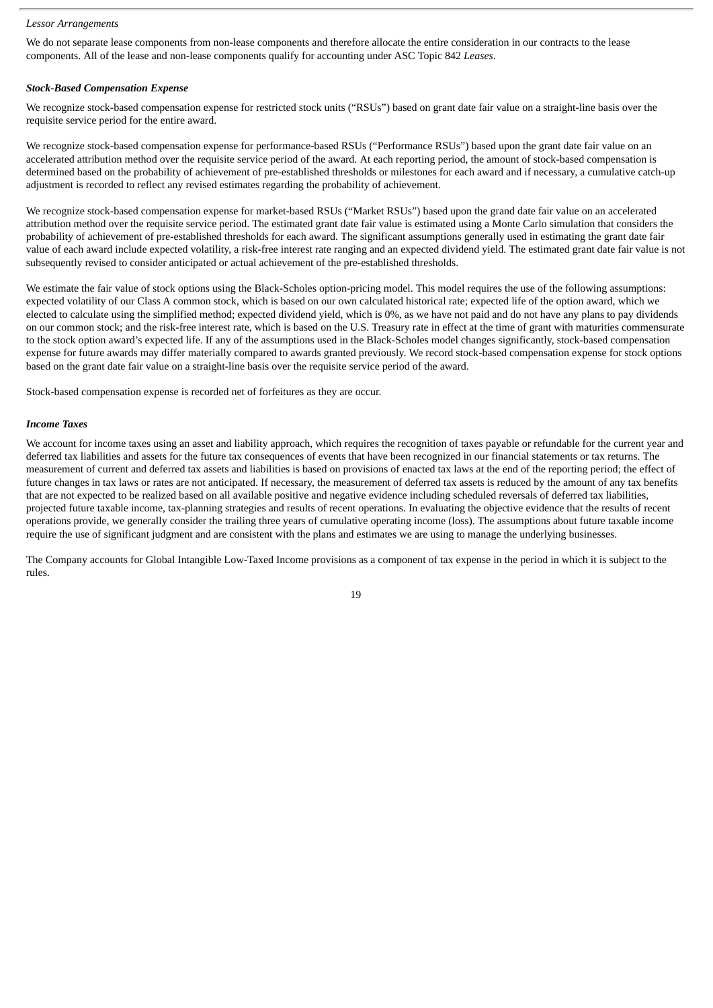#### *Lessor Arrangements*

We do not separate lease components from non-lease components and therefore allocate the entire consideration in our contracts to the lease components. All of the lease and non-lease components qualify for accounting under ASC Topic 842 *Leases*.

#### *Stock-Based Compensation Expense*

We recognize stock-based compensation expense for restricted stock units ("RSUs") based on grant date fair value on a straight-line basis over the requisite service period for the entire award.

We recognize stock-based compensation expense for performance-based RSUs ("Performance RSUs") based upon the grant date fair value on an accelerated attribution method over the requisite service period of the award. At each reporting period, the amount of stock-based compensation is determined based on the probability of achievement of pre-established thresholds or milestones for each award and if necessary, a cumulative catch-up adjustment is recorded to reflect any revised estimates regarding the probability of achievement.

We recognize stock-based compensation expense for market-based RSUs ("Market RSUs") based upon the grand date fair value on an accelerated attribution method over the requisite service period. The estimated grant date fair value is estimated using a Monte Carlo simulation that considers the probability of achievement of pre-established thresholds for each award. The significant assumptions generally used in estimating the grant date fair value of each award include expected volatility, a risk-free interest rate ranging and an expected dividend yield. The estimated grant date fair value is not subsequently revised to consider anticipated or actual achievement of the pre-established thresholds.

We estimate the fair value of stock options using the Black-Scholes option-pricing model. This model requires the use of the following assumptions: expected volatility of our Class A common stock, which is based on our own calculated historical rate; expected life of the option award, which we elected to calculate using the simplified method; expected dividend yield, which is 0%, as we have not paid and do not have any plans to pay dividends on our common stock; and the risk-free interest rate, which is based on the U.S. Treasury rate in effect at the time of grant with maturities commensurate to the stock option award's expected life. If any of the assumptions used in the Black-Scholes model changes significantly, stock-based compensation expense for future awards may differ materially compared to awards granted previously. We record stock-based compensation expense for stock options based on the grant date fair value on a straight-line basis over the requisite service period of the award.

Stock-based compensation expense is recorded net of forfeitures as they are occur.

#### *Income Taxes*

We account for income taxes using an asset and liability approach, which requires the recognition of taxes payable or refundable for the current year and deferred tax liabilities and assets for the future tax consequences of events that have been recognized in our financial statements or tax returns. The measurement of current and deferred tax assets and liabilities is based on provisions of enacted tax laws at the end of the reporting period; the effect of future changes in tax laws or rates are not anticipated. If necessary, the measurement of deferred tax assets is reduced by the amount of any tax benefits that are not expected to be realized based on all available positive and negative evidence including scheduled reversals of deferred tax liabilities, projected future taxable income, tax-planning strategies and results of recent operations. In evaluating the objective evidence that the results of recent operations provide, we generally consider the trailing three years of cumulative operating income (loss). The assumptions about future taxable income require the use of significant judgment and are consistent with the plans and estimates we are using to manage the underlying businesses.

The Company accounts for Global Intangible Low-Taxed Income provisions as a component of tax expense in the period in which it is subject to the rules.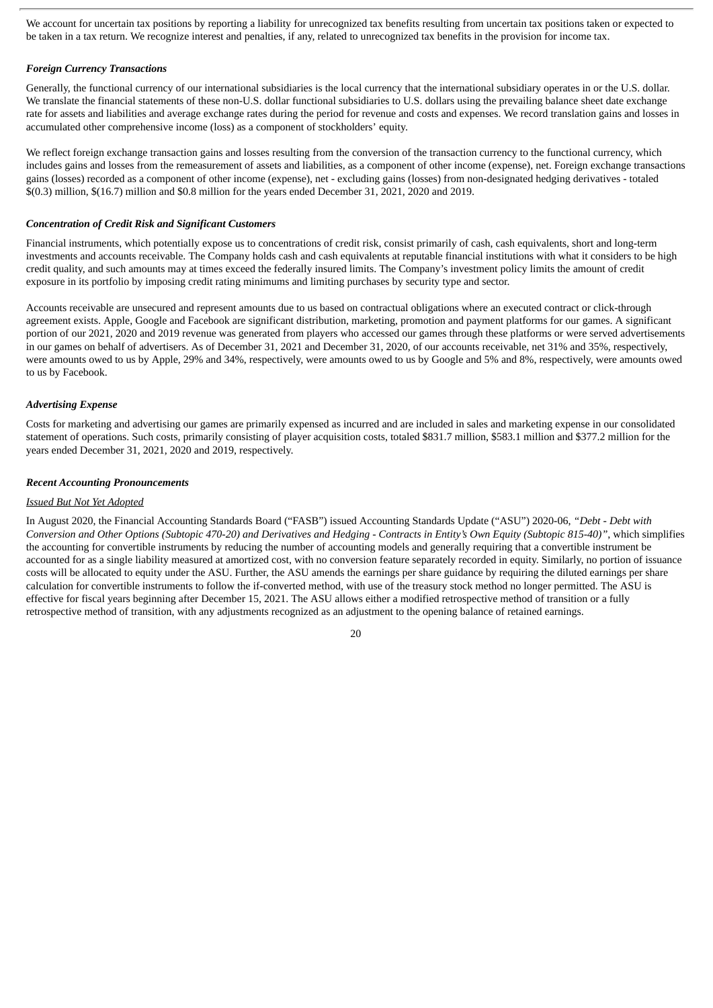We account for uncertain tax positions by reporting a liability for unrecognized tax benefits resulting from uncertain tax positions taken or expected to be taken in a tax return. We recognize interest and penalties, if any, related to unrecognized tax benefits in the provision for income tax.

#### *Foreign Currency Transactions*

Generally, the functional currency of our international subsidiaries is the local currency that the international subsidiary operates in or the U.S. dollar. We translate the financial statements of these non-U.S. dollar functional subsidiaries to U.S. dollars using the prevailing balance sheet date exchange rate for assets and liabilities and average exchange rates during the period for revenue and costs and expenses. We record translation gains and losses in accumulated other comprehensive income (loss) as a component of stockholders' equity.

We reflect foreign exchange transaction gains and losses resulting from the conversion of the transaction currency to the functional currency, which includes gains and losses from the remeasurement of assets and liabilities, as a component of other income (expense), net. Foreign exchange transactions gains (losses) recorded as a component of other income (expense), net - excluding gains (losses) from non-designated hedging derivatives - totaled \$(0.3) million, \$(16.7) million and \$0.8 million for the years ended December 31, 2021, 2020 and 2019.

#### *Concentration of Credit Risk and Significant Customers*

Financial instruments, which potentially expose us to concentrations of credit risk, consist primarily of cash, cash equivalents, short and long-term investments and accounts receivable. The Company holds cash and cash equivalents at reputable financial institutions with what it considers to be high credit quality, and such amounts may at times exceed the federally insured limits. The Company's investment policy limits the amount of credit exposure in its portfolio by imposing credit rating minimums and limiting purchases by security type and sector.

Accounts receivable are unsecured and represent amounts due to us based on contractual obligations where an executed contract or click-through agreement exists. Apple, Google and Facebook are significant distribution, marketing, promotion and payment platforms for our games. A significant portion of our 2021, 2020 and 2019 revenue was generated from players who accessed our games through these platforms or were served advertisements in our games on behalf of advertisers. As of December 31, 2021 and December 31, 2020, of our accounts receivable, net 31% and 35%, respectively, were amounts owed to us by Apple, 29% and 34%, respectively, were amounts owed to us by Google and 5% and 8%, respectively, were amounts owed to us by Facebook.

#### *Advertising Expense*

Costs for marketing and advertising our games are primarily expensed as incurred and are included in sales and marketing expense in our consolidated statement of operations. Such costs, primarily consisting of player acquisition costs, totaled \$831.7 million, \$583.1 million and \$377.2 million for the years ended December 31, 2021, 2020 and 2019, respectively.

#### *Recent Accounting Pronouncements*

#### *Issued But Not Yet Adopted*

In August 2020, the Financial Accounting Standards Board ("FASB") issued Accounting Standards Update ("ASU") 2020-06, *"Debt - Debt with* Conversion and Other Options (Subtopic 470-20) and Derivatives and Hedging - Contracts in Entity's Own Equity (Subtopic 815-40)", which simplifies the accounting for convertible instruments by reducing the number of accounting models and generally requiring that a convertible instrument be accounted for as a single liability measured at amortized cost, with no conversion feature separately recorded in equity. Similarly, no portion of issuance costs will be allocated to equity under the ASU. Further, the ASU amends the earnings per share guidance by requiring the diluted earnings per share calculation for convertible instruments to follow the if-converted method, with use of the treasury stock method no longer permitted. The ASU is effective for fiscal years beginning after December 15, 2021. The ASU allows either a modified retrospective method of transition or a fully retrospective method of transition, with any adjustments recognized as an adjustment to the opening balance of retained earnings.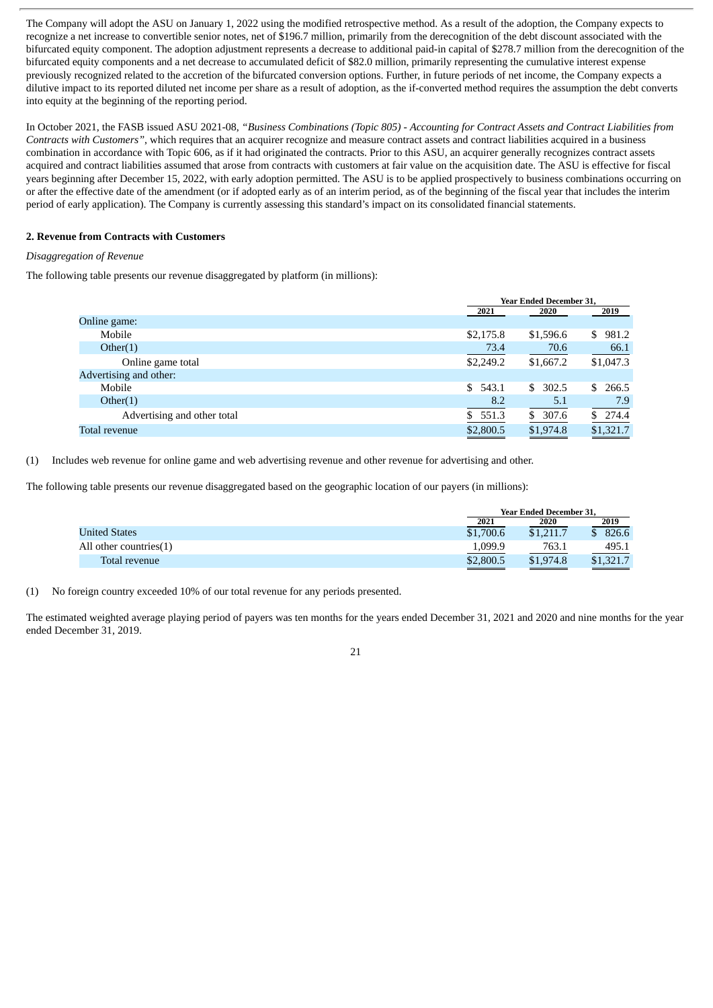The Company will adopt the ASU on January 1, 2022 using the modified retrospective method. As a result of the adoption, the Company expects to recognize a net increase to convertible senior notes, net of \$196.7 million, primarily from the derecognition of the debt discount associated with the bifurcated equity component. The adoption adjustment represents a decrease to additional paid-in capital of \$278.7 million from the derecognition of the bifurcated equity components and a net decrease to accumulated deficit of \$82.0 million, primarily representing the cumulative interest expense previously recognized related to the accretion of the bifurcated conversion options. Further, in future periods of net income, the Company expects a dilutive impact to its reported diluted net income per share as a result of adoption, as the if-converted method requires the assumption the debt converts into equity at the beginning of the reporting period.

In October 2021, the FASB issued ASU 2021-08, "Business Combinations (Topic 805) - Accounting for Contract Assets and Contract Liabilities from *Contracts with Customers"*, which requires that an acquirer recognize and measure contract assets and contract liabilities acquired in a business combination in accordance with Topic 606, as if it had originated the contracts. Prior to this ASU, an acquirer generally recognizes contract assets acquired and contract liabilities assumed that arose from contracts with customers at fair value on the acquisition date. The ASU is effective for fiscal years beginning after December 15, 2022, with early adoption permitted. The ASU is to be applied prospectively to business combinations occurring on or after the effective date of the amendment (or if adopted early as of an interim period, as of the beginning of the fiscal year that includes the interim period of early application). The Company is currently assessing this standard's impact on its consolidated financial statements.

### **2. Revenue from Contracts with Customers**

### *Disaggregation of Revenue*

The following table presents our revenue disaggregated by platform (in millions):

|                             |           | <b>Year Ended December 31,</b> |              |  |
|-----------------------------|-----------|--------------------------------|--------------|--|
|                             | 2021      | 2020                           | 2019         |  |
| Online game:                |           |                                |              |  |
| Mobile                      | \$2,175.8 | \$1,596.6                      | 981.2<br>\$. |  |
| Other(1)                    | 73.4      | 70.6                           | 66.1         |  |
| Online game total           | \$2,249.2 | \$1,667.2                      | \$1,047.3    |  |
| Advertising and other:      |           |                                |              |  |
| Mobile                      | \$543.1   | \$<br>302.5                    | 266.5<br>\$. |  |
| Other(1)                    | 8.2       | 5.1                            | 7.9          |  |
| Advertising and other total | \$551.3   | \$307.6                        | \$274.4      |  |
| Total revenue               | \$2,800.5 | \$1,974.8                      | \$1,321.7    |  |

(1) Includes web revenue for online game and web advertising revenue and other revenue for advertising and other.

The following table presents our revenue disaggregated based on the geographic location of our payers (in millions):

|                           |           | <b>Year Ended December 31.</b> |           |  |
|---------------------------|-----------|--------------------------------|-----------|--|
|                           | 2021      | 2020                           | 2019      |  |
| <b>United States</b>      | \$1,700.6 | \$1,211.7                      | 826.6     |  |
| All other countries $(1)$ | 1,099.9   | 763.1                          | 495.1     |  |
| Total revenue             | \$2,800.5 | \$1,974.8                      | \$1,321.7 |  |

(1) No foreign country exceeded 10% of our total revenue for any periods presented.

The estimated weighted average playing period of payers was ten months for the years ended December 31, 2021 and 2020 and nine months for the year ended December 31, 2019.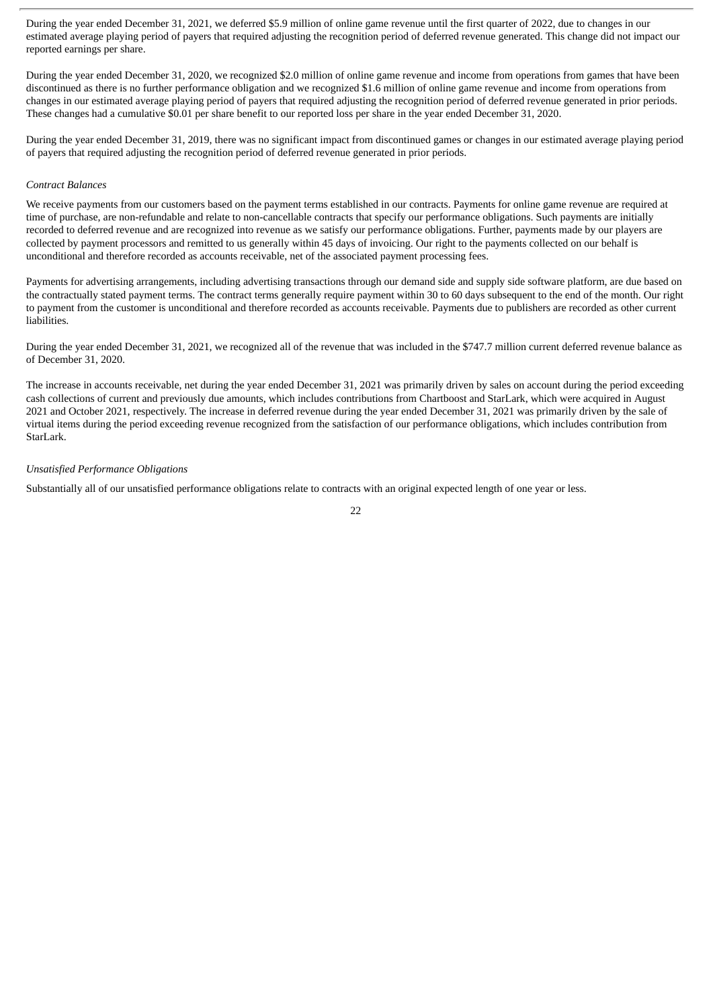During the year ended December 31, 2021, we deferred \$5.9 million of online game revenue until the first quarter of 2022, due to changes in our estimated average playing period of payers that required adjusting the recognition period of deferred revenue generated. This change did not impact our reported earnings per share.

During the year ended December 31, 2020, we recognized \$2.0 million of online game revenue and income from operations from games that have been discontinued as there is no further performance obligation and we recognized \$1.6 million of online game revenue and income from operations from changes in our estimated average playing period of payers that required adjusting the recognition period of deferred revenue generated in prior periods. These changes had a cumulative \$0.01 per share benefit to our reported loss per share in the year ended December 31, 2020.

During the year ended December 31, 2019, there was no significant impact from discontinued games or changes in our estimated average playing period of payers that required adjusting the recognition period of deferred revenue generated in prior periods.

#### *Contract Balances*

We receive payments from our customers based on the payment terms established in our contracts. Payments for online game revenue are required at time of purchase, are non-refundable and relate to non-cancellable contracts that specify our performance obligations. Such payments are initially recorded to deferred revenue and are recognized into revenue as we satisfy our performance obligations. Further, payments made by our players are collected by payment processors and remitted to us generally within 45 days of invoicing. Our right to the payments collected on our behalf is unconditional and therefore recorded as accounts receivable, net of the associated payment processing fees.

Payments for advertising arrangements, including advertising transactions through our demand side and supply side software platform, are due based on the contractually stated payment terms. The contract terms generally require payment within 30 to 60 days subsequent to the end of the month. Our right to payment from the customer is unconditional and therefore recorded as accounts receivable. Payments due to publishers are recorded as other current liabilities.

During the year ended December 31, 2021, we recognized all of the revenue that was included in the \$747.7 million current deferred revenue balance as of December 31, 2020.

The increase in accounts receivable, net during the year ended December 31, 2021 was primarily driven by sales on account during the period exceeding cash collections of current and previously due amounts, which includes contributions from Chartboost and StarLark, which were acquired in August 2021 and October 2021, respectively. The increase in deferred revenue during the year ended December 31, 2021 was primarily driven by the sale of virtual items during the period exceeding revenue recognized from the satisfaction of our performance obligations, which includes contribution from StarLark.

#### *Unsatisfied Performance Obligations*

Substantially all of our unsatisfied performance obligations relate to contracts with an original expected length of one year or less.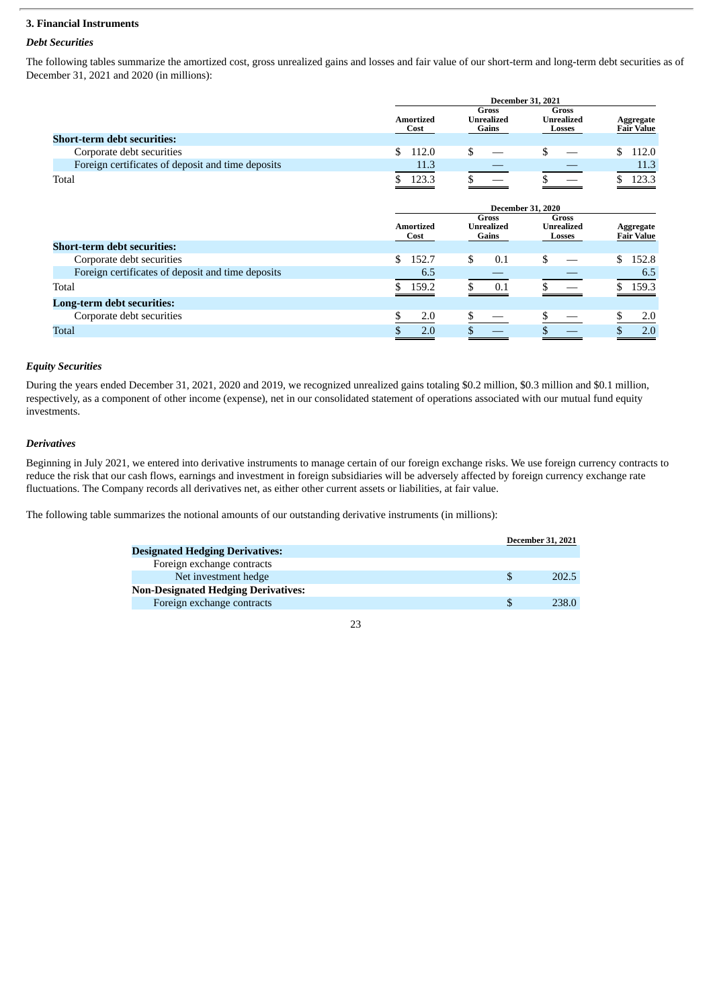#### **3. Financial Instruments**

#### *Debt Securities*

The following tables summarize the amortized cost, gross unrealized gains and losses and fair value of our short-term and long-term debt securities as of December 31, 2021 and 2020 (in millions):

|                                                   |                          |                                            | <b>December 31, 2021</b>                    |                                |
|---------------------------------------------------|--------------------------|--------------------------------------------|---------------------------------------------|--------------------------------|
|                                                   | <b>Amortized</b><br>Cost | <b>Gross</b><br><b>Unrealized</b><br>Gains | Gross<br><b>Unrealized</b><br><b>Losses</b> | Aggregate<br><b>Fair Value</b> |
| <b>Short-term debt securities:</b>                |                          |                                            |                                             |                                |
| Corporate debt securities                         | \$<br>112.0              | \$                                         |                                             | \$<br>112.0                    |
| Foreign certificates of deposit and time deposits | 11.3                     |                                            |                                             | 11.3                           |
| Total                                             | 123.3<br>\$.             |                                            |                                             | 123.3<br>S.                    |
|                                                   |                          |                                            | <b>December 31, 2020</b>                    |                                |
|                                                   | <b>Amortized</b><br>Cost | <b>Gross</b><br><b>Unrealized</b><br>Gains | Gross<br>Unrealized<br>Losses               | Aggregate<br><b>Fair Value</b> |
| <b>Short-term debt securities:</b>                |                          |                                            |                                             |                                |
| Corporate debt securities                         | \$<br>152.7              | \$<br>0.1                                  | \$.                                         | \$.<br>152.8                   |
| Foreign certificates of deposit and time deposits | 6.5                      |                                            |                                             | 6.5                            |
| Total                                             | 159.2<br>\$.             | 0.1                                        |                                             | 159.3                          |
| <b>Long-term debt securities:</b>                 |                          |                                            |                                             |                                |
| Corporate debt securities                         | \$<br>2.0                | \$                                         |                                             | \$<br>2.0                      |
| Total                                             | 2.0                      | \$                                         |                                             | 2.0<br>\$                      |

#### *Equity Securities*

During the years ended December 31, 2021, 2020 and 2019, we recognized unrealized gains totaling \$0.2 million, \$0.3 million and \$0.1 million, respectively, as a component of other income (expense), net in our consolidated statement of operations associated with our mutual fund equity investments.

#### *Derivatives*

Beginning in July 2021, we entered into derivative instruments to manage certain of our foreign exchange risks. We use foreign currency contracts to reduce the risk that our cash flows, earnings and investment in foreign subsidiaries will be adversely affected by foreign currency exchange rate fluctuations. The Company records all derivatives net, as either other current assets or liabilities, at fair value.

The following table summarizes the notional amounts of our outstanding derivative instruments (in millions):

|                                            | <b>December 31, 2021</b> |
|--------------------------------------------|--------------------------|
| <b>Designated Hedging Derivatives:</b>     |                          |
| Foreign exchange contracts                 |                          |
| Net investment hedge                       | 202.5                    |
| <b>Non-Designated Hedging Derivatives:</b> |                          |
| Foreign exchange contracts                 | 238 O                    |
|                                            |                          |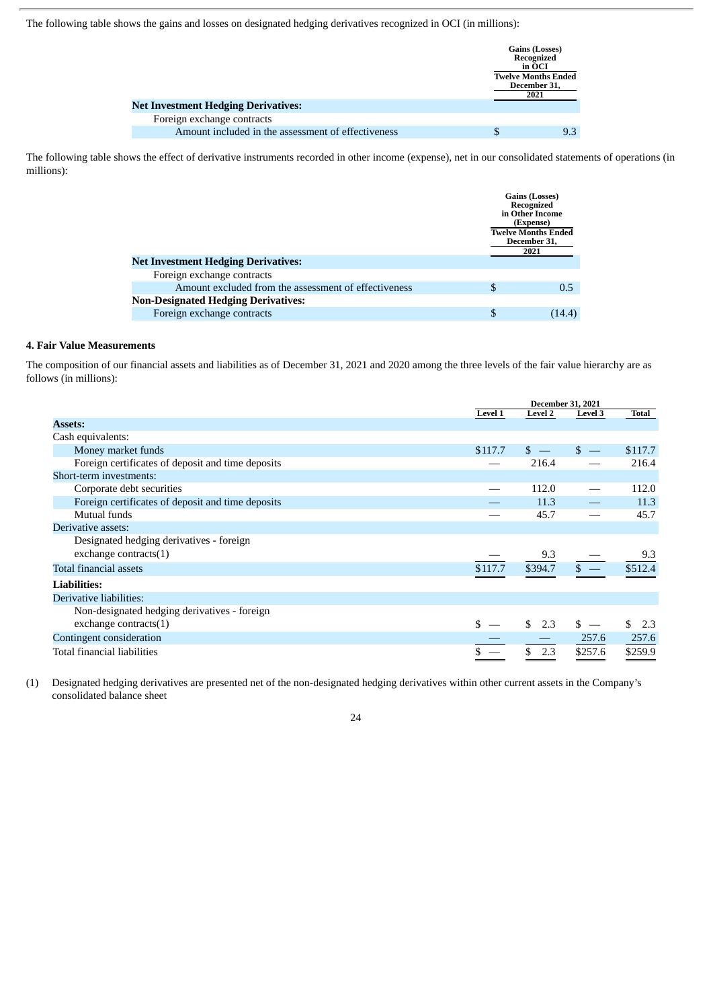The following table shows the gains and losses on designated hedging derivatives recognized in OCI (in millions):

|                                                    | Gains (Losses)<br>Recognized<br>in OCI<br><b>Twelve Months Ended</b><br>December 31,<br>2021 |
|----------------------------------------------------|----------------------------------------------------------------------------------------------|
| <b>Net Investment Hedging Derivatives:</b>         |                                                                                              |
| Foreign exchange contracts                         |                                                                                              |
| Amount included in the assessment of effectiveness | 9.3                                                                                          |

The following table shows the effect of derivative instruments recorded in other income (expense), net in our consolidated statements of operations (in millions):

| <b>Twelve Months Ended</b><br>December 31,<br>2021                |
|-------------------------------------------------------------------|
| <b>Net Investment Hedging Derivatives:</b>                        |
| Foreign exchange contracts                                        |
| Amount excluded from the assessment of effectiveness<br>\$<br>0.5 |
| <b>Non-Designated Hedging Derivatives:</b>                        |
| Foreign exchange contracts<br>\$<br>(14.4)                        |

#### **4. Fair Value Measurements**

The composition of our financial assets and liabilities as of December 31, 2021 and 2020 among the three levels of the fair value hierarchy are as follows (in millions):

|                                                   |                | <b>December 31, 2021</b> |         |           |
|---------------------------------------------------|----------------|--------------------------|---------|-----------|
|                                                   | <b>Level 1</b> | <b>Level 2</b>           | Level 3 | Total     |
| <b>Assets:</b>                                    |                |                          |         |           |
| Cash equivalents:                                 |                |                          |         |           |
| Money market funds                                | \$117.7        |                          |         | \$117.7   |
| Foreign certificates of deposit and time deposits |                | 216.4                    |         | 216.4     |
| Short-term investments:                           |                |                          |         |           |
| Corporate debt securities                         |                | 112.0                    |         | 112.0     |
| Foreign certificates of deposit and time deposits |                | 11.3                     |         | 11.3      |
| Mutual funds                                      |                | 45.7                     |         | 45.7      |
| Derivative assets:                                |                |                          |         |           |
| Designated hedging derivatives - foreign          |                |                          |         |           |
| exchange contracts $(1)$                          |                | 9.3                      |         | 9.3       |
| Total financial assets                            | \$117.7        | \$394.7                  |         | \$512.4   |
| <b>Liabilities:</b>                               |                |                          |         |           |
| Derivative liabilities:                           |                |                          |         |           |
| Non-designated hedging derivatives - foreign      |                |                          |         |           |
| exchange contracts $(1)$                          |                | \$.<br>2.3               |         | 2.3<br>S. |
| Contingent consideration                          |                |                          | 257.6   | 257.6     |
| Total financial liabilities                       |                | 2.3                      | \$257.6 | \$259.9   |

(1) Designated hedging derivatives are presented net of the non-designated hedging derivatives within other current assets in the Company's consolidated balance sheet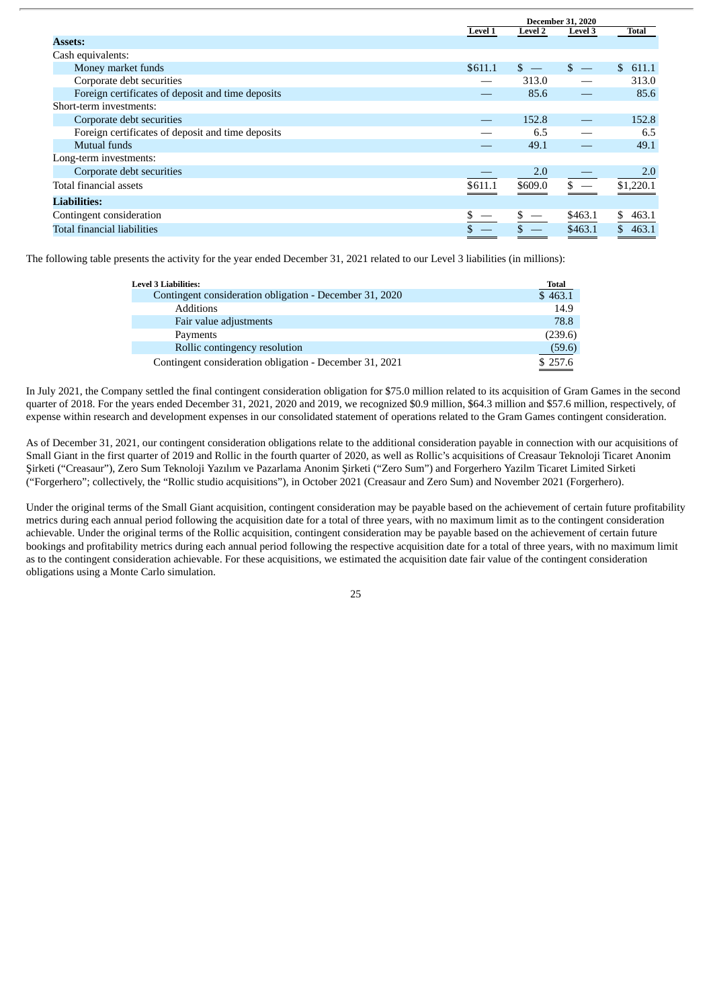|                                                   |                |                | <b>December 31, 2020</b> |             |
|---------------------------------------------------|----------------|----------------|--------------------------|-------------|
|                                                   | <b>Level 1</b> | <b>Level 2</b> | Level 3                  | Total       |
| <b>Assets:</b>                                    |                |                |                          |             |
| Cash equivalents:                                 |                |                |                          |             |
| Money market funds                                | \$611.1        | $s =$          | $s =$                    | \$611.1     |
| Corporate debt securities                         |                | 313.0          |                          | 313.0       |
| Foreign certificates of deposit and time deposits |                | 85.6           |                          | 85.6        |
| Short-term investments:                           |                |                |                          |             |
| Corporate debt securities                         |                | 152.8          |                          | 152.8       |
| Foreign certificates of deposit and time deposits |                | 6.5            |                          | 6.5         |
| Mutual funds                                      |                | 49.1           |                          | 49.1        |
| Long-term investments:                            |                |                |                          |             |
| Corporate debt securities                         |                | 2.0            |                          | 2.0         |
| Total financial assets                            | \$611.1        | \$609.0        | $\frac{1}{2}$            | \$1,220.1   |
| <b>Liabilities:</b>                               |                |                |                          |             |
| Contingent consideration                          |                |                | \$463.1                  | \$<br>463.1 |
| Total financial liabilities                       |                |                | \$463.1                  | \$463.1     |

The following table presents the activity for the year ended December 31, 2021 related to our Level 3 liabilities (in millions):

| <b>Level 3 Liabilities:</b>                             | Total   |
|---------------------------------------------------------|---------|
| Contingent consideration obligation - December 31, 2020 | \$463.1 |
| Additions                                               | 14.9    |
| Fair value adjustments                                  | 78.8    |
| Payments                                                | (239.6) |
| Rollic contingency resolution                           | (59.6)  |
| Contingent consideration obligation - December 31, 2021 | \$257.6 |

In July 2021, the Company settled the final contingent consideration obligation for \$75.0 million related to its acquisition of Gram Games in the second quarter of 2018. For the years ended December 31, 2021, 2020 and 2019, we recognized \$0.9 million, \$64.3 million and \$57.6 million, respectively, of expense within research and development expenses in our consolidated statement of operations related to the Gram Games contingent consideration.

As of December 31, 2021, our contingent consideration obligations relate to the additional consideration payable in connection with our acquisitions of Small Giant in the first quarter of 2019 and Rollic in the fourth quarter of 2020, as well as Rollic's acquisitions of Creasaur Teknoloji Ticaret Anonim Şirketi ("Creasaur"), Zero Sum Teknoloji Yazılım ve Pazarlama Anonim Şirketi ("Zero Sum") and Forgerhero Yazilm Ticaret Limited Sirketi ("Forgerhero"; collectively, the "Rollic studio acquisitions"), in October 2021 (Creasaur and Zero Sum) and November 2021 (Forgerhero).

Under the original terms of the Small Giant acquisition, contingent consideration may be payable based on the achievement of certain future profitability metrics during each annual period following the acquisition date for a total of three years, with no maximum limit as to the contingent consideration achievable. Under the original terms of the Rollic acquisition, contingent consideration may be payable based on the achievement of certain future bookings and profitability metrics during each annual period following the respective acquisition date for a total of three years, with no maximum limit as to the contingent consideration achievable. For these acquisitions, we estimated the acquisition date fair value of the contingent consideration obligations using a Monte Carlo simulation.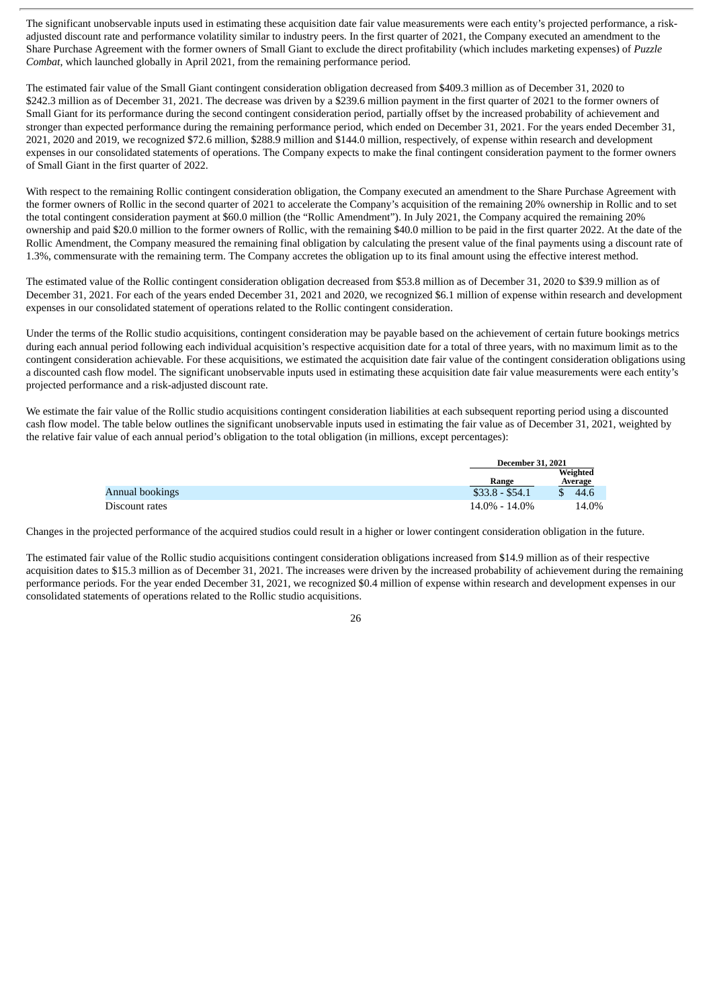The significant unobservable inputs used in estimating these acquisition date fair value measurements were each entity's projected performance, a riskadjusted discount rate and performance volatility similar to industry peers. In the first quarter of 2021, the Company executed an amendment to the Share Purchase Agreement with the former owners of Small Giant to exclude the direct profitability (which includes marketing expenses) of *Puzzle Combat*, which launched globally in April 2021, from the remaining performance period.

The estimated fair value of the Small Giant contingent consideration obligation decreased from \$409.3 million as of December 31, 2020 to \$242.3 million as of December 31, 2021. The decrease was driven by a \$239.6 million payment in the first quarter of 2021 to the former owners of Small Giant for its performance during the second contingent consideration period, partially offset by the increased probability of achievement and stronger than expected performance during the remaining performance period, which ended on December 31, 2021. For the years ended December 31, 2021, 2020 and 2019, we recognized \$72.6 million, \$288.9 million and \$144.0 million, respectively, of expense within research and development expenses in our consolidated statements of operations. The Company expects to make the final contingent consideration payment to the former owners of Small Giant in the first quarter of 2022.

With respect to the remaining Rollic contingent consideration obligation, the Company executed an amendment to the Share Purchase Agreement with the former owners of Rollic in the second quarter of 2021 to accelerate the Company's acquisition of the remaining 20% ownership in Rollic and to set the total contingent consideration payment at \$60.0 million (the "Rollic Amendment"). In July 2021, the Company acquired the remaining 20% ownership and paid \$20.0 million to the former owners of Rollic, with the remaining \$40.0 million to be paid in the first quarter 2022. At the date of the Rollic Amendment, the Company measured the remaining final obligation by calculating the present value of the final payments using a discount rate of 1.3%, commensurate with the remaining term. The Company accretes the obligation up to its final amount using the effective interest method.

The estimated value of the Rollic contingent consideration obligation decreased from \$53.8 million as of December 31, 2020 to \$39.9 million as of December 31, 2021. For each of the years ended December 31, 2021 and 2020, we recognized \$6.1 million of expense within research and development expenses in our consolidated statement of operations related to the Rollic contingent consideration.

Under the terms of the Rollic studio acquisitions, contingent consideration may be payable based on the achievement of certain future bookings metrics during each annual period following each individual acquisition's respective acquisition date for a total of three years, with no maximum limit as to the contingent consideration achievable. For these acquisitions, we estimated the acquisition date fair value of the contingent consideration obligations using a discounted cash flow model. The significant unobservable inputs used in estimating these acquisition date fair value measurements were each entity's projected performance and a risk-adjusted discount rate.

We estimate the fair value of the Rollic studio acquisitions contingent consideration liabilities at each subsequent reporting period using a discounted cash flow model. The table below outlines the significant unobservable inputs used in estimating the fair value as of December 31, 2021, weighted by the relative fair value of each annual period's obligation to the total obligation (in millions, except percentages):

|                 |                   | <b>December 31, 2021</b> |                 |
|-----------------|-------------------|--------------------------|-----------------|
|                 | Range             | Weighted                 |                 |
| Annual bookings | $$33.8 - $54.1$   |                          | Average<br>44.6 |
| Discount rates  | $14.0\% - 14.0\%$ |                          | 14.0%           |

Changes in the projected performance of the acquired studios could result in a higher or lower contingent consideration obligation in the future.

The estimated fair value of the Rollic studio acquisitions contingent consideration obligations increased from \$14.9 million as of their respective acquisition dates to \$15.3 million as of December 31, 2021. The increases were driven by the increased probability of achievement during the remaining performance periods. For the year ended December 31, 2021, we recognized \$0.4 million of expense within research and development expenses in our consolidated statements of operations related to the Rollic studio acquisitions.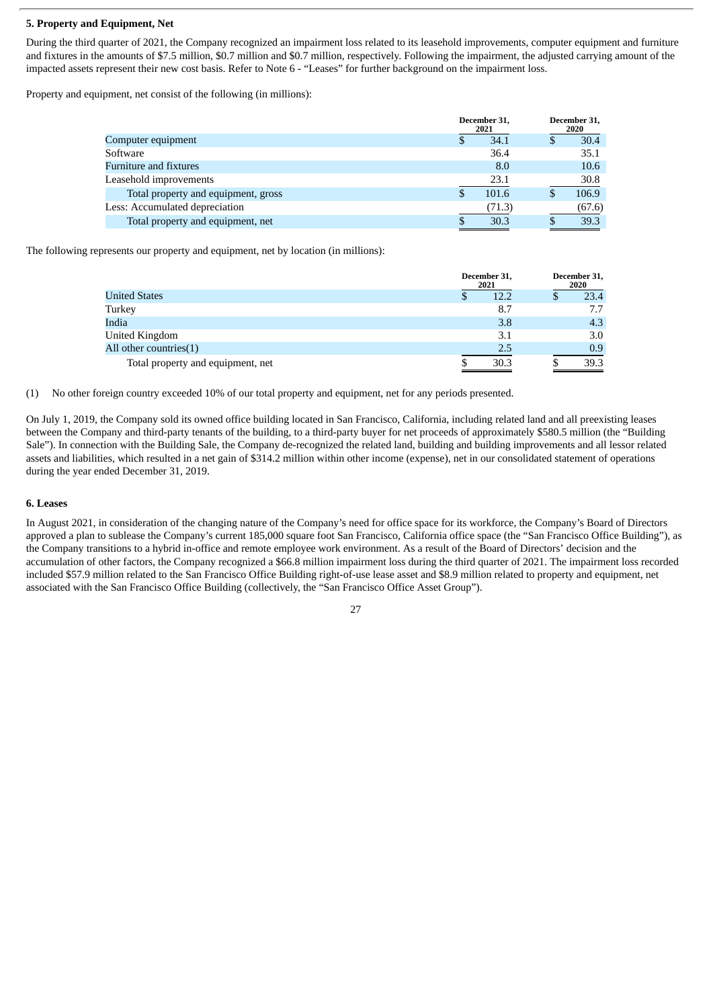#### **5. Property and Equipment, Net**

During the third quarter of 2021, the Company recognized an impairment loss related to its leasehold improvements, computer equipment and furniture and fixtures in the amounts of \$7.5 million, \$0.7 million and \$0.7 million, respectively. Following the impairment, the adjusted carrying amount of the impacted assets represent their new cost basis. Refer to Note 6 - "Leases" for further background on the impairment loss.

Property and equipment, net consist of the following (in millions):

|                                     | December 31,<br>2021 | December 31,<br>2020 |
|-------------------------------------|----------------------|----------------------|
| Computer equipment                  | 34.1                 | 30.4                 |
| Software                            | 36.4                 | 35.1                 |
| Furniture and fixtures              | 8.0                  | 10.6                 |
| Leasehold improvements              | 23.1                 | 30.8                 |
| Total property and equipment, gross | 101.6                | 106.9                |
| Less: Accumulated depreciation      | (71.3)               | (67.6)               |
| Total property and equipment, net   | 30.3                 | 39.3                 |
|                                     |                      |                      |

The following represents our property and equipment, net by location (in millions):

|                                   | December 31,<br>2021 | December 31,<br>2020 |
|-----------------------------------|----------------------|----------------------|
| <b>United States</b>              | 12.2<br>D            | 23.4                 |
| Turkey                            | 8.7                  | 7.7                  |
| India                             | 3.8                  | 4.3                  |
| <b>United Kingdom</b>             | 3.1                  | 3.0                  |
| All other countries(1)            | 2.5                  | 0.9                  |
| Total property and equipment, net | 30.3                 | 39.3                 |

(1) No other foreign country exceeded 10% of our total property and equipment, net for any periods presented.

On July 1, 2019, the Company sold its owned office building located in San Francisco, California, including related land and all preexisting leases between the Company and third-party tenants of the building, to a third-party buyer for net proceeds of approximately \$580.5 million (the "Building Sale"). In connection with the Building Sale, the Company de-recognized the related land, building and building improvements and all lessor related assets and liabilities, which resulted in a net gain of \$314.2 million within other income (expense), net in our consolidated statement of operations during the year ended December 31, 2019.

#### **6. Leases**

In August 2021, in consideration of the changing nature of the Company's need for office space for its workforce, the Company's Board of Directors approved a plan to sublease the Company's current 185,000 square foot San Francisco, California office space (the "San Francisco Office Building"), as the Company transitions to a hybrid in-office and remote employee work environment. As a result of the Board of Directors' decision and the accumulation of other factors, the Company recognized a \$66.8 million impairment loss during the third quarter of 2021. The impairment loss recorded included \$57.9 million related to the San Francisco Office Building right-of-use lease asset and \$8.9 million related to property and equipment, net associated with the San Francisco Office Building (collectively, the "San Francisco Office Asset Group").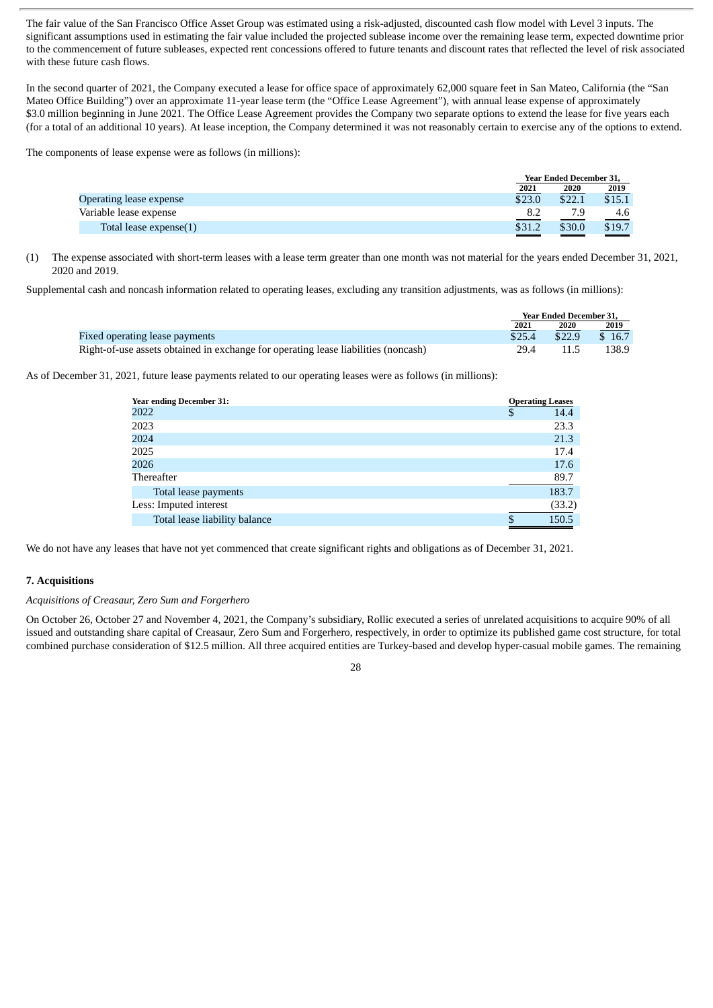The fair value of the San Francisco Office Asset Group was estimated using a risk-adjusted, discounted cash flow model with Level 3 inputs. The significant assumptions used in estimating the fair value included the projected sublease income over the remaining lease term, expected downtime prior to the commencement of future subleases, expected rent concessions offered to future tenants and discount rates that reflected the level of risk associated with these future cash flows.

In the second quarter of 2021, the Company executed a lease for office space of approximately 62,000 square feet in San Mateo, California (the "San Mateo Office Building") over an approximate 11-year lease term (the "Office Lease Agreement"), with annual lease expense of approximately \$3.0 million beginning in June 2021. The Office Lease Agreement provides the Company two separate options to extend the lease for five years each (for a total of an additional 10 years). At lease inception, the Company determined it was not reasonably certain to exercise any of the options to extend.

The components of lease expense were as follows (in millions):

|                           |        | <b>Year Ended December 31.</b> |        |
|---------------------------|--------|--------------------------------|--------|
|                           | 2021   | 2020                           | 2019   |
| Operating lease expense   | \$23.0 | \$22.1                         | \$15.1 |
| Variable lease expense    |        | 7.9                            | 4.6    |
| Total lease expense $(1)$ | \$31.2 | \$30.0                         | \$19.7 |
|                           |        |                                | __     |

(1) The expense associated with short-term leases with a lease term greater than one month was not material for the years ended December 31, 2021, 2020 and 2019.

Supplemental cash and noncash information related to operating leases, excluding any transition adjustments, was as follows (in millions):

|                                                                                    |        | <b>Year Ended December 31.</b> |        |  |
|------------------------------------------------------------------------------------|--------|--------------------------------|--------|--|
|                                                                                    | 2021   | 2020                           | 2019   |  |
| Fixed operating lease payments                                                     | \$25.4 | \$22.9                         | \$16.7 |  |
| Right-of-use assets obtained in exchange for operating lease liabilities (noncash) | 29.4   |                                | 138.9  |  |

As of December 31, 2021, future lease payments related to our operating leases were as follows (in millions):

| <b>Year ending December 31:</b> | <b>Operating Leases</b> |        |
|---------------------------------|-------------------------|--------|
| 2022                            | \$                      | 14.4   |
| 2023                            |                         | 23.3   |
| 2024                            |                         | 21.3   |
| 2025                            |                         | 17.4   |
| 2026                            |                         | 17.6   |
| Thereafter                      |                         | 89.7   |
| Total lease payments            |                         | 183.7  |
| Less: Imputed interest          |                         | (33.2) |
| Total lease liability balance   | Φ                       | 150.5  |

We do not have any leases that have not yet commenced that create significant rights and obligations as of December 31, 2021.

#### **7. Acquisitions**

#### *Acquisitions of Creasaur, Zero Sum and Forgerhero*

On October 26, October 27 and November 4, 2021, the Company's subsidiary, Rollic executed a series of unrelated acquisitions to acquire 90% of all issued and outstanding share capital of Creasaur, Zero Sum and Forgerhero, respectively, in order to optimize its published game cost structure, for total combined purchase consideration of \$12.5 million. All three acquired entities are Turkey-based and develop hyper-casual mobile games. The remaining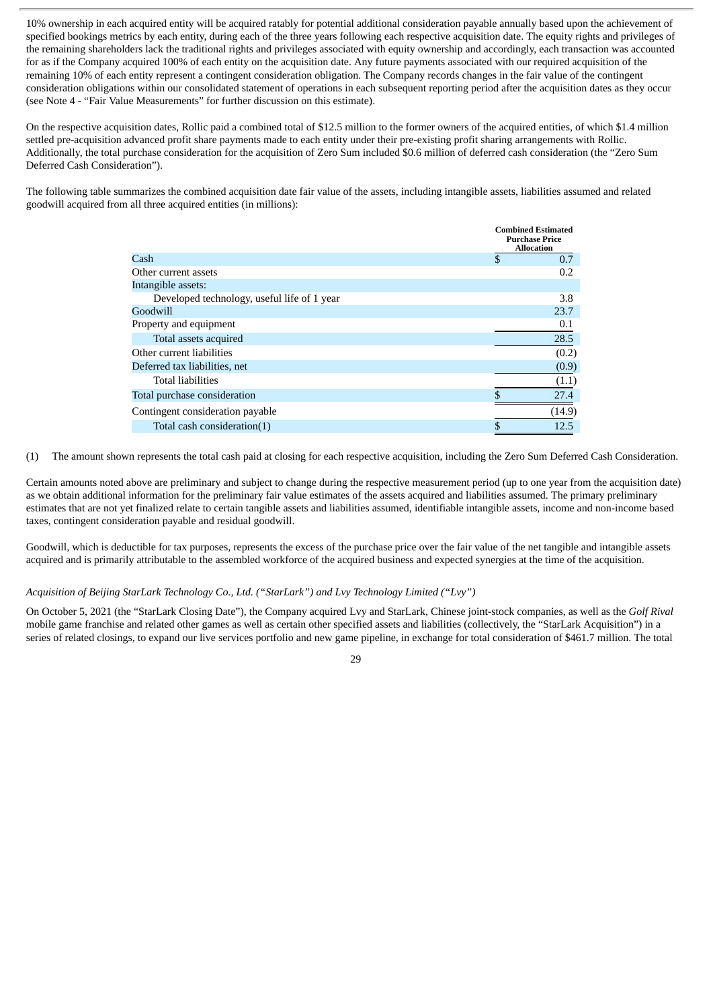10% ownership in each acquired entity will be acquired ratably for potential additional consideration payable annually based upon the achievement of specified bookings metrics by each entity, during each of the three years following each respective acquisition date. The equity rights and privileges of the remaining shareholders lack the traditional rights and privileges associated with equity ownership and accordingly, each transaction was accounted for as if the Company acquired 100% of each entity on the acquisition date. Any future payments associated with our required acquisition of the remaining 10% of each entity represent a contingent consideration obligation. The Company records changes in the fair value of the contingent consideration obligations within our consolidated statement of operations in each subsequent reporting period after the acquisition dates as they occur (see Note 4 - "Fair Value Measurements" for further discussion on this estimate).

On the respective acquisition dates, Rollic paid a combined total of \$12.5 million to the former owners of the acquired entities, of which \$1.4 million settled pre-acquisition advanced profit share payments made to each entity under their pre-existing profit sharing arrangements with Rollic. Additionally, the total purchase consideration for the acquisition of Zero Sum included \$0.6 million of deferred cash consideration (the "Zero Sum Deferred Cash Consideration").

The following table summarizes the combined acquisition date fair value of the assets, including intangible assets, liabilities assumed and related goodwill acquired from all three acquired entities (in millions):

|                                             | <b>Combined Estimated</b><br><b>Purchase Price</b><br><b>Allocation</b> |  |
|---------------------------------------------|-------------------------------------------------------------------------|--|
| Cash                                        | \$<br>0.7                                                               |  |
| Other current assets                        | 0.2                                                                     |  |
| Intangible assets:                          |                                                                         |  |
| Developed technology, useful life of 1 year | 3.8                                                                     |  |
| Goodwill                                    | 23.7                                                                    |  |
| Property and equipment                      | 0.1                                                                     |  |
| Total assets acquired                       | 28.5                                                                    |  |
| Other current liabilities                   | (0.2)                                                                   |  |
| Deferred tax liabilities, net               | (0.9)                                                                   |  |
| <b>Total liabilities</b>                    | (1.1)                                                                   |  |
| Total purchase consideration                | \$<br>27.4                                                              |  |
| Contingent consideration payable            | (14.9)                                                                  |  |
| Total cash consideration(1)                 | \$<br>12.5                                                              |  |

(1) The amount shown represents the total cash paid at closing for each respective acquisition, including the Zero Sum Deferred Cash Consideration.

Certain amounts noted above are preliminary and subject to change during the respective measurement period (up to one year from the acquisition date) as we obtain additional information for the preliminary fair value estimates of the assets acquired and liabilities assumed. The primary preliminary estimates that are not yet finalized relate to certain tangible assets and liabilities assumed, identifiable intangible assets, income and non-income based taxes, contingent consideration payable and residual goodwill.

Goodwill, which is deductible for tax purposes, represents the excess of the purchase price over the fair value of the net tangible and intangible assets acquired and is primarily attributable to the assembled workforce of the acquired business and expected synergies at the time of the acquisition.

#### *Acquisition of Beijing StarLark Technology Co., Ltd. ("StarLark") and Lvy Technology Limited ("Lvy")*

On October 5, 2021 (the "StarLark Closing Date"), the Company acquired Lvy and StarLark, Chinese joint-stock companies, as well as the *Golf Rival* mobile game franchise and related other games as well as certain other specified assets and liabilities (collectively, the "StarLark Acquisition") in a series of related closings, to expand our live services portfolio and new game pipeline, in exchange for total consideration of \$461.7 million. The total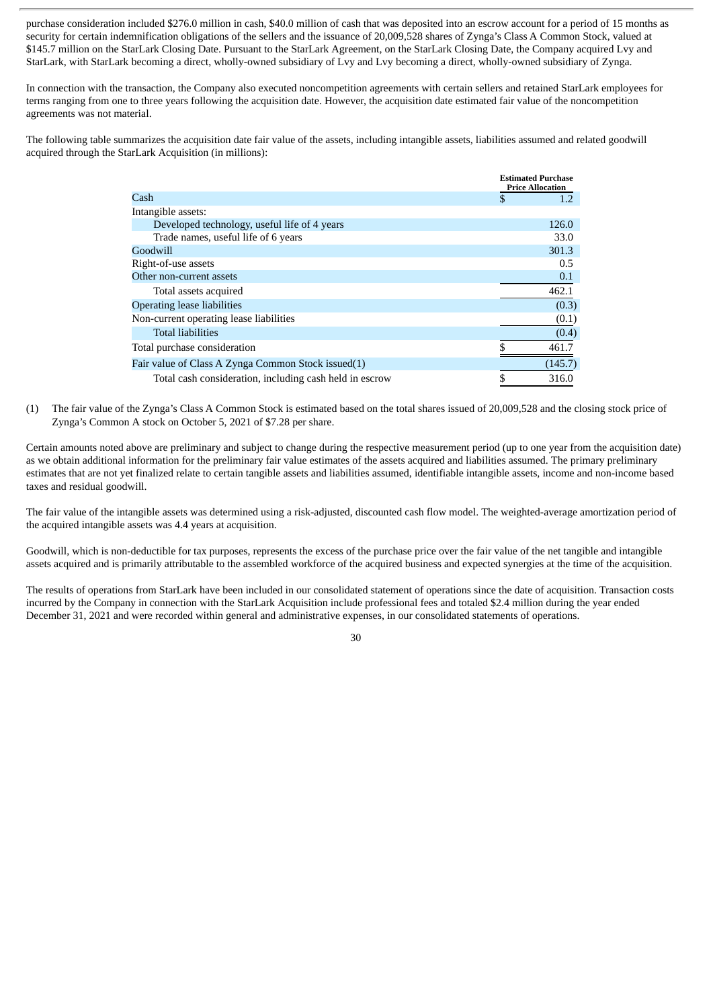purchase consideration included \$276.0 million in cash, \$40.0 million of cash that was deposited into an escrow account for a period of 15 months as security for certain indemnification obligations of the sellers and the issuance of 20,009,528 shares of Zynga's Class A Common Stock, valued at \$145.7 million on the StarLark Closing Date. Pursuant to the StarLark Agreement, on the StarLark Closing Date, the Company acquired Lvy and StarLark, with StarLark becoming a direct, wholly-owned subsidiary of Lvy and Lvy becoming a direct, wholly-owned subsidiary of Zynga.

In connection with the transaction, the Company also executed noncompetition agreements with certain sellers and retained StarLark employees for terms ranging from one to three years following the acquisition date. However, the acquisition date estimated fair value of the noncompetition agreements was not material.

The following table summarizes the acquisition date fair value of the assets, including intangible assets, liabilities assumed and related goodwill acquired through the StarLark Acquisition (in millions):

|                                                         | <b>Estimated Purchase</b><br><b>Price Allocation</b> |         |
|---------------------------------------------------------|------------------------------------------------------|---------|
| Cash                                                    | \$                                                   | 1.2     |
| Intangible assets:                                      |                                                      |         |
| Developed technology, useful life of 4 years            |                                                      | 126.0   |
| Trade names, useful life of 6 years                     |                                                      | 33.0    |
| Goodwill                                                |                                                      | 301.3   |
| Right-of-use assets                                     |                                                      | 0.5     |
| Other non-current assets                                |                                                      | 0.1     |
| Total assets acquired                                   |                                                      | 462.1   |
| <b>Operating lease liabilities</b>                      |                                                      | (0.3)   |
| Non-current operating lease liabilities                 |                                                      | (0.1)   |
| <b>Total liabilities</b>                                |                                                      | (0.4)   |
| Total purchase consideration                            | \$                                                   | 461.7   |
| Fair value of Class A Zynga Common Stock issued(1)      |                                                      | (145.7) |
| Total cash consideration, including cash held in escrow | \$                                                   | 316.0   |

(1) The fair value of the Zynga's Class A Common Stock is estimated based on the total shares issued of 20,009,528 and the closing stock price of Zynga's Common A stock on October 5, 2021 of \$7.28 per share.

Certain amounts noted above are preliminary and subject to change during the respective measurement period (up to one year from the acquisition date) as we obtain additional information for the preliminary fair value estimates of the assets acquired and liabilities assumed. The primary preliminary estimates that are not yet finalized relate to certain tangible assets and liabilities assumed, identifiable intangible assets, income and non-income based taxes and residual goodwill.

The fair value of the intangible assets was determined using a risk-adjusted, discounted cash flow model. The weighted-average amortization period of the acquired intangible assets was 4.4 years at acquisition.

Goodwill, which is non-deductible for tax purposes, represents the excess of the purchase price over the fair value of the net tangible and intangible assets acquired and is primarily attributable to the assembled workforce of the acquired business and expected synergies at the time of the acquisition.

The results of operations from StarLark have been included in our consolidated statement of operations since the date of acquisition. Transaction costs incurred by the Company in connection with the StarLark Acquisition include professional fees and totaled \$2.4 million during the year ended December 31, 2021 and were recorded within general and administrative expenses, in our consolidated statements of operations.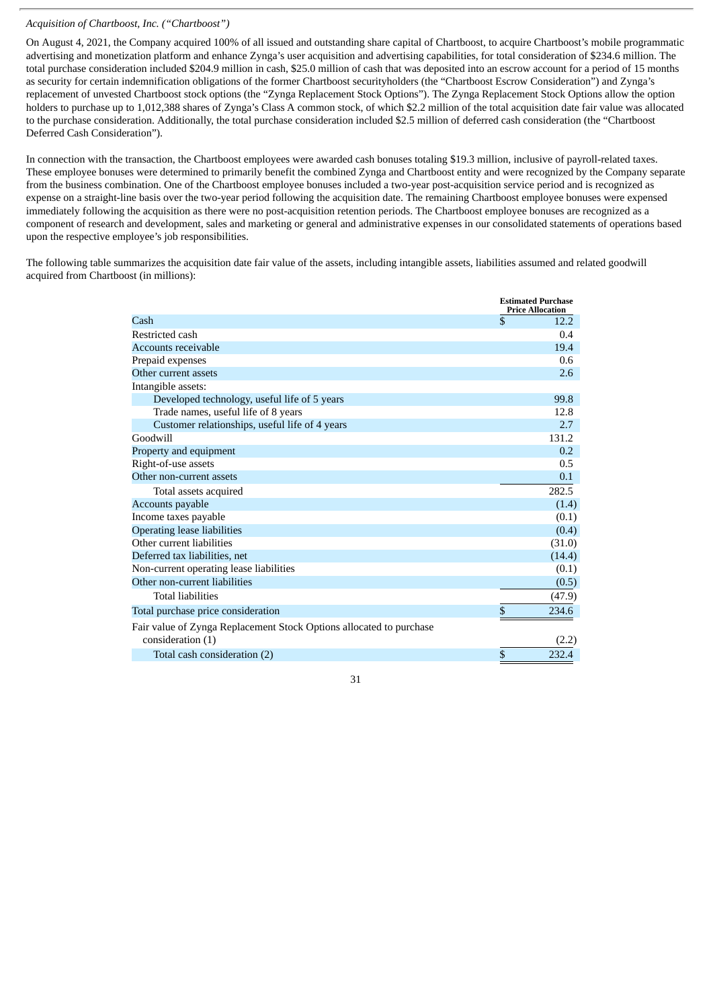### *Acquisition of Chartboost, Inc. ("Chartboost")*

On August 4, 2021, the Company acquired 100% of all issued and outstanding share capital of Chartboost, to acquire Chartboost's mobile programmatic advertising and monetization platform and enhance Zynga's user acquisition and advertising capabilities, for total consideration of \$234.6 million. The total purchase consideration included \$204.9 million in cash, \$25.0 million of cash that was deposited into an escrow account for a period of 15 months as security for certain indemnification obligations of the former Chartboost securityholders (the "Chartboost Escrow Consideration") and Zynga's replacement of unvested Chartboost stock options (the "Zynga Replacement Stock Options"). The Zynga Replacement Stock Options allow the option holders to purchase up to 1,012,388 shares of Zynga's Class A common stock, of which \$2.2 million of the total acquisition date fair value was allocated to the purchase consideration. Additionally, the total purchase consideration included \$2.5 million of deferred cash consideration (the "Chartboost Deferred Cash Consideration").

In connection with the transaction, the Chartboost employees were awarded cash bonuses totaling \$19.3 million, inclusive of payroll-related taxes. These employee bonuses were determined to primarily benefit the combined Zynga and Chartboost entity and were recognized by the Company separate from the business combination. One of the Chartboost employee bonuses included a two-year post-acquisition service period and is recognized as expense on a straight-line basis over the two-year period following the acquisition date. The remaining Chartboost employee bonuses were expensed immediately following the acquisition as there were no post-acquisition retention periods. The Chartboost employee bonuses are recognized as a component of research and development, sales and marketing or general and administrative expenses in our consolidated statements of operations based upon the respective employee's job responsibilities.

The following table summarizes the acquisition date fair value of the assets, including intangible assets, liabilities assumed and related goodwill acquired from Chartboost (in millions):

|                                                                     | <b>Estimated Purchase</b><br><b>Price Allocation</b> |        |
|---------------------------------------------------------------------|------------------------------------------------------|--------|
| Cash                                                                | \$                                                   | 12.2   |
| Restricted cash                                                     |                                                      | 0.4    |
| Accounts receivable                                                 |                                                      | 19.4   |
| Prepaid expenses                                                    |                                                      | 0.6    |
| Other current assets                                                |                                                      | 2.6    |
| Intangible assets:                                                  |                                                      |        |
| Developed technology, useful life of 5 years                        |                                                      | 99.8   |
| Trade names, useful life of 8 years                                 |                                                      | 12.8   |
| Customer relationships, useful life of 4 years                      |                                                      | 2.7    |
| Goodwill                                                            |                                                      | 131.2  |
| Property and equipment                                              |                                                      | 0.2    |
| Right-of-use assets                                                 |                                                      | 0.5    |
| Other non-current assets                                            |                                                      | 0.1    |
| Total assets acquired                                               |                                                      | 282.5  |
| Accounts payable                                                    |                                                      | (1.4)  |
| Income taxes payable                                                |                                                      | (0.1)  |
| <b>Operating lease liabilities</b>                                  |                                                      | (0.4)  |
| Other current liabilities                                           |                                                      | (31.0) |
| Deferred tax liabilities, net                                       |                                                      | (14.4) |
| Non-current operating lease liabilities                             |                                                      | (0.1)  |
| Other non-current liabilities                                       |                                                      | (0.5)  |
| <b>Total liabilities</b>                                            |                                                      | (47.9) |
| Total purchase price consideration                                  | \$                                                   | 234.6  |
| Fair value of Zynga Replacement Stock Options allocated to purchase |                                                      |        |
| consideration (1)                                                   |                                                      | (2.2)  |
| Total cash consideration (2)                                        | \$                                                   | 232.4  |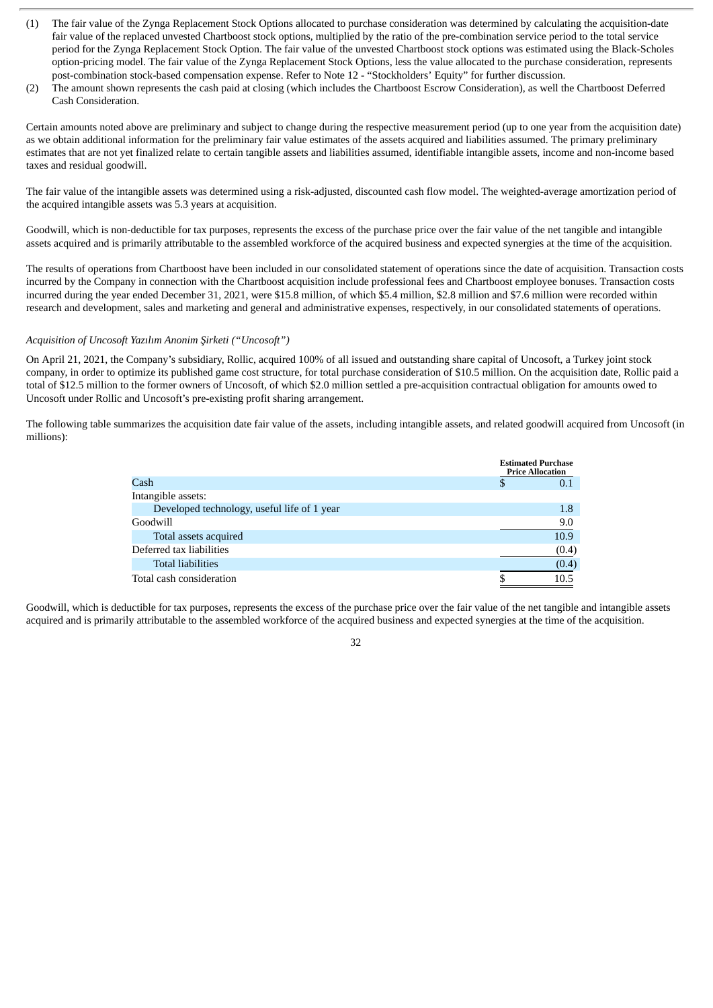- (1) The fair value of the Zynga Replacement Stock Options allocated to purchase consideration was determined by calculating the acquisition-date fair value of the replaced unvested Chartboost stock options, multiplied by the ratio of the pre-combination service period to the total service period for the Zynga Replacement Stock Option. The fair value of the unvested Chartboost stock options was estimated using the Black-Scholes option-pricing model. The fair value of the Zynga Replacement Stock Options, less the value allocated to the purchase consideration, represents post-combination stock-based compensation expense. Refer to Note 12 - "Stockholders' Equity" for further discussion.
- (2) The amount shown represents the cash paid at closing (which includes the Chartboost Escrow Consideration), as well the Chartboost Deferred Cash Consideration.

Certain amounts noted above are preliminary and subject to change during the respective measurement period (up to one year from the acquisition date) as we obtain additional information for the preliminary fair value estimates of the assets acquired and liabilities assumed. The primary preliminary estimates that are not yet finalized relate to certain tangible assets and liabilities assumed, identifiable intangible assets, income and non-income based taxes and residual goodwill.

The fair value of the intangible assets was determined using a risk-adjusted, discounted cash flow model. The weighted-average amortization period of the acquired intangible assets was 5.3 years at acquisition.

Goodwill, which is non-deductible for tax purposes, represents the excess of the purchase price over the fair value of the net tangible and intangible assets acquired and is primarily attributable to the assembled workforce of the acquired business and expected synergies at the time of the acquisition.

The results of operations from Chartboost have been included in our consolidated statement of operations since the date of acquisition. Transaction costs incurred by the Company in connection with the Chartboost acquisition include professional fees and Chartboost employee bonuses. Transaction costs incurred during the year ended December 31, 2021, were \$15.8 million, of which \$5.4 million, \$2.8 million and \$7.6 million were recorded within research and development, sales and marketing and general and administrative expenses, respectively, in our consolidated statements of operations.

## *Acquisition of Uncosoft Yazılım Anonim Şirketi ("Uncosoft")*

On April 21, 2021, the Company's subsidiary, Rollic, acquired 100% of all issued and outstanding share capital of Uncosoft, a Turkey joint stock company, in order to optimize its published game cost structure, for total purchase consideration of \$10.5 million. On the acquisition date, Rollic paid a total of \$12.5 million to the former owners of Uncosoft, of which \$2.0 million settled a pre-acquisition contractual obligation for amounts owed to Uncosoft under Rollic and Uncosoft's pre-existing profit sharing arrangement.

The following table summarizes the acquisition date fair value of the assets, including intangible assets, and related goodwill acquired from Uncosoft (in millions):

|                                             |   | <b>Estimated Purchase</b><br><b>Price Allocation</b> |
|---------------------------------------------|---|------------------------------------------------------|
| Cash                                        | S | 0.1                                                  |
| Intangible assets:                          |   |                                                      |
| Developed technology, useful life of 1 year |   | 1.8                                                  |
| Goodwill                                    |   | 9.0                                                  |
| Total assets acquired                       |   | 10.9                                                 |
| Deferred tax liabilities                    |   | (0.4)                                                |
| <b>Total liabilities</b>                    |   | (0.4)                                                |
| Total cash consideration                    |   | 10.5                                                 |

Goodwill, which is deductible for tax purposes, represents the excess of the purchase price over the fair value of the net tangible and intangible assets acquired and is primarily attributable to the assembled workforce of the acquired business and expected synergies at the time of the acquisition.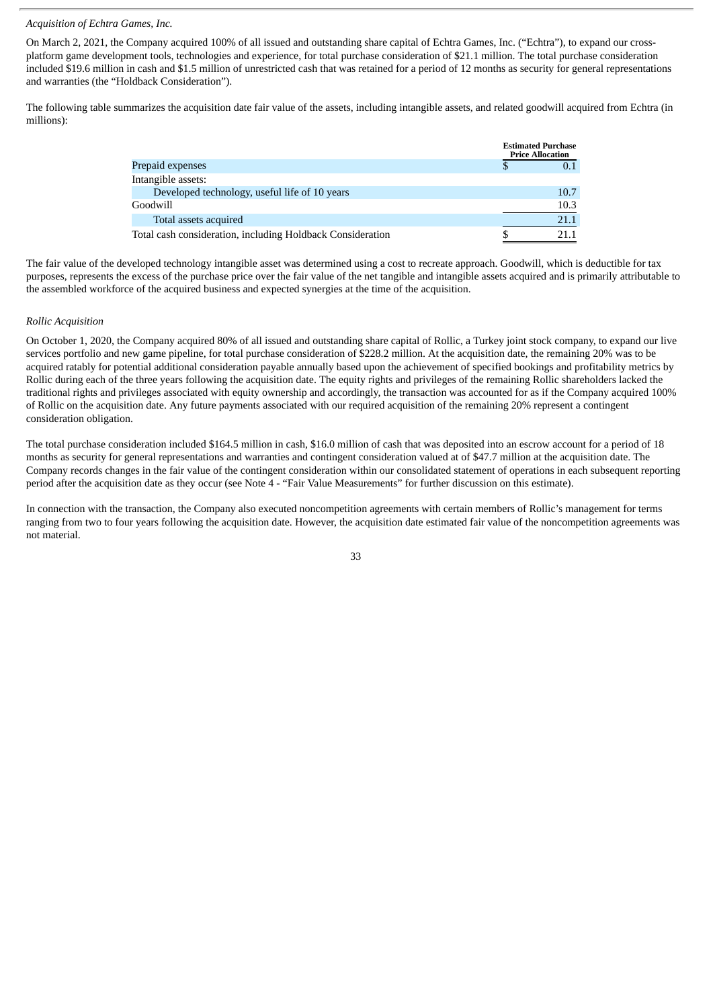### *Acquisition of Echtra Games, Inc.*

On March 2, 2021, the Company acquired 100% of all issued and outstanding share capital of Echtra Games, Inc. ("Echtra"), to expand our crossplatform game development tools, technologies and experience, for total purchase consideration of \$21.1 million. The total purchase consideration included \$19.6 million in cash and \$1.5 million of unrestricted cash that was retained for a period of 12 months as security for general representations and warranties (the "Holdback Consideration").

The following table summarizes the acquisition date fair value of the assets, including intangible assets, and related goodwill acquired from Echtra (in millions):

|                                                            | <b>Estimated Purchase</b><br><b>Price Allocation</b> |      |
|------------------------------------------------------------|------------------------------------------------------|------|
| Prepaid expenses                                           |                                                      | 0.1  |
| Intangible assets:                                         |                                                      |      |
| Developed technology, useful life of 10 years              |                                                      | 10.7 |
| Goodwill                                                   |                                                      | 10.3 |
| Total assets acquired                                      |                                                      | 21.1 |
| Total cash consideration, including Holdback Consideration |                                                      | 21.1 |

The fair value of the developed technology intangible asset was determined using a cost to recreate approach. Goodwill, which is deductible for tax purposes, represents the excess of the purchase price over the fair value of the net tangible and intangible assets acquired and is primarily attributable to the assembled workforce of the acquired business and expected synergies at the time of the acquisition.

## *Rollic Acquisition*

On October 1, 2020, the Company acquired 80% of all issued and outstanding share capital of Rollic, a Turkey joint stock company, to expand our live services portfolio and new game pipeline, for total purchase consideration of \$228.2 million. At the acquisition date, the remaining 20% was to be acquired ratably for potential additional consideration payable annually based upon the achievement of specified bookings and profitability metrics by Rollic during each of the three years following the acquisition date. The equity rights and privileges of the remaining Rollic shareholders lacked the traditional rights and privileges associated with equity ownership and accordingly, the transaction was accounted for as if the Company acquired 100% of Rollic on the acquisition date. Any future payments associated with our required acquisition of the remaining 20% represent a contingent consideration obligation.

The total purchase consideration included \$164.5 million in cash, \$16.0 million of cash that was deposited into an escrow account for a period of 18 months as security for general representations and warranties and contingent consideration valued at of \$47.7 million at the acquisition date. The Company records changes in the fair value of the contingent consideration within our consolidated statement of operations in each subsequent reporting period after the acquisition date as they occur (see Note 4 - "Fair Value Measurements" for further discussion on this estimate).

In connection with the transaction, the Company also executed noncompetition agreements with certain members of Rollic's management for terms ranging from two to four years following the acquisition date. However, the acquisition date estimated fair value of the noncompetition agreements was not material.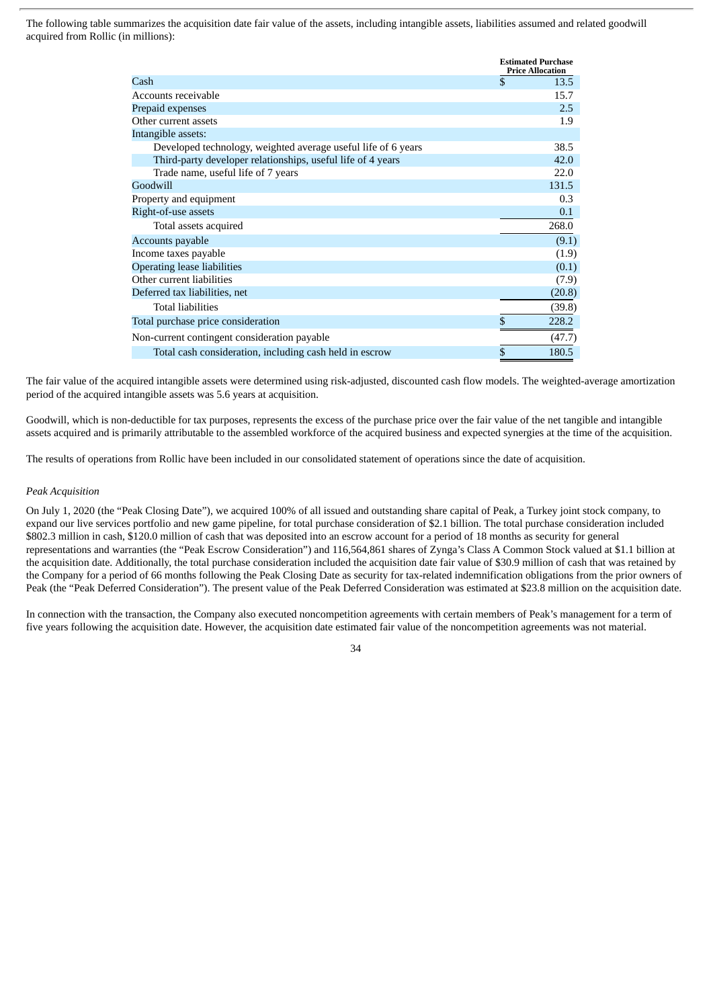The following table summarizes the acquisition date fair value of the assets, including intangible assets, liabilities assumed and related goodwill acquired from Rollic (in millions):

|                                                               |              | <b>Estimated Purchase</b><br><b>Price Allocation</b> |
|---------------------------------------------------------------|--------------|------------------------------------------------------|
| Cash                                                          | $\mathbb{S}$ | 13.5                                                 |
| Accounts receivable                                           |              | 15.7                                                 |
| Prepaid expenses                                              |              | 2.5                                                  |
| Other current assets                                          |              | 1.9                                                  |
| Intangible assets:                                            |              |                                                      |
| Developed technology, weighted average useful life of 6 years |              | 38.5                                                 |
| Third-party developer relationships, useful life of 4 years   |              | 42.0                                                 |
| Trade name, useful life of 7 years                            |              | 22.0                                                 |
| Goodwill                                                      |              | 131.5                                                |
| Property and equipment                                        |              | 0.3                                                  |
| Right-of-use assets                                           |              | 0.1                                                  |
| Total assets acquired                                         |              | 268.0                                                |
| Accounts payable                                              |              | (9.1)                                                |
| Income taxes payable                                          |              | (1.9)                                                |
| <b>Operating lease liabilities</b>                            |              | (0.1)                                                |
| Other current liabilities                                     |              | (7.9)                                                |
| Deferred tax liabilities, net                                 |              | (20.8)                                               |
| <b>Total liabilities</b>                                      |              | (39.8)                                               |
| Total purchase price consideration                            | \$           | 228.2                                                |
| Non-current contingent consideration payable                  |              | (47.7)                                               |
| Total cash consideration, including cash held in escrow       | \$           | 180.5                                                |

The fair value of the acquired intangible assets were determined using risk-adjusted, discounted cash flow models. The weighted-average amortization period of the acquired intangible assets was 5.6 years at acquisition.

Goodwill, which is non-deductible for tax purposes, represents the excess of the purchase price over the fair value of the net tangible and intangible assets acquired and is primarily attributable to the assembled workforce of the acquired business and expected synergies at the time of the acquisition.

The results of operations from Rollic have been included in our consolidated statement of operations since the date of acquisition.

### *Peak Acquisition*

On July 1, 2020 (the "Peak Closing Date"), we acquired 100% of all issued and outstanding share capital of Peak, a Turkey joint stock company, to expand our live services portfolio and new game pipeline, for total purchase consideration of \$2.1 billion. The total purchase consideration included \$802.3 million in cash, \$120.0 million of cash that was deposited into an escrow account for a period of 18 months as security for general representations and warranties (the "Peak Escrow Consideration") and 116,564,861 shares of Zynga's Class A Common Stock valued at \$1.1 billion at the acquisition date. Additionally, the total purchase consideration included the acquisition date fair value of \$30.9 million of cash that was retained by the Company for a period of 66 months following the Peak Closing Date as security for tax-related indemnification obligations from the prior owners of Peak (the "Peak Deferred Consideration"). The present value of the Peak Deferred Consideration was estimated at \$23.8 million on the acquisition date.

In connection with the transaction, the Company also executed noncompetition agreements with certain members of Peak's management for a term of five years following the acquisition date. However, the acquisition date estimated fair value of the noncompetition agreements was not material.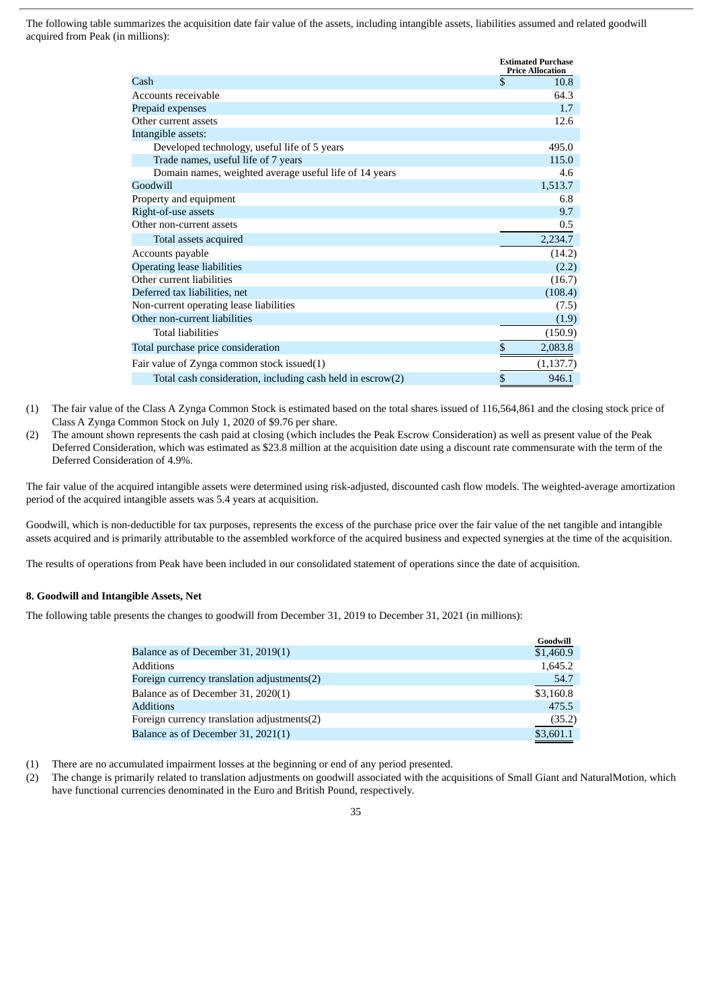The following table summarizes the acquisition date fair value of the assets, including intangible assets, liabilities assumed and related goodwill acquired from Peak (in millions):

|                                                            |    | <b>Estimated Purchase</b><br><b>Price Allocation</b> |  |
|------------------------------------------------------------|----|------------------------------------------------------|--|
| Cash                                                       | \$ | 10.8                                                 |  |
| Accounts receivable                                        |    | 64.3                                                 |  |
| Prepaid expenses                                           |    | 1.7                                                  |  |
| Other current assets                                       |    | 12.6                                                 |  |
| Intangible assets:                                         |    |                                                      |  |
| Developed technology, useful life of 5 years               |    | 495.0                                                |  |
| Trade names, useful life of 7 years                        |    | 115.0                                                |  |
| Domain names, weighted average useful life of 14 years     |    | 4.6                                                  |  |
| Goodwill                                                   |    | 1,513.7                                              |  |
| Property and equipment                                     |    | 6.8                                                  |  |
| Right-of-use assets                                        |    | 9.7                                                  |  |
| Other non-current assets                                   |    | 0.5                                                  |  |
| Total assets acquired                                      |    | 2,234.7                                              |  |
| Accounts payable                                           |    | (14.2)                                               |  |
| Operating lease liabilities                                |    | (2.2)                                                |  |
| Other current liabilities                                  |    | (16.7)                                               |  |
| Deferred tax liabilities, net                              |    | (108.4)                                              |  |
| Non-current operating lease liabilities                    |    | (7.5)                                                |  |
| Other non-current liabilities                              |    | (1.9)                                                |  |
| <b>Total liabilities</b>                                   |    | (150.9)                                              |  |
| Total purchase price consideration                         | \$ | 2,083.8                                              |  |
| Fair value of Zynga common stock issued(1)                 |    | (1, 137.7)                                           |  |
| Total cash consideration, including cash held in escrow(2) | \$ | 946.1                                                |  |

- (1) The fair value of the Class A Zynga Common Stock is estimated based on the total shares issued of 116,564,861 and the closing stock price of Class A Zynga Common Stock on July 1, 2020 of \$9.76 per share.
- (2) The amount shown represents the cash paid at closing (which includes the Peak Escrow Consideration) as well as present value of the Peak Deferred Consideration, which was estimated as \$23.8 million at the acquisition date using a discount rate commensurate with the term of the Deferred Consideration of 4.9%.

The fair value of the acquired intangible assets were determined using risk-adjusted, discounted cash flow models. The weighted-average amortization period of the acquired intangible assets was 5.4 years at acquisition.

Goodwill, which is non-deductible for tax purposes, represents the excess of the purchase price over the fair value of the net tangible and intangible assets acquired and is primarily attributable to the assembled workforce of the acquired business and expected synergies at the time of the acquisition.

The results of operations from Peak have been included in our consolidated statement of operations since the date of acquisition.

## **8. Goodwill and Intangible Assets, Net**

The following table presents the changes to goodwill from December 31, 2019 to December 31, 2021 (in millions):

|                                             | Goodwill  |
|---------------------------------------------|-----------|
| Balance as of December 31, 2019(1)          | \$1,460.9 |
| Additions                                   | 1,645.2   |
| Foreign currency translation adjustments(2) | 54.7      |
| Balance as of December 31, 2020(1)          | \$3,160.8 |
| <b>Additions</b>                            | 475.5     |
| Foreign currency translation adjustments(2) | (35.2)    |
| Balance as of December 31, 2021(1)          | \$3,601.1 |

- (1) There are no accumulated impairment losses at the beginning or end of any period presented.
- (2) The change is primarily related to translation adjustments on goodwill associated with the acquisitions of Small Giant and NaturalMotion, which have functional currencies denominated in the Euro and British Pound, respectively.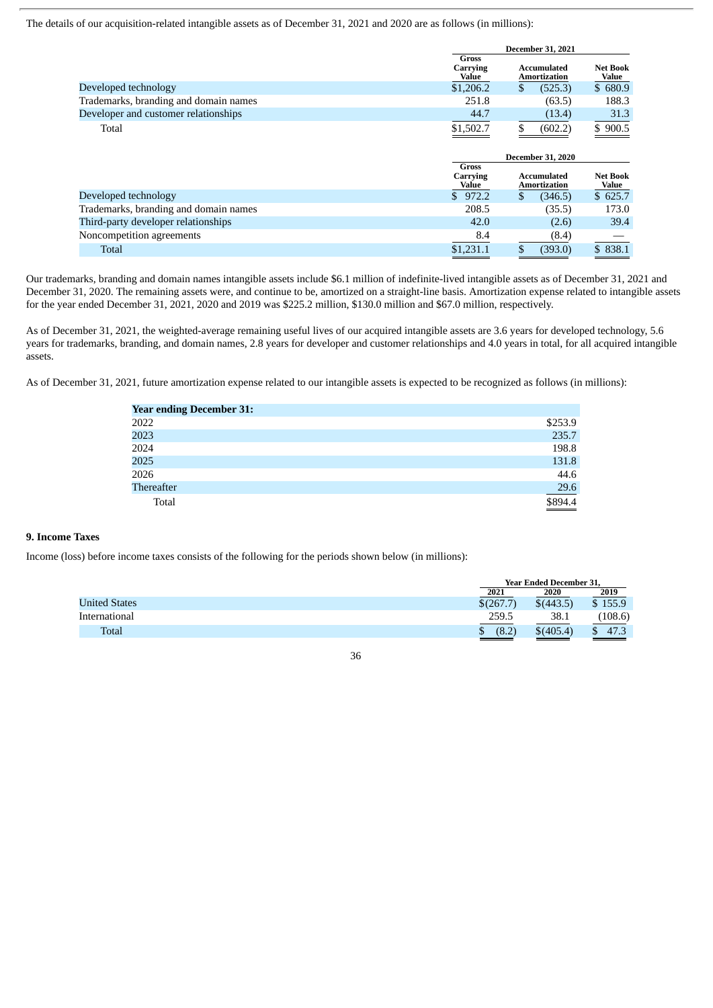The details of our acquisition-related intangible assets as of December 31, 2021 and 2020 are as follows (in millions):

|                                       |                                   | <b>December 31, 2021</b> |                                    |                          |
|---------------------------------------|-----------------------------------|--------------------------|------------------------------------|--------------------------|
|                                       | Gross<br>Carrying<br>Value        |                          | <b>Accumulated</b><br>Amortization | <b>Net Book</b><br>Value |
| Developed technology                  | \$1,206.2                         | \$                       | (525.3)                            | \$680.9                  |
| Trademarks, branding and domain names | 251.8                             |                          | (63.5)                             | 188.3                    |
| Developer and customer relationships  | 44.7                              |                          | (13.4)                             | 31.3                     |
| Total                                 | \$1,502.7                         | \$                       | (602.2)                            | \$900.5                  |
|                                       |                                   |                          | <b>December 31, 2020</b>           |                          |
|                                       | <b>Gross</b><br>Carrying<br>Value |                          | Accumulated<br>Amortization        | <b>Net Book</b><br>Value |
| Developed technology                  | \$972.2                           | \$                       | (346.5)                            | \$625.7                  |
| Trademarks, branding and domain names | 208.5                             |                          | (35.5)                             | 173.0                    |
| Third-party developer relationships   | 42.0                              |                          | (2.6)                              | 39.4                     |
|                                       |                                   |                          |                                    |                          |
| Noncompetition agreements             | 8.4                               |                          | (8.4)                              |                          |

Our trademarks, branding and domain names intangible assets include \$6.1 million of indefinite-lived intangible assets as of December 31, 2021 and December 31, 2020. The remaining assets were, and continue to be, amortized on a straight-line basis. Amortization expense related to intangible assets for the year ended December 31, 2021, 2020 and 2019 was \$225.2 million, \$130.0 million and \$67.0 million, respectively.

As of December 31, 2021, the weighted-average remaining useful lives of our acquired intangible assets are 3.6 years for developed technology, 5.6 years for trademarks, branding, and domain names, 2.8 years for developer and customer relationships and 4.0 years in total, for all acquired intangible assets.

As of December 31, 2021, future amortization expense related to our intangible assets is expected to be recognized as follows (in millions):

| <b>Year ending December 31:</b> |                        |
|---------------------------------|------------------------|
| 2022                            | \$253.9                |
| 2023                            | 235.7                  |
| 2024                            | 198.8                  |
| 2025                            | 131.8                  |
| 2026                            | 44.6                   |
| <b>Thereafter</b>               |                        |
| Total                           | $\frac{29.6}{\$894.4}$ |

## **9. Income Taxes**

Income (loss) before income taxes consists of the following for the periods shown below (in millions):

|                      |            | <b>Year Ended December 31.</b> |            |  |
|----------------------|------------|--------------------------------|------------|--|
|                      | 2021       | 2020                           | 2019       |  |
| <b>United States</b> | \$(267.7)  | \$(443.5)                      | \$155.9    |  |
| International        | 259.5      | 38.1                           | (108.6)    |  |
| Total                | (8.2)<br>Φ | \$(405.4)                      | 47.3<br>۰υ |  |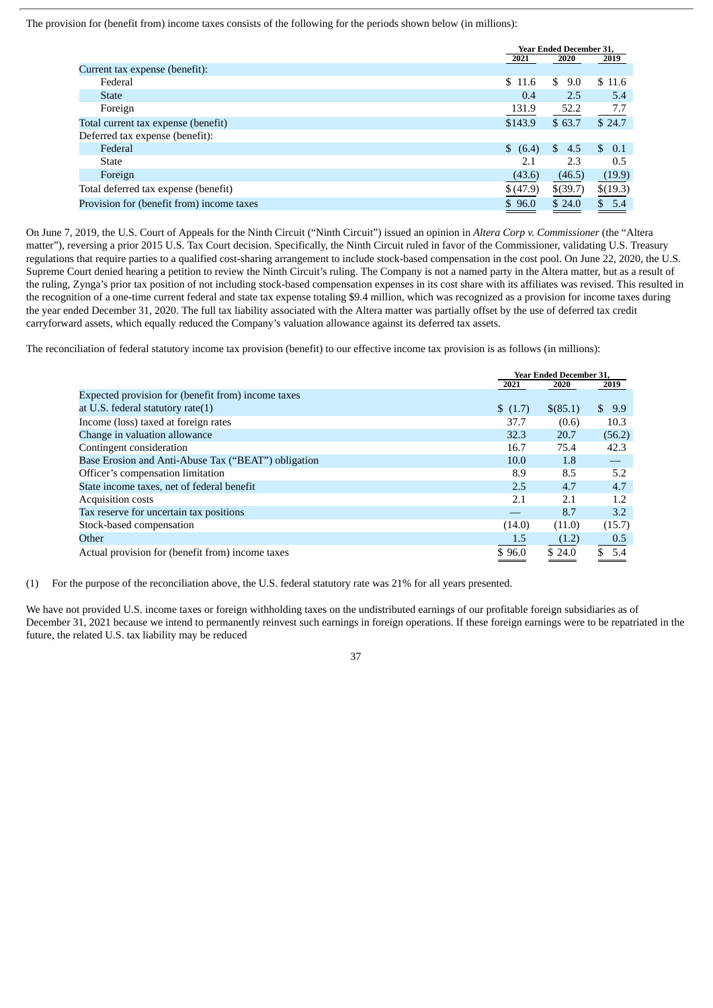The provision for (benefit from) income taxes consists of the following for the periods shown below (in millions):

| <b>Year Ended December 31,</b> |            |                     |
|--------------------------------|------------|---------------------|
| 2021                           | 2020       | 2019                |
|                                |            |                     |
| \$11.6                         | S.<br>9.0  | \$11.6              |
| 0.4                            | 2.5        | 5.4                 |
| 131.9                          | 52.2       | 7.7                 |
| \$143.9                        | \$63.7     | \$24.7              |
|                                |            |                     |
| \$<br>(6.4)                    | 4.5<br>\$. | \$.<br>0.1          |
| 2.1                            | 2.3        | 0.5                 |
| (43.6)                         | (46.5)     | (19.9)              |
| \$(47.9)                       | \$(39.7)   | \$(19.3)            |
| \$96.0                         | \$24.0     | 5.4<br>$\mathbf{s}$ |
|                                |            |                     |

On June 7, 2019, the U.S. Court of Appeals for the Ninth Circuit ("Ninth Circuit") issued an opinion in *Altera Corp v. Commissioner* (the "Altera matter"), reversing a prior 2015 U.S. Tax Court decision. Specifically, the Ninth Circuit ruled in favor of the Commissioner, validating U.S. Treasury regulations that require parties to a qualified cost-sharing arrangement to include stock-based compensation in the cost pool. On June 22, 2020, the U.S. Supreme Court denied hearing a petition to review the Ninth Circuit's ruling. The Company is not a named party in the Altera matter, but as a result of the ruling, Zynga's prior tax position of not including stock-based compensation expenses in its cost share with its affiliates was revised. This resulted in the recognition of a one-time current federal and state tax expense totaling \$9.4 million, which was recognized as a provision for income taxes during the year ended December 31, 2020. The full tax liability associated with the Altera matter was partially offset by the use of deferred tax credit carryforward assets, which equally reduced the Company's valuation allowance against its deferred tax assets.

The reconciliation of federal statutory income tax provision (benefit) to our effective income tax provision is as follows (in millions):

|                                                     |         | <b>Year Ended December 31.</b> |        |
|-----------------------------------------------------|---------|--------------------------------|--------|
|                                                     | 2021    | 2020                           | 2019   |
| Expected provision for (benefit from) income taxes  |         |                                |        |
| at U.S. federal statutory rate $(1)$                | \$(1.7) | \$(85.1)                       | \$9.9  |
| Income (loss) taxed at foreign rates                | 37.7    | (0.6)                          | 10.3   |
| Change in valuation allowance                       | 32.3    | 20.7                           | (56.2) |
| Contingent consideration                            | 16.7    | 75.4                           | 42.3   |
| Base Erosion and Anti-Abuse Tax ("BEAT") obligation | 10.0    | 1.8                            |        |
| Officer's compensation limitation                   | 8.9     | 8.5                            | 5.2    |
| State income taxes, net of federal benefit          | 2.5     | 4.7                            | 4.7    |
| <b>Acquisition costs</b>                            | 2.1     | 2.1                            | 1.2    |
| Tax reserve for uncertain tax positions             |         | 8.7                            | 3.2    |
| Stock-based compensation                            | (14.0)  | (11.0)                         | (15.7) |
| Other                                               | 1.5     | (1.2)                          | 0.5    |
| Actual provision for (benefit from) income taxes    | \$96.0  | \$24.0                         | 5.4    |

(1) For the purpose of the reconciliation above, the U.S. federal statutory rate was 21% for all years presented.

We have not provided U.S. income taxes or foreign withholding taxes on the undistributed earnings of our profitable foreign subsidiaries as of December 31, 2021 because we intend to permanently reinvest such earnings in foreign operations. If these foreign earnings were to be repatriated in the future, the related U.S. tax liability may be reduced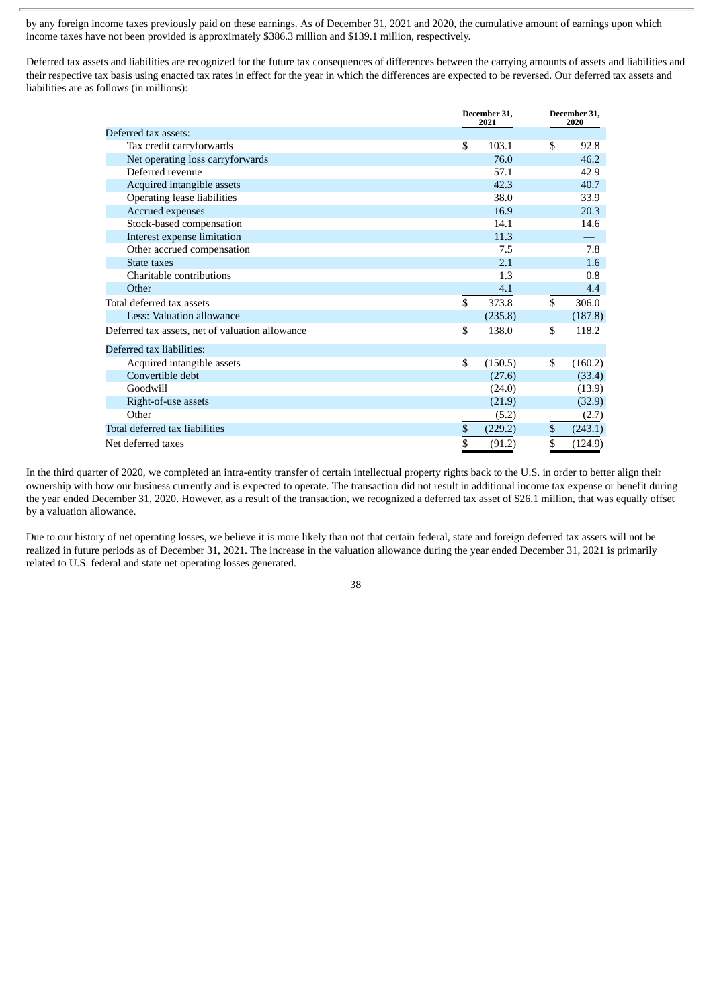by any foreign income taxes previously paid on these earnings. As of December 31, 2021 and 2020, the cumulative amount of earnings upon which income taxes have not been provided is approximately \$386.3 million and \$139.1 million, respectively.

Deferred tax assets and liabilities are recognized for the future tax consequences of differences between the carrying amounts of assets and liabilities and their respective tax basis using enacted tax rates in effect for the year in which the differences are expected to be reversed. Our deferred tax assets and liabilities are as follows (in millions):

|                                                 | December 31,<br>2021 |         | December 31,<br>2020 |         |
|-------------------------------------------------|----------------------|---------|----------------------|---------|
| Deferred tax assets:                            |                      |         |                      |         |
| Tax credit carryforwards                        | \$                   | 103.1   | \$                   | 92.8    |
| Net operating loss carryforwards                |                      | 76.0    |                      | 46.2    |
| Deferred revenue                                |                      | 57.1    |                      | 42.9    |
| Acquired intangible assets                      |                      | 42.3    |                      | 40.7    |
| <b>Operating lease liabilities</b>              |                      | 38.0    |                      | 33.9    |
| Accrued expenses                                |                      | 16.9    |                      | 20.3    |
| Stock-based compensation                        |                      | 14.1    |                      | 14.6    |
| Interest expense limitation                     |                      | 11.3    |                      |         |
| Other accrued compensation                      |                      | 7.5     |                      | 7.8     |
| <b>State taxes</b>                              |                      | 2.1     |                      | 1.6     |
| Charitable contributions                        |                      | 1.3     |                      | 0.8     |
| Other                                           |                      | 4.1     |                      | 4.4     |
| Total deferred tax assets                       | \$                   | 373.8   | \$                   | 306.0   |
| Less: Valuation allowance                       |                      | (235.8) |                      | (187.8) |
| Deferred tax assets, net of valuation allowance | \$                   | 138.0   | \$                   | 118.2   |
| Deferred tax liabilities:                       |                      |         |                      |         |
| Acquired intangible assets                      | \$                   | (150.5) | \$                   | (160.2) |
| Convertible debt                                |                      | (27.6)  |                      | (33.4)  |
| Goodwill                                        |                      | (24.0)  |                      | (13.9)  |
| Right-of-use assets                             |                      | (21.9)  |                      | (32.9)  |
| Other                                           |                      | (5.2)   |                      | (2.7)   |
| Total deferred tax liabilities                  | \$                   | (229.2) | \$                   | (243.1) |
| Net deferred taxes                              | \$                   | (91.2)  | \$                   | (124.9) |

In the third quarter of 2020, we completed an intra-entity transfer of certain intellectual property rights back to the U.S. in order to better align their ownership with how our business currently and is expected to operate. The transaction did not result in additional income tax expense or benefit during the year ended December 31, 2020. However, as a result of the transaction, we recognized a deferred tax asset of \$26.1 million, that was equally offset by a valuation allowance.

Due to our history of net operating losses, we believe it is more likely than not that certain federal, state and foreign deferred tax assets will not be realized in future periods as of December 31, 2021. The increase in the valuation allowance during the year ended December 31, 2021 is primarily related to U.S. federal and state net operating losses generated.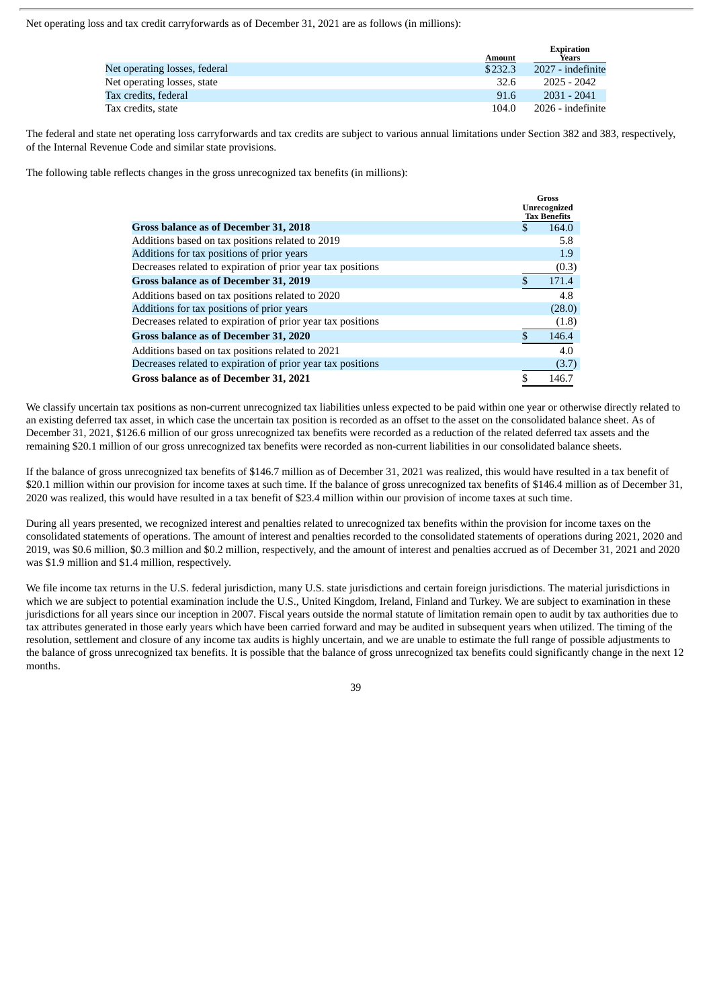Net operating loss and tax credit carryforwards as of December 31, 2021 are as follows (in millions):

|                               |         | <b>Expiration</b> |
|-------------------------------|---------|-------------------|
|                               | Amount  | Years             |
| Net operating losses, federal | \$232.3 | 2027 - indefinite |
| Net operating losses, state   | 32.6    | 2025 - 2042       |
| Tax credits, federal          | 91.6    | 2031 - 2041       |
| Tax credits, state            | 104.0   | 2026 - indefinite |

The federal and state net operating loss carryforwards and tax credits are subject to various annual limitations under Section 382 and 383, respectively, of the Internal Revenue Code and similar state provisions.

The following table reflects changes in the gross unrecognized tax benefits (in millions):

|                                                             | Gross<br><b>Unrecognized</b> |
|-------------------------------------------------------------|------------------------------|
|                                                             | <b>Tax Benefits</b>          |
| Gross balance as of December 31, 2018                       | 164.0                        |
| Additions based on tax positions related to 2019            | 5.8                          |
| Additions for tax positions of prior years                  | 1.9                          |
| Decreases related to expiration of prior year tax positions | (0.3)                        |
| Gross balance as of December 31, 2019                       | 171.4                        |
| Additions based on tax positions related to 2020            | 4.8                          |
| Additions for tax positions of prior years                  | (28.0)                       |
| Decreases related to expiration of prior year tax positions | (1.8)                        |
| Gross balance as of December 31, 2020                       | 146.4                        |
| Additions based on tax positions related to 2021            | 4.0                          |
| Decreases related to expiration of prior year tax positions | (3.7)                        |
| Gross balance as of December 31, 2021                       | 146.7                        |

We classify uncertain tax positions as non-current unrecognized tax liabilities unless expected to be paid within one year or otherwise directly related to an existing deferred tax asset, in which case the uncertain tax position is recorded as an offset to the asset on the consolidated balance sheet. As of December 31, 2021, \$126.6 million of our gross unrecognized tax benefits were recorded as a reduction of the related deferred tax assets and the remaining \$20.1 million of our gross unrecognized tax benefits were recorded as non-current liabilities in our consolidated balance sheets.

If the balance of gross unrecognized tax benefits of \$146.7 million as of December 31, 2021 was realized, this would have resulted in a tax benefit of \$20.1 million within our provision for income taxes at such time. If the balance of gross unrecognized tax benefits of \$146.4 million as of December 31, 2020 was realized, this would have resulted in a tax benefit of \$23.4 million within our provision of income taxes at such time.

During all years presented, we recognized interest and penalties related to unrecognized tax benefits within the provision for income taxes on the consolidated statements of operations. The amount of interest and penalties recorded to the consolidated statements of operations during 2021, 2020 and 2019, was \$0.6 million, \$0.3 million and \$0.2 million, respectively, and the amount of interest and penalties accrued as of December 31, 2021 and 2020 was \$1.9 million and \$1.4 million, respectively.

We file income tax returns in the U.S. federal jurisdiction, many U.S. state jurisdictions and certain foreign jurisdictions. The material jurisdictions in which we are subject to potential examination include the U.S., United Kingdom, Ireland, Finland and Turkey. We are subject to examination in these jurisdictions for all years since our inception in 2007. Fiscal years outside the normal statute of limitation remain open to audit by tax authorities due to tax attributes generated in those early years which have been carried forward and may be audited in subsequent years when utilized. The timing of the resolution, settlement and closure of any income tax audits is highly uncertain, and we are unable to estimate the full range of possible adjustments to the balance of gross unrecognized tax benefits. It is possible that the balance of gross unrecognized tax benefits could significantly change in the next 12 months.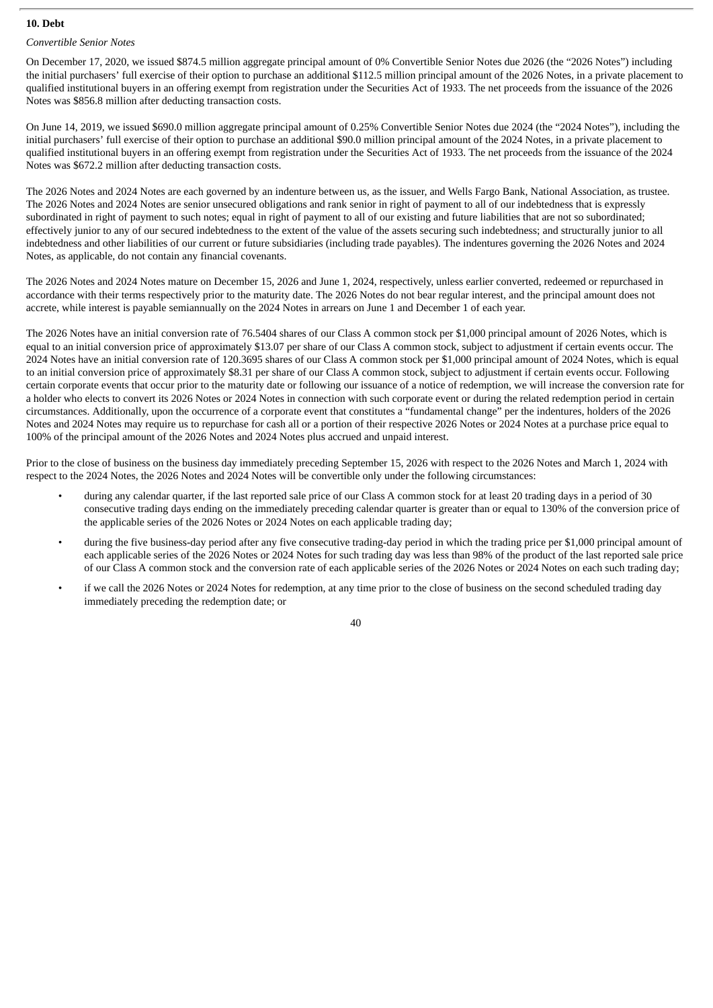# **10. Debt**

## *Convertible Senior Notes*

On December 17, 2020, we issued \$874.5 million aggregate principal amount of 0% Convertible Senior Notes due 2026 (the "2026 Notes") including the initial purchasers' full exercise of their option to purchase an additional \$112.5 million principal amount of the 2026 Notes, in a private placement to qualified institutional buyers in an offering exempt from registration under the Securities Act of 1933. The net proceeds from the issuance of the 2026 Notes was \$856.8 million after deducting transaction costs.

On June 14, 2019, we issued \$690.0 million aggregate principal amount of 0.25% Convertible Senior Notes due 2024 (the "2024 Notes"), including the initial purchasers' full exercise of their option to purchase an additional \$90.0 million principal amount of the 2024 Notes, in a private placement to qualified institutional buyers in an offering exempt from registration under the Securities Act of 1933. The net proceeds from the issuance of the 2024 Notes was \$672.2 million after deducting transaction costs.

The 2026 Notes and 2024 Notes are each governed by an indenture between us, as the issuer, and Wells Fargo Bank, National Association, as trustee. The 2026 Notes and 2024 Notes are senior unsecured obligations and rank senior in right of payment to all of our indebtedness that is expressly subordinated in right of payment to such notes; equal in right of payment to all of our existing and future liabilities that are not so subordinated; effectively junior to any of our secured indebtedness to the extent of the value of the assets securing such indebtedness; and structurally junior to all indebtedness and other liabilities of our current or future subsidiaries (including trade payables). The indentures governing the 2026 Notes and 2024 Notes, as applicable, do not contain any financial covenants.

The 2026 Notes and 2024 Notes mature on December 15, 2026 and June 1, 2024, respectively, unless earlier converted, redeemed or repurchased in accordance with their terms respectively prior to the maturity date. The 2026 Notes do not bear regular interest, and the principal amount does not accrete, while interest is payable semiannually on the 2024 Notes in arrears on June 1 and December 1 of each year.

The 2026 Notes have an initial conversion rate of 76.5404 shares of our Class A common stock per \$1,000 principal amount of 2026 Notes, which is equal to an initial conversion price of approximately \$13.07 per share of our Class A common stock, subject to adjustment if certain events occur. The 2024 Notes have an initial conversion rate of 120.3695 shares of our Class A common stock per \$1,000 principal amount of 2024 Notes, which is equal to an initial conversion price of approximately \$8.31 per share of our Class A common stock, subject to adjustment if certain events occur. Following certain corporate events that occur prior to the maturity date or following our issuance of a notice of redemption, we will increase the conversion rate for a holder who elects to convert its 2026 Notes or 2024 Notes in connection with such corporate event or during the related redemption period in certain circumstances. Additionally, upon the occurrence of a corporate event that constitutes a "fundamental change" per the indentures, holders of the 2026 Notes and 2024 Notes may require us to repurchase for cash all or a portion of their respective 2026 Notes or 2024 Notes at a purchase price equal to 100% of the principal amount of the 2026 Notes and 2024 Notes plus accrued and unpaid interest.

Prior to the close of business on the business day immediately preceding September 15, 2026 with respect to the 2026 Notes and March 1, 2024 with respect to the 2024 Notes, the 2026 Notes and 2024 Notes will be convertible only under the following circumstances:

- during any calendar quarter, if the last reported sale price of our Class A common stock for at least 20 trading days in a period of 30 consecutive trading days ending on the immediately preceding calendar quarter is greater than or equal to 130% of the conversion price of the applicable series of the 2026 Notes or 2024 Notes on each applicable trading day;
- during the five business-day period after any five consecutive trading-day period in which the trading price per \$1,000 principal amount of each applicable series of the 2026 Notes or 2024 Notes for such trading day was less than 98% of the product of the last reported sale price of our Class A common stock and the conversion rate of each applicable series of the 2026 Notes or 2024 Notes on each such trading day;
- if we call the 2026 Notes or 2024 Notes for redemption, at any time prior to the close of business on the second scheduled trading day immediately preceding the redemption date; or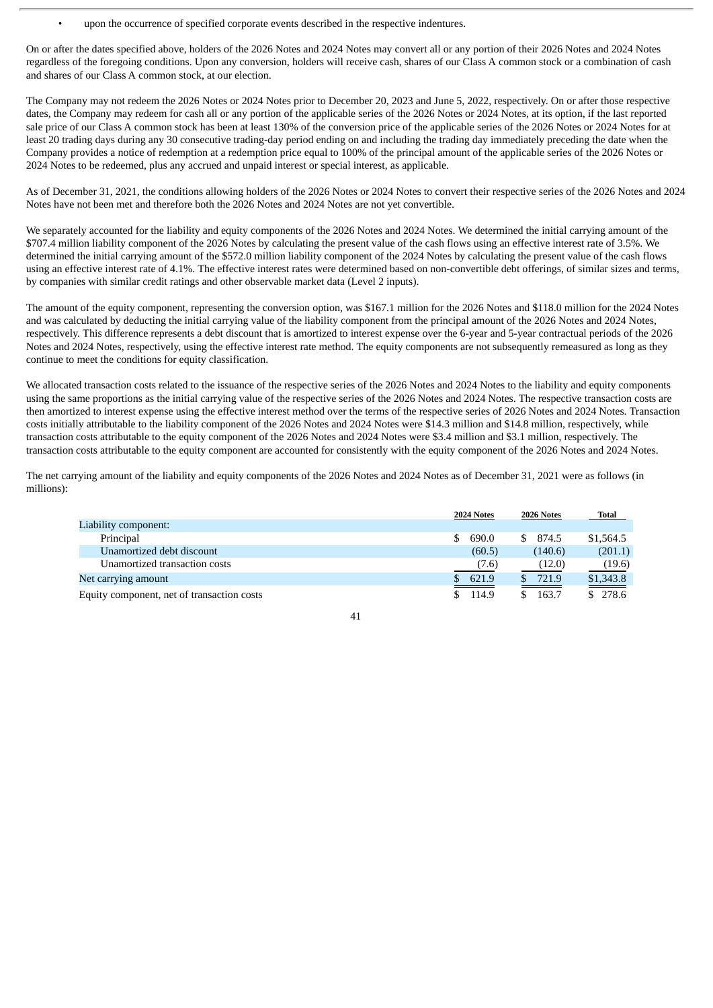• upon the occurrence of specified corporate events described in the respective indentures.

On or after the dates specified above, holders of the 2026 Notes and 2024 Notes may convert all or any portion of their 2026 Notes and 2024 Notes regardless of the foregoing conditions. Upon any conversion, holders will receive cash, shares of our Class A common stock or a combination of cash and shares of our Class A common stock, at our election.

The Company may not redeem the 2026 Notes or 2024 Notes prior to December 20, 2023 and June 5, 2022, respectively. On or after those respective dates, the Company may redeem for cash all or any portion of the applicable series of the 2026 Notes or 2024 Notes, at its option, if the last reported sale price of our Class A common stock has been at least 130% of the conversion price of the applicable series of the 2026 Notes or 2024 Notes for at least 20 trading days during any 30 consecutive trading-day period ending on and including the trading day immediately preceding the date when the Company provides a notice of redemption at a redemption price equal to 100% of the principal amount of the applicable series of the 2026 Notes or 2024 Notes to be redeemed, plus any accrued and unpaid interest or special interest, as applicable.

As of December 31, 2021, the conditions allowing holders of the 2026 Notes or 2024 Notes to convert their respective series of the 2026 Notes and 2024 Notes have not been met and therefore both the 2026 Notes and 2024 Notes are not yet convertible.

We separately accounted for the liability and equity components of the 2026 Notes and 2024 Notes. We determined the initial carrying amount of the \$707.4 million liability component of the 2026 Notes by calculating the present value of the cash flows using an effective interest rate of 3.5%. We determined the initial carrying amount of the \$572.0 million liability component of the 2024 Notes by calculating the present value of the cash flows using an effective interest rate of 4.1%. The effective interest rates were determined based on non-convertible debt offerings, of similar sizes and terms, by companies with similar credit ratings and other observable market data (Level 2 inputs).

The amount of the equity component, representing the conversion option, was \$167.1 million for the 2026 Notes and \$118.0 million for the 2024 Notes and was calculated by deducting the initial carrying value of the liability component from the principal amount of the 2026 Notes and 2024 Notes, respectively. This difference represents a debt discount that is amortized to interest expense over the 6-year and 5-year contractual periods of the 2026 Notes and 2024 Notes, respectively, using the effective interest rate method. The equity components are not subsequently remeasured as long as they continue to meet the conditions for equity classification.

We allocated transaction costs related to the issuance of the respective series of the 2026 Notes and 2024 Notes to the liability and equity components using the same proportions as the initial carrying value of the respective series of the 2026 Notes and 2024 Notes. The respective transaction costs are then amortized to interest expense using the effective interest method over the terms of the respective series of 2026 Notes and 2024 Notes. Transaction costs initially attributable to the liability component of the 2026 Notes and 2024 Notes were \$14.3 million and \$14.8 million, respectively, while transaction costs attributable to the equity component of the 2026 Notes and 2024 Notes were \$3.4 million and \$3.1 million, respectively. The transaction costs attributable to the equity component are accounted for consistently with the equity component of the 2026 Notes and 2024 Notes.

The net carrying amount of the liability and equity components of the 2026 Notes and 2024 Notes as of December 31, 2021 were as follows (in millions):

|                                            | 2024 Notes | 2026 Notes   | Total     |
|--------------------------------------------|------------|--------------|-----------|
| Liability component:                       |            |              |           |
| Principal                                  | 690.0      | 874.5<br>\$. | \$1,564.5 |
| Unamortized debt discount                  | (60.5)     | (140.6)      | (201.1)   |
| Unamortized transaction costs              | (7.6)      | (12.0)       | (19.6)    |
| Net carrying amount                        | 621.9      | 721.9<br>\$. | \$1,343.8 |
| Equity component, net of transaction costs | 114.9      | 163.7<br>S.  | \$278.6   |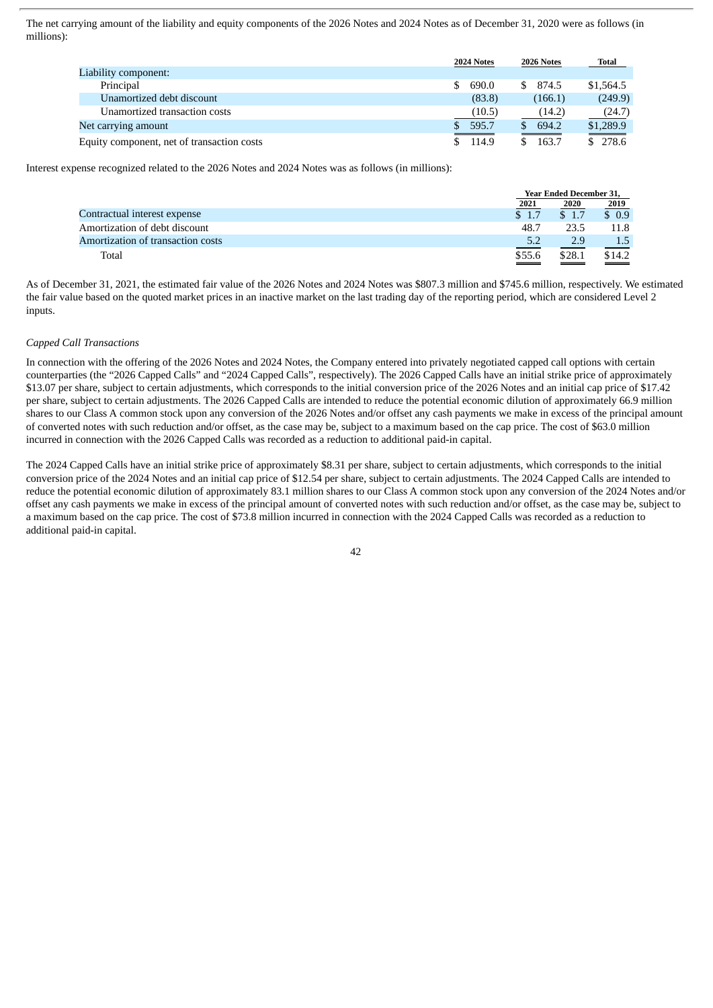The net carrying amount of the liability and equity components of the 2026 Notes and 2024 Notes as of December 31, 2020 were as follows (in millions):

|                                            | 2024 Notes  | 2026 Notes            | Total                                             |
|--------------------------------------------|-------------|-----------------------|---------------------------------------------------|
| Liability component:                       |             |                       |                                                   |
| Principal                                  | 690.0<br>\$ | \$.<br>874.5          | \$1,564.5                                         |
| Unamortized debt discount                  | (83.8)      | (166.1)               | (249.9)                                           |
| Unamortized transaction costs              | (10.5)      | (14.2)                | (24.7)                                            |
| Net carrying amount                        | 595.7       | 694.2<br>$\mathbf{S}$ | \$1,289.9                                         |
| Equity component, net of transaction costs | 114.9       | 163.7<br>\$.          | and the control of the control of<br>278.6<br>\$. |

Interest expense recognized related to the 2026 Notes and 2024 Notes was as follows (in millions):

|                                   |        | <b>Year Ended December 31,</b> |        |  |
|-----------------------------------|--------|--------------------------------|--------|--|
|                                   | 2021   | 2020                           | 2019   |  |
| Contractual interest expense      | \$1.7  | \$1.7                          | \$0.9  |  |
| Amortization of debt discount     | 48.7   | 23.5                           | 11.8   |  |
| Amortization of transaction costs | 5.2    | 2.9                            | 1.5    |  |
| Total                             | \$55.6 | \$28.1                         | \$14.2 |  |

As of December 31, 2021, the estimated fair value of the 2026 Notes and 2024 Notes was \$807.3 million and \$745.6 million, respectively. We estimated the fair value based on the quoted market prices in an inactive market on the last trading day of the reporting period, which are considered Level 2 inputs.

# *Capped Call Transactions*

In connection with the offering of the 2026 Notes and 2024 Notes, the Company entered into privately negotiated capped call options with certain counterparties (the "2026 Capped Calls" and "2024 Capped Calls", respectively). The 2026 Capped Calls have an initial strike price of approximately \$13.07 per share, subject to certain adjustments, which corresponds to the initial conversion price of the 2026 Notes and an initial cap price of \$17.42 per share, subject to certain adjustments. The 2026 Capped Calls are intended to reduce the potential economic dilution of approximately 66.9 million shares to our Class A common stock upon any conversion of the 2026 Notes and/or offset any cash payments we make in excess of the principal amount of converted notes with such reduction and/or offset, as the case may be, subject to a maximum based on the cap price. The cost of \$63.0 million incurred in connection with the 2026 Capped Calls was recorded as a reduction to additional paid-in capital.

The 2024 Capped Calls have an initial strike price of approximately \$8.31 per share, subject to certain adjustments, which corresponds to the initial conversion price of the 2024 Notes and an initial cap price of \$12.54 per share, subject to certain adjustments. The 2024 Capped Calls are intended to reduce the potential economic dilution of approximately 83.1 million shares to our Class A common stock upon any conversion of the 2024 Notes and/or offset any cash payments we make in excess of the principal amount of converted notes with such reduction and/or offset, as the case may be, subject to a maximum based on the cap price. The cost of \$73.8 million incurred in connection with the 2024 Capped Calls was recorded as a reduction to additional paid-in capital.

<sup>42</sup>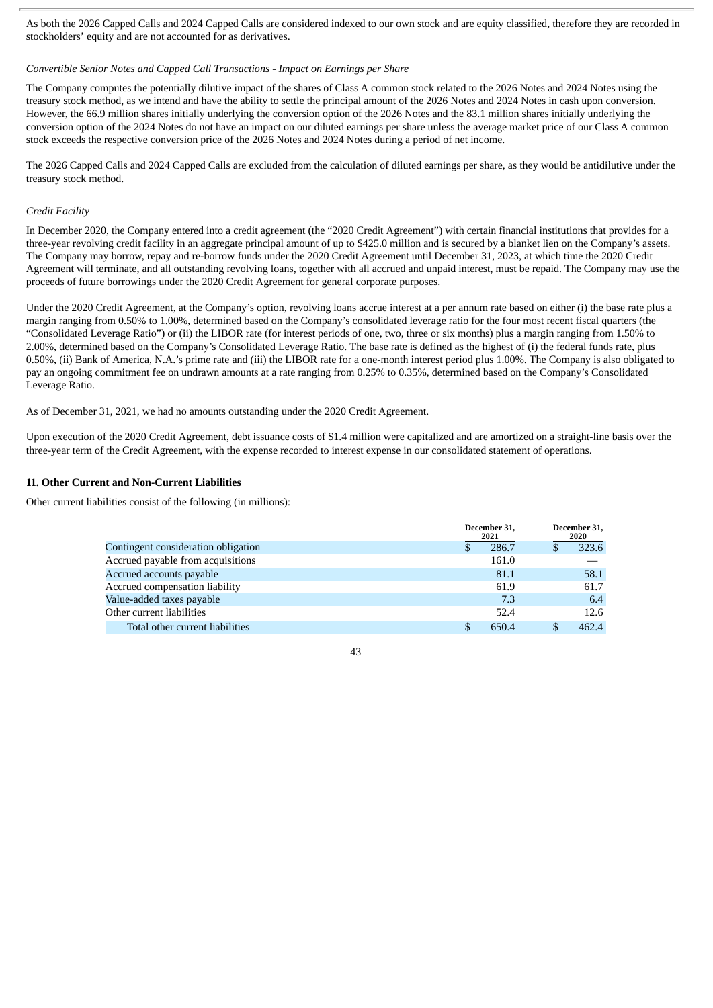As both the 2026 Capped Calls and 2024 Capped Calls are considered indexed to our own stock and are equity classified, therefore they are recorded in stockholders' equity and are not accounted for as derivatives.

## *Convertible Senior Notes and Capped Call Transactions - Impact on Earnings per Share*

The Company computes the potentially dilutive impact of the shares of Class A common stock related to the 2026 Notes and 2024 Notes using the treasury stock method, as we intend and have the ability to settle the principal amount of the 2026 Notes and 2024 Notes in cash upon conversion. However, the 66.9 million shares initially underlying the conversion option of the 2026 Notes and the 83.1 million shares initially underlying the conversion option of the 2024 Notes do not have an impact on our diluted earnings per share unless the average market price of our Class A common stock exceeds the respective conversion price of the 2026 Notes and 2024 Notes during a period of net income.

The 2026 Capped Calls and 2024 Capped Calls are excluded from the calculation of diluted earnings per share, as they would be antidilutive under the treasury stock method.

### *Credit Facility*

In December 2020, the Company entered into a credit agreement (the "2020 Credit Agreement") with certain financial institutions that provides for a three-year revolving credit facility in an aggregate principal amount of up to \$425.0 million and is secured by a blanket lien on the Company's assets. The Company may borrow, repay and re-borrow funds under the 2020 Credit Agreement until December 31, 2023, at which time the 2020 Credit Agreement will terminate, and all outstanding revolving loans, together with all accrued and unpaid interest, must be repaid. The Company may use the proceeds of future borrowings under the 2020 Credit Agreement for general corporate purposes.

Under the 2020 Credit Agreement, at the Company's option, revolving loans accrue interest at a per annum rate based on either (i) the base rate plus a margin ranging from 0.50% to 1.00%, determined based on the Company's consolidated leverage ratio for the four most recent fiscal quarters (the "Consolidated Leverage Ratio") or (ii) the LIBOR rate (for interest periods of one, two, three or six months) plus a margin ranging from 1.50% to 2.00%, determined based on the Company's Consolidated Leverage Ratio. The base rate is defined as the highest of (i) the federal funds rate, plus 0.50%, (ii) Bank of America, N.A.'s prime rate and (iii) the LIBOR rate for a one-month interest period plus 1.00%. The Company is also obligated to pay an ongoing commitment fee on undrawn amounts at a rate ranging from 0.25% to 0.35%, determined based on the Company's Consolidated Leverage Ratio.

As of December 31, 2021, we had no amounts outstanding under the 2020 Credit Agreement.

Upon execution of the 2020 Credit Agreement, debt issuance costs of \$1.4 million were capitalized and are amortized on a straight-line basis over the three-year term of the Credit Agreement, with the expense recorded to interest expense in our consolidated statement of operations.

#### **11. Other Current and Non-Current Liabilities**

Other current liabilities consist of the following (in millions):

|                                     |   | December 31.<br>2021 |  | December 31,<br>2020 |  |
|-------------------------------------|---|----------------------|--|----------------------|--|
| Contingent consideration obligation | S | 286.7                |  | 323.6                |  |
| Accrued payable from acquisitions   |   | 161.0                |  |                      |  |
| Accrued accounts payable            |   | 81.1                 |  | 58.1                 |  |
| Accrued compensation liability      |   | 61.9                 |  | 61.7                 |  |
| Value-added taxes payable           |   | 7.3                  |  | 6.4                  |  |
| Other current liabilities           |   | 52.4                 |  | 12.6                 |  |
| Total other current liabilities     |   | 650.4                |  | 462.4                |  |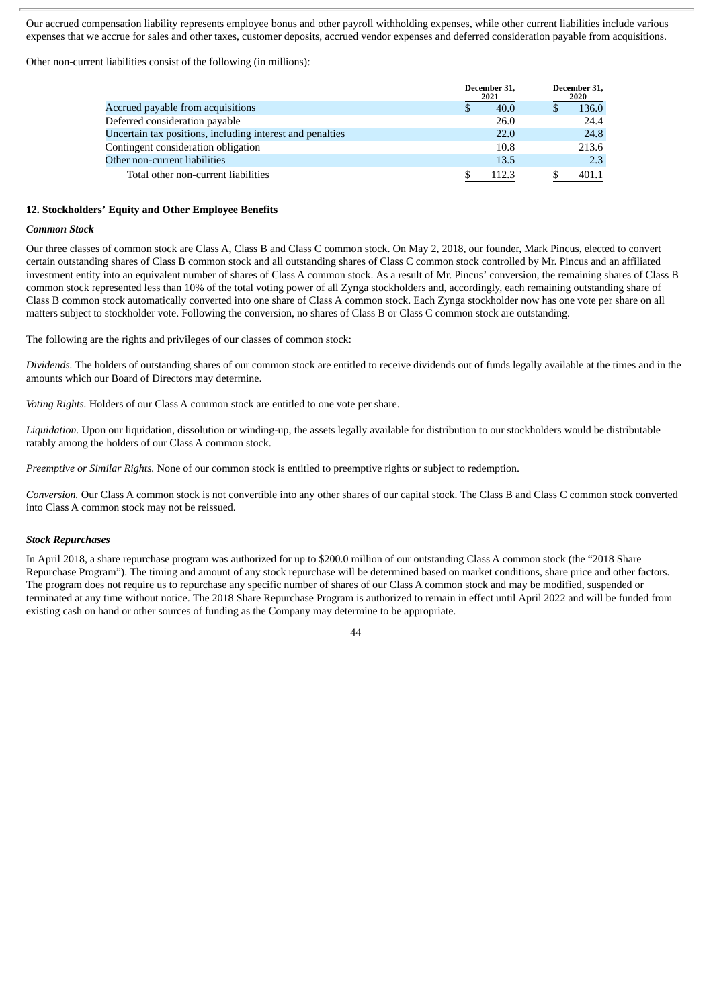Our accrued compensation liability represents employee bonus and other payroll withholding expenses, while other current liabilities include various expenses that we accrue for sales and other taxes, customer deposits, accrued vendor expenses and deferred consideration payable from acquisitions.

Other non-current liabilities consist of the following (in millions):

|                                                           |   | December 31.<br>2021 |  | December 31,<br>2020 |
|-----------------------------------------------------------|---|----------------------|--|----------------------|
| Accrued payable from acquisitions                         | S | 40.0                 |  | 136.0                |
| Deferred consideration payable                            |   | 26.0                 |  | 24.4                 |
| Uncertain tax positions, including interest and penalties |   | 22.0                 |  | 24.8                 |
| Contingent consideration obligation                       |   | 10.8                 |  | 213.6                |
| Other non-current liabilities                             |   | 13.5                 |  | 2.3                  |
| Total other non-current liabilities                       |   | 112.3                |  | 401.1                |

## **12. Stockholders' Equity and Other Employee Benefits**

#### *Common Stock*

Our three classes of common stock are Class A, Class B and Class C common stock. On May 2, 2018, our founder, Mark Pincus, elected to convert certain outstanding shares of Class B common stock and all outstanding shares of Class C common stock controlled by Mr. Pincus and an affiliated investment entity into an equivalent number of shares of Class A common stock. As a result of Mr. Pincus' conversion, the remaining shares of Class B common stock represented less than 10% of the total voting power of all Zynga stockholders and, accordingly, each remaining outstanding share of Class B common stock automatically converted into one share of Class A common stock. Each Zynga stockholder now has one vote per share on all matters subject to stockholder vote. Following the conversion, no shares of Class B or Class C common stock are outstanding.

The following are the rights and privileges of our classes of common stock:

*Dividends.* The holders of outstanding shares of our common stock are entitled to receive dividends out of funds legally available at the times and in the amounts which our Board of Directors may determine.

*Voting Rights.* Holders of our Class A common stock are entitled to one vote per share.

*Liquidation.* Upon our liquidation, dissolution or winding-up, the assets legally available for distribution to our stockholders would be distributable ratably among the holders of our Class A common stock.

*Preemptive or Similar Rights.* None of our common stock is entitled to preemptive rights or subject to redemption.

*Conversion.* Our Class A common stock is not convertible into any other shares of our capital stock. The Class B and Class C common stock converted into Class A common stock may not be reissued.

#### *Stock Repurchases*

In April 2018, a share repurchase program was authorized for up to \$200.0 million of our outstanding Class A common stock (the "2018 Share Repurchase Program"). The timing and amount of any stock repurchase will be determined based on market conditions, share price and other factors. The program does not require us to repurchase any specific number of shares of our Class A common stock and may be modified, suspended or terminated at any time without notice. The 2018 Share Repurchase Program is authorized to remain in effect until April 2022 and will be funded from existing cash on hand or other sources of funding as the Company may determine to be appropriate.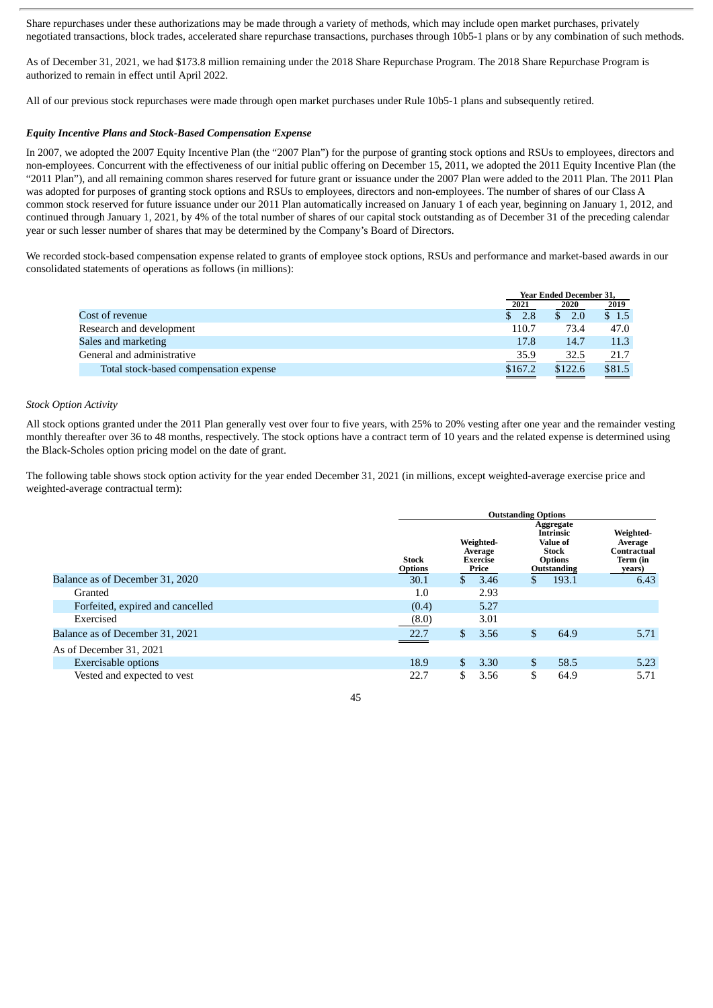Share repurchases under these authorizations may be made through a variety of methods, which may include open market purchases, privately negotiated transactions, block trades, accelerated share repurchase transactions, purchases through 10b5-1 plans or by any combination of such methods.

As of December 31, 2021, we had \$173.8 million remaining under the 2018 Share Repurchase Program. The 2018 Share Repurchase Program is authorized to remain in effect until April 2022.

All of our previous stock repurchases were made through open market purchases under Rule 10b5-1 plans and subsequently retired.

#### *Equity Incentive Plans and Stock-Based Compensation Expense*

In 2007, we adopted the 2007 Equity Incentive Plan (the "2007 Plan") for the purpose of granting stock options and RSUs to employees, directors and non-employees. Concurrent with the effectiveness of our initial public offering on December 15, 2011, we adopted the 2011 Equity Incentive Plan (the "2011 Plan"), and all remaining common shares reserved for future grant or issuance under the 2007 Plan were added to the 2011 Plan. The 2011 Plan was adopted for purposes of granting stock options and RSUs to employees, directors and non-employees. The number of shares of our Class A common stock reserved for future issuance under our 2011 Plan automatically increased on January 1 of each year, beginning on January 1, 2012, and continued through January 1, 2021, by 4% of the total number of shares of our capital stock outstanding as of December 31 of the preceding calendar year or such lesser number of shares that may be determined by the Company's Board of Directors.

We recorded stock-based compensation expense related to grants of employee stock options, RSUs and performance and market-based awards in our consolidated statements of operations as follows (in millions):

| 2021<br>2020                                                  | 2019           |
|---------------------------------------------------------------|----------------|
| Cost of revenue<br>2.8<br>$\mathbb{S}^-$<br>$\frac{1}{2}$ 2.0 | \$1.5          |
| Research and development<br>73.4<br>110.7                     | 47.0           |
| Sales and marketing<br>17.8<br>14.7                           | 11.3           |
| General and administrative<br>35.9<br>32.5                    | 21.7           |
| \$167.2<br>\$122.6<br>Total stock-based compensation expense  | \$81.5<br>____ |

#### *Stock Option Activity*

All stock options granted under the 2011 Plan generally vest over four to five years, with 25% to 20% vesting after one year and the remainder vesting monthly thereafter over 36 to 48 months, respectively. The stock options have a contract term of 10 years and the related expense is determined using the Black-Scholes option pricing model on the date of grant.

The following table shows stock option activity for the year ended December 31, 2021 (in millions, except weighted-average exercise price and weighted-average contractual term):

|                                  | <b>Outstanding Options</b>     |     |                                           |    |                                                                                            |                                                           |
|----------------------------------|--------------------------------|-----|-------------------------------------------|----|--------------------------------------------------------------------------------------------|-----------------------------------------------------------|
|                                  | <b>Stock</b><br><b>Options</b> |     | Weighted-<br>Average<br>Exercise<br>Price |    | Aggregate<br><b>Intrinsic</b><br>Value of<br><b>Stock</b><br><b>Options</b><br>Outstanding | Weighted-<br>Average<br>Contractual<br>Term (in<br>years) |
| Balance as of December 31, 2020  | 30.1                           | \$. | 3.46                                      | \$ | 193.1                                                                                      | 6.43                                                      |
| Granted                          | 1.0                            |     | 2.93                                      |    |                                                                                            |                                                           |
| Forfeited, expired and cancelled | (0.4)                          |     | 5.27                                      |    |                                                                                            |                                                           |
| Exercised                        | (8.0)                          |     | 3.01                                      |    |                                                                                            |                                                           |
| Balance as of December 31, 2021  | 22.7                           | \$  | 3.56                                      | \$ | 64.9                                                                                       | 5.71                                                      |
| As of December 31, 2021          |                                |     |                                           |    |                                                                                            |                                                           |
| <b>Exercisable options</b>       | 18.9                           | \$  | 3.30                                      | \$ | 58.5                                                                                       | 5.23                                                      |
| Vested and expected to vest      | 22.7                           | \$  | 3.56                                      | \$ | 64.9                                                                                       | 5.71                                                      |

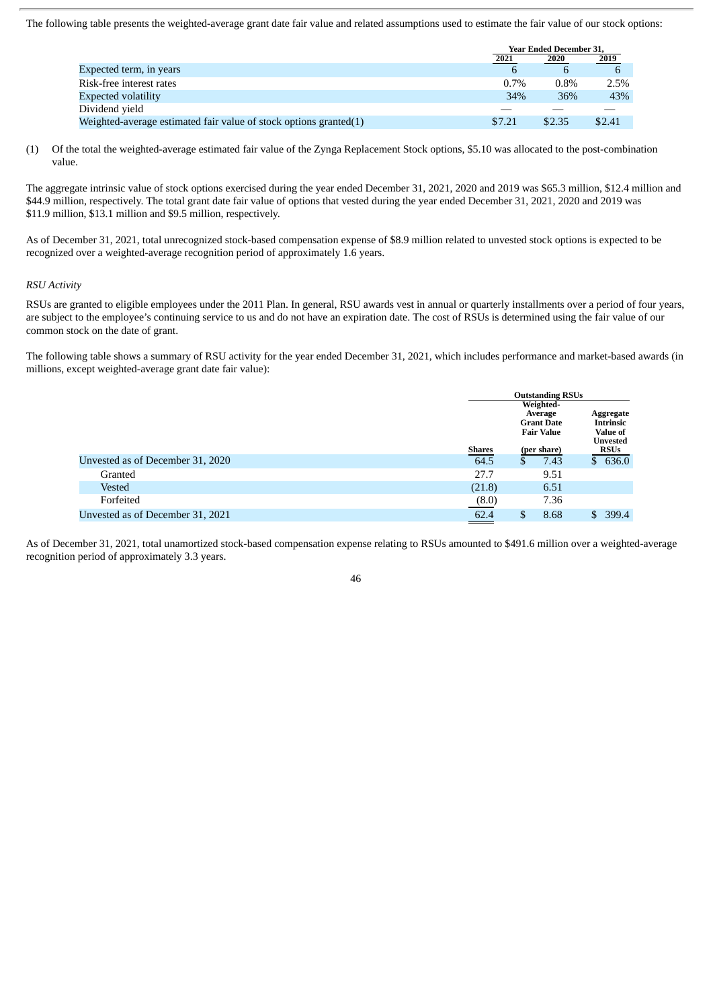The following table presents the weighted-average grant date fair value and related assumptions used to estimate the fair value of our stock options:

|                                                                   | <b>Year Ended December 31,</b> |        |        |
|-------------------------------------------------------------------|--------------------------------|--------|--------|
|                                                                   | 2021                           | 2020   | 2019   |
| Expected term, in years                                           |                                |        |        |
| Risk-free interest rates                                          | $0.7\%$                        | 0.8%   | 2.5%   |
| <b>Expected volatility</b>                                        | 34%                            | 36%    | 43%    |
| Dividend yield                                                    |                                |        |        |
| Weighted-average estimated fair value of stock options granted(1) | \$7.21                         | \$2.35 | \$2.41 |

(1) Of the total the weighted-average estimated fair value of the Zynga Replacement Stock options, \$5.10 was allocated to the post-combination value.

The aggregate intrinsic value of stock options exercised during the year ended December 31, 2021, 2020 and 2019 was \$65.3 million, \$12.4 million and \$44.9 million, respectively. The total grant date fair value of options that vested during the year ended December 31, 2021, 2020 and 2019 was \$11.9 million, \$13.1 million and \$9.5 million, respectively.

As of December 31, 2021, total unrecognized stock-based compensation expense of \$8.9 million related to unvested stock options is expected to be recognized over a weighted-average recognition period of approximately 1.6 years.

## *RSU Activity*

RSUs are granted to eligible employees under the 2011 Plan. In general, RSU awards vest in annual or quarterly installments over a period of four years, are subject to the employee's continuing service to us and do not have an expiration date. The cost of RSUs is determined using the fair value of our common stock on the date of grant.

The following table shows a summary of RSU activity for the year ended December 31, 2021, which includes performance and market-based awards (in millions, except weighted-average grant date fair value):

|                                  |               | <b>Outstanding RSUs</b><br>Weighted-<br>Average<br><b>Grant Date</b><br><b>Fair Value</b><br>(per share) |      | Aggregate<br><b>Intrinsic</b><br><b>Value of</b><br><b>Unvested</b><br><b>RSUs</b> |       |
|----------------------------------|---------------|----------------------------------------------------------------------------------------------------------|------|------------------------------------------------------------------------------------|-------|
|                                  | <b>Shares</b> |                                                                                                          |      |                                                                                    |       |
| Unvested as of December 31, 2020 | 64.5          | \$                                                                                                       | 7.43 | S.                                                                                 | 636.0 |
| Granted                          | 27.7          |                                                                                                          | 9.51 |                                                                                    |       |
| Vested                           | (21.8)        |                                                                                                          | 6.51 |                                                                                    |       |
| Forfeited                        | (8.0)         |                                                                                                          | 7.36 |                                                                                    |       |
| Unvested as of December 31, 2021 | 62.4          | S                                                                                                        | 8.68 |                                                                                    | 399.4 |

As of December 31, 2021, total unamortized stock-based compensation expense relating to RSUs amounted to \$491.6 million over a weighted-average recognition period of approximately 3.3 years.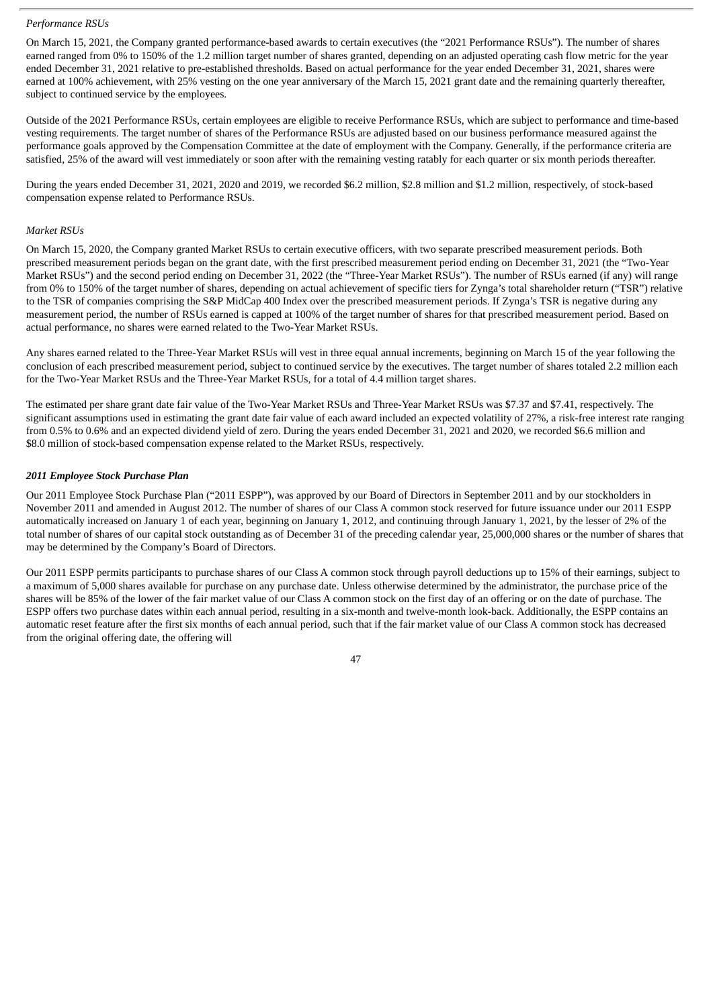# *Performance RSUs*

On March 15, 2021, the Company granted performance-based awards to certain executives (the "2021 Performance RSUs"). The number of shares earned ranged from 0% to 150% of the 1.2 million target number of shares granted, depending on an adjusted operating cash flow metric for the year ended December 31, 2021 relative to pre-established thresholds. Based on actual performance for the year ended December 31, 2021, shares were earned at 100% achievement, with 25% vesting on the one year anniversary of the March 15, 2021 grant date and the remaining quarterly thereafter, subject to continued service by the employees.

Outside of the 2021 Performance RSUs, certain employees are eligible to receive Performance RSUs, which are subject to performance and time-based vesting requirements. The target number of shares of the Performance RSUs are adjusted based on our business performance measured against the performance goals approved by the Compensation Committee at the date of employment with the Company. Generally, if the performance criteria are satisfied, 25% of the award will vest immediately or soon after with the remaining vesting ratably for each quarter or six month periods thereafter.

During the years ended December 31, 2021, 2020 and 2019, we recorded \$6.2 million, \$2.8 million and \$1.2 million, respectively, of stock-based compensation expense related to Performance RSUs.

## *Market RSUs*

On March 15, 2020, the Company granted Market RSUs to certain executive officers, with two separate prescribed measurement periods. Both prescribed measurement periods began on the grant date, with the first prescribed measurement period ending on December 31, 2021 (the "Two-Year Market RSUs") and the second period ending on December 31, 2022 (the "Three-Year Market RSUs"). The number of RSUs earned (if any) will range from 0% to 150% of the target number of shares, depending on actual achievement of specific tiers for Zynga's total shareholder return ("TSR") relative to the TSR of companies comprising the S&P MidCap 400 Index over the prescribed measurement periods. If Zynga's TSR is negative during any measurement period, the number of RSUs earned is capped at 100% of the target number of shares for that prescribed measurement period. Based on actual performance, no shares were earned related to the Two-Year Market RSUs.

Any shares earned related to the Three-Year Market RSUs will vest in three equal annual increments, beginning on March 15 of the year following the conclusion of each prescribed measurement period, subject to continued service by the executives. The target number of shares totaled 2.2 million each for the Two-Year Market RSUs and the Three-Year Market RSUs, for a total of 4.4 million target shares.

The estimated per share grant date fair value of the Two-Year Market RSUs and Three-Year Market RSUs was \$7.37 and \$7.41, respectively. The significant assumptions used in estimating the grant date fair value of each award included an expected volatility of 27%, a risk-free interest rate ranging from 0.5% to 0.6% and an expected dividend yield of zero. During the years ended December 31, 2021 and 2020, we recorded \$6.6 million and \$8.0 million of stock-based compensation expense related to the Market RSUs, respectively.

#### *2011 Employee Stock Purchase Plan*

Our 2011 Employee Stock Purchase Plan ("2011 ESPP"), was approved by our Board of Directors in September 2011 and by our stockholders in November 2011 and amended in August 2012. The number of shares of our Class A common stock reserved for future issuance under our 2011 ESPP automatically increased on January 1 of each year, beginning on January 1, 2012, and continuing through January 1, 2021, by the lesser of 2% of the total number of shares of our capital stock outstanding as of December 31 of the preceding calendar year, 25,000,000 shares or the number of shares that may be determined by the Company's Board of Directors.

Our 2011 ESPP permits participants to purchase shares of our Class A common stock through payroll deductions up to 15% of their earnings, subject to a maximum of 5,000 shares available for purchase on any purchase date. Unless otherwise determined by the administrator, the purchase price of the shares will be 85% of the lower of the fair market value of our Class A common stock on the first day of an offering or on the date of purchase. The ESPP offers two purchase dates within each annual period, resulting in a six-month and twelve-month look-back. Additionally, the ESPP contains an automatic reset feature after the first six months of each annual period, such that if the fair market value of our Class A common stock has decreased from the original offering date, the offering will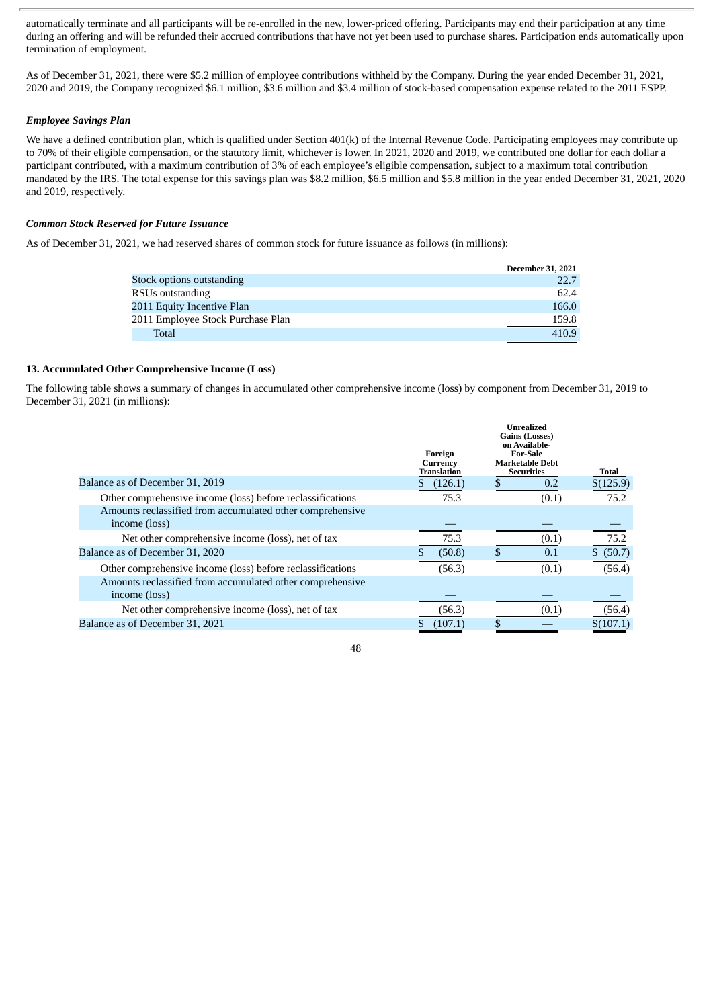automatically terminate and all participants will be re-enrolled in the new, lower-priced offering. Participants may end their participation at any time during an offering and will be refunded their accrued contributions that have not yet been used to purchase shares. Participation ends automatically upon termination of employment.

As of December 31, 2021, there were \$5.2 million of employee contributions withheld by the Company. During the year ended December 31, 2021, 2020 and 2019, the Company recognized \$6.1 million, \$3.6 million and \$3.4 million of stock-based compensation expense related to the 2011 ESPP.

#### *Employee Savings Plan*

We have a defined contribution plan, which is qualified under Section 401(k) of the Internal Revenue Code. Participating employees may contribute up to 70% of their eligible compensation, or the statutory limit, whichever is lower. In 2021, 2020 and 2019, we contributed one dollar for each dollar a participant contributed, with a maximum contribution of 3% of each employee's eligible compensation, subject to a maximum total contribution mandated by the IRS. The total expense for this savings plan was \$8.2 million, \$6.5 million and \$5.8 million in the year ended December 31, 2021, 2020 and 2019, respectively.

#### *Common Stock Reserved for Future Issuance*

As of December 31, 2021, we had reserved shares of common stock for future issuance as follows (in millions):

|                                   | <b>December 31, 2021</b> |
|-----------------------------------|--------------------------|
| Stock options outstanding         | 22.7                     |
| RSUs outstanding                  | 62.4                     |
| 2011 Equity Incentive Plan        | 166.0                    |
| 2011 Employee Stock Purchase Plan | 159.8                    |
| Total                             | 410.9                    |

#### **13. Accumulated Other Comprehensive Income (Loss)**

The following table shows a summary of changes in accumulated other comprehensive income (loss) by component from December 31, 2019 to December 31, 2021 (in millions):

|                                                                            | Foreign<br>Currency<br>Translation | Unrealized<br>Gains (Losses)<br>on Available-<br><b>For-Sale</b><br><b>Marketable Debt</b><br><b>Securities</b> | Total     |
|----------------------------------------------------------------------------|------------------------------------|-----------------------------------------------------------------------------------------------------------------|-----------|
| Balance as of December 31, 2019                                            | (126.1)                            | \$<br>0.2                                                                                                       | \$(125.9) |
| Other comprehensive income (loss) before reclassifications                 | 75.3                               | (0.1)                                                                                                           | 75.2      |
| Amounts reclassified from accumulated other comprehensive<br>income (loss) |                                    |                                                                                                                 |           |
| Net other comprehensive income (loss), net of tax                          | 75.3                               | (0.1)                                                                                                           | 75.2      |
| Balance as of December 31, 2020                                            | (50.8)                             | 0.1                                                                                                             | \$ (50.7) |
| Other comprehensive income (loss) before reclassifications                 | (56.3)                             | (0.1)                                                                                                           | (56.4)    |
| Amounts reclassified from accumulated other comprehensive                  |                                    |                                                                                                                 |           |
| income (loss)                                                              |                                    |                                                                                                                 |           |
| Net other comprehensive income (loss), net of tax                          | (56.3)                             | (0.1)                                                                                                           | (56.4)    |
| Balance as of December 31, 2021                                            | (107.1                             |                                                                                                                 | \$(107.1) |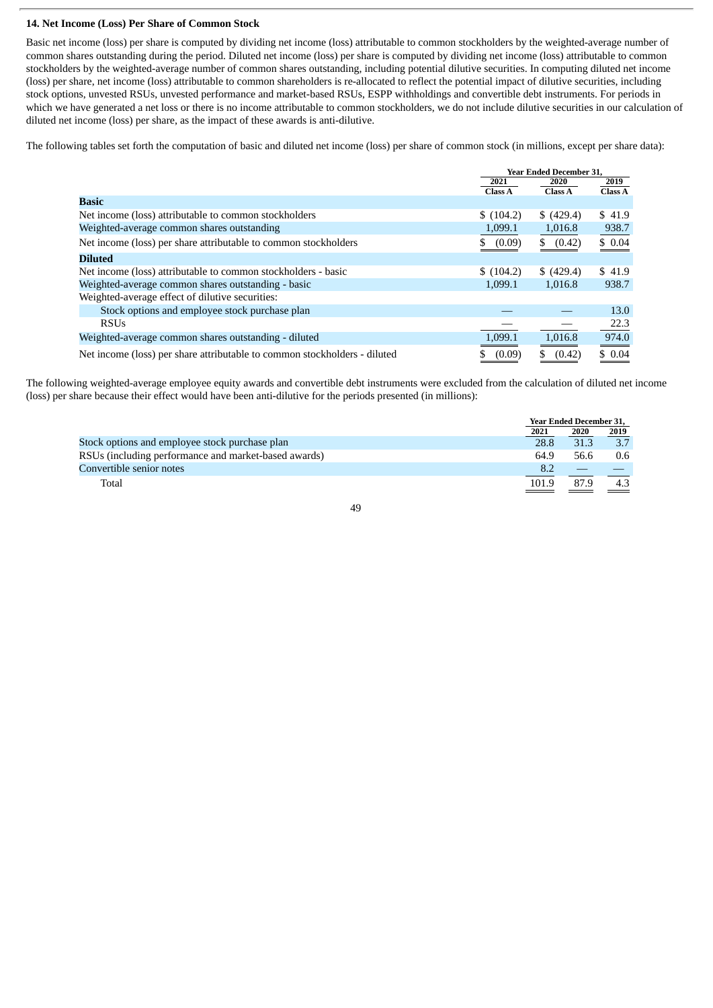## **14. Net Income (Loss) Per Share of Common Stock**

Basic net income (loss) per share is computed by dividing net income (loss) attributable to common stockholders by the weighted-average number of common shares outstanding during the period. Diluted net income (loss) per share is computed by dividing net income (loss) attributable to common stockholders by the weighted-average number of common shares outstanding, including potential dilutive securities. In computing diluted net income (loss) per share, net income (loss) attributable to common shareholders is re-allocated to reflect the potential impact of dilutive securities, including stock options, unvested RSUs, unvested performance and market-based RSUs, ESPP withholdings and convertible debt instruments. For periods in which we have generated a net loss or there is no income attributable to common stockholders, we do not include dilutive securities in our calculation of diluted net income (loss) per share, as the impact of these awards is anti-dilutive.

The following tables set forth the computation of basic and diluted net income (loss) per share of common stock (in millions, except per share data):

|                                                                           | <b>Year Ended December 31.</b> |              |         |
|---------------------------------------------------------------------------|--------------------------------|--------------|---------|
|                                                                           | 2021                           | 2020         | 2019    |
| <b>Basic</b>                                                              | <b>Class A</b>                 | Class A      | Class A |
| Net income (loss) attributable to common stockholders                     | \$(104.2)                      | (429.4)      | \$41.9  |
| Weighted-average common shares outstanding                                | 1,099.1                        | 1,016.8      | 938.7   |
| Net income (loss) per share attributable to common stockholders           | \$<br>(0.09)                   | \$ (0.42)    | \$0.04  |
| Diluted                                                                   |                                |              |         |
| Net income (loss) attributable to common stockholders - basic             | \$(104.2)                      | \$ (429.4)   | \$41.9  |
| Weighted-average common shares outstanding - basic                        | 1,099.1                        | 1.016.8      | 938.7   |
| Weighted-average effect of dilutive securities:                           |                                |              |         |
| Stock options and employee stock purchase plan                            |                                |              | 13.0    |
| <b>RSUs</b>                                                               |                                |              | 22.3    |
| Weighted-average common shares outstanding - diluted                      | 1,099.1                        | 1,016.8      | 974.0   |
| Net income (loss) per share attributable to common stockholders - diluted | (0.09)<br>\$                   | \$<br>(0.42) | \$0.04  |

The following weighted-average employee equity awards and convertible debt instruments were excluded from the calculation of diluted net income (loss) per share because their effect would have been anti-dilutive for the periods presented (in millions):

|                                                      |       | <b>Year Ended December 31,</b> |               |
|------------------------------------------------------|-------|--------------------------------|---------------|
|                                                      | 2021  | 2020                           | 2019          |
| Stock options and employee stock purchase plan       | 28.8  | 31.3                           | 3.7           |
| RSUs (including performance and market-based awards) | 64.9  | 56.6                           | $0.6^{\circ}$ |
| Convertible senior notes                             | 8.2   |                                |               |
| Total                                                | 101.9 | 87.9                           | 4.3           |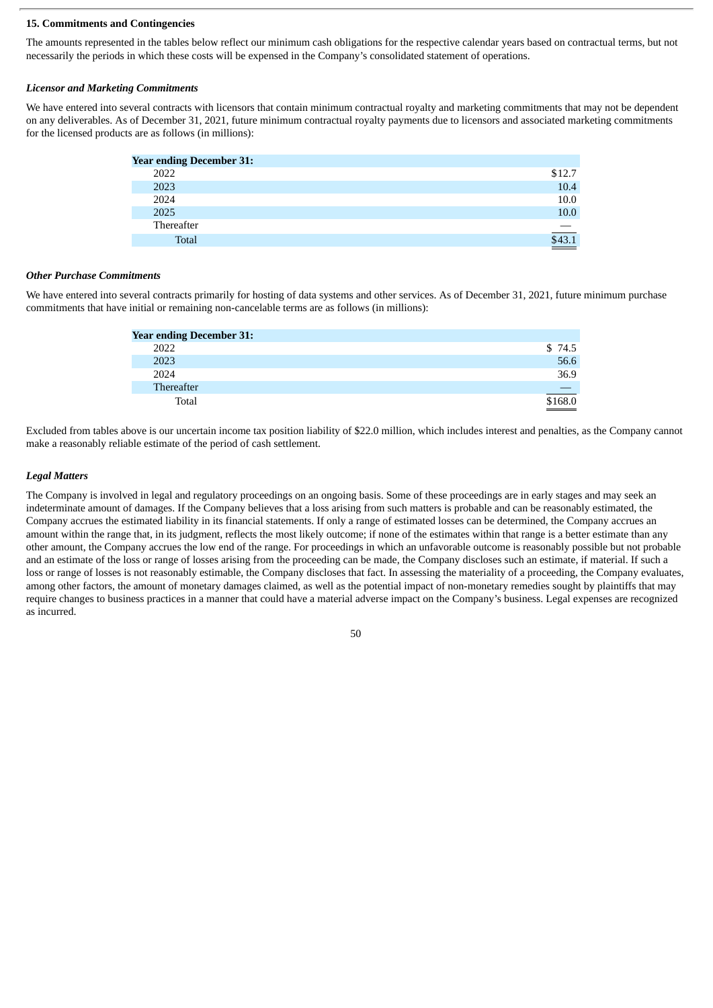### **15. Commitments and Contingencies**

The amounts represented in the tables below reflect our minimum cash obligations for the respective calendar years based on contractual terms, but not necessarily the periods in which these costs will be expensed in the Company's consolidated statement of operations.

### *Licensor and Marketing Commitments*

We have entered into several contracts with licensors that contain minimum contractual royalty and marketing commitments that may not be dependent on any deliverables. As of December 31, 2021, future minimum contractual royalty payments due to licensors and associated marketing commitments for the licensed products are as follows (in millions):

| <b>Year ending December 31:</b> |        |
|---------------------------------|--------|
| 2022                            | \$12.7 |
| 2023                            | 10.4   |
| 2024                            | 10.0   |
| 2025                            | 10.0   |
| Thereafter                      |        |
| <b>Total</b>                    |        |

#### *Other Purchase Commitments*

We have entered into several contracts primarily for hosting of data systems and other services. As of December 31, 2021, future minimum purchase commitments that have initial or remaining non-cancelable terms are as follows (in millions):

| <b>Year ending December 31:</b> |         |
|---------------------------------|---------|
| 2022                            | \$ 74.5 |
| 2023                            | 56.6    |
| 2024                            | 36.9    |
| Thereafter                      |         |
| Total                           | \$168.0 |

Excluded from tables above is our uncertain income tax position liability of \$22.0 million, which includes interest and penalties, as the Company cannot make a reasonably reliable estimate of the period of cash settlement.

#### *Legal Matters*

The Company is involved in legal and regulatory proceedings on an ongoing basis. Some of these proceedings are in early stages and may seek an indeterminate amount of damages. If the Company believes that a loss arising from such matters is probable and can be reasonably estimated, the Company accrues the estimated liability in its financial statements. If only a range of estimated losses can be determined, the Company accrues an amount within the range that, in its judgment, reflects the most likely outcome; if none of the estimates within that range is a better estimate than any other amount, the Company accrues the low end of the range. For proceedings in which an unfavorable outcome is reasonably possible but not probable and an estimate of the loss or range of losses arising from the proceeding can be made, the Company discloses such an estimate, if material. If such a loss or range of losses is not reasonably estimable, the Company discloses that fact. In assessing the materiality of a proceeding, the Company evaluates, among other factors, the amount of monetary damages claimed, as well as the potential impact of non-monetary remedies sought by plaintiffs that may require changes to business practices in a manner that could have a material adverse impact on the Company's business. Legal expenses are recognized as incurred.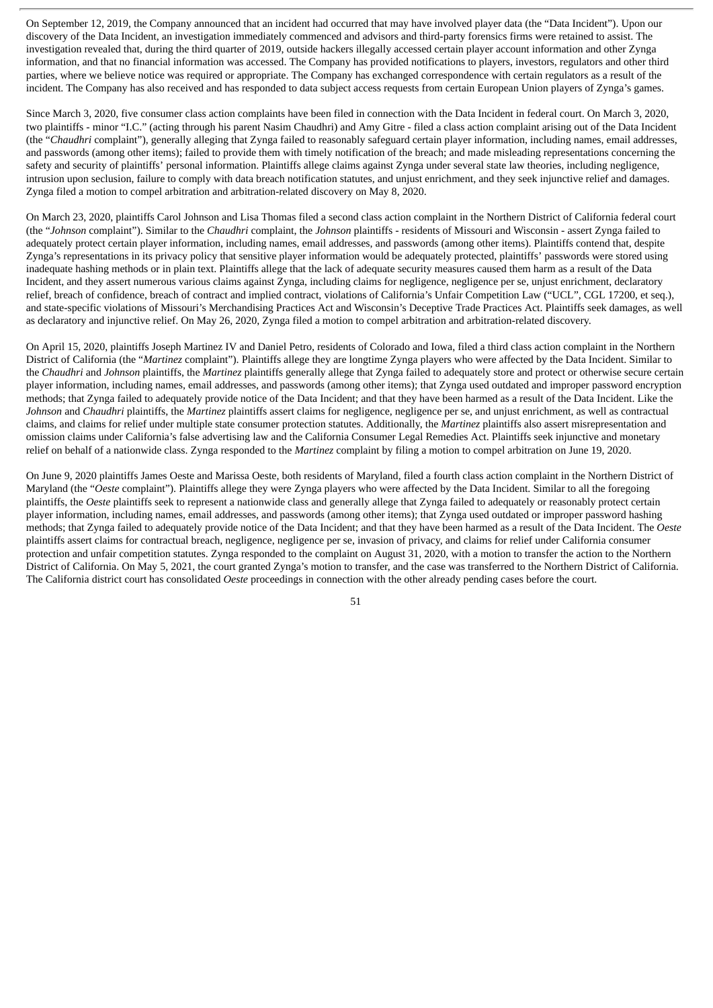On September 12, 2019, the Company announced that an incident had occurred that may have involved player data (the "Data Incident"). Upon our discovery of the Data Incident, an investigation immediately commenced and advisors and third-party forensics firms were retained to assist. The investigation revealed that, during the third quarter of 2019, outside hackers illegally accessed certain player account information and other Zynga information, and that no financial information was accessed. The Company has provided notifications to players, investors, regulators and other third parties, where we believe notice was required or appropriate. The Company has exchanged correspondence with certain regulators as a result of the incident. The Company has also received and has responded to data subject access requests from certain European Union players of Zynga's games.

Since March 3, 2020, five consumer class action complaints have been filed in connection with the Data Incident in federal court. On March 3, 2020, two plaintiffs - minor "I.C." (acting through his parent Nasim Chaudhri) and Amy Gitre - filed a class action complaint arising out of the Data Incident (the "*Chaudhri* complaint"), generally alleging that Zynga failed to reasonably safeguard certain player information, including names, email addresses, and passwords (among other items); failed to provide them with timely notification of the breach; and made misleading representations concerning the safety and security of plaintiffs' personal information. Plaintiffs allege claims against Zynga under several state law theories, including negligence, intrusion upon seclusion, failure to comply with data breach notification statutes, and unjust enrichment, and they seek injunctive relief and damages. Zynga filed a motion to compel arbitration and arbitration-related discovery on May 8, 2020.

On March 23, 2020, plaintiffs Carol Johnson and Lisa Thomas filed a second class action complaint in the Northern District of California federal court (the "*Johnson* complaint"). Similar to the *Chaudhri* complaint, the *Johnson* plaintiffs - residents of Missouri and Wisconsin - assert Zynga failed to adequately protect certain player information, including names, email addresses, and passwords (among other items). Plaintiffs contend that, despite Zynga's representations in its privacy policy that sensitive player information would be adequately protected, plaintiffs' passwords were stored using inadequate hashing methods or in plain text. Plaintiffs allege that the lack of adequate security measures caused them harm as a result of the Data Incident, and they assert numerous various claims against Zynga, including claims for negligence, negligence per se, unjust enrichment, declaratory relief, breach of confidence, breach of contract and implied contract, violations of California's Unfair Competition Law ("UCL", CGL 17200, et seq.), and state-specific violations of Missouri's Merchandising Practices Act and Wisconsin's Deceptive Trade Practices Act. Plaintiffs seek damages, as well as declaratory and injunctive relief. On May 26, 2020, Zynga filed a motion to compel arbitration and arbitration-related discovery.

On April 15, 2020, plaintiffs Joseph Martinez IV and Daniel Petro, residents of Colorado and Iowa, filed a third class action complaint in the Northern District of California (the "*Martinez* complaint"). Plaintiffs allege they are longtime Zynga players who were affected by the Data Incident. Similar to the *Chaudhri* and *Johnson* plaintiffs, the *Martinez* plaintiffs generally allege that Zynga failed to adequately store and protect or otherwise secure certain player information, including names, email addresses, and passwords (among other items); that Zynga used outdated and improper password encryption methods; that Zynga failed to adequately provide notice of the Data Incident; and that they have been harmed as a result of the Data Incident. Like the *Johnson* and *Chaudhri* plaintiffs, the *Martinez* plaintiffs assert claims for negligence, negligence per se, and unjust enrichment, as well as contractual claims, and claims for relief under multiple state consumer protection statutes. Additionally, the *Martinez* plaintiffs also assert misrepresentation and omission claims under California's false advertising law and the California Consumer Legal Remedies Act. Plaintiffs seek injunctive and monetary relief on behalf of a nationwide class. Zynga responded to the *Martinez* complaint by filing a motion to compel arbitration on June 19, 2020.

On June 9, 2020 plaintiffs James Oeste and Marissa Oeste, both residents of Maryland, filed a fourth class action complaint in the Northern District of Maryland (the "*Oeste* complaint"). Plaintiffs allege they were Zynga players who were affected by the Data Incident. Similar to all the foregoing plaintiffs, the *Oeste* plaintiffs seek to represent a nationwide class and generally allege that Zynga failed to adequately or reasonably protect certain player information, including names, email addresses, and passwords (among other items); that Zynga used outdated or improper password hashing methods; that Zynga failed to adequately provide notice of the Data Incident; and that they have been harmed as a result of the Data Incident. The *Oeste* plaintiffs assert claims for contractual breach, negligence, negligence per se, invasion of privacy, and claims for relief under California consumer protection and unfair competition statutes. Zynga responded to the complaint on August 31, 2020, with a motion to transfer the action to the Northern District of California. On May 5, 2021, the court granted Zynga's motion to transfer, and the case was transferred to the Northern District of California. The California district court has consolidated *Oeste* proceedings in connection with the other already pending cases before the court.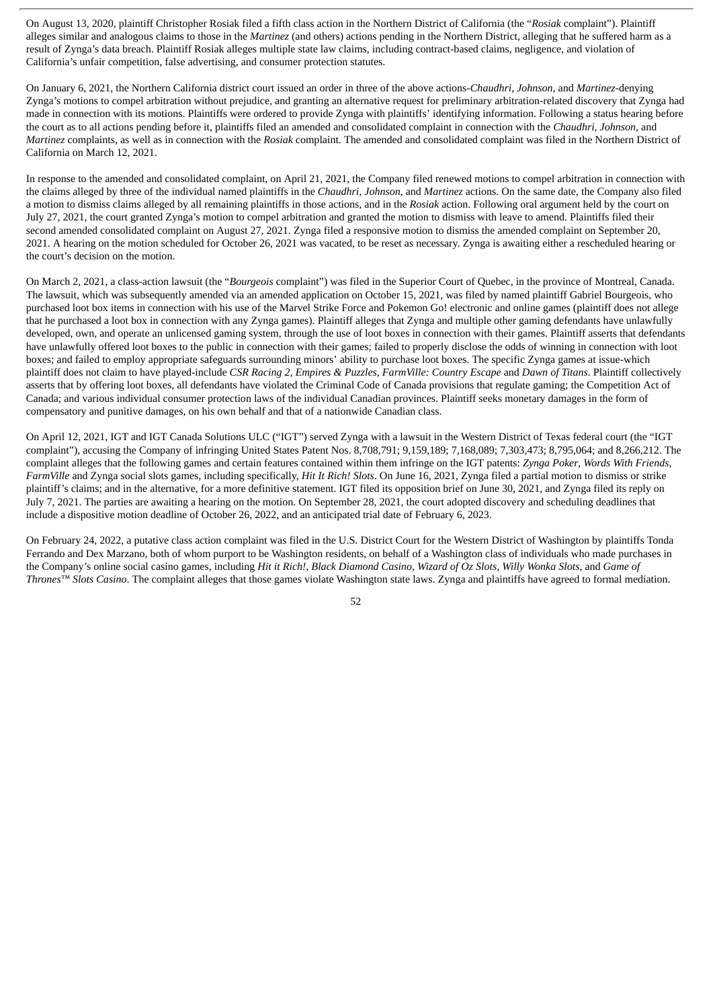On August 13, 2020, plaintiff Christopher Rosiak filed a fifth class action in the Northern District of California (the "*Rosiak* complaint"). Plaintiff alleges similar and analogous claims to those in the *Martinez* (and others) actions pending in the Northern District, alleging that he suffered harm as a result of Zynga's data breach. Plaintiff Rosiak alleges multiple state law claims, including contract-based claims, negligence, and violation of California's unfair competition, false advertising, and consumer protection statutes.

On January 6, 2021, the Northern California district court issued an order in three of the above actions-*Chaudhri*, *Johnson*, and *Martinez*-denying Zynga's motions to compel arbitration without prejudice, and granting an alternative request for preliminary arbitration-related discovery that Zynga had made in connection with its motions. Plaintiffs were ordered to provide Zynga with plaintiffs' identifying information. Following a status hearing before the court as to all actions pending before it, plaintiffs filed an amended and consolidated complaint in connection with the *Chaudhri, Johnson,* and *Martinez* complaints, as well as in connection with the *Rosiak* complaint. The amended and consolidated complaint was filed in the Northern District of California on March 12, 2021.

In response to the amended and consolidated complaint, on April 21, 2021, the Company filed renewed motions to compel arbitration in connection with the claims alleged by three of the individual named plaintiffs in the *Chaudhri*, *Johnson*, and *Martinez* actions. On the same date, the Company also filed a motion to dismiss claims alleged by all remaining plaintiffs in those actions, and in the *Rosiak* action. Following oral argument held by the court on July 27, 2021, the court granted Zynga's motion to compel arbitration and granted the motion to dismiss with leave to amend. Plaintiffs filed their second amended consolidated complaint on August 27, 2021. Zynga filed a responsive motion to dismiss the amended complaint on September 20, 2021. A hearing on the motion scheduled for October 26, 2021 was vacated, to be reset as necessary. Zynga is awaiting either a rescheduled hearing or the court's decision on the motion.

On March 2, 2021, a class-action lawsuit (the "*Bourgeois* complaint") was filed in the Superior Court of Quebec, in the province of Montreal, Canada. The lawsuit, which was subsequently amended via an amended application on October 15, 2021, was filed by named plaintiff Gabriel Bourgeois, who purchased loot box items in connection with his use of the Marvel Strike Force and Pokemon Go! electronic and online games (plaintiff does not allege that he purchased a loot box in connection with any Zynga games). Plaintiff alleges that Zynga and multiple other gaming defendants have unlawfully developed, own, and operate an unlicensed gaming system, through the use of loot boxes in connection with their games. Plaintiff asserts that defendants have unlawfully offered loot boxes to the public in connection with their games; failed to properly disclose the odds of winning in connection with loot boxes; and failed to employ appropriate safeguards surrounding minors' ability to purchase loot boxes. The specific Zynga games at issue-which plaintiff does not claim to have played-include CSR Racing 2, Empires & Puzzles, FarmVille: Country Escape and Dawn of Titans. Plaintiff collectively asserts that by offering loot boxes, all defendants have violated the Criminal Code of Canada provisions that regulate gaming; the Competition Act of Canada; and various individual consumer protection laws of the individual Canadian provinces. Plaintiff seeks monetary damages in the form of compensatory and punitive damages, on his own behalf and that of a nationwide Canadian class.

On April 12, 2021, IGT and IGT Canada Solutions ULC ("IGT") served Zynga with a lawsuit in the Western District of Texas federal court (the "IGT complaint"), accusing the Company of infringing United States Patent Nos. 8,708,791; 9,159,189; 7,168,089; 7,303,473; 8,795,064; and 8,266,212. The complaint alleges that the following games and certain features contained within them infringe on the IGT patents: *Zynga Poker*, *Words With Friends*, *FarmVille* and Zynga social slots games, including specifically, *Hit It Rich! Slots*. On June 16, 2021, Zynga filed a partial motion to dismiss or strike plaintiff's claims; and in the alternative, for a more definitive statement. IGT filed its opposition brief on June 30, 2021, and Zynga filed its reply on July 7, 2021. The parties are awaiting a hearing on the motion. On September 28, 2021, the court adopted discovery and scheduling deadlines that include a dispositive motion deadline of October 26, 2022, and an anticipated trial date of February 6, 2023.

On February 24, 2022, a putative class action complaint was filed in the U.S. District Court for the Western District of Washington by plaintiffs Tonda Ferrando and Dex Marzano, both of whom purport to be Washington residents, on behalf of a Washington class of individuals who made purchases in the Company's online social casino games, including Hit it Rich!, Black Diamond Casino, Wizard of Oz Slots, Willy Wonka Slots, and Game of *Thrones™ Slots Casino*. The complaint alleges that those games violate Washington state laws. Zynga and plaintiffs have agreed to formal mediation.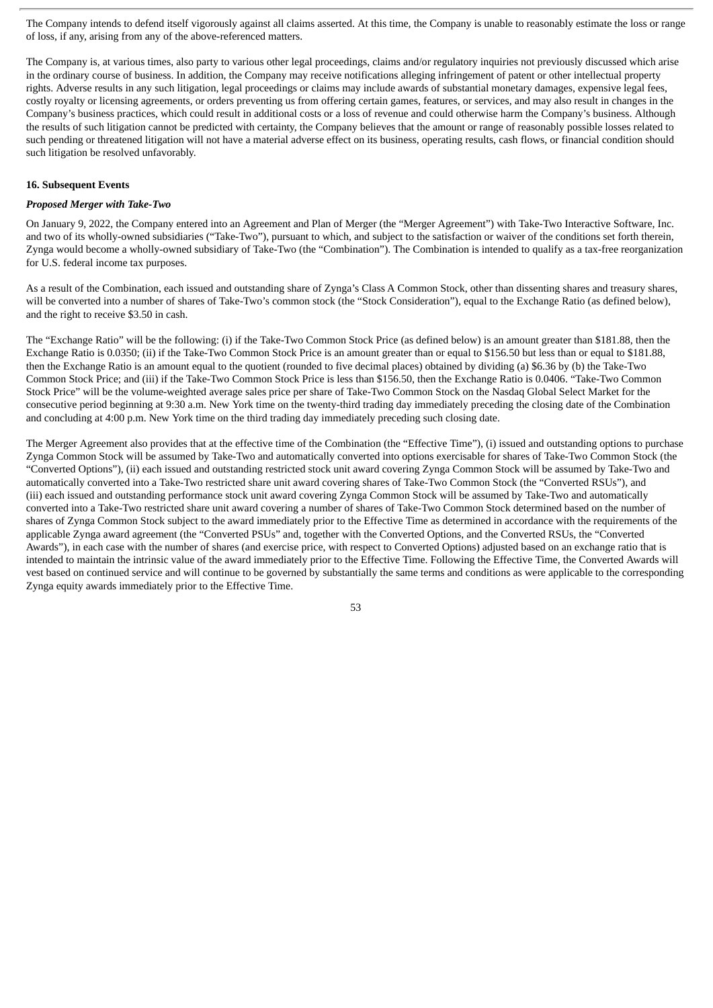The Company intends to defend itself vigorously against all claims asserted. At this time, the Company is unable to reasonably estimate the loss or range of loss, if any, arising from any of the above-referenced matters.

The Company is, at various times, also party to various other legal proceedings, claims and/or regulatory inquiries not previously discussed which arise in the ordinary course of business. In addition, the Company may receive notifications alleging infringement of patent or other intellectual property rights. Adverse results in any such litigation, legal proceedings or claims may include awards of substantial monetary damages, expensive legal fees, costly royalty or licensing agreements, or orders preventing us from offering certain games, features, or services, and may also result in changes in the Company's business practices, which could result in additional costs or a loss of revenue and could otherwise harm the Company's business. Although the results of such litigation cannot be predicted with certainty, the Company believes that the amount or range of reasonably possible losses related to such pending or threatened litigation will not have a material adverse effect on its business, operating results, cash flows, or financial condition should such litigation be resolved unfavorably.

#### **16. Subsequent Events**

## *Proposed Merger with Take-Two*

On January 9, 2022, the Company entered into an Agreement and Plan of Merger (the "Merger Agreement") with Take-Two Interactive Software, Inc. and two of its wholly-owned subsidiaries ("Take-Two"), pursuant to which, and subject to the satisfaction or waiver of the conditions set forth therein, Zynga would become a wholly-owned subsidiary of Take-Two (the "Combination"). The Combination is intended to qualify as a tax-free reorganization for U.S. federal income tax purposes.

As a result of the Combination, each issued and outstanding share of Zynga's Class A Common Stock, other than dissenting shares and treasury shares, will be converted into a number of shares of Take-Two's common stock (the "Stock Consideration"), equal to the Exchange Ratio (as defined below), and the right to receive \$3.50 in cash.

The "Exchange Ratio" will be the following: (i) if the Take-Two Common Stock Price (as defined below) is an amount greater than \$181.88, then the Exchange Ratio is 0.0350; (ii) if the Take-Two Common Stock Price is an amount greater than or equal to \$156.50 but less than or equal to \$181.88, then the Exchange Ratio is an amount equal to the quotient (rounded to five decimal places) obtained by dividing (a) \$6.36 by (b) the Take-Two Common Stock Price; and (iii) if the Take-Two Common Stock Price is less than \$156.50, then the Exchange Ratio is 0.0406. "Take-Two Common Stock Price" will be the volume-weighted average sales price per share of Take-Two Common Stock on the Nasdaq Global Select Market for the consecutive period beginning at 9:30 a.m. New York time on the twenty-third trading day immediately preceding the closing date of the Combination and concluding at 4:00 p.m. New York time on the third trading day immediately preceding such closing date.

The Merger Agreement also provides that at the effective time of the Combination (the "Effective Time"), (i) issued and outstanding options to purchase Zynga Common Stock will be assumed by Take-Two and automatically converted into options exercisable for shares of Take-Two Common Stock (the "Converted Options"), (ii) each issued and outstanding restricted stock unit award covering Zynga Common Stock will be assumed by Take-Two and automatically converted into a Take-Two restricted share unit award covering shares of Take-Two Common Stock (the "Converted RSUs"), and (iii) each issued and outstanding performance stock unit award covering Zynga Common Stock will be assumed by Take-Two and automatically converted into a Take-Two restricted share unit award covering a number of shares of Take-Two Common Stock determined based on the number of shares of Zynga Common Stock subject to the award immediately prior to the Effective Time as determined in accordance with the requirements of the applicable Zynga award agreement (the "Converted PSUs" and, together with the Converted Options, and the Converted RSUs, the "Converted Awards"), in each case with the number of shares (and exercise price, with respect to Converted Options) adjusted based on an exchange ratio that is intended to maintain the intrinsic value of the award immediately prior to the Effective Time. Following the Effective Time, the Converted Awards will vest based on continued service and will continue to be governed by substantially the same terms and conditions as were applicable to the corresponding Zynga equity awards immediately prior to the Effective Time.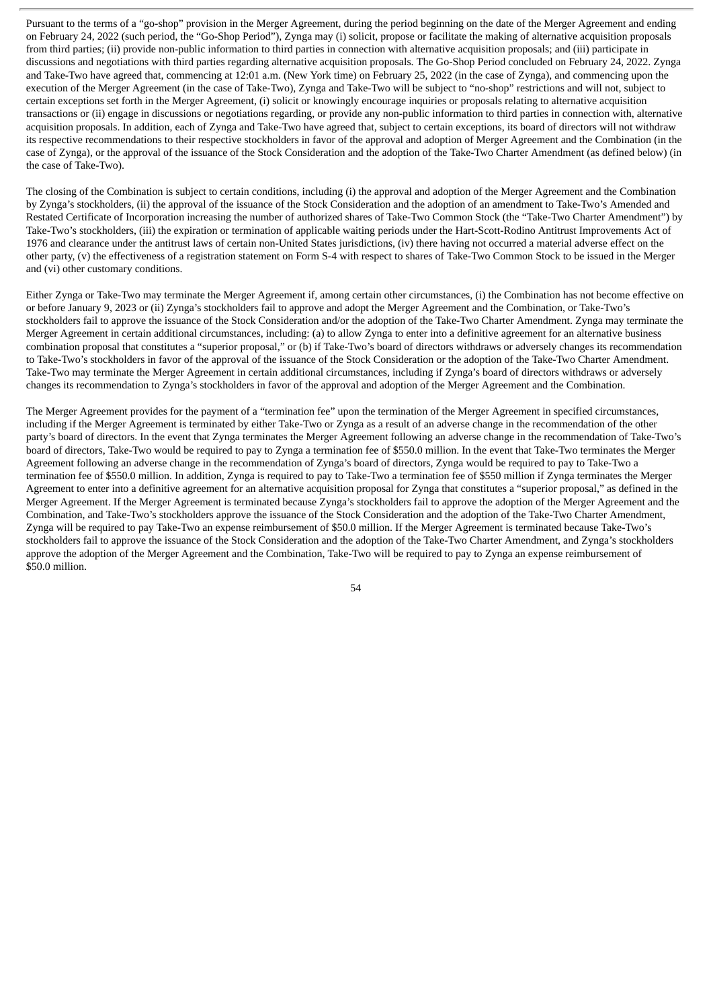Pursuant to the terms of a "go-shop" provision in the Merger Agreement, during the period beginning on the date of the Merger Agreement and ending on February 24, 2022 (such period, the "Go-Shop Period"), Zynga may (i) solicit, propose or facilitate the making of alternative acquisition proposals from third parties; (ii) provide non-public information to third parties in connection with alternative acquisition proposals; and (iii) participate in discussions and negotiations with third parties regarding alternative acquisition proposals. The Go-Shop Period concluded on February 24, 2022. Zynga and Take-Two have agreed that, commencing at 12:01 a.m. (New York time) on February 25, 2022 (in the case of Zynga), and commencing upon the execution of the Merger Agreement (in the case of Take-Two), Zynga and Take-Two will be subject to "no-shop" restrictions and will not, subject to certain exceptions set forth in the Merger Agreement, (i) solicit or knowingly encourage inquiries or proposals relating to alternative acquisition transactions or (ii) engage in discussions or negotiations regarding, or provide any non-public information to third parties in connection with, alternative acquisition proposals. In addition, each of Zynga and Take-Two have agreed that, subject to certain exceptions, its board of directors will not withdraw its respective recommendations to their respective stockholders in favor of the approval and adoption of Merger Agreement and the Combination (in the case of Zynga), or the approval of the issuance of the Stock Consideration and the adoption of the Take-Two Charter Amendment (as defined below) (in the case of Take-Two).

The closing of the Combination is subject to certain conditions, including (i) the approval and adoption of the Merger Agreement and the Combination by Zynga's stockholders, (ii) the approval of the issuance of the Stock Consideration and the adoption of an amendment to Take-Two's Amended and Restated Certificate of Incorporation increasing the number of authorized shares of Take-Two Common Stock (the "Take-Two Charter Amendment") by Take-Two's stockholders, (iii) the expiration or termination of applicable waiting periods under the Hart-Scott-Rodino Antitrust Improvements Act of 1976 and clearance under the antitrust laws of certain non-United States jurisdictions, (iv) there having not occurred a material adverse effect on the other party, (v) the effectiveness of a registration statement on Form S-4 with respect to shares of Take-Two Common Stock to be issued in the Merger and (vi) other customary conditions.

Either Zynga or Take-Two may terminate the Merger Agreement if, among certain other circumstances, (i) the Combination has not become effective on or before January 9, 2023 or (ii) Zynga's stockholders fail to approve and adopt the Merger Agreement and the Combination, or Take-Two's stockholders fail to approve the issuance of the Stock Consideration and/or the adoption of the Take-Two Charter Amendment. Zynga may terminate the Merger Agreement in certain additional circumstances, including: (a) to allow Zynga to enter into a definitive agreement for an alternative business combination proposal that constitutes a "superior proposal," or (b) if Take-Two's board of directors withdraws or adversely changes its recommendation to Take-Two's stockholders in favor of the approval of the issuance of the Stock Consideration or the adoption of the Take-Two Charter Amendment. Take-Two may terminate the Merger Agreement in certain additional circumstances, including if Zynga's board of directors withdraws or adversely changes its recommendation to Zynga's stockholders in favor of the approval and adoption of the Merger Agreement and the Combination.

The Merger Agreement provides for the payment of a "termination fee" upon the termination of the Merger Agreement in specified circumstances, including if the Merger Agreement is terminated by either Take-Two or Zynga as a result of an adverse change in the recommendation of the other party's board of directors. In the event that Zynga terminates the Merger Agreement following an adverse change in the recommendation of Take-Two's board of directors, Take-Two would be required to pay to Zynga a termination fee of \$550.0 million. In the event that Take-Two terminates the Merger Agreement following an adverse change in the recommendation of Zynga's board of directors, Zynga would be required to pay to Take-Two a termination fee of \$550.0 million. In addition, Zynga is required to pay to Take-Two a termination fee of \$550 million if Zynga terminates the Merger Agreement to enter into a definitive agreement for an alternative acquisition proposal for Zynga that constitutes a "superior proposal," as defined in the Merger Agreement. If the Merger Agreement is terminated because Zynga's stockholders fail to approve the adoption of the Merger Agreement and the Combination, and Take-Two's stockholders approve the issuance of the Stock Consideration and the adoption of the Take-Two Charter Amendment, Zynga will be required to pay Take-Two an expense reimbursement of \$50.0 million. If the Merger Agreement is terminated because Take-Two's stockholders fail to approve the issuance of the Stock Consideration and the adoption of the Take-Two Charter Amendment, and Zynga's stockholders approve the adoption of the Merger Agreement and the Combination, Take-Two will be required to pay to Zynga an expense reimbursement of \$50.0 million.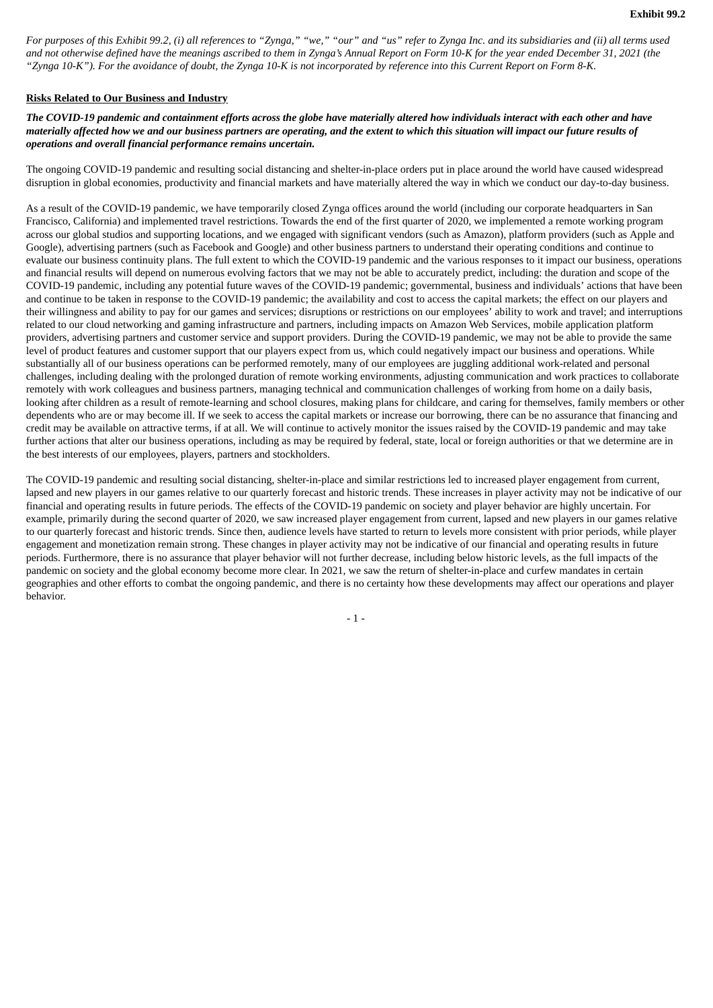For purposes of this Exhibit 99.2, (i) all references to "Zynga," "we," "our" and "us" refer to Zynga Inc. and its subsidiaries and (ii) all terms used and not otherwise defined have the meanings ascribed to them in Zynga's Annual Report on Form 10-K for the year ended December 31, 2021 (the "Zynga 10-K"). For the avoidance of doubt, the Zynga 10-K is not incorporated by reference into this Current Report on Form 8-K.

### **Risks Related to Our Business and Industry**

The COVID-19 pandemic and containment efforts across the alobe have materially altered how individuals interact with each other and have materially affected how we and our business partners are operating, and the extent to which this situation will impact our future results of *operations and overall financial performance remains uncertain.*

The ongoing COVID-19 pandemic and resulting social distancing and shelter-in-place orders put in place around the world have caused widespread disruption in global economies, productivity and financial markets and have materially altered the way in which we conduct our day-to-day business.

As a result of the COVID-19 pandemic, we have temporarily closed Zynga offices around the world (including our corporate headquarters in San Francisco, California) and implemented travel restrictions. Towards the end of the first quarter of 2020, we implemented a remote working program across our global studios and supporting locations, and we engaged with significant vendors (such as Amazon), platform providers (such as Apple and Google), advertising partners (such as Facebook and Google) and other business partners to understand their operating conditions and continue to evaluate our business continuity plans. The full extent to which the COVID-19 pandemic and the various responses to it impact our business, operations and financial results will depend on numerous evolving factors that we may not be able to accurately predict, including: the duration and scope of the COVID-19 pandemic, including any potential future waves of the COVID-19 pandemic; governmental, business and individuals' actions that have been and continue to be taken in response to the COVID-19 pandemic; the availability and cost to access the capital markets; the effect on our players and their willingness and ability to pay for our games and services; disruptions or restrictions on our employees' ability to work and travel; and interruptions related to our cloud networking and gaming infrastructure and partners, including impacts on Amazon Web Services, mobile application platform providers, advertising partners and customer service and support providers. During the COVID-19 pandemic, we may not be able to provide the same level of product features and customer support that our players expect from us, which could negatively impact our business and operations. While substantially all of our business operations can be performed remotely, many of our employees are juggling additional work-related and personal challenges, including dealing with the prolonged duration of remote working environments, adjusting communication and work practices to collaborate remotely with work colleagues and business partners, managing technical and communication challenges of working from home on a daily basis, looking after children as a result of remote-learning and school closures, making plans for childcare, and caring for themselves, family members or other dependents who are or may become ill. If we seek to access the capital markets or increase our borrowing, there can be no assurance that financing and credit may be available on attractive terms, if at all. We will continue to actively monitor the issues raised by the COVID-19 pandemic and may take further actions that alter our business operations, including as may be required by federal, state, local or foreign authorities or that we determine are in the best interests of our employees, players, partners and stockholders.

The COVID-19 pandemic and resulting social distancing, shelter-in-place and similar restrictions led to increased player engagement from current, lapsed and new players in our games relative to our quarterly forecast and historic trends. These increases in player activity may not be indicative of our financial and operating results in future periods. The effects of the COVID-19 pandemic on society and player behavior are highly uncertain. For example, primarily during the second quarter of 2020, we saw increased player engagement from current, lapsed and new players in our games relative to our quarterly forecast and historic trends. Since then, audience levels have started to return to levels more consistent with prior periods, while player engagement and monetization remain strong. These changes in player activity may not be indicative of our financial and operating results in future periods. Furthermore, there is no assurance that player behavior will not further decrease, including below historic levels, as the full impacts of the pandemic on society and the global economy become more clear. In 2021, we saw the return of shelter-in-place and curfew mandates in certain geographies and other efforts to combat the ongoing pandemic, and there is no certainty how these developments may affect our operations and player behavior.

- 1 -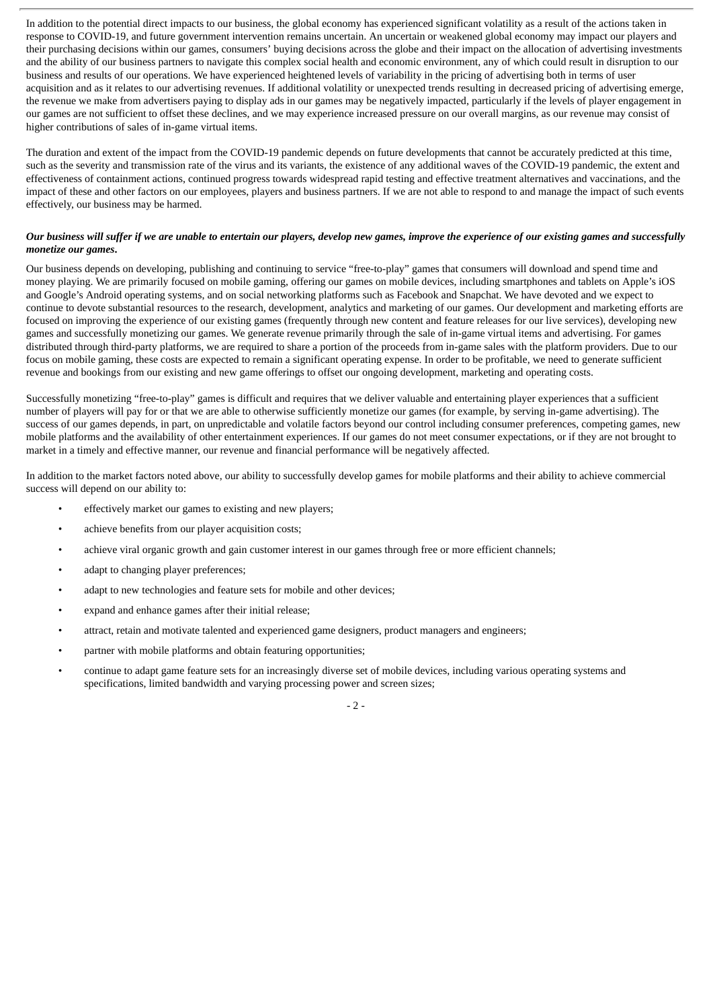In addition to the potential direct impacts to our business, the global economy has experienced significant volatility as a result of the actions taken in response to COVID-19, and future government intervention remains uncertain. An uncertain or weakened global economy may impact our players and their purchasing decisions within our games, consumers' buying decisions across the globe and their impact on the allocation of advertising investments and the ability of our business partners to navigate this complex social health and economic environment, any of which could result in disruption to our business and results of our operations. We have experienced heightened levels of variability in the pricing of advertising both in terms of user acquisition and as it relates to our advertising revenues. If additional volatility or unexpected trends resulting in decreased pricing of advertising emerge, the revenue we make from advertisers paying to display ads in our games may be negatively impacted, particularly if the levels of player engagement in our games are not sufficient to offset these declines, and we may experience increased pressure on our overall margins, as our revenue may consist of higher contributions of sales of in-game virtual items.

The duration and extent of the impact from the COVID-19 pandemic depends on future developments that cannot be accurately predicted at this time, such as the severity and transmission rate of the virus and its variants, the existence of any additional waves of the COVID-19 pandemic, the extent and effectiveness of containment actions, continued progress towards widespread rapid testing and effective treatment alternatives and vaccinations, and the impact of these and other factors on our employees, players and business partners. If we are not able to respond to and manage the impact of such events effectively, our business may be harmed.

# Our business will suffer if we are unable to entertain our players, develop new games, improve the experience of our existing games and successfully *monetize our games***.**

Our business depends on developing, publishing and continuing to service "free-to-play" games that consumers will download and spend time and money playing. We are primarily focused on mobile gaming, offering our games on mobile devices, including smartphones and tablets on Apple's iOS and Google's Android operating systems, and on social networking platforms such as Facebook and Snapchat. We have devoted and we expect to continue to devote substantial resources to the research, development, analytics and marketing of our games. Our development and marketing efforts are focused on improving the experience of our existing games (frequently through new content and feature releases for our live services), developing new games and successfully monetizing our games. We generate revenue primarily through the sale of in-game virtual items and advertising. For games distributed through third-party platforms, we are required to share a portion of the proceeds from in-game sales with the platform providers. Due to our focus on mobile gaming, these costs are expected to remain a significant operating expense. In order to be profitable, we need to generate sufficient revenue and bookings from our existing and new game offerings to offset our ongoing development, marketing and operating costs.

Successfully monetizing "free-to-play" games is difficult and requires that we deliver valuable and entertaining player experiences that a sufficient number of players will pay for or that we are able to otherwise sufficiently monetize our games (for example, by serving in-game advertising). The success of our games depends, in part, on unpredictable and volatile factors beyond our control including consumer preferences, competing games, new mobile platforms and the availability of other entertainment experiences. If our games do not meet consumer expectations, or if they are not brought to market in a timely and effective manner, our revenue and financial performance will be negatively affected.

In addition to the market factors noted above, our ability to successfully develop games for mobile platforms and their ability to achieve commercial success will depend on our ability to:

- effectively market our games to existing and new players;
- achieve benefits from our player acquisition costs;
- achieve viral organic growth and gain customer interest in our games through free or more efficient channels;
- adapt to changing player preferences;
- adapt to new technologies and feature sets for mobile and other devices;
- expand and enhance games after their initial release;
- attract, retain and motivate talented and experienced game designers, product managers and engineers;
- partner with mobile platforms and obtain featuring opportunities;
- continue to adapt game feature sets for an increasingly diverse set of mobile devices, including various operating systems and specifications, limited bandwidth and varying processing power and screen sizes;

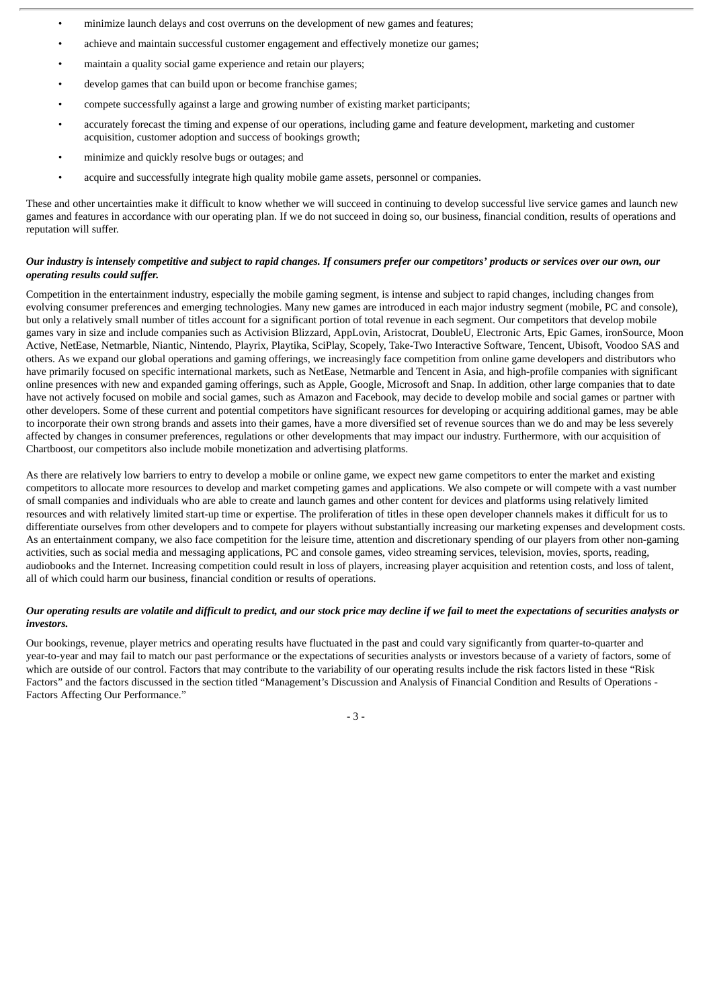- minimize launch delays and cost overruns on the development of new games and features;
- achieve and maintain successful customer engagement and effectively monetize our games;
- maintain a quality social game experience and retain our players;
- develop games that can build upon or become franchise games;
- compete successfully against a large and growing number of existing market participants;
- accurately forecast the timing and expense of our operations, including game and feature development, marketing and customer acquisition, customer adoption and success of bookings growth;
- minimize and quickly resolve bugs or outages; and
- acquire and successfully integrate high quality mobile game assets, personnel or companies.

These and other uncertainties make it difficult to know whether we will succeed in continuing to develop successful live service games and launch new games and features in accordance with our operating plan. If we do not succeed in doing so, our business, financial condition, results of operations and reputation will suffer.

### Our industry is intensely competitive and subject to rapid changes. If consumers prefer our competitors' products or services over our own, our *operating results could suffer.*

Competition in the entertainment industry, especially the mobile gaming segment, is intense and subject to rapid changes, including changes from evolving consumer preferences and emerging technologies. Many new games are introduced in each major industry segment (mobile, PC and console), but only a relatively small number of titles account for a significant portion of total revenue in each segment. Our competitors that develop mobile games vary in size and include companies such as Activision Blizzard, AppLovin, Aristocrat, DoubleU, Electronic Arts, Epic Games, ironSource, Moon Active, NetEase, Netmarble, Niantic, Nintendo, Playrix, Playtika, SciPlay, Scopely, Take-Two Interactive Software, Tencent, Ubisoft, Voodoo SAS and others. As we expand our global operations and gaming offerings, we increasingly face competition from online game developers and distributors who have primarily focused on specific international markets, such as NetEase, Netmarble and Tencent in Asia, and high-profile companies with significant online presences with new and expanded gaming offerings, such as Apple, Google, Microsoft and Snap. In addition, other large companies that to date have not actively focused on mobile and social games, such as Amazon and Facebook, may decide to develop mobile and social games or partner with other developers. Some of these current and potential competitors have significant resources for developing or acquiring additional games, may be able to incorporate their own strong brands and assets into their games, have a more diversified set of revenue sources than we do and may be less severely affected by changes in consumer preferences, regulations or other developments that may impact our industry. Furthermore, with our acquisition of Chartboost, our competitors also include mobile monetization and advertising platforms.

As there are relatively low barriers to entry to develop a mobile or online game, we expect new game competitors to enter the market and existing competitors to allocate more resources to develop and market competing games and applications. We also compete or will compete with a vast number of small companies and individuals who are able to create and launch games and other content for devices and platforms using relatively limited resources and with relatively limited start-up time or expertise. The proliferation of titles in these open developer channels makes it difficult for us to differentiate ourselves from other developers and to compete for players without substantially increasing our marketing expenses and development costs. As an entertainment company, we also face competition for the leisure time, attention and discretionary spending of our players from other non-gaming activities, such as social media and messaging applications, PC and console games, video streaming services, television, movies, sports, reading, audiobooks and the Internet. Increasing competition could result in loss of players, increasing player acquisition and retention costs, and loss of talent, all of which could harm our business, financial condition or results of operations.

## Our operating results are volatile and difficult to predict, and our stock price may decline if we fail to meet the expectations of securities analysts or *investors.*

Our bookings, revenue, player metrics and operating results have fluctuated in the past and could vary significantly from quarter-to-quarter and year-to-year and may fail to match our past performance or the expectations of securities analysts or investors because of a variety of factors, some of which are outside of our control. Factors that may contribute to the variability of our operating results include the risk factors listed in these "Risk Factors" and the factors discussed in the section titled "Management's Discussion and Analysis of Financial Condition and Results of Operations - Factors Affecting Our Performance."

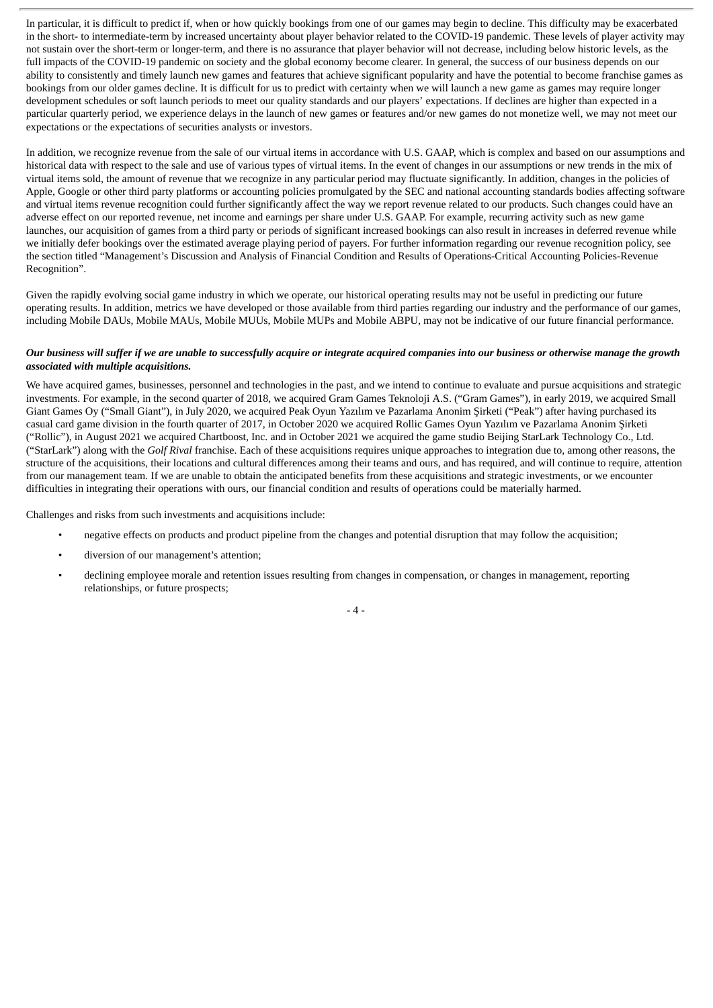In particular, it is difficult to predict if, when or how quickly bookings from one of our games may begin to decline. This difficulty may be exacerbated in the short- to intermediate-term by increased uncertainty about player behavior related to the COVID-19 pandemic. These levels of player activity may not sustain over the short-term or longer-term, and there is no assurance that player behavior will not decrease, including below historic levels, as the full impacts of the COVID-19 pandemic on society and the global economy become clearer. In general, the success of our business depends on our ability to consistently and timely launch new games and features that achieve significant popularity and have the potential to become franchise games as bookings from our older games decline. It is difficult for us to predict with certainty when we will launch a new game as games may require longer development schedules or soft launch periods to meet our quality standards and our players' expectations. If declines are higher than expected in a particular quarterly period, we experience delays in the launch of new games or features and/or new games do not monetize well, we may not meet our expectations or the expectations of securities analysts or investors.

In addition, we recognize revenue from the sale of our virtual items in accordance with U.S. GAAP, which is complex and based on our assumptions and historical data with respect to the sale and use of various types of virtual items. In the event of changes in our assumptions or new trends in the mix of virtual items sold, the amount of revenue that we recognize in any particular period may fluctuate significantly. In addition, changes in the policies of Apple, Google or other third party platforms or accounting policies promulgated by the SEC and national accounting standards bodies affecting software and virtual items revenue recognition could further significantly affect the way we report revenue related to our products. Such changes could have an adverse effect on our reported revenue, net income and earnings per share under U.S. GAAP. For example, recurring activity such as new game launches, our acquisition of games from a third party or periods of significant increased bookings can also result in increases in deferred revenue while we initially defer bookings over the estimated average playing period of payers. For further information regarding our revenue recognition policy, see the section titled "Management's Discussion and Analysis of Financial Condition and Results of Operations-Critical Accounting Policies-Revenue Recognition".

Given the rapidly evolving social game industry in which we operate, our historical operating results may not be useful in predicting our future operating results. In addition, metrics we have developed or those available from third parties regarding our industry and the performance of our games, including Mobile DAUs, Mobile MAUs, Mobile MUUs, Mobile MUPs and Mobile ABPU, may not be indicative of our future financial performance.

## Our business will suffer if we are unable to successfully acquire or integrate acquired companies into our business or otherwise mangae the growth *associated with multiple acquisitions.*

We have acquired games, businesses, personnel and technologies in the past, and we intend to continue to evaluate and pursue acquisitions and strategic investments. For example, in the second quarter of 2018, we acquired Gram Games Teknoloji A.S. ("Gram Games"), in early 2019, we acquired Small Giant Games Oy ("Small Giant"), in July 2020, we acquired Peak Oyun Yazılım ve Pazarlama Anonim Şirketi ("Peak") after having purchased its casual card game division in the fourth quarter of 2017, in October 2020 we acquired Rollic Games Oyun Yazılım ve Pazarlama Anonim Şirketi ("Rollic"), in August 2021 we acquired Chartboost, Inc. and in October 2021 we acquired the game studio Beijing StarLark Technology Co., Ltd. ("StarLark") along with the *Golf Rival* franchise. Each of these acquisitions requires unique approaches to integration due to, among other reasons, the structure of the acquisitions, their locations and cultural differences among their teams and ours, and has required, and will continue to require, attention from our management team. If we are unable to obtain the anticipated benefits from these acquisitions and strategic investments, or we encounter difficulties in integrating their operations with ours, our financial condition and results of operations could be materially harmed.

Challenges and risks from such investments and acquisitions include:

- negative effects on products and product pipeline from the changes and potential disruption that may follow the acquisition;
- diversion of our management's attention;
- declining employee morale and retention issues resulting from changes in compensation, or changes in management, reporting relationships, or future prospects;

# $-4-$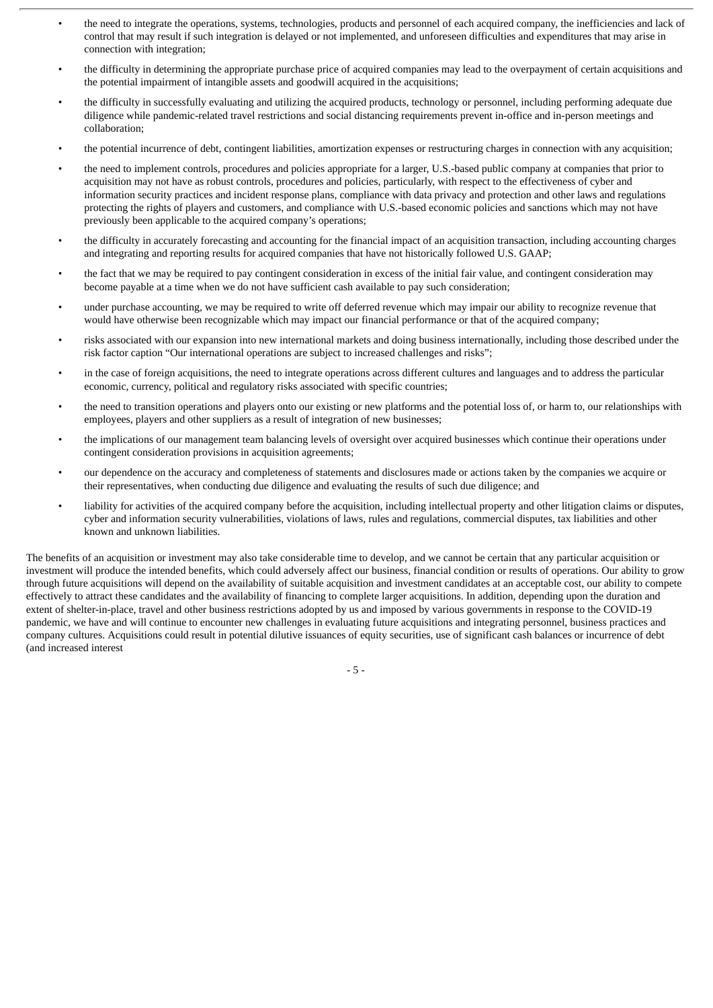- the need to integrate the operations, systems, technologies, products and personnel of each acquired company, the inefficiencies and lack of control that may result if such integration is delayed or not implemented, and unforeseen difficulties and expenditures that may arise in connection with integration;
- the difficulty in determining the appropriate purchase price of acquired companies may lead to the overpayment of certain acquisitions and the potential impairment of intangible assets and goodwill acquired in the acquisitions;
- the difficulty in successfully evaluating and utilizing the acquired products, technology or personnel, including performing adequate due diligence while pandemic-related travel restrictions and social distancing requirements prevent in-office and in-person meetings and collaboration;
- the potential incurrence of debt, contingent liabilities, amortization expenses or restructuring charges in connection with any acquisition;
- the need to implement controls, procedures and policies appropriate for a larger, U.S.-based public company at companies that prior to acquisition may not have as robust controls, procedures and policies, particularly, with respect to the effectiveness of cyber and information security practices and incident response plans, compliance with data privacy and protection and other laws and regulations protecting the rights of players and customers, and compliance with U.S.-based economic policies and sanctions which may not have previously been applicable to the acquired company's operations;
- the difficulty in accurately forecasting and accounting for the financial impact of an acquisition transaction, including accounting charges and integrating and reporting results for acquired companies that have not historically followed U.S. GAAP;
- the fact that we may be required to pay contingent consideration in excess of the initial fair value, and contingent consideration may become payable at a time when we do not have sufficient cash available to pay such consideration;
- under purchase accounting, we may be required to write off deferred revenue which may impair our ability to recognize revenue that would have otherwise been recognizable which may impact our financial performance or that of the acquired company;
- risks associated with our expansion into new international markets and doing business internationally, including those described under the risk factor caption "Our international operations are subject to increased challenges and risks";
- in the case of foreign acquisitions, the need to integrate operations across different cultures and languages and to address the particular economic, currency, political and regulatory risks associated with specific countries;
- the need to transition operations and players onto our existing or new platforms and the potential loss of, or harm to, our relationships with employees, players and other suppliers as a result of integration of new businesses;
- the implications of our management team balancing levels of oversight over acquired businesses which continue their operations under contingent consideration provisions in acquisition agreements;
- our dependence on the accuracy and completeness of statements and disclosures made or actions taken by the companies we acquire or their representatives, when conducting due diligence and evaluating the results of such due diligence; and
- liability for activities of the acquired company before the acquisition, including intellectual property and other litigation claims or disputes, cyber and information security vulnerabilities, violations of laws, rules and regulations, commercial disputes, tax liabilities and other known and unknown liabilities.

The benefits of an acquisition or investment may also take considerable time to develop, and we cannot be certain that any particular acquisition or investment will produce the intended benefits, which could adversely affect our business, financial condition or results of operations. Our ability to grow through future acquisitions will depend on the availability of suitable acquisition and investment candidates at an acceptable cost, our ability to compete effectively to attract these candidates and the availability of financing to complete larger acquisitions. In addition, depending upon the duration and extent of shelter-in-place, travel and other business restrictions adopted by us and imposed by various governments in response to the COVID-19 pandemic, we have and will continue to encounter new challenges in evaluating future acquisitions and integrating personnel, business practices and company cultures. Acquisitions could result in potential dilutive issuances of equity securities, use of significant cash balances or incurrence of debt (and increased interest

- 5 -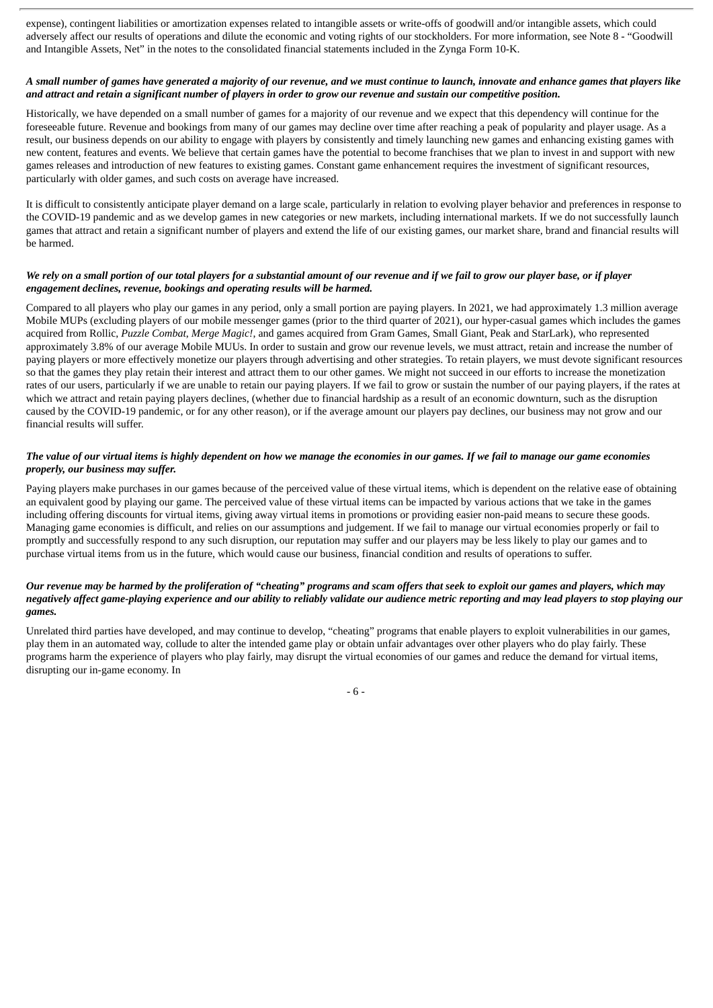expense), contingent liabilities or amortization expenses related to intangible assets or write-offs of goodwill and/or intangible assets, which could adversely affect our results of operations and dilute the economic and voting rights of our stockholders. For more information, see Note 8 - "Goodwill and Intangible Assets, Net" in the notes to the consolidated financial statements included in the Zynga Form 10-K.

## A small number of games have generated a majority of our revenue, and we must continue to launch, innovate and enhance games that players like and attract and retain a significant number of players in order to grow our revenue and sustain our competitive position.

Historically, we have depended on a small number of games for a majority of our revenue and we expect that this dependency will continue for the foreseeable future. Revenue and bookings from many of our games may decline over time after reaching a peak of popularity and player usage. As a result, our business depends on our ability to engage with players by consistently and timely launching new games and enhancing existing games with new content, features and events. We believe that certain games have the potential to become franchises that we plan to invest in and support with new games releases and introduction of new features to existing games. Constant game enhancement requires the investment of significant resources, particularly with older games, and such costs on average have increased.

It is difficult to consistently anticipate player demand on a large scale, particularly in relation to evolving player behavior and preferences in response to the COVID-19 pandemic and as we develop games in new categories or new markets, including international markets. If we do not successfully launch games that attract and retain a significant number of players and extend the life of our existing games, our market share, brand and financial results will be harmed.

## We rely on a small portion of our total players for a substantial amount of our revenue and if we fail to grow our player base, or if player *engagement declines, revenue, bookings and operating results will be harmed.*

Compared to all players who play our games in any period, only a small portion are paying players. In 2021, we had approximately 1.3 million average Mobile MUPs (excluding players of our mobile messenger games (prior to the third quarter of 2021), our hyper-casual games which includes the games acquired from Rollic, *Puzzle Combat*, *Merge Magic!*, and games acquired from Gram Games, Small Giant, Peak and StarLark), who represented approximately 3.8% of our average Mobile MUUs. In order to sustain and grow our revenue levels, we must attract, retain and increase the number of paying players or more effectively monetize our players through advertising and other strategies. To retain players, we must devote significant resources so that the games they play retain their interest and attract them to our other games. We might not succeed in our efforts to increase the monetization rates of our users, particularly if we are unable to retain our paying players. If we fail to grow or sustain the number of our paying players, if the rates at which we attract and retain paying players declines, (whether due to financial hardship as a result of an economic downturn, such as the disruption caused by the COVID-19 pandemic, or for any other reason), or if the average amount our players pay declines, our business may not grow and our financial results will suffer.

## The value of our virtual items is highly dependent on how we manage the economies in our games. If we fail to manage our game economies *properly, our business may suffer.*

Paying players make purchases in our games because of the perceived value of these virtual items, which is dependent on the relative ease of obtaining an equivalent good by playing our game. The perceived value of these virtual items can be impacted by various actions that we take in the games including offering discounts for virtual items, giving away virtual items in promotions or providing easier non-paid means to secure these goods. Managing game economies is difficult, and relies on our assumptions and judgement. If we fail to manage our virtual economies properly or fail to promptly and successfully respond to any such disruption, our reputation may suffer and our players may be less likely to play our games and to purchase virtual items from us in the future, which would cause our business, financial condition and results of operations to suffer.

## Our revenue may be harmed by the proliferation of "cheating" programs and scam offers that seek to exploit our games and players, which may negatively affect game-playing experience and our ability to reliably validate our audience metric reporting and may lead players to stop playing our *games.*

Unrelated third parties have developed, and may continue to develop, "cheating" programs that enable players to exploit vulnerabilities in our games, play them in an automated way, collude to alter the intended game play or obtain unfair advantages over other players who do play fairly. These programs harm the experience of players who play fairly, may disrupt the virtual economies of our games and reduce the demand for virtual items, disrupting our in-game economy. In

- 6 -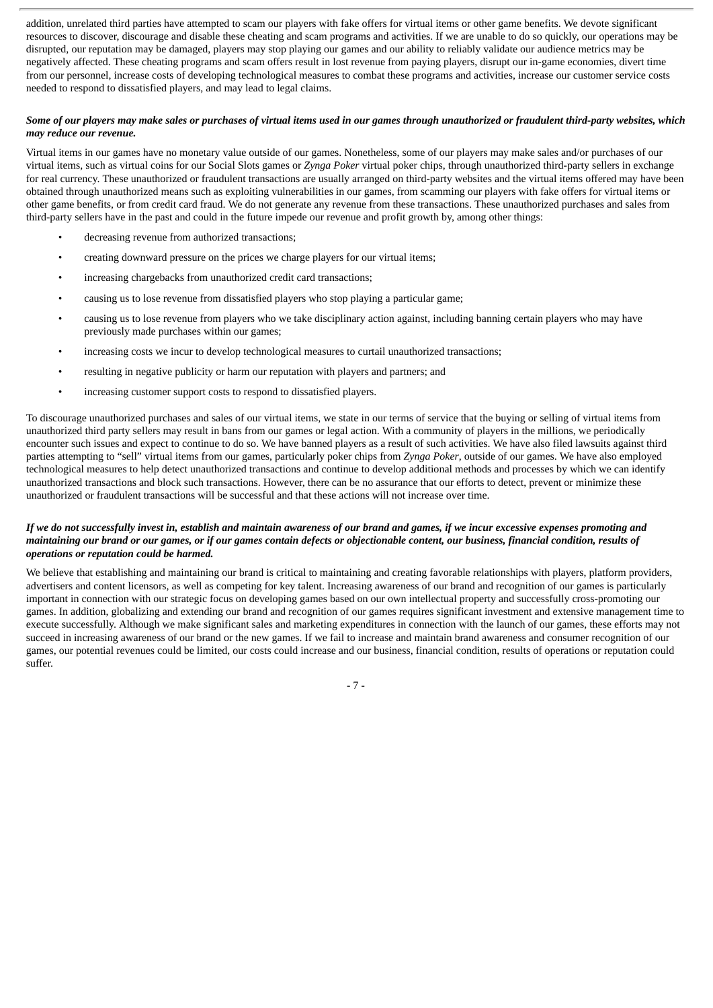addition, unrelated third parties have attempted to scam our players with fake offers for virtual items or other game benefits. We devote significant resources to discover, discourage and disable these cheating and scam programs and activities. If we are unable to do so quickly, our operations may be disrupted, our reputation may be damaged, players may stop playing our games and our ability to reliably validate our audience metrics may be negatively affected. These cheating programs and scam offers result in lost revenue from paying players, disrupt our in-game economies, divert time from our personnel, increase costs of developing technological measures to combat these programs and activities, increase our customer service costs needed to respond to dissatisfied players, and may lead to legal claims.

# Some of our players may make sales or purchases of virtual items used in our games through unauthorized or fraudulent third-party websites, which *may reduce our revenue.*

Virtual items in our games have no monetary value outside of our games. Nonetheless, some of our players may make sales and/or purchases of our virtual items, such as virtual coins for our Social Slots games or *Zynga Poker* virtual poker chips, through unauthorized third-party sellers in exchange for real currency. These unauthorized or fraudulent transactions are usually arranged on third-party websites and the virtual items offered may have been obtained through unauthorized means such as exploiting vulnerabilities in our games, from scamming our players with fake offers for virtual items or other game benefits, or from credit card fraud. We do not generate any revenue from these transactions. These unauthorized purchases and sales from third-party sellers have in the past and could in the future impede our revenue and profit growth by, among other things:

- decreasing revenue from authorized transactions;
- creating downward pressure on the prices we charge players for our virtual items;
- increasing chargebacks from unauthorized credit card transactions;
- causing us to lose revenue from dissatisfied players who stop playing a particular game;
- causing us to lose revenue from players who we take disciplinary action against, including banning certain players who may have previously made purchases within our games;
- increasing costs we incur to develop technological measures to curtail unauthorized transactions;
- resulting in negative publicity or harm our reputation with players and partners; and
- increasing customer support costs to respond to dissatisfied players.

To discourage unauthorized purchases and sales of our virtual items, we state in our terms of service that the buying or selling of virtual items from unauthorized third party sellers may result in bans from our games or legal action. With a community of players in the millions, we periodically encounter such issues and expect to continue to do so. We have banned players as a result of such activities. We have also filed lawsuits against third parties attempting to "sell" virtual items from our games, particularly poker chips from *Zynga Poker*, outside of our games. We have also employed technological measures to help detect unauthorized transactions and continue to develop additional methods and processes by which we can identify unauthorized transactions and block such transactions. However, there can be no assurance that our efforts to detect, prevent or minimize these unauthorized or fraudulent transactions will be successful and that these actions will not increase over time.

# If we do not successfully invest in, establish and maintain awareness of our brand and games, if we incur excessive expenses promoting and maintaining our brand or our games, or if our games contain defects or objectionable content, our business, financial condition, results of *operations or reputation could be harmed.*

We believe that establishing and maintaining our brand is critical to maintaining and creating favorable relationships with players, platform providers, advertisers and content licensors, as well as competing for key talent. Increasing awareness of our brand and recognition of our games is particularly important in connection with our strategic focus on developing games based on our own intellectual property and successfully cross-promoting our games. In addition, globalizing and extending our brand and recognition of our games requires significant investment and extensive management time to execute successfully. Although we make significant sales and marketing expenditures in connection with the launch of our games, these efforts may not succeed in increasing awareness of our brand or the new games. If we fail to increase and maintain brand awareness and consumer recognition of our games, our potential revenues could be limited, our costs could increase and our business, financial condition, results of operations or reputation could suffer.

- 7 -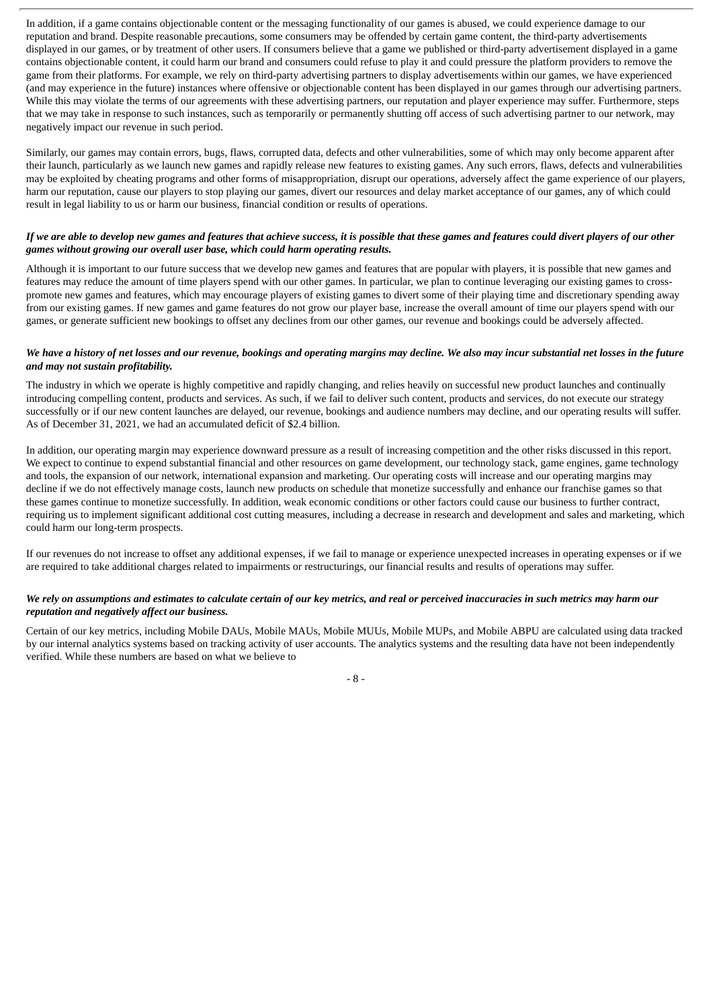In addition, if a game contains objectionable content or the messaging functionality of our games is abused, we could experience damage to our reputation and brand. Despite reasonable precautions, some consumers may be offended by certain game content, the third-party advertisements displayed in our games, or by treatment of other users. If consumers believe that a game we published or third-party advertisement displayed in a game contains objectionable content, it could harm our brand and consumers could refuse to play it and could pressure the platform providers to remove the game from their platforms. For example, we rely on third-party advertising partners to display advertisements within our games, we have experienced (and may experience in the future) instances where offensive or objectionable content has been displayed in our games through our advertising partners. While this may violate the terms of our agreements with these advertising partners, our reputation and player experience may suffer. Furthermore, steps that we may take in response to such instances, such as temporarily or permanently shutting off access of such advertising partner to our network, may negatively impact our revenue in such period.

Similarly, our games may contain errors, bugs, flaws, corrupted data, defects and other vulnerabilities, some of which may only become apparent after their launch, particularly as we launch new games and rapidly release new features to existing games. Any such errors, flaws, defects and vulnerabilities may be exploited by cheating programs and other forms of misappropriation, disrupt our operations, adversely affect the game experience of our players, harm our reputation, cause our players to stop playing our games, divert our resources and delay market acceptance of our games, any of which could result in legal liability to us or harm our business, financial condition or results of operations.

## If we are able to develop new games and features that achieve success, it is possible that these games and features could divert players of our other *games without growing our overall user base, which could harm operating results.*

Although it is important to our future success that we develop new games and features that are popular with players, it is possible that new games and features may reduce the amount of time players spend with our other games. In particular, we plan to continue leveraging our existing games to crosspromote new games and features, which may encourage players of existing games to divert some of their playing time and discretionary spending away from our existing games. If new games and game features do not grow our player base, increase the overall amount of time our players spend with our games, or generate sufficient new bookings to offset any declines from our other games, our revenue and bookings could be adversely affected.

## We have a history of net losses and our revenue, bookinas and operating margins may decline. We also may incur substantial net losses in the future *and may not sustain profitability.*

The industry in which we operate is highly competitive and rapidly changing, and relies heavily on successful new product launches and continually introducing compelling content, products and services. As such, if we fail to deliver such content, products and services, do not execute our strategy successfully or if our new content launches are delayed, our revenue, bookings and audience numbers may decline, and our operating results will suffer. As of December 31, 2021, we had an accumulated deficit of \$2.4 billion.

In addition, our operating margin may experience downward pressure as a result of increasing competition and the other risks discussed in this report. We expect to continue to expend substantial financial and other resources on game development, our technology stack, game engines, game technology and tools, the expansion of our network, international expansion and marketing. Our operating costs will increase and our operating margins may decline if we do not effectively manage costs, launch new products on schedule that monetize successfully and enhance our franchise games so that these games continue to monetize successfully. In addition, weak economic conditions or other factors could cause our business to further contract, requiring us to implement significant additional cost cutting measures, including a decrease in research and development and sales and marketing, which could harm our long-term prospects.

If our revenues do not increase to offset any additional expenses, if we fail to manage or experience unexpected increases in operating expenses or if we are required to take additional charges related to impairments or restructurings, our financial results and results of operations may suffer.

## We rely on assumptions and estimates to calculate certain of our key metrics, and real or perceived inaccuracies in such metrics may harm our *reputation and negatively affect our business.*

Certain of our key metrics, including Mobile DAUs, Mobile MAUs, Mobile MUUs, Mobile MUPs, and Mobile ABPU are calculated using data tracked by our internal analytics systems based on tracking activity of user accounts. The analytics systems and the resulting data have not been independently verified. While these numbers are based on what we believe to

- 8 -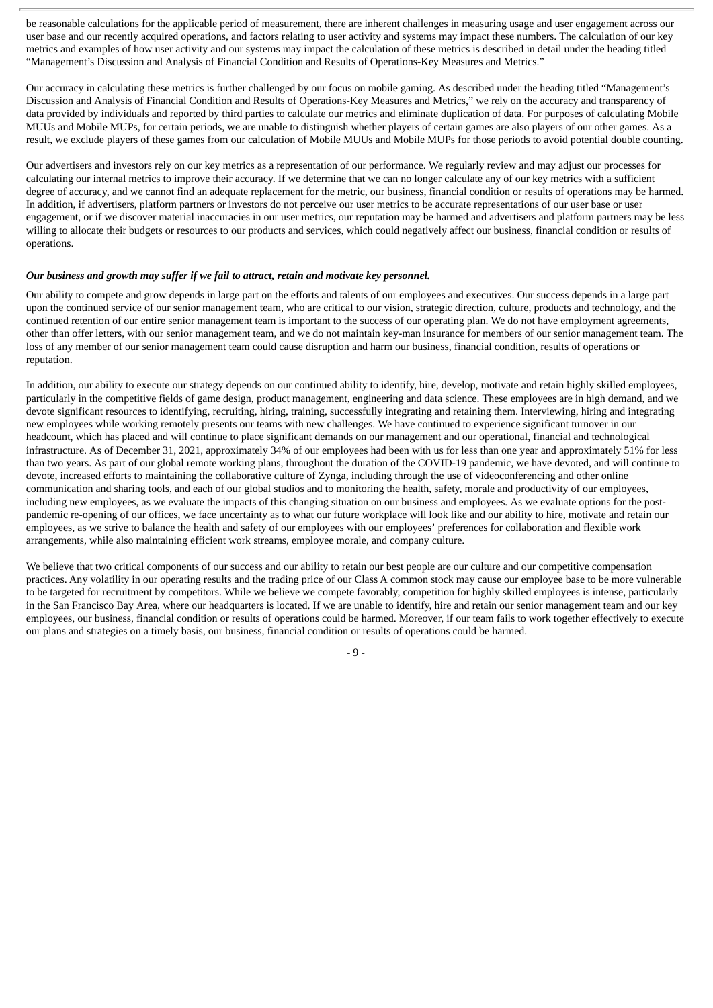be reasonable calculations for the applicable period of measurement, there are inherent challenges in measuring usage and user engagement across our user base and our recently acquired operations, and factors relating to user activity and systems may impact these numbers. The calculation of our key metrics and examples of how user activity and our systems may impact the calculation of these metrics is described in detail under the heading titled "Management's Discussion and Analysis of Financial Condition and Results of Operations-Key Measures and Metrics."

Our accuracy in calculating these metrics is further challenged by our focus on mobile gaming. As described under the heading titled "Management's Discussion and Analysis of Financial Condition and Results of Operations-Key Measures and Metrics," we rely on the accuracy and transparency of data provided by individuals and reported by third parties to calculate our metrics and eliminate duplication of data. For purposes of calculating Mobile MUUs and Mobile MUPs, for certain periods, we are unable to distinguish whether players of certain games are also players of our other games. As a result, we exclude players of these games from our calculation of Mobile MUUs and Mobile MUPs for those periods to avoid potential double counting.

Our advertisers and investors rely on our key metrics as a representation of our performance. We regularly review and may adjust our processes for calculating our internal metrics to improve their accuracy. If we determine that we can no longer calculate any of our key metrics with a sufficient degree of accuracy, and we cannot find an adequate replacement for the metric, our business, financial condition or results of operations may be harmed. In addition, if advertisers, platform partners or investors do not perceive our user metrics to be accurate representations of our user base or user engagement, or if we discover material inaccuracies in our user metrics, our reputation may be harmed and advertisers and platform partners may be less willing to allocate their budgets or resources to our products and services, which could negatively affect our business, financial condition or results of operations.

## *Our business and growth may suffer if we fail to attract, retain and motivate key personnel.*

Our ability to compete and grow depends in large part on the efforts and talents of our employees and executives. Our success depends in a large part upon the continued service of our senior management team, who are critical to our vision, strategic direction, culture, products and technology, and the continued retention of our entire senior management team is important to the success of our operating plan. We do not have employment agreements, other than offer letters, with our senior management team, and we do not maintain key-man insurance for members of our senior management team. The loss of any member of our senior management team could cause disruption and harm our business, financial condition, results of operations or reputation.

In addition, our ability to execute our strategy depends on our continued ability to identify, hire, develop, motivate and retain highly skilled employees, particularly in the competitive fields of game design, product management, engineering and data science. These employees are in high demand, and we devote significant resources to identifying, recruiting, hiring, training, successfully integrating and retaining them. Interviewing, hiring and integrating new employees while working remotely presents our teams with new challenges. We have continued to experience significant turnover in our headcount, which has placed and will continue to place significant demands on our management and our operational, financial and technological infrastructure. As of December 31, 2021, approximately 34% of our employees had been with us for less than one year and approximately 51% for less than two years. As part of our global remote working plans, throughout the duration of the COVID-19 pandemic, we have devoted, and will continue to devote, increased efforts to maintaining the collaborative culture of Zynga, including through the use of videoconferencing and other online communication and sharing tools, and each of our global studios and to monitoring the health, safety, morale and productivity of our employees, including new employees, as we evaluate the impacts of this changing situation on our business and employees. As we evaluate options for the postpandemic re-opening of our offices, we face uncertainty as to what our future workplace will look like and our ability to hire, motivate and retain our employees, as we strive to balance the health and safety of our employees with our employees' preferences for collaboration and flexible work arrangements, while also maintaining efficient work streams, employee morale, and company culture.

We believe that two critical components of our success and our ability to retain our best people are our culture and our competitive compensation practices. Any volatility in our operating results and the trading price of our Class A common stock may cause our employee base to be more vulnerable to be targeted for recruitment by competitors. While we believe we compete favorably, competition for highly skilled employees is intense, particularly in the San Francisco Bay Area, where our headquarters is located. If we are unable to identify, hire and retain our senior management team and our key employees, our business, financial condition or results of operations could be harmed. Moreover, if our team fails to work together effectively to execute our plans and strategies on a timely basis, our business, financial condition or results of operations could be harmed.

 $\alpha$  -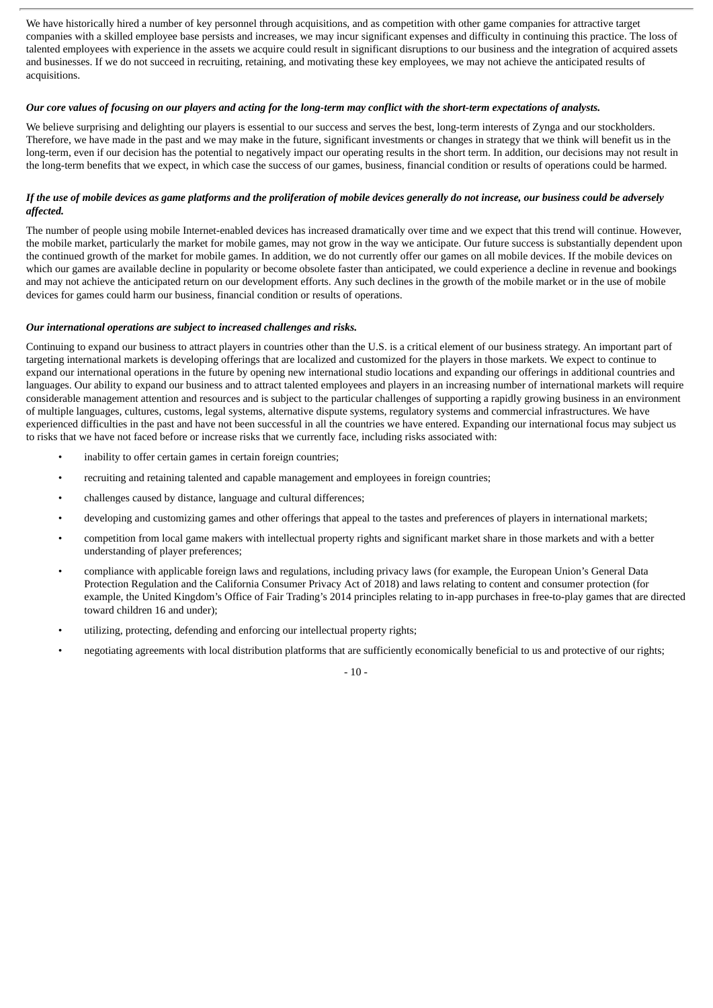We have historically hired a number of key personnel through acquisitions, and as competition with other game companies for attractive target companies with a skilled employee base persists and increases, we may incur significant expenses and difficulty in continuing this practice. The loss of talented employees with experience in the assets we acquire could result in significant disruptions to our business and the integration of acquired assets and businesses. If we do not succeed in recruiting, retaining, and motivating these key employees, we may not achieve the anticipated results of acquisitions.

## Our core values of focusing on our players and acting for the long-term may conflict with the short-term expectations of analysts.

We believe surprising and delighting our players is essential to our success and serves the best, long-term interests of Zynga and our stockholders. Therefore, we have made in the past and we may make in the future, significant investments or changes in strategy that we think will benefit us in the long-term, even if our decision has the potential to negatively impact our operating results in the short term. In addition, our decisions may not result in the long-term benefits that we expect, in which case the success of our games, business, financial condition or results of operations could be harmed.

# If the use of mobile devices as game platforms and the proliferation of mobile devices generally do not increase, our business could be adversely *affected.*

The number of people using mobile Internet-enabled devices has increased dramatically over time and we expect that this trend will continue. However, the mobile market, particularly the market for mobile games, may not grow in the way we anticipate. Our future success is substantially dependent upon the continued growth of the market for mobile games. In addition, we do not currently offer our games on all mobile devices. If the mobile devices on which our games are available decline in popularity or become obsolete faster than anticipated, we could experience a decline in revenue and bookings and may not achieve the anticipated return on our development efforts. Any such declines in the growth of the mobile market or in the use of mobile devices for games could harm our business, financial condition or results of operations.

### *Our international operations are subject to increased challenges and risks.*

Continuing to expand our business to attract players in countries other than the U.S. is a critical element of our business strategy. An important part of targeting international markets is developing offerings that are localized and customized for the players in those markets. We expect to continue to expand our international operations in the future by opening new international studio locations and expanding our offerings in additional countries and languages. Our ability to expand our business and to attract talented employees and players in an increasing number of international markets will require considerable management attention and resources and is subject to the particular challenges of supporting a rapidly growing business in an environment of multiple languages, cultures, customs, legal systems, alternative dispute systems, regulatory systems and commercial infrastructures. We have experienced difficulties in the past and have not been successful in all the countries we have entered. Expanding our international focus may subject us to risks that we have not faced before or increase risks that we currently face, including risks associated with:

- inability to offer certain games in certain foreign countries;
- recruiting and retaining talented and capable management and employees in foreign countries;
- challenges caused by distance, language and cultural differences;
- developing and customizing games and other offerings that appeal to the tastes and preferences of players in international markets;
- competition from local game makers with intellectual property rights and significant market share in those markets and with a better understanding of player preferences;
- compliance with applicable foreign laws and regulations, including privacy laws (for example, the European Union's General Data Protection Regulation and the California Consumer Privacy Act of 2018) and laws relating to content and consumer protection (for example, the United Kingdom's Office of Fair Trading's 2014 principles relating to in-app purchases in free-to-play games that are directed toward children 16 and under);
- utilizing, protecting, defending and enforcing our intellectual property rights;
- negotiating agreements with local distribution platforms that are sufficiently economically beneficial to us and protective of our rights;

- 10 -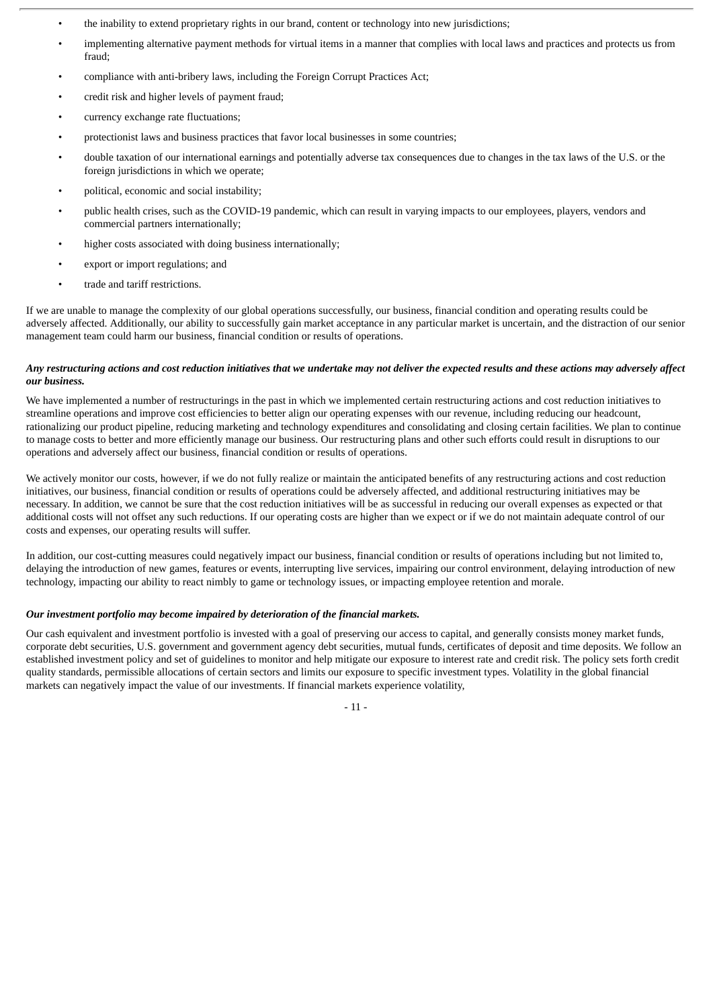- the inability to extend proprietary rights in our brand, content or technology into new jurisdictions;
- implementing alternative payment methods for virtual items in a manner that complies with local laws and practices and protects us from fraud;
- compliance with anti-bribery laws, including the Foreign Corrupt Practices Act;
- credit risk and higher levels of payment fraud;
- currency exchange rate fluctuations;
- protectionist laws and business practices that favor local businesses in some countries;
- double taxation of our international earnings and potentially adverse tax consequences due to changes in the tax laws of the U.S. or the foreign jurisdictions in which we operate;
- political, economic and social instability;
- public health crises, such as the COVID-19 pandemic, which can result in varying impacts to our employees, players, vendors and commercial partners internationally;
- higher costs associated with doing business internationally;
- export or import regulations; and
- trade and tariff restrictions.

If we are unable to manage the complexity of our global operations successfully, our business, financial condition and operating results could be adversely affected. Additionally, our ability to successfully gain market acceptance in any particular market is uncertain, and the distraction of our senior management team could harm our business, financial condition or results of operations.

### Any restructuring actions and cost reduction initiatives that we undertake may not deliver the expected results and these actions may adversely affect *our business.*

We have implemented a number of restructurings in the past in which we implemented certain restructuring actions and cost reduction initiatives to streamline operations and improve cost efficiencies to better align our operating expenses with our revenue, including reducing our headcount, rationalizing our product pipeline, reducing marketing and technology expenditures and consolidating and closing certain facilities. We plan to continue to manage costs to better and more efficiently manage our business. Our restructuring plans and other such efforts could result in disruptions to our operations and adversely affect our business, financial condition or results of operations.

We actively monitor our costs, however, if we do not fully realize or maintain the anticipated benefits of any restructuring actions and cost reduction initiatives, our business, financial condition or results of operations could be adversely affected, and additional restructuring initiatives may be necessary. In addition, we cannot be sure that the cost reduction initiatives will be as successful in reducing our overall expenses as expected or that additional costs will not offset any such reductions. If our operating costs are higher than we expect or if we do not maintain adequate control of our costs and expenses, our operating results will suffer.

In addition, our cost-cutting measures could negatively impact our business, financial condition or results of operations including but not limited to, delaying the introduction of new games, features or events, interrupting live services, impairing our control environment, delaying introduction of new technology, impacting our ability to react nimbly to game or technology issues, or impacting employee retention and morale.

#### *Our investment portfolio may become impaired by deterioration of the financial markets.*

Our cash equivalent and investment portfolio is invested with a goal of preserving our access to capital, and generally consists money market funds, corporate debt securities, U.S. government and government agency debt securities, mutual funds, certificates of deposit and time deposits. We follow an established investment policy and set of guidelines to monitor and help mitigate our exposure to interest rate and credit risk. The policy sets forth credit quality standards, permissible allocations of certain sectors and limits our exposure to specific investment types. Volatility in the global financial markets can negatively impact the value of our investments. If financial markets experience volatility,

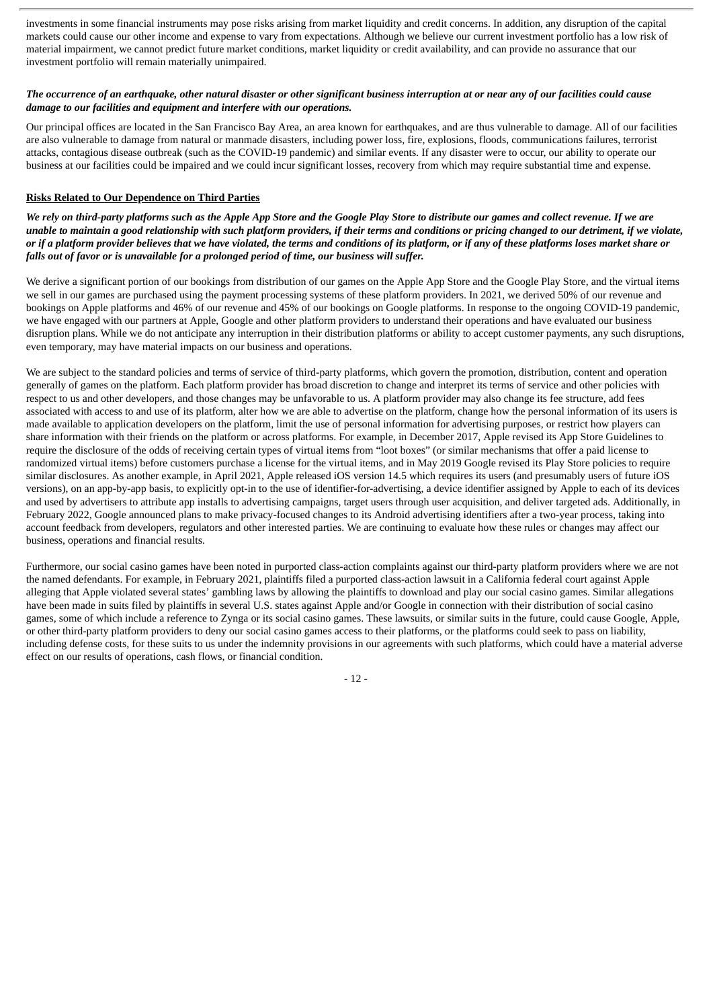investments in some financial instruments may pose risks arising from market liquidity and credit concerns. In addition, any disruption of the capital markets could cause our other income and expense to vary from expectations. Although we believe our current investment portfolio has a low risk of material impairment, we cannot predict future market conditions, market liquidity or credit availability, and can provide no assurance that our investment portfolio will remain materially unimpaired.

# The occurrence of an earthquake, other natural disaster or other significant business interruption at or near any of our facilities could cause *damage to our facilities and equipment and interfere with our operations.*

Our principal offices are located in the San Francisco Bay Area, an area known for earthquakes, and are thus vulnerable to damage. All of our facilities are also vulnerable to damage from natural or manmade disasters, including power loss, fire, explosions, floods, communications failures, terrorist attacks, contagious disease outbreak (such as the COVID-19 pandemic) and similar events. If any disaster were to occur, our ability to operate our business at our facilities could be impaired and we could incur significant losses, recovery from which may require substantial time and expense.

# **Risks Related to Our Dependence on Third Parties**

We rely on third-party platforms such as the Apple App Store and the Google Play Store to distribute our games and collect revenue. If we are unable to maintain a good relationship with such platform providers, if their terms and conditions or pricing changed to our detriment, if we violate, or if a platform provider believes that we have violated, the terms and conditions of its platform, or if any of these platforms loses market share or *falls out of favor or is unavailable for a prolonged period of time, our business will suffer.*

We derive a significant portion of our bookings from distribution of our games on the Apple App Store and the Google Play Store, and the virtual items we sell in our games are purchased using the payment processing systems of these platform providers. In 2021, we derived 50% of our revenue and bookings on Apple platforms and 46% of our revenue and 45% of our bookings on Google platforms. In response to the ongoing COVID-19 pandemic, we have engaged with our partners at Apple, Google and other platform providers to understand their operations and have evaluated our business disruption plans. While we do not anticipate any interruption in their distribution platforms or ability to accept customer payments, any such disruptions, even temporary, may have material impacts on our business and operations.

We are subject to the standard policies and terms of service of third-party platforms, which govern the promotion, distribution, content and operation generally of games on the platform. Each platform provider has broad discretion to change and interpret its terms of service and other policies with respect to us and other developers, and those changes may be unfavorable to us. A platform provider may also change its fee structure, add fees associated with access to and use of its platform, alter how we are able to advertise on the platform, change how the personal information of its users is made available to application developers on the platform, limit the use of personal information for advertising purposes, or restrict how players can share information with their friends on the platform or across platforms. For example, in December 2017, Apple revised its App Store Guidelines to require the disclosure of the odds of receiving certain types of virtual items from "loot boxes" (or similar mechanisms that offer a paid license to randomized virtual items) before customers purchase a license for the virtual items, and in May 2019 Google revised its Play Store policies to require similar disclosures. As another example, in April 2021, Apple released iOS version 14.5 which requires its users (and presumably users of future iOS versions), on an app-by-app basis, to explicitly opt-in to the use of identifier-for-advertising, a device identifier assigned by Apple to each of its devices and used by advertisers to attribute app installs to advertising campaigns, target users through user acquisition, and deliver targeted ads. Additionally, in February 2022, Google announced plans to make privacy-focused changes to its Android advertising identifiers after a two-year process, taking into account feedback from developers, regulators and other interested parties. We are continuing to evaluate how these rules or changes may affect our business, operations and financial results.

Furthermore, our social casino games have been noted in purported class-action complaints against our third-party platform providers where we are not the named defendants. For example, in February 2021, plaintiffs filed a purported class-action lawsuit in a California federal court against Apple alleging that Apple violated several states' gambling laws by allowing the plaintiffs to download and play our social casino games. Similar allegations have been made in suits filed by plaintiffs in several U.S. states against Apple and/or Google in connection with their distribution of social casino games, some of which include a reference to Zynga or its social casino games. These lawsuits, or similar suits in the future, could cause Google, Apple, or other third-party platform providers to deny our social casino games access to their platforms, or the platforms could seek to pass on liability, including defense costs, for these suits to us under the indemnity provisions in our agreements with such platforms, which could have a material adverse effect on our results of operations, cash flows, or financial condition.

- 12 -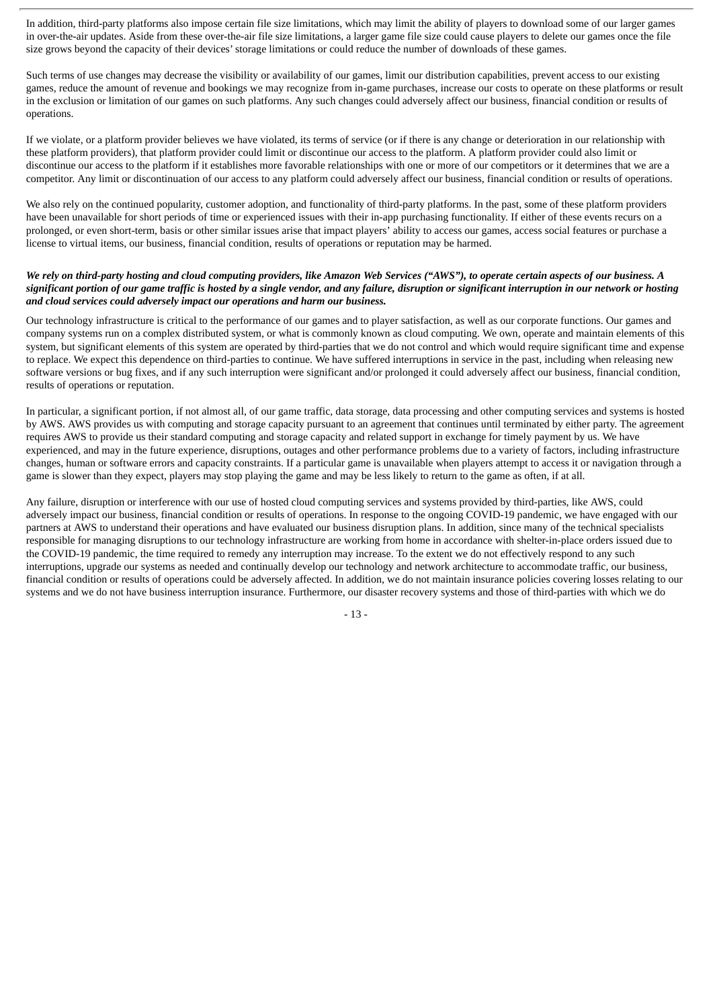In addition, third-party platforms also impose certain file size limitations, which may limit the ability of players to download some of our larger games in over-the-air updates. Aside from these over-the-air file size limitations, a larger game file size could cause players to delete our games once the file size grows beyond the capacity of their devices' storage limitations or could reduce the number of downloads of these games.

Such terms of use changes may decrease the visibility or availability of our games, limit our distribution capabilities, prevent access to our existing games, reduce the amount of revenue and bookings we may recognize from in-game purchases, increase our costs to operate on these platforms or result in the exclusion or limitation of our games on such platforms. Any such changes could adversely affect our business, financial condition or results of operations.

If we violate, or a platform provider believes we have violated, its terms of service (or if there is any change or deterioration in our relationship with these platform providers), that platform provider could limit or discontinue our access to the platform. A platform provider could also limit or discontinue our access to the platform if it establishes more favorable relationships with one or more of our competitors or it determines that we are a competitor. Any limit or discontinuation of our access to any platform could adversely affect our business, financial condition or results of operations.

We also rely on the continued popularity, customer adoption, and functionality of third-party platforms. In the past, some of these platform providers have been unavailable for short periods of time or experienced issues with their in-app purchasing functionality. If either of these events recurs on a prolonged, or even short-term, basis or other similar issues arise that impact players' ability to access our games, access social features or purchase a license to virtual items, our business, financial condition, results of operations or reputation may be harmed.

## We rely on third-party hosting and cloud computing providers, like Amazon Web Services ("AWS"), to operate certain aspects of our business. A significant portion of our game traffic is hosted by a single vendor, and any failure, disruption or significant interruption in our network or hosting *and cloud services could adversely impact our operations and harm our business.*

Our technology infrastructure is critical to the performance of our games and to player satisfaction, as well as our corporate functions. Our games and company systems run on a complex distributed system, or what is commonly known as cloud computing. We own, operate and maintain elements of this system, but significant elements of this system are operated by third-parties that we do not control and which would require significant time and expense to replace. We expect this dependence on third-parties to continue. We have suffered interruptions in service in the past, including when releasing new software versions or bug fixes, and if any such interruption were significant and/or prolonged it could adversely affect our business, financial condition, results of operations or reputation.

In particular, a significant portion, if not almost all, of our game traffic, data storage, data processing and other computing services and systems is hosted by AWS. AWS provides us with computing and storage capacity pursuant to an agreement that continues until terminated by either party. The agreement requires AWS to provide us their standard computing and storage capacity and related support in exchange for timely payment by us. We have experienced, and may in the future experience, disruptions, outages and other performance problems due to a variety of factors, including infrastructure changes, human or software errors and capacity constraints. If a particular game is unavailable when players attempt to access it or navigation through a game is slower than they expect, players may stop playing the game and may be less likely to return to the game as often, if at all.

Any failure, disruption or interference with our use of hosted cloud computing services and systems provided by third-parties, like AWS, could adversely impact our business, financial condition or results of operations. In response to the ongoing COVID-19 pandemic, we have engaged with our partners at AWS to understand their operations and have evaluated our business disruption plans. In addition, since many of the technical specialists responsible for managing disruptions to our technology infrastructure are working from home in accordance with shelter-in-place orders issued due to the COVID-19 pandemic, the time required to remedy any interruption may increase. To the extent we do not effectively respond to any such interruptions, upgrade our systems as needed and continually develop our technology and network architecture to accommodate traffic, our business, financial condition or results of operations could be adversely affected. In addition, we do not maintain insurance policies covering losses relating to our systems and we do not have business interruption insurance. Furthermore, our disaster recovery systems and those of third-parties with which we do

- 13 -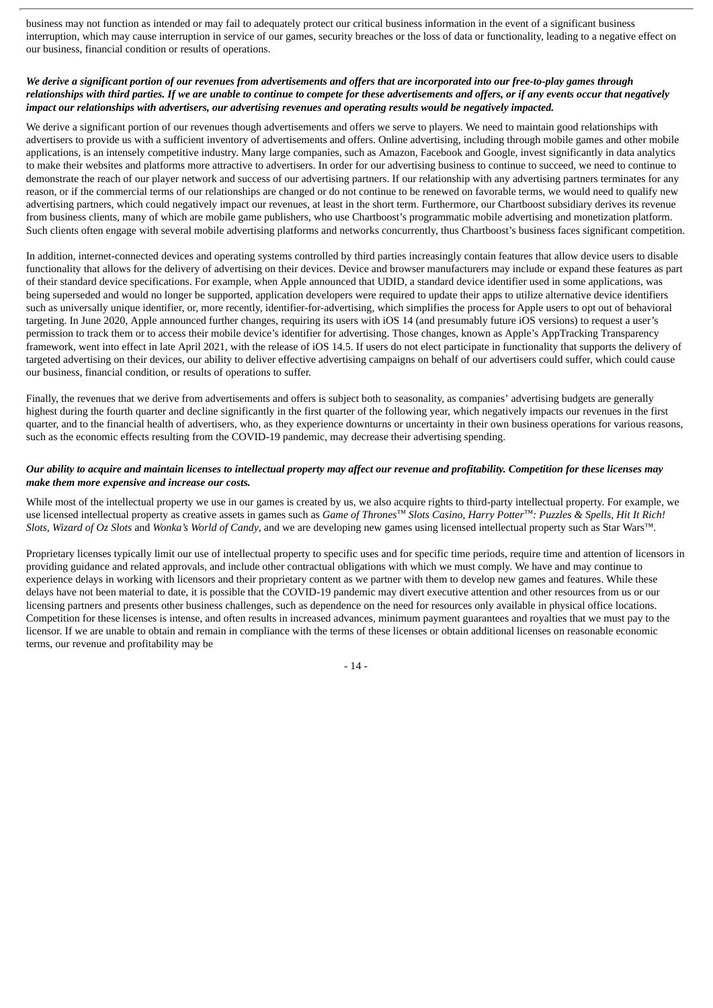business may not function as intended or may fail to adequately protect our critical business information in the event of a significant business interruption, which may cause interruption in service of our games, security breaches or the loss of data or functionality, leading to a negative effect on our business, financial condition or results of operations.

# We derive a significant portion of our revenues from advertisements and offers that are incorporated into our free-to-play games through relationships with third parties. If we are unable to continue to compete for these advertisements and offers, or if any events occur that negatively *impact our relationships with advertisers, our advertising revenues and operating results would be negatively impacted.*

We derive a significant portion of our revenues though advertisements and offers we serve to players. We need to maintain good relationships with advertisers to provide us with a sufficient inventory of advertisements and offers. Online advertising, including through mobile games and other mobile applications, is an intensely competitive industry. Many large companies, such as Amazon, Facebook and Google, invest significantly in data analytics to make their websites and platforms more attractive to advertisers. In order for our advertising business to continue to succeed, we need to continue to demonstrate the reach of our player network and success of our advertising partners. If our relationship with any advertising partners terminates for any reason, or if the commercial terms of our relationships are changed or do not continue to be renewed on favorable terms, we would need to qualify new advertising partners, which could negatively impact our revenues, at least in the short term. Furthermore, our Chartboost subsidiary derives its revenue from business clients, many of which are mobile game publishers, who use Chartboost's programmatic mobile advertising and monetization platform. Such clients often engage with several mobile advertising platforms and networks concurrently, thus Chartboost's business faces significant competition.

In addition, internet-connected devices and operating systems controlled by third parties increasingly contain features that allow device users to disable functionality that allows for the delivery of advertising on their devices. Device and browser manufacturers may include or expand these features as part of their standard device specifications. For example, when Apple announced that UDID, a standard device identifier used in some applications, was being superseded and would no longer be supported, application developers were required to update their apps to utilize alternative device identifiers such as universally unique identifier, or, more recently, identifier-for-advertising, which simplifies the process for Apple users to opt out of behavioral targeting. In June 2020, Apple announced further changes, requiring its users with iOS 14 (and presumably future iOS versions) to request a user's permission to track them or to access their mobile device's identifier for advertising. Those changes, known as Apple's AppTracking Transparency framework, went into effect in late April 2021, with the release of iOS 14.5. If users do not elect participate in functionality that supports the delivery of targeted advertising on their devices, our ability to deliver effective advertising campaigns on behalf of our advertisers could suffer, which could cause our business, financial condition, or results of operations to suffer.

Finally, the revenues that we derive from advertisements and offers is subject both to seasonality, as companies' advertising budgets are generally highest during the fourth quarter and decline significantly in the first quarter of the following year, which negatively impacts our revenues in the first quarter, and to the financial health of advertisers, who, as they experience downturns or uncertainty in their own business operations for various reasons, such as the economic effects resulting from the COVID-19 pandemic, may decrease their advertising spending.

# Our ability to acquire and maintain licenses to intellectual property may affect our revenue and profitability. Competition for these licenses may *make them more expensive and increase our costs.*

While most of the intellectual property we use in our games is created by us, we also acquire rights to third-party intellectual property. For example, we use licensed intellectual property as creative assets in games such as *Game of Thrones™ Slots Casino*, *Harry Potter™: Puzzles & Spells, Hit It Rich! Slots*, *Wizard of Oz Slots* and *Wonka's World of Candy*, and we are developing new games using licensed intellectual property such as Star Wars™.

Proprietary licenses typically limit our use of intellectual property to specific uses and for specific time periods, require time and attention of licensors in providing guidance and related approvals, and include other contractual obligations with which we must comply. We have and may continue to experience delays in working with licensors and their proprietary content as we partner with them to develop new games and features. While these delays have not been material to date, it is possible that the COVID-19 pandemic may divert executive attention and other resources from us or our licensing partners and presents other business challenges, such as dependence on the need for resources only available in physical office locations. Competition for these licenses is intense, and often results in increased advances, minimum payment guarantees and royalties that we must pay to the licensor. If we are unable to obtain and remain in compliance with the terms of these licenses or obtain additional licenses on reasonable economic terms, our revenue and profitability may be

- 14 -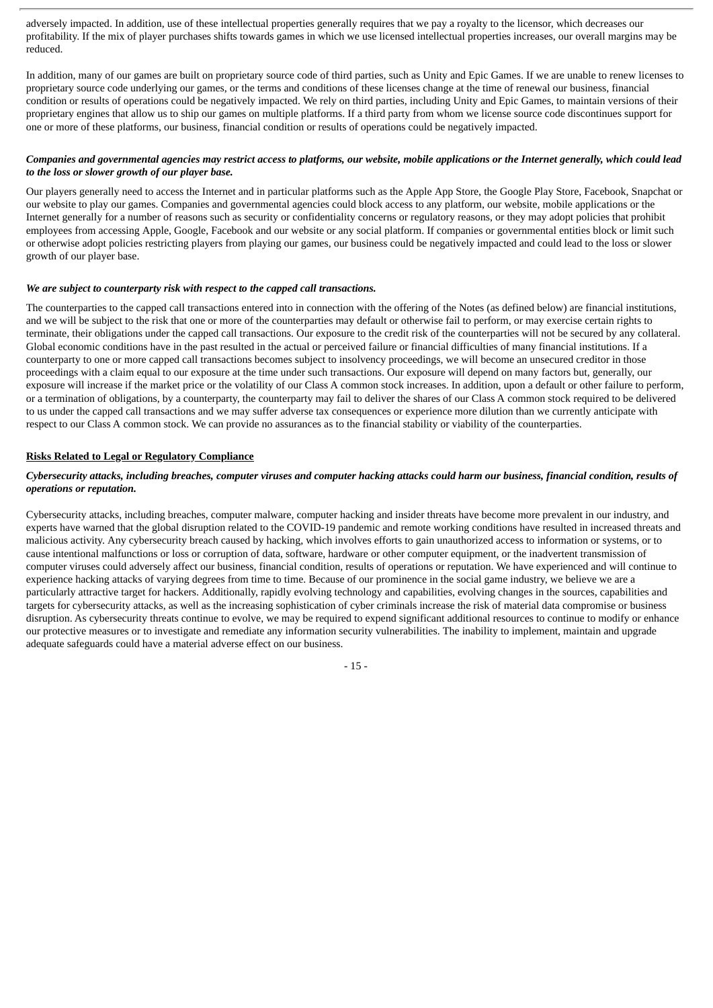adversely impacted. In addition, use of these intellectual properties generally requires that we pay a royalty to the licensor, which decreases our profitability. If the mix of player purchases shifts towards games in which we use licensed intellectual properties increases, our overall margins may be reduced.

In addition, many of our games are built on proprietary source code of third parties, such as Unity and Epic Games. If we are unable to renew licenses to proprietary source code underlying our games, or the terms and conditions of these licenses change at the time of renewal our business, financial condition or results of operations could be negatively impacted. We rely on third parties, including Unity and Epic Games, to maintain versions of their proprietary engines that allow us to ship our games on multiple platforms. If a third party from whom we license source code discontinues support for one or more of these platforms, our business, financial condition or results of operations could be negatively impacted.

# Companies and governmental agencies may restrict access to platforms, our website, mobile applications or the Internet generally, which could lead *to the loss or slower growth of our player base.*

Our players generally need to access the Internet and in particular platforms such as the Apple App Store, the Google Play Store, Facebook, Snapchat or our website to play our games. Companies and governmental agencies could block access to any platform, our website, mobile applications or the Internet generally for a number of reasons such as security or confidentiality concerns or regulatory reasons, or they may adopt policies that prohibit employees from accessing Apple, Google, Facebook and our website or any social platform. If companies or governmental entities block or limit such or otherwise adopt policies restricting players from playing our games, our business could be negatively impacted and could lead to the loss or slower growth of our player base.

#### *We are subject to counterparty risk with respect to the capped call transactions.*

The counterparties to the capped call transactions entered into in connection with the offering of the Notes (as defined below) are financial institutions, and we will be subject to the risk that one or more of the counterparties may default or otherwise fail to perform, or may exercise certain rights to terminate, their obligations under the capped call transactions. Our exposure to the credit risk of the counterparties will not be secured by any collateral. Global economic conditions have in the past resulted in the actual or perceived failure or financial difficulties of many financial institutions. If a counterparty to one or more capped call transactions becomes subject to insolvency proceedings, we will become an unsecured creditor in those proceedings with a claim equal to our exposure at the time under such transactions. Our exposure will depend on many factors but, generally, our exposure will increase if the market price or the volatility of our Class A common stock increases. In addition, upon a default or other failure to perform, or a termination of obligations, by a counterparty, the counterparty may fail to deliver the shares of our Class A common stock required to be delivered to us under the capped call transactions and we may suffer adverse tax consequences or experience more dilution than we currently anticipate with respect to our Class A common stock. We can provide no assurances as to the financial stability or viability of the counterparties.

# **Risks Related to Legal or Regulatory Compliance**

### Cybersecurity attacks, including breaches, computer viruses and computer hacking attacks could harm our business, financial condition, results of *operations or reputation.*

Cybersecurity attacks, including breaches, computer malware, computer hacking and insider threats have become more prevalent in our industry, and experts have warned that the global disruption related to the COVID-19 pandemic and remote working conditions have resulted in increased threats and malicious activity. Any cybersecurity breach caused by hacking, which involves efforts to gain unauthorized access to information or systems, or to cause intentional malfunctions or loss or corruption of data, software, hardware or other computer equipment, or the inadvertent transmission of computer viruses could adversely affect our business, financial condition, results of operations or reputation. We have experienced and will continue to experience hacking attacks of varying degrees from time to time. Because of our prominence in the social game industry, we believe we are a particularly attractive target for hackers. Additionally, rapidly evolving technology and capabilities, evolving changes in the sources, capabilities and targets for cybersecurity attacks, as well as the increasing sophistication of cyber criminals increase the risk of material data compromise or business disruption. As cybersecurity threats continue to evolve, we may be required to expend significant additional resources to continue to modify or enhance our protective measures or to investigate and remediate any information security vulnerabilities. The inability to implement, maintain and upgrade adequate safeguards could have a material adverse effect on our business.

- 15 -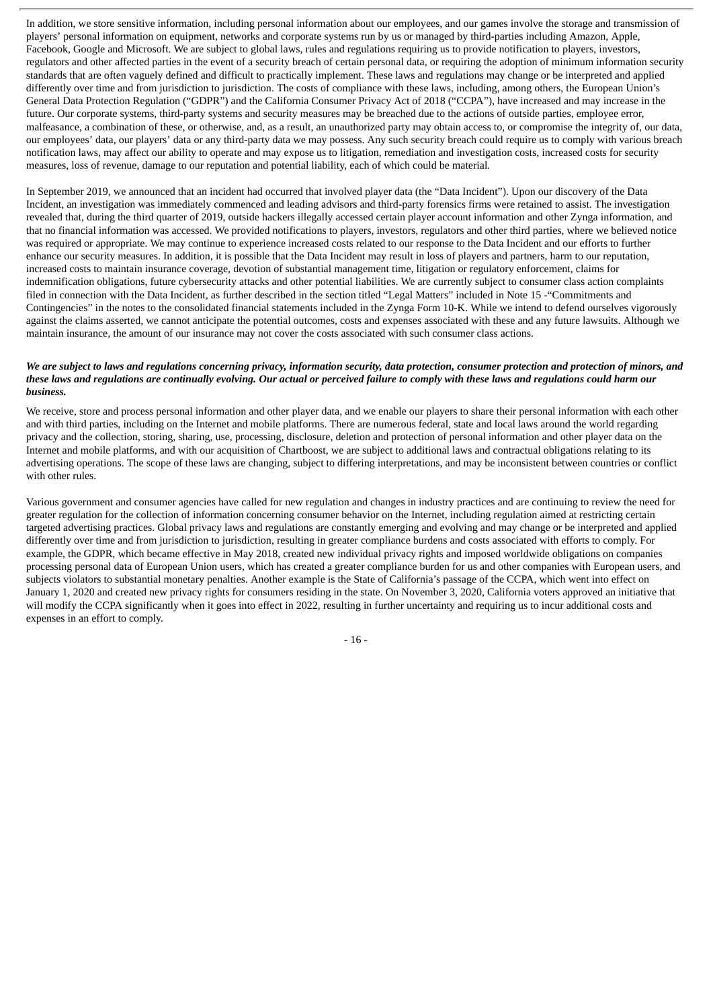In addition, we store sensitive information, including personal information about our employees, and our games involve the storage and transmission of players' personal information on equipment, networks and corporate systems run by us or managed by third-parties including Amazon, Apple, Facebook, Google and Microsoft. We are subject to global laws, rules and regulations requiring us to provide notification to players, investors, regulators and other affected parties in the event of a security breach of certain personal data, or requiring the adoption of minimum information security standards that are often vaguely defined and difficult to practically implement. These laws and regulations may change or be interpreted and applied differently over time and from jurisdiction to jurisdiction. The costs of compliance with these laws, including, among others, the European Union's General Data Protection Regulation ("GDPR") and the California Consumer Privacy Act of 2018 ("CCPA"), have increased and may increase in the future. Our corporate systems, third-party systems and security measures may be breached due to the actions of outside parties, employee error, malfeasance, a combination of these, or otherwise, and, as a result, an unauthorized party may obtain access to, or compromise the integrity of, our data, our employees' data, our players' data or any third-party data we may possess. Any such security breach could require us to comply with various breach notification laws, may affect our ability to operate and may expose us to litigation, remediation and investigation costs, increased costs for security measures, loss of revenue, damage to our reputation and potential liability, each of which could be material.

In September 2019, we announced that an incident had occurred that involved player data (the "Data Incident"). Upon our discovery of the Data Incident, an investigation was immediately commenced and leading advisors and third-party forensics firms were retained to assist. The investigation revealed that, during the third quarter of 2019, outside hackers illegally accessed certain player account information and other Zynga information, and that no financial information was accessed. We provided notifications to players, investors, regulators and other third parties, where we believed notice was required or appropriate. We may continue to experience increased costs related to our response to the Data Incident and our efforts to further enhance our security measures. In addition, it is possible that the Data Incident may result in loss of players and partners, harm to our reputation, increased costs to maintain insurance coverage, devotion of substantial management time, litigation or regulatory enforcement, claims for indemnification obligations, future cybersecurity attacks and other potential liabilities. We are currently subject to consumer class action complaints filed in connection with the Data Incident, as further described in the section titled "Legal Matters" included in Note 15 -"Commitments and Contingencies" in the notes to the consolidated financial statements included in the Zynga Form 10-K. While we intend to defend ourselves vigorously against the claims asserted, we cannot anticipate the potential outcomes, costs and expenses associated with these and any future lawsuits. Although we maintain insurance, the amount of our insurance may not cover the costs associated with such consumer class actions.

#### We are subject to laws and regulations concerning privacy, information security, data protection, consumer protection and protection of minors, and these laws and requlations are continually evolving. Our actual or perceived failure to comply with these laws and requlations could harm our *business.*

We receive, store and process personal information and other player data, and we enable our players to share their personal information with each other and with third parties, including on the Internet and mobile platforms. There are numerous federal, state and local laws around the world regarding privacy and the collection, storing, sharing, use, processing, disclosure, deletion and protection of personal information and other player data on the Internet and mobile platforms, and with our acquisition of Chartboost, we are subject to additional laws and contractual obligations relating to its advertising operations. The scope of these laws are changing, subject to differing interpretations, and may be inconsistent between countries or conflict with other rules.

Various government and consumer agencies have called for new regulation and changes in industry practices and are continuing to review the need for greater regulation for the collection of information concerning consumer behavior on the Internet, including regulation aimed at restricting certain targeted advertising practices. Global privacy laws and regulations are constantly emerging and evolving and may change or be interpreted and applied differently over time and from jurisdiction to jurisdiction, resulting in greater compliance burdens and costs associated with efforts to comply. For example, the GDPR, which became effective in May 2018, created new individual privacy rights and imposed worldwide obligations on companies processing personal data of European Union users, which has created a greater compliance burden for us and other companies with European users, and subjects violators to substantial monetary penalties. Another example is the State of California's passage of the CCPA, which went into effect on January 1, 2020 and created new privacy rights for consumers residing in the state. On November 3, 2020, California voters approved an initiative that will modify the CCPA significantly when it goes into effect in 2022, resulting in further uncertainty and requiring us to incur additional costs and expenses in an effort to comply.

- 16 -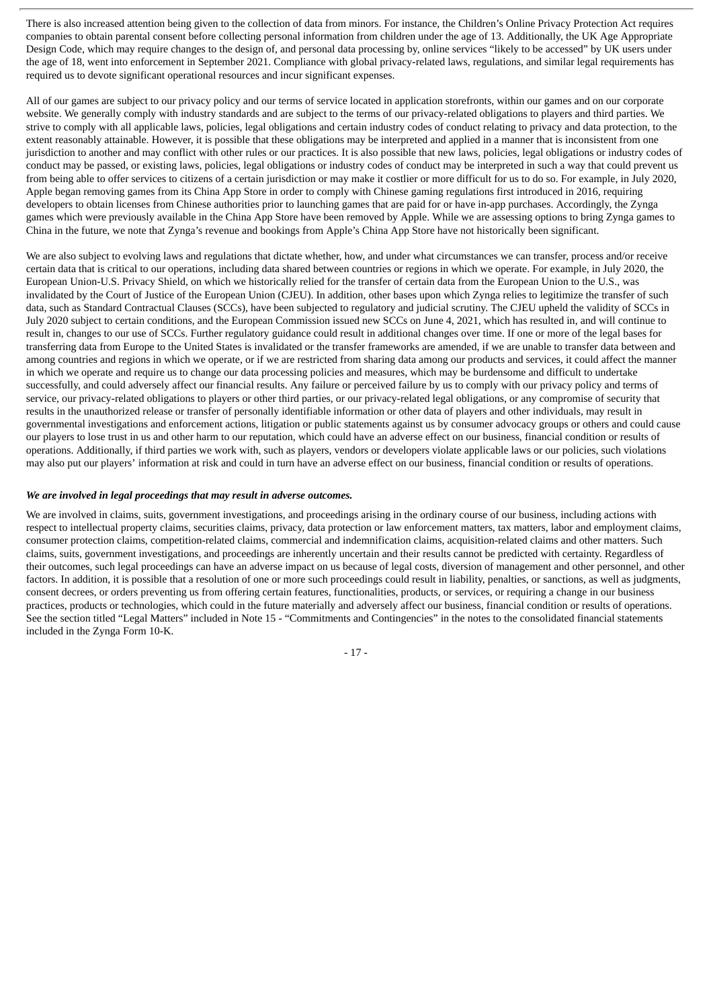There is also increased attention being given to the collection of data from minors. For instance, the Children's Online Privacy Protection Act requires companies to obtain parental consent before collecting personal information from children under the age of 13. Additionally, the UK Age Appropriate Design Code, which may require changes to the design of, and personal data processing by, online services "likely to be accessed" by UK users under the age of 18, went into enforcement in September 2021. Compliance with global privacy-related laws, regulations, and similar legal requirements has required us to devote significant operational resources and incur significant expenses.

All of our games are subject to our privacy policy and our terms of service located in application storefronts, within our games and on our corporate website. We generally comply with industry standards and are subject to the terms of our privacy-related obligations to players and third parties. We strive to comply with all applicable laws, policies, legal obligations and certain industry codes of conduct relating to privacy and data protection, to the extent reasonably attainable. However, it is possible that these obligations may be interpreted and applied in a manner that is inconsistent from one jurisdiction to another and may conflict with other rules or our practices. It is also possible that new laws, policies, legal obligations or industry codes of conduct may be passed, or existing laws, policies, legal obligations or industry codes of conduct may be interpreted in such a way that could prevent us from being able to offer services to citizens of a certain jurisdiction or may make it costlier or more difficult for us to do so. For example, in July 2020, Apple began removing games from its China App Store in order to comply with Chinese gaming regulations first introduced in 2016, requiring developers to obtain licenses from Chinese authorities prior to launching games that are paid for or have in-app purchases. Accordingly, the Zynga games which were previously available in the China App Store have been removed by Apple. While we are assessing options to bring Zynga games to China in the future, we note that Zynga's revenue and bookings from Apple's China App Store have not historically been significant.

We are also subject to evolving laws and regulations that dictate whether, how, and under what circumstances we can transfer, process and/or receive certain data that is critical to our operations, including data shared between countries or regions in which we operate. For example, in July 2020, the European Union-U.S. Privacy Shield, on which we historically relied for the transfer of certain data from the European Union to the U.S., was invalidated by the Court of Justice of the European Union (CJEU). In addition, other bases upon which Zynga relies to legitimize the transfer of such data, such as Standard Contractual Clauses (SCCs), have been subjected to regulatory and judicial scrutiny. The CJEU upheld the validity of SCCs in July 2020 subject to certain conditions, and the European Commission issued new SCCs on June 4, 2021, which has resulted in, and will continue to result in, changes to our use of SCCs. Further regulatory guidance could result in additional changes over time. If one or more of the legal bases for transferring data from Europe to the United States is invalidated or the transfer frameworks are amended, if we are unable to transfer data between and among countries and regions in which we operate, or if we are restricted from sharing data among our products and services, it could affect the manner in which we operate and require us to change our data processing policies and measures, which may be burdensome and difficult to undertake successfully, and could adversely affect our financial results. Any failure or perceived failure by us to comply with our privacy policy and terms of service, our privacy-related obligations to players or other third parties, or our privacy-related legal obligations, or any compromise of security that results in the unauthorized release or transfer of personally identifiable information or other data of players and other individuals, may result in governmental investigations and enforcement actions, litigation or public statements against us by consumer advocacy groups or others and could cause our players to lose trust in us and other harm to our reputation, which could have an adverse effect on our business, financial condition or results of operations. Additionally, if third parties we work with, such as players, vendors or developers violate applicable laws or our policies, such violations may also put our players' information at risk and could in turn have an adverse effect on our business, financial condition or results of operations.

#### *We are involved in legal proceedings that may result in adverse outcomes.*

We are involved in claims, suits, government investigations, and proceedings arising in the ordinary course of our business, including actions with respect to intellectual property claims, securities claims, privacy, data protection or law enforcement matters, tax matters, labor and employment claims, consumer protection claims, competition-related claims, commercial and indemnification claims, acquisition-related claims and other matters. Such claims, suits, government investigations, and proceedings are inherently uncertain and their results cannot be predicted with certainty. Regardless of their outcomes, such legal proceedings can have an adverse impact on us because of legal costs, diversion of management and other personnel, and other factors. In addition, it is possible that a resolution of one or more such proceedings could result in liability, penalties, or sanctions, as well as judgments, consent decrees, or orders preventing us from offering certain features, functionalities, products, or services, or requiring a change in our business practices, products or technologies, which could in the future materially and adversely affect our business, financial condition or results of operations. See the section titled "Legal Matters" included in Note 15 - "Commitments and Contingencies" in the notes to the consolidated financial statements included in the Zynga Form 10-K.

- 17 -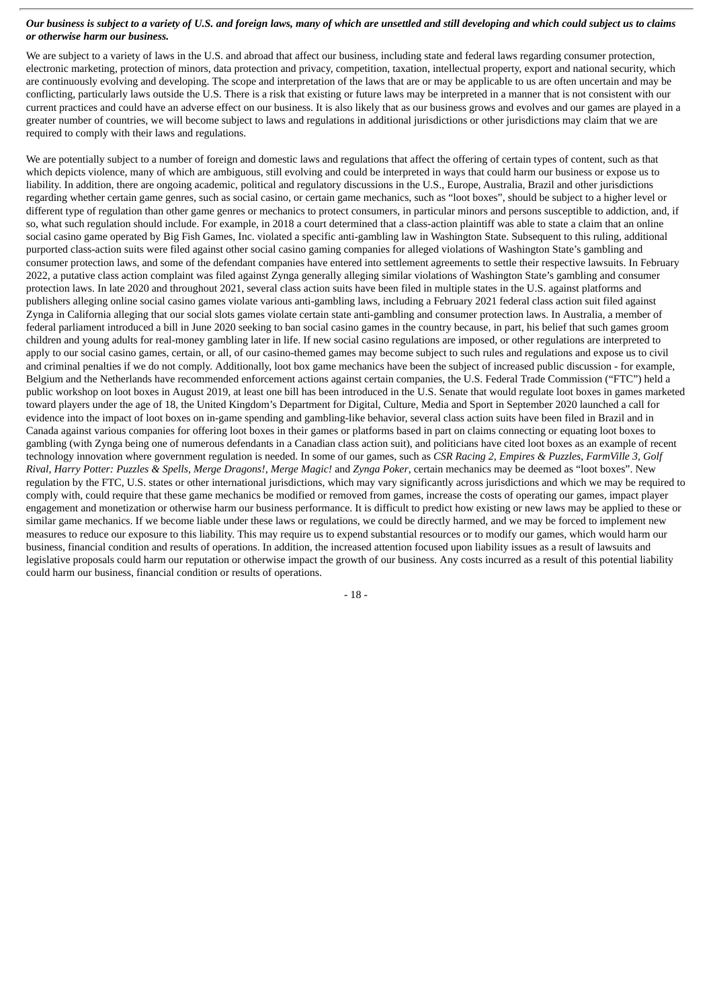### Our business is subject to a variety of U.S. and foreign laws, many of which are unsettled and still developing and which could subject us to claims *or otherwise harm our business.*

We are subject to a variety of laws in the U.S. and abroad that affect our business, including state and federal laws regarding consumer protection, electronic marketing, protection of minors, data protection and privacy, competition, taxation, intellectual property, export and national security, which are continuously evolving and developing. The scope and interpretation of the laws that are or may be applicable to us are often uncertain and may be conflicting, particularly laws outside the U.S. There is a risk that existing or future laws may be interpreted in a manner that is not consistent with our current practices and could have an adverse effect on our business. It is also likely that as our business grows and evolves and our games are played in a greater number of countries, we will become subject to laws and regulations in additional jurisdictions or other jurisdictions may claim that we are required to comply with their laws and regulations.

We are potentially subject to a number of foreign and domestic laws and regulations that affect the offering of certain types of content, such as that which depicts violence, many of which are ambiguous, still evolving and could be interpreted in ways that could harm our business or expose us to liability. In addition, there are ongoing academic, political and regulatory discussions in the U.S., Europe, Australia, Brazil and other jurisdictions regarding whether certain game genres, such as social casino, or certain game mechanics, such as "loot boxes", should be subject to a higher level or different type of regulation than other game genres or mechanics to protect consumers, in particular minors and persons susceptible to addiction, and, if so, what such regulation should include. For example, in 2018 a court determined that a class-action plaintiff was able to state a claim that an online social casino game operated by Big Fish Games, Inc. violated a specific anti-gambling law in Washington State. Subsequent to this ruling, additional purported class-action suits were filed against other social casino gaming companies for alleged violations of Washington State's gambling and consumer protection laws, and some of the defendant companies have entered into settlement agreements to settle their respective lawsuits. In February 2022, a putative class action complaint was filed against Zynga generally alleging similar violations of Washington State's gambling and consumer protection laws. In late 2020 and throughout 2021, several class action suits have been filed in multiple states in the U.S. against platforms and publishers alleging online social casino games violate various anti-gambling laws, including a February 2021 federal class action suit filed against Zynga in California alleging that our social slots games violate certain state anti-gambling and consumer protection laws. In Australia, a member of federal parliament introduced a bill in June 2020 seeking to ban social casino games in the country because, in part, his belief that such games groom children and young adults for real-money gambling later in life. If new social casino regulations are imposed, or other regulations are interpreted to apply to our social casino games, certain, or all, of our casino-themed games may become subject to such rules and regulations and expose us to civil and criminal penalties if we do not comply. Additionally, loot box game mechanics have been the subject of increased public discussion - for example, Belgium and the Netherlands have recommended enforcement actions against certain companies, the U.S. Federal Trade Commission ("FTC") held a public workshop on loot boxes in August 2019, at least one bill has been introduced in the U.S. Senate that would regulate loot boxes in games marketed toward players under the age of 18, the United Kingdom's Department for Digital, Culture, Media and Sport in September 2020 launched a call for evidence into the impact of loot boxes on in-game spending and gambling-like behavior, several class action suits have been filed in Brazil and in Canada against various companies for offering loot boxes in their games or platforms based in part on claims connecting or equating loot boxes to gambling (with Zynga being one of numerous defendants in a Canadian class action suit), and politicians have cited loot boxes as an example of recent technology innovation where government regulation is needed. In some of our games, such as *CSR Racing 2*, *Empires & Puzzles*, *FarmVille 3, Golf Rival, Harry Potter: Puzzles & Spells, Merge Dragons!*, *Merge Magic!* and *Zynga Poker*, certain mechanics may be deemed as "loot boxes". New regulation by the FTC, U.S. states or other international jurisdictions, which may vary significantly across jurisdictions and which we may be required to comply with, could require that these game mechanics be modified or removed from games, increase the costs of operating our games, impact player engagement and monetization or otherwise harm our business performance. It is difficult to predict how existing or new laws may be applied to these or similar game mechanics. If we become liable under these laws or regulations, we could be directly harmed, and we may be forced to implement new measures to reduce our exposure to this liability. This may require us to expend substantial resources or to modify our games, which would harm our business, financial condition and results of operations. In addition, the increased attention focused upon liability issues as a result of lawsuits and legislative proposals could harm our reputation or otherwise impact the growth of our business. Any costs incurred as a result of this potential liability could harm our business, financial condition or results of operations.

- 18 -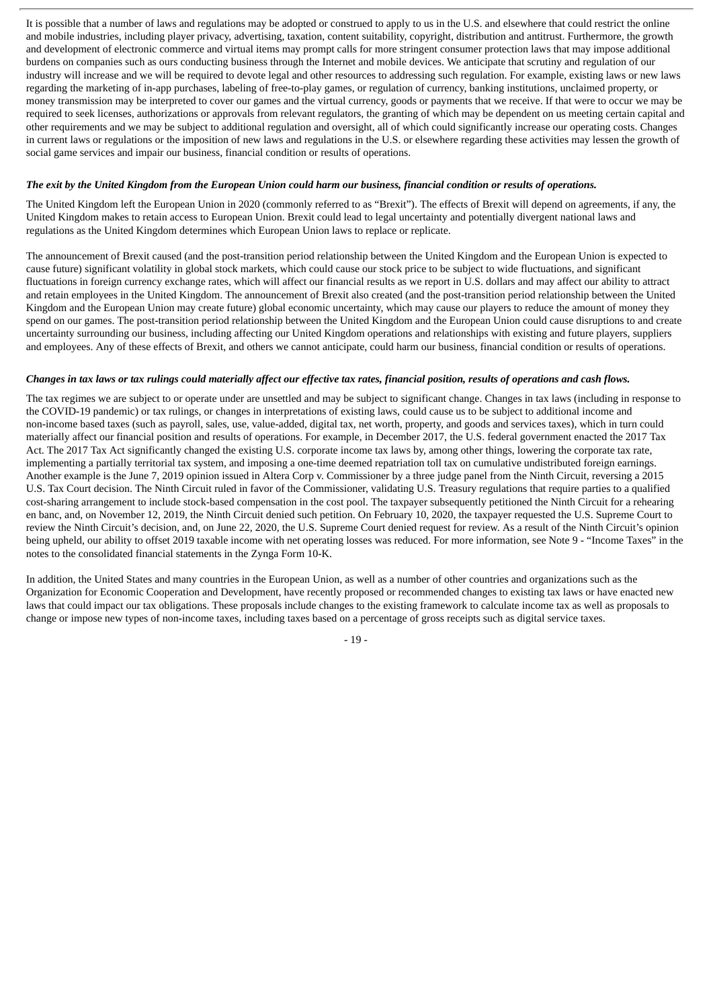It is possible that a number of laws and regulations may be adopted or construed to apply to us in the U.S. and elsewhere that could restrict the online and mobile industries, including player privacy, advertising, taxation, content suitability, copyright, distribution and antitrust. Furthermore, the growth and development of electronic commerce and virtual items may prompt calls for more stringent consumer protection laws that may impose additional burdens on companies such as ours conducting business through the Internet and mobile devices. We anticipate that scrutiny and regulation of our industry will increase and we will be required to devote legal and other resources to addressing such regulation. For example, existing laws or new laws regarding the marketing of in-app purchases, labeling of free-to-play games, or regulation of currency, banking institutions, unclaimed property, or money transmission may be interpreted to cover our games and the virtual currency, goods or payments that we receive. If that were to occur we may be required to seek licenses, authorizations or approvals from relevant regulators, the granting of which may be dependent on us meeting certain capital and other requirements and we may be subject to additional regulation and oversight, all of which could significantly increase our operating costs. Changes in current laws or regulations or the imposition of new laws and regulations in the U.S. or elsewhere regarding these activities may lessen the growth of social game services and impair our business, financial condition or results of operations.

### The exit by the United Kingdom from the European Union could harm our business, financial condition or results of operations.

The United Kingdom left the European Union in 2020 (commonly referred to as "Brexit"). The effects of Brexit will depend on agreements, if any, the United Kingdom makes to retain access to European Union. Brexit could lead to legal uncertainty and potentially divergent national laws and regulations as the United Kingdom determines which European Union laws to replace or replicate.

The announcement of Brexit caused (and the post-transition period relationship between the United Kingdom and the European Union is expected to cause future) significant volatility in global stock markets, which could cause our stock price to be subject to wide fluctuations, and significant fluctuations in foreign currency exchange rates, which will affect our financial results as we report in U.S. dollars and may affect our ability to attract and retain employees in the United Kingdom. The announcement of Brexit also created (and the post-transition period relationship between the United Kingdom and the European Union may create future) global economic uncertainty, which may cause our players to reduce the amount of money they spend on our games. The post-transition period relationship between the United Kingdom and the European Union could cause disruptions to and create uncertainty surrounding our business, including affecting our United Kingdom operations and relationships with existing and future players, suppliers and employees. Any of these effects of Brexit, and others we cannot anticipate, could harm our business, financial condition or results of operations.

# Changes in tax laws or tax rulings could materially affect our effective tax rates, financial position, results of operations and cash flows.

The tax regimes we are subject to or operate under are unsettled and may be subject to significant change. Changes in tax laws (including in response to the COVID-19 pandemic) or tax rulings, or changes in interpretations of existing laws, could cause us to be subject to additional income and non-income based taxes (such as payroll, sales, use, value-added, digital tax, net worth, property, and goods and services taxes), which in turn could materially affect our financial position and results of operations. For example, in December 2017, the U.S. federal government enacted the 2017 Tax Act. The 2017 Tax Act significantly changed the existing U.S. corporate income tax laws by, among other things, lowering the corporate tax rate, implementing a partially territorial tax system, and imposing a one-time deemed repatriation toll tax on cumulative undistributed foreign earnings. Another example is the June 7, 2019 opinion issued in Altera Corp v. Commissioner by a three judge panel from the Ninth Circuit, reversing a 2015 U.S. Tax Court decision. The Ninth Circuit ruled in favor of the Commissioner, validating U.S. Treasury regulations that require parties to a qualified cost-sharing arrangement to include stock-based compensation in the cost pool. The taxpayer subsequently petitioned the Ninth Circuit for a rehearing en banc, and, on November 12, 2019, the Ninth Circuit denied such petition. On February 10, 2020, the taxpayer requested the U.S. Supreme Court to review the Ninth Circuit's decision, and, on June 22, 2020, the U.S. Supreme Court denied request for review. As a result of the Ninth Circuit's opinion being upheld, our ability to offset 2019 taxable income with net operating losses was reduced. For more information, see Note 9 - "Income Taxes" in the notes to the consolidated financial statements in the Zynga Form 10-K.

In addition, the United States and many countries in the European Union, as well as a number of other countries and organizations such as the Organization for Economic Cooperation and Development, have recently proposed or recommended changes to existing tax laws or have enacted new laws that could impact our tax obligations. These proposals include changes to the existing framework to calculate income tax as well as proposals to change or impose new types of non-income taxes, including taxes based on a percentage of gross receipts such as digital service taxes.

 $-19-$